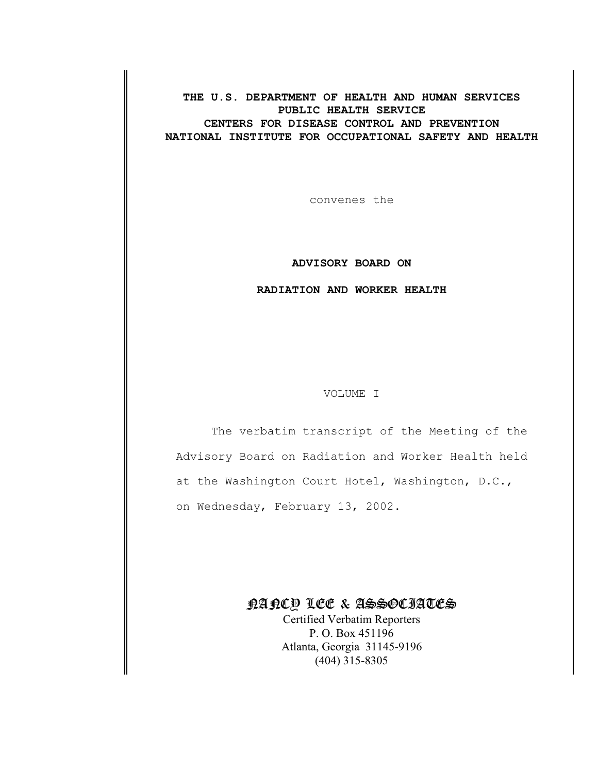**THE U.S. DEPARTMENT OF HEALTH AND HUMAN SERVICES PUBLIC HEALTH SERVICE CENTERS FOR DISEASE CONTROL AND PREVENTION NATIONAL INSTITUTE FOR OCCUPATIONAL SAFETY AND HEALTH**

convenes the

## **ADVISORY BOARD ON**

## **RADIATION AND WORKER HEALTH**

VOLUME I

The verbatim transcript of the Meeting of the Advisory Board on Radiation and Worker Health held at the Washington Court Hotel, Washington, D.C., on Wednesday, February 13, 2002.

# NANCY LEE & ASSOCIATES

Certified Verbatim Reporters P. O. Box 451196 Atlanta, Georgia 31145-9196 (404) 315-8305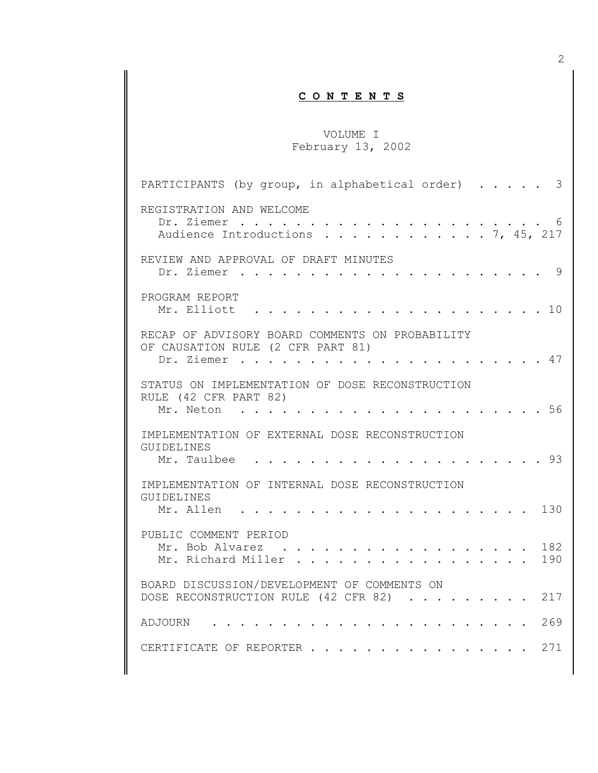# **C O N T E N T S**

## VOLUME I February 13, 2002

| PARTICIPANTS (by group, in alphabetical order)                                                                                                                                                                                                                                                                           |  |  | 3          |
|--------------------------------------------------------------------------------------------------------------------------------------------------------------------------------------------------------------------------------------------------------------------------------------------------------------------------|--|--|------------|
| REGISTRATION AND WELCOME<br>Dr. Ziemer<br>a construction of the construction of the construction of the construction of the construction of the construction of the construction of the construction of the construction of the construction of the construction of the<br>Audience Introductions<br>$\cdots$ 7, 45, 217 |  |  | . 6        |
| REVIEW AND APPROVAL OF DRAFT MINUTES<br>Dr. Ziemer                                                                                                                                                                                                                                                                       |  |  | -9         |
| PROGRAM REPORT<br>Mr. Elliott                                                                                                                                                                                                                                                                                            |  |  | 10         |
| RECAP OF ADVISORY BOARD COMMENTS ON PROBABILITY<br>OF CAUSATION RULE (2 CFR PART 81)<br>Dr. Ziemer                                                                                                                                                                                                                       |  |  | 47         |
| STATUS ON IMPLEMENTATION OF DOSE RECONSTRUCTION<br>RULE (42 CFR PART 82)                                                                                                                                                                                                                                                 |  |  |            |
| Mr. Neton<br>IMPLEMENTATION OF EXTERNAL DOSE RECONSTRUCTION                                                                                                                                                                                                                                                              |  |  | . 56       |
| <b>GUIDELINES</b><br>Mr. Taulbee                                                                                                                                                                                                                                                                                         |  |  | 93         |
| IMPLEMENTATION OF INTERNAL DOSE RECONSTRUCTION<br>GUIDELINES                                                                                                                                                                                                                                                             |  |  |            |
| Mr. Allen<br>PUBLIC COMMENT PERIOD                                                                                                                                                                                                                                                                                       |  |  | 130        |
| Mr. Bob Alvarez<br>Mr. Richard Miller                                                                                                                                                                                                                                                                                    |  |  | 182<br>190 |
| BOARD DISCUSSION/DEVELOPMENT OF COMMENTS ON<br>DOSE RECONSTRUCTION RULE (42 CFR 82)<br>$\mathbf{1}$ $\mathbf{1}$ $\mathbf{1}$ $\mathbf{1}$ $\mathbf{1}$                                                                                                                                                                  |  |  | 217        |
| ADJOURN                                                                                                                                                                                                                                                                                                                  |  |  | 269        |
| CERTIFICATE OF REPORTER.                                                                                                                                                                                                                                                                                                 |  |  | 271        |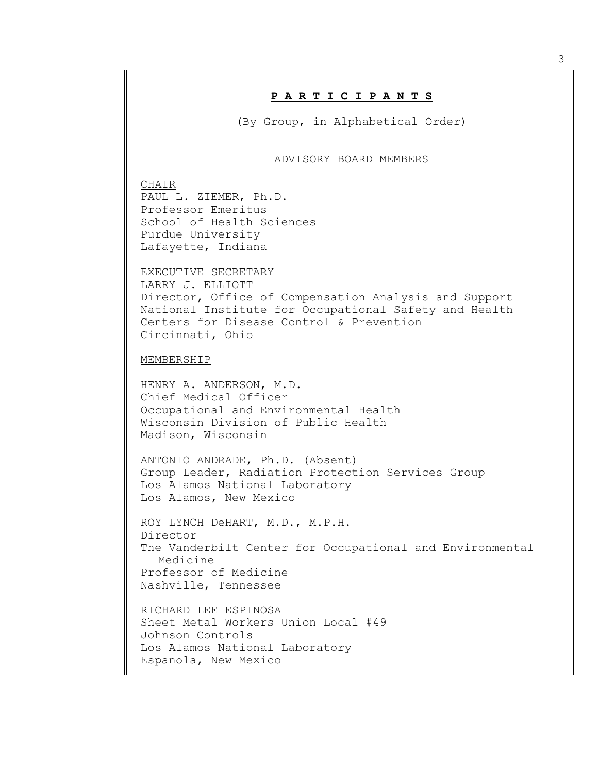## **P A R T I C I P A N T S**

(By Group, in Alphabetical Order)

#### ADVISORY BOARD MEMBERS

CHAIR PAUL L. ZIEMER, Ph.D. Professor Emeritus School of Health Sciences Purdue University Lafayette, Indiana

## EXECUTIVE SECRETARY

LARRY J. ELLIOTT Director, Office of Compensation Analysis and Support National Institute for Occupational Safety and Health Centers for Disease Control & Prevention Cincinnati, Ohio

## MEMBERSHIP

HENRY A. ANDERSON, M.D. Chief Medical Officer Occupational and Environmental Health Wisconsin Division of Public Health Madison, Wisconsin

ANTONIO ANDRADE, Ph.D. (Absent) Group Leader, Radiation Protection Services Group Los Alamos National Laboratory Los Alamos, New Mexico

ROY LYNCH DeHART, M.D., M.P.H. Director The Vanderbilt Center for Occupational and Environmental Medicine Professor of Medicine Nashville, Tennessee

RICHARD LEE ESPINOSA Sheet Metal Workers Union Local #49 Johnson Controls Los Alamos National Laboratory Espanola, New Mexico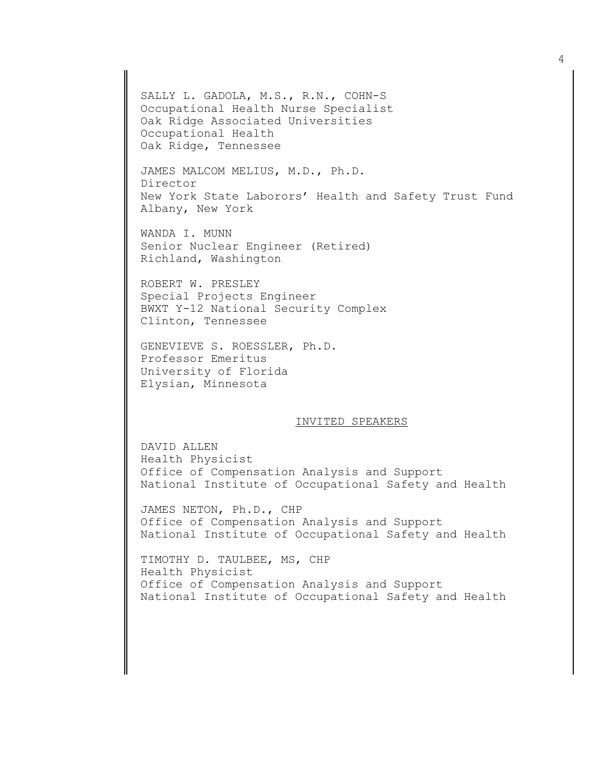SALLY L. GADOLA, M.S., R.N., COHN-S Occupational Health Nurse Specialist Oak Ridge Associated Universities Occupational Health Oak Ridge, Tennessee

JAMES MALCOM MELIUS, M.D., Ph.D. Director New York State Laborors' Health and Safety Trust Fund Albany, New York

WANDA I. MUNN Senior Nuclear Engineer (Retired) Richland, Washington

ROBERT W. PRESLEY Special Projects Engineer BWXT Y-12 National Security Complex Clinton, Tennessee

GENEVIEVE S. ROESSLER, Ph.D. Professor Emeritus University of Florida Elysian, Minnesota

#### INVITED SPEAKERS

DAVID ALLEN Health Physicist Office of Compensation Analysis and Support National Institute of Occupational Safety and Health

JAMES NETON, Ph.D., CHP Office of Compensation Analysis and Support National Institute of Occupational Safety and Health

TIMOTHY D. TAULBEE, MS, CHP Health Physicist Office of Compensation Analysis and Support National Institute of Occupational Safety and Health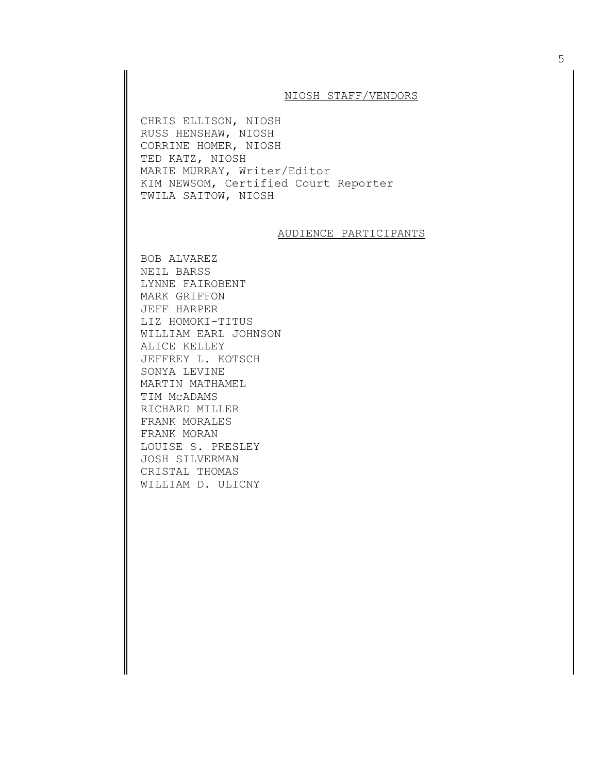## NIOSH STAFF/VENDORS

CHRIS ELLISON, NIOSH RUSS HENSHAW, NIOSH CORRINE HOMER, NIOSH TED KATZ, NIOSH MARIE MURRAY, Writer/Editor KIM NEWSOM, Certified Court Reporter TWILA SAITOW, NIOSH

#### AUDIENCE PARTICIPANTS

BOB ALVAREZ NEIL BARSS LYNNE FAIROBENT MARK GRIFFON JEFF HARPER LIZ HOMOKI-TITUS WILLIAM EARL JOHNSON ALICE KELLEY JEFFREY L. KOTSCH SONYA LEVINE MARTIN MATHAMEL TIM McADAMS RICHARD MILLER FRANK MORALES FRANK MORAN LOUISE S. PRESLEY JOSH SILVERMAN CRISTAL THOMAS WILLIAM D. ULICNY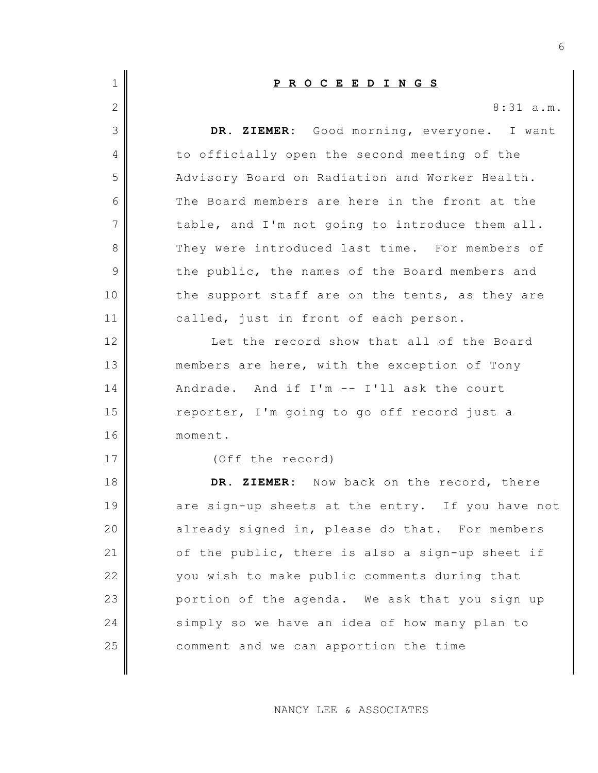| $\mathbf 1$    | PROCEEDINGS                                      |
|----------------|--------------------------------------------------|
| 2              | $8:31$ a.m.                                      |
| 3              | DR. ZIEMER: Good morning, everyone. I want       |
| 4              | to officially open the second meeting of the     |
| 5              | Advisory Board on Radiation and Worker Health.   |
| 6              | The Board members are here in the front at the   |
| 7              | table, and I'm not going to introduce them all.  |
| 8              | They were introduced last time. For members of   |
| $\overline{9}$ | the public, the names of the Board members and   |
| 10             | the support staff are on the tents, as they are  |
| 11             | called, just in front of each person.            |
| 12             | Let the record show that all of the Board        |
| 13             | members are here, with the exception of Tony     |
| 14             | Andrade. And if I'm -- I'll ask the court        |
| 15             | reporter, I'm going to go off record just a      |
| 16             | moment.                                          |
| 17             | (Off the record)                                 |
| 18             | ZIEMER: Now back on the record, there<br>DR.     |
| 19             | are sign-up sheets at the entry. If you have not |
| 20             | already signed in, please do that. For members   |
| 21             | of the public, there is also a sign-up sheet if  |
| 22             | you wish to make public comments during that     |
| 23             | portion of the agenda. We ask that you sign up   |
| 24             | simply so we have an idea of how many plan to    |
| 25             | comment and we can apportion the time            |
|                |                                                  |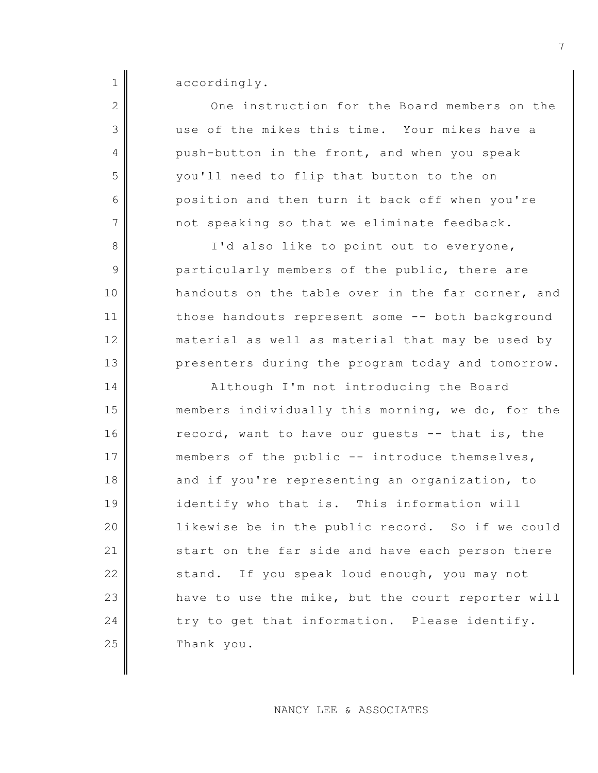1 accordingly.

| $\mathbf{2}$ | One instruction for the Board members on the      |
|--------------|---------------------------------------------------|
| 3            | use of the mikes this time. Your mikes have a     |
| 4            | push-button in the front, and when you speak      |
| 5            | you'll need to flip that button to the on         |
| 6            | position and then turn it back off when you're    |
| 7            | not speaking so that we eliminate feedback.       |
| $8\,$        | I'd also like to point out to everyone,           |
| 9            | particularly members of the public, there are     |
| 10           | handouts on the table over in the far corner, and |
| 11           | those handouts represent some -- both background  |
| 12           | material as well as material that may be used by  |
| 13           | presenters during the program today and tomorrow. |
| 14           | Although I'm not introducing the Board            |
| 15           | members individually this morning, we do, for the |
| 16           | record, want to have our guests -- that is, the   |
| 17           | members of the public -- introduce themselves,    |
| 18           | and if you're representing an organization, to    |
| 19           | identify who that is. This information will       |
| 20           | likewise be in the public record. So if we could  |
| 21           | start on the far side and have each person there  |
| 22           | stand. If you speak loud enough, you may not      |
| 23           | have to use the mike, but the court reporter will |
| 24           | try to get that information. Please identify.     |
| 25           | Thank you.                                        |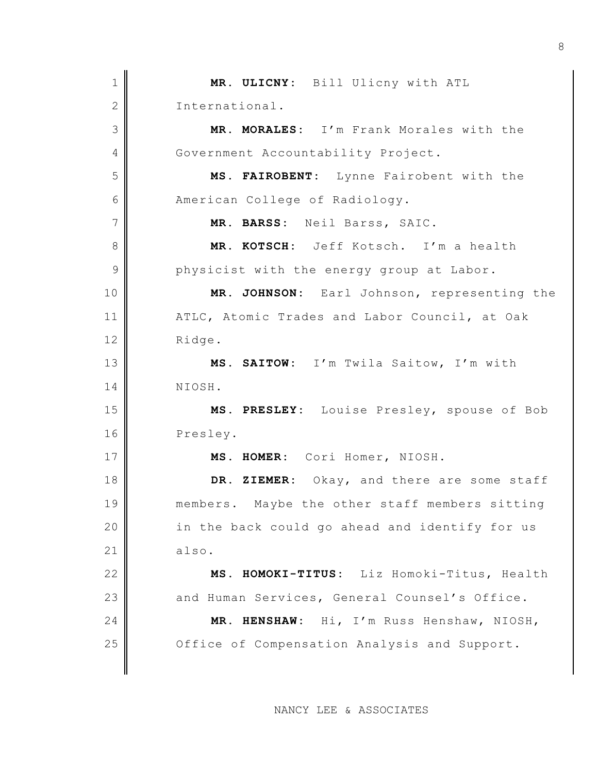**MR. ULICNY:** Bill Ulicny with ATL International. **MR. MORALES:** I'm Frank Morales with the 4 Government Accountability Project. **MS. FAIROBENT:** Lynne Fairobent with the 6 | Readiology. **MR. BARSS:** Neil Barss, SAIC. **MR. KOTSCH:** Jeff Kotsch. I'm a health physicist with the energy group at Labor. **MR. JOHNSON:** Earl Johnson, representing the 11 | ATLC, Atomic Trades and Labor Council, at Oak 12 Ridge. **MS. SAITOW:** I'm Twila Saitow, I'm with NIOSH. **MS. PRESLEY:** Louise Presley, spouse of Bob Presley. **MS. HOMER:** Cori Homer, NIOSH. **DR. ZIEMER:** Okay, and there are some staff members. Maybe the other staff members sitting 20 in the back could go ahead and identify for us also. **MS. HOMOKI-TITUS:** Liz Homoki-Titus, Health 23 and Human Services, General Counsel's Office. **MR. HENSHAW:** Hi, I'm Russ Henshaw, NIOSH, **O**ffice of Compensation Analysis and Support.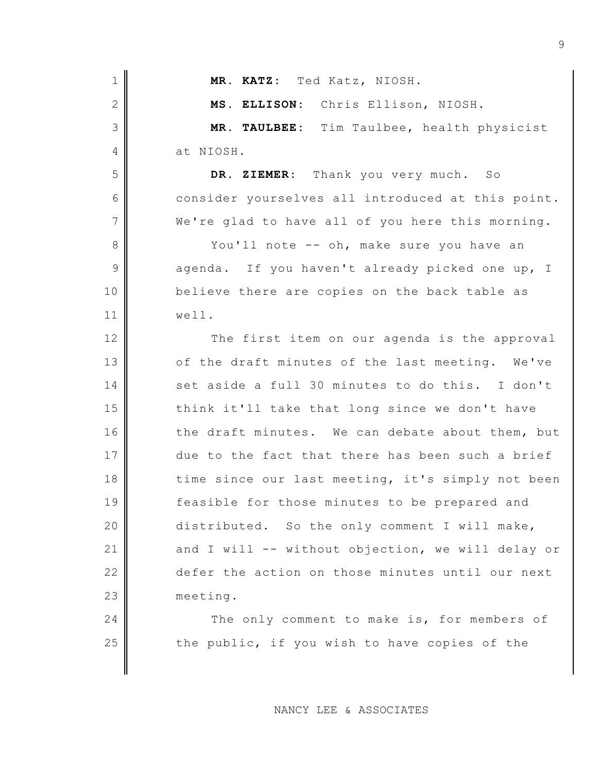| $\mathbf 1$    | MR. KATZ: Ted Katz, NIOSH.                        |
|----------------|---------------------------------------------------|
| $\mathbf{2}$   | MS. ELLISON: Chris Ellison, NIOSH.                |
| $\mathfrak{Z}$ | MR. TAULBEE: Tim Taulbee, health physicist        |
| 4              | at NIOSH.                                         |
| 5              | DR. ZIEMER: Thank you very much. So               |
| 6              | consider yourselves all introduced at this point. |
| $\overline{7}$ | We're glad to have all of you here this morning.  |
| 8              | You'll note -- oh, make sure you have an          |
| $\mathsf 9$    | agenda. If you haven't already picked one up, I   |
| 10             | believe there are copies on the back table as     |
| 11             | well.                                             |
| 12             | The first item on our agenda is the approval      |
| 13             | of the draft minutes of the last meeting. We've   |
| 14             | set aside a full 30 minutes to do this. I don't   |
| 15             | think it'll take that long since we don't have    |
| 16             | the draft minutes. We can debate about them, but  |
| $17$           | due to the fact that there has been such a brief  |
| 18             | time since our last meeting, it's simply not been |
| 19             | feasible for those minutes to be prepared and     |
| 20             | distributed. So the only comment I will make,     |
| 21             | and I will -- without objection, we will delay or |
| 22             | defer the action on those minutes until our next  |
| 23             | meeting.                                          |
| 24             | The only comment to make is, for members of       |
| 25             | the public, if you wish to have copies of the     |

NANCY LEE & ASSOCIATES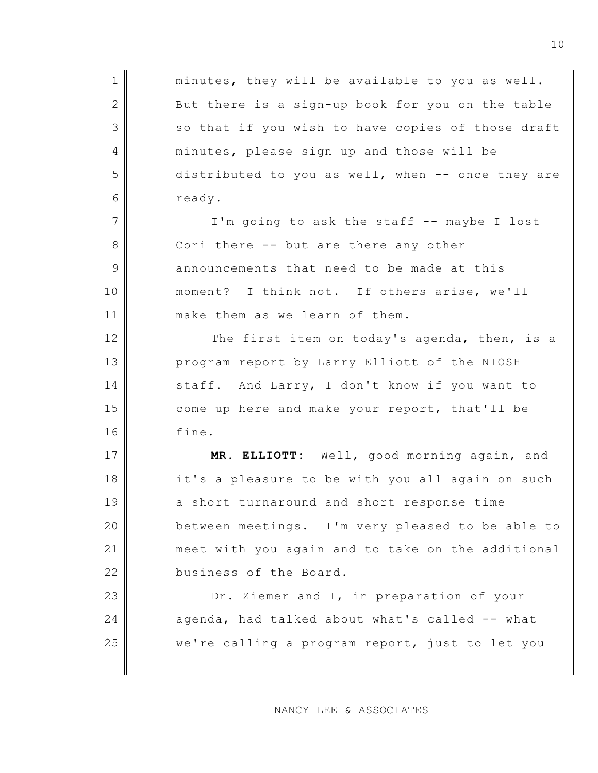$1$  minutes, they will be available to you as well.  $2$  But there is a sign-up book for you on the table 3 so that if you wish to have copies of those draft 4 || minutes, please sign up and those will be 5 distributed to you as well, when -- once they are 6 ready.  $7$  I'm going to ask the staff  $-$  maybe I lost 8 Cori there -- but are there any other 9 announcements that need to be made at this 10 moment? I think not. If others arise, we'll 11 make them as we learn of them. 12 The first item on today's agenda, then, is a 13 program report by Larry Elliott of the NIOSH 14 staff. And Larry, I don't know if you want to 15 come up here and make your report, that'll be 16 fine. 17 **MR. ELLIOTT:** Well, good morning again, and 18 it's a pleasure to be with you all again on such 19 a short turnaround and short response time 20 between meetings. I'm very pleased to be able to 21 meet with you again and to take on the additional 22 business of the Board. 23 Dr. Ziemer and I, in preparation of your  $24$  agenda, had talked about what's called -- what 25 we're calling a program report, just to let you

NANCY LEE & ASSOCIATES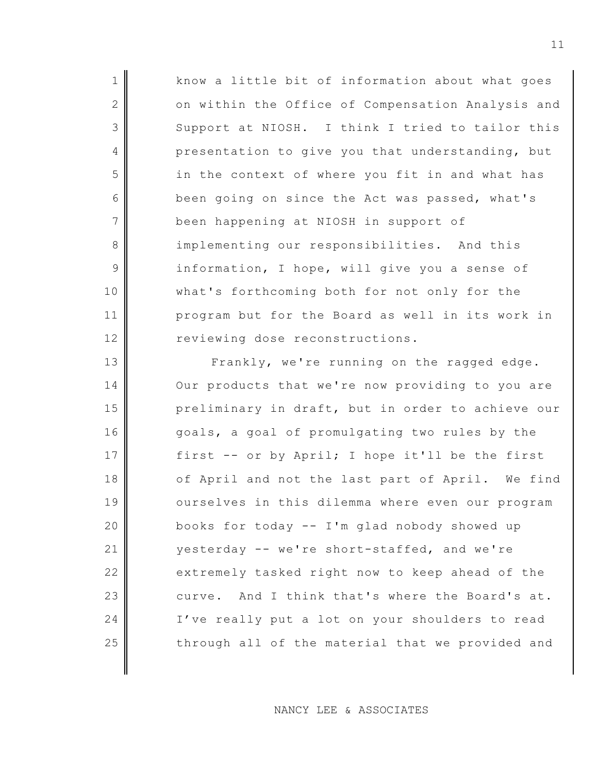1 know a little bit of information about what goes 2 on within the Office of Compensation Analysis and 3 Support at NIOSH. I think I tried to tailor this 4 presentation to give you that understanding, but 5 in the context of where you fit in and what has 6 been going on since the Act was passed, what's 7 been happening at NIOSH in support of 8 Supersimplementing our responsibilities. And this 9 information, I hope, will give you a sense of 10 what's forthcoming both for not only for the 11 program but for the Board as well in its work in 12 reviewing dose reconstructions.

13 Frankly, we're running on the ragged edge. 14 Our products that we're now providing to you are 15 preliminary in draft, but in order to achieve our 16 goals, a goal of promulgating two rules by the 17 first -- or by April; I hope it'll be the first 18 of April and not the last part of April. We find 19 ourselves in this dilemma where even our program 20  $\parallel$  books for today -- I'm glad nobody showed up 21 yesterday -- we're short-staffed, and we're 22 extremely tasked right now to keep ahead of the 23 curve. And I think that's where the Board's at. 24 I've really put a lot on your shoulders to read  $25$   $\parallel$  through all of the material that we provided and

#### NANCY LEE & ASSOCIATES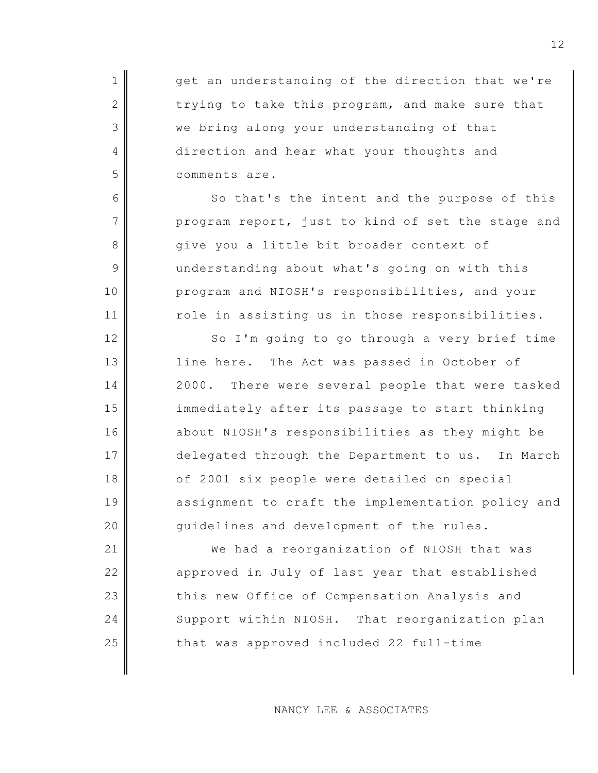| $\mathbf 1$  | get an understanding of the direction that we're    |
|--------------|-----------------------------------------------------|
| $\mathbf{2}$ | trying to take this program, and make sure that     |
| 3            | we bring along your understanding of that           |
| 4            | direction and hear what your thoughts and           |
| 5            | comments are.                                       |
| 6            | So that's the intent and the purpose of this        |
| 7            | program report, just to kind of set the stage and   |
| 8            | give you a little bit broader context of            |
| 9            | understanding about what's going on with this       |
| 10           | program and NIOSH's responsibilities, and your      |
| 11           | role in assisting us in those responsibilities.     |
| 12           | So I'm going to go through a very brief time        |
| 13           | line here. The Act was passed in October of         |
| 14           | 2000.<br>There were several people that were tasked |
| 15           | immediately after its passage to start thinking     |
| 16           | about NIOSH's responsibilities as they might be     |
| 17           | delegated through the Department to us. In March    |
| 18           | of 2001 six people were detailed on special         |
| 19           | assignment to craft the implementation policy and   |
| $20$         | quidelines and development of the rules.            |
| 21           | We had a reorganization of NIOSH that was           |
| 22           | approved in July of last year that established      |
| 23           | this new Office of Compensation Analysis and        |
| 24           | Support within NIOSH. That reorganization plan      |

25 that was approved included 22 full-time

NANCY LEE & ASSOCIATES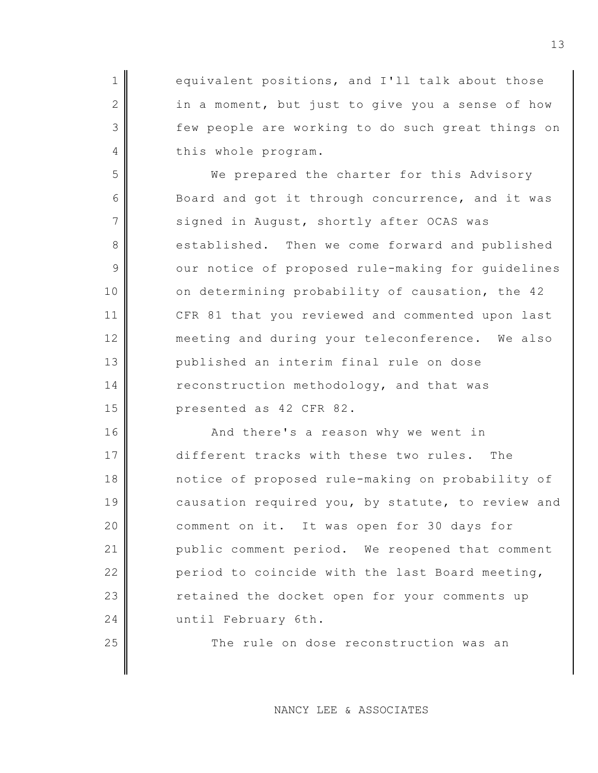1 equivalent positions, and I'll talk about those  $2$  in a moment, but just to give you a sense of how 3 few people are working to do such great things on 4 this whole program. 5 We prepared the charter for this Advisory 6 Board and got it through concurrence, and it was 7 signed in August, shortly after OCAS was 8 established. Then we come forward and published 9 our notice of proposed rule-making for quidelines 10 on determining probability of causation, the 42

12 meeting and during your teleconference. We also 13 published an interim final rule on dose 14 reconstruction methodology, and that was 15 presented as 42 CFR 82.

11 | CFR 81 that you reviewed and commented upon last

16 And there's a reason why we went in 17 different tracks with these two rules. The 18 notice of proposed rule-making on probability of 19 causation required you, by statute, to review and 20 comment on it. It was open for 30 days for 21 public comment period. We reopened that comment 22 period to coincide with the last Board meeting, 23 retained the docket open for your comments up 24 until February 6th.

25 **The rule on dose reconstruction was an** 

NANCY LEE & ASSOCIATES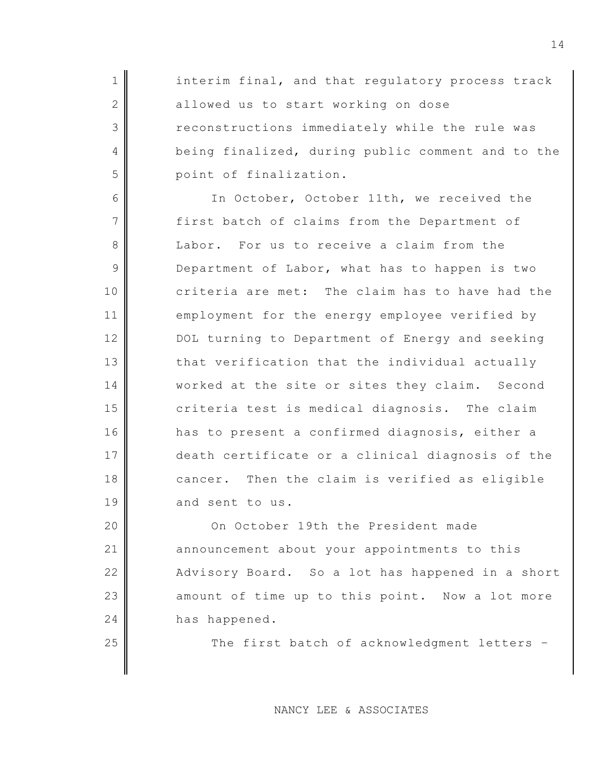1 interim final, and that regulatory process track 2 allowed us to start working on dose 3 reconstructions immediately while the rule was 4 being finalized, during public comment and to the 5 point of finalization.

6 In October, October 11th, we received the 7 first batch of claims from the Department of 8 Labor. For us to receive a claim from the  $9$  Department of Labor, what has to happen is two 10 criteria are met: The claim has to have had the 11 employment for the energy employee verified by 12 DOL turning to Department of Energy and seeking 13 that verification that the individual actually 14 | worked at the site or sites they claim. Second 15 criteria test is medical diagnosis. The claim 16 has to present a confirmed diagnosis, either a 17 death certificate or a clinical diagnosis of the 18 cancer. Then the claim is verified as eligible 19 and sent to us.

20 On October 19th the President made 21 announcement about your appointments to this 22 Advisory Board. So a lot has happened in a short  $23$  amount of time up to this point. Now a lot more 24 has happened.

25 || The first batch of acknowledgment letters -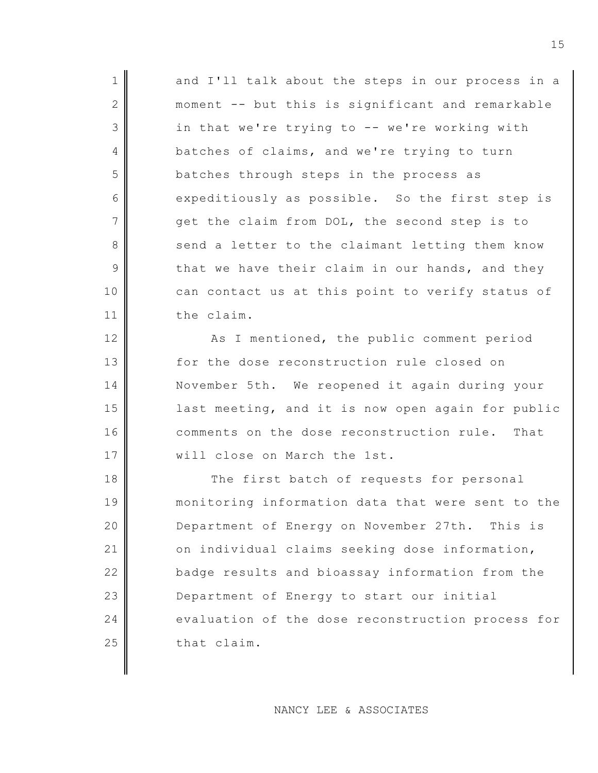1 and I'll talk about the steps in our process in a 2 moment -- but this is significant and remarkable 3 in that we're trying to -- we're working with 4 batches of claims, and we're trying to turn 5 batches through steps in the process as 6 expeditiously as possible. So the first step is  $7$  qet the claim from DOL, the second step is to 8 send a letter to the claimant letting them know  $9$  that we have their claim in our hands, and they 10 can contact us at this point to verify status of 11 the claim.

12 As I mentioned, the public comment period 13 for the dose reconstruction rule closed on 14 November 5th. We reopened it again during your 15 | last meeting, and it is now open again for public 16 comments on the dose reconstruction rule. That 17 | will close on March the 1st.

18 The first batch of requests for personal 19 monitoring information data that were sent to the 20 Department of Energy on November 27th. This is 21 on individual claims seeking dose information, 22 badge results and bioassay information from the 23 Department of Energy to start our initial 24 evaluation of the dose reconstruction process for  $25$  that claim.

NANCY LEE & ASSOCIATES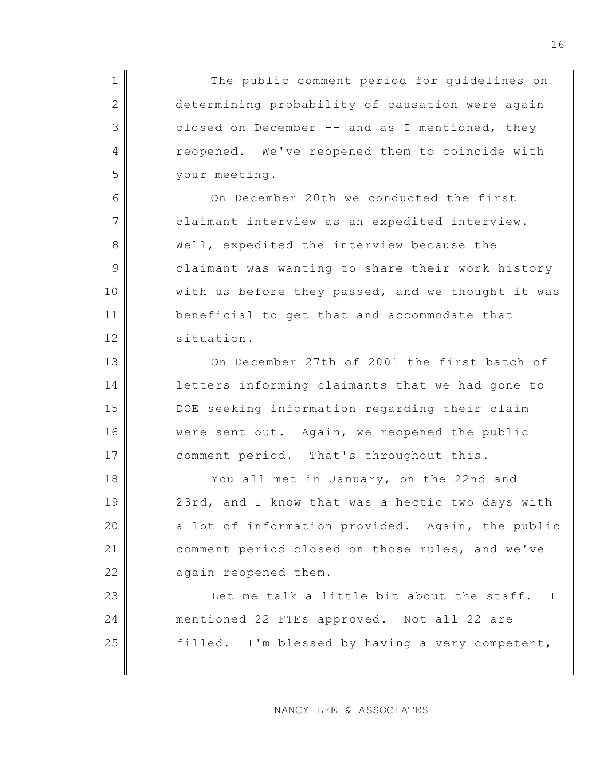1 The public comment period for quidelines on 2 determining probability of causation were again 3 closed on December -- and as I mentioned, they 4 reopened. We've reopened them to coincide with 5 your meeting.

6 On December 20th we conducted the first 7 claimant interview as an expedited interview. 8 Well, expedited the interview because the 9 claimant was wanting to share their work history 10 with us before they passed, and we thought it was 11 beneficial to get that and accommodate that 12 situation.

13 On December 27th of 2001 the first batch of 14 letters informing claimants that we had gone to 15 DOE seeking information regarding their claim 16 were sent out. Again, we reopened the public 17 comment period. That's throughout this.

18 You all met in January, on the 22nd and 19 23rd, and I know that was a hectic two days with  $20$  a lot of information provided. Again, the public 21 comment period closed on those rules, and we've 22 again reopened them.

23 Let me talk a little bit about the staff. I 24 mentioned 22 FTEs approved. Not all 22 are 25  $\parallel$  filled. I'm blessed by having a very competent,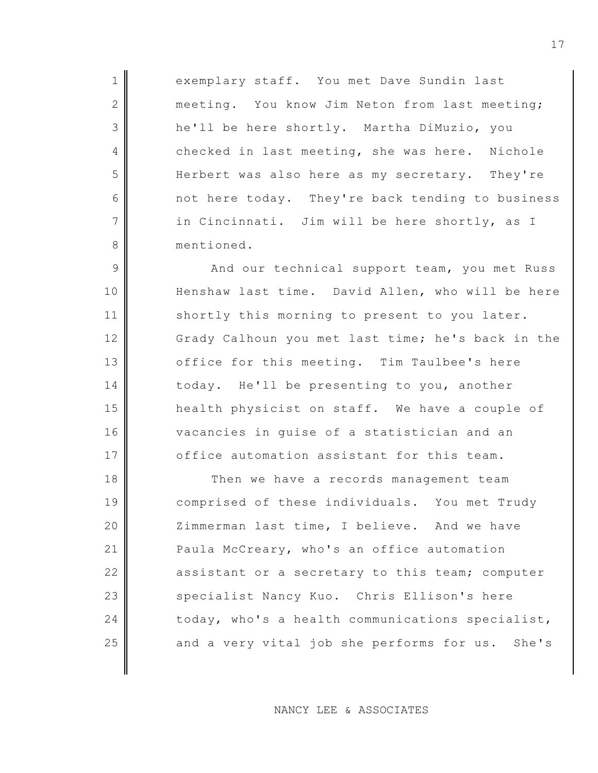1 exemplary staff. You met Dave Sundin last 2 meeting. You know Jim Neton from last meeting; 3 he'll be here shortly. Martha DiMuzio, you 4 checked in last meeting, she was here. Nichole 5 Herbert was also here as my secretary. They're 6 not here today. They're back tending to business  $7$  | in Cincinnati. Jim will be here shortly, as I 8 mentioned.

9 And our technical support team, you met Russ 10 Henshaw last time. David Allen, who will be here 11 shortly this morning to present to you later. 12 Grady Calhoun you met last time; he's back in the 13 office for this meeting. Tim Taulbee's here 14 today. He'll be presenting to you, another 15 health physicist on staff. We have a couple of 16 vacancies in guise of a statistician and an 17 office automation assistant for this team.

18 Then we have a records management team 19 comprised of these individuals. You met Trudy 20  $\parallel$  Zimmerman last time, I believe. And we have 21 Paula McCreary, who's an office automation 22 assistant or a secretary to this team; computer 23 specialist Nancy Kuo. Chris Ellison's here 24 today, who's a health communications specialist,  $25$  and a very vital job she performs for us. She's

NANCY LEE & ASSOCIATES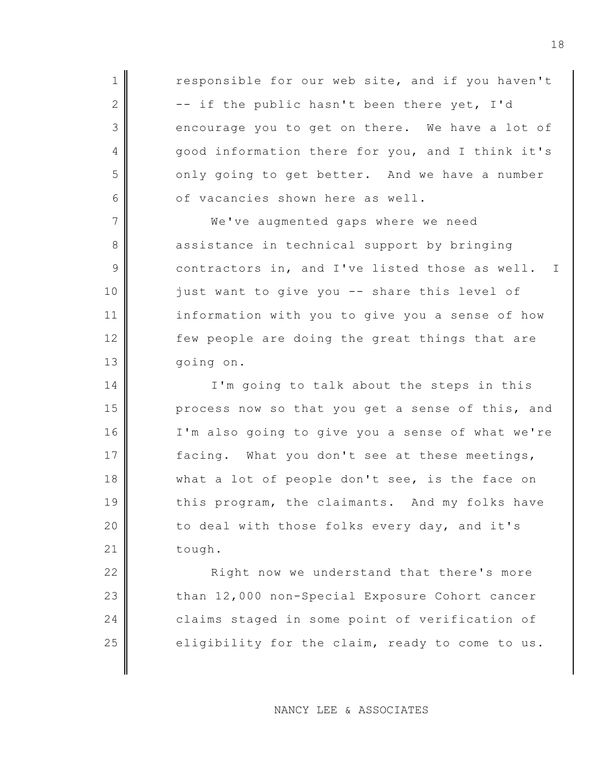1 responsible for our web site, and if you haven't  $2$   $\parallel$  -- if the public hasn't been there yet, I'd 3 encourage you to get on there. We have a lot of 4 qood information there for you, and I think it's 5 only going to get better. And we have a number  $6$  of vacancies shown here as well.

7 We've augmented gaps where we need 8 assistance in technical support by bringing 9 contractors in, and I've listed those as well. I 10 just want to give you -- share this level of 11 information with you to give you a sense of how 12 few people are doing the great things that are 13 | qoing on.

14 I'm going to talk about the steps in this 15 process now so that you get a sense of this, and 16 I'm also going to give you a sense of what we're 17 facing. What you don't see at these meetings, 18 what a lot of people don't see, is the face on 19 this program, the claimants. And my folks have 20  $\parallel$  to deal with those folks every day, and it's 21 tough.

22 **Right now we understand that there's more** 23 than 12,000 non-Special Exposure Cohort cancer 24 claims staged in some point of verification of  $25$  eligibility for the claim, ready to come to us.

#### NANCY LEE & ASSOCIATES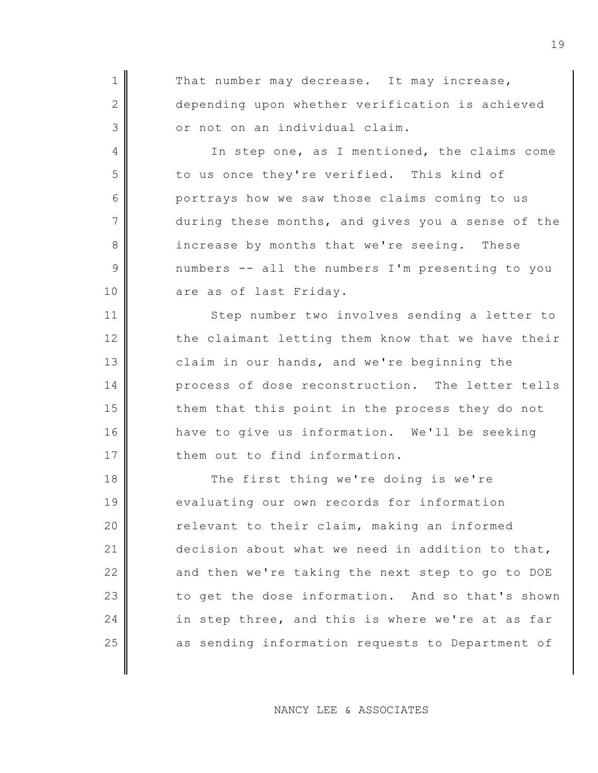| $\mathbf 1$   | That number may decrease. It may increase,        |
|---------------|---------------------------------------------------|
| $\mathbf{2}$  | depending upon whether verification is achieved   |
| 3             | or not on an individual claim.                    |
| 4             | In step one, as I mentioned, the claims come      |
| 5             | to us once they're verified. This kind of         |
| 6             | portrays how we saw those claims coming to us     |
| 7             | during these months, and gives you a sense of the |
| $8\,$         | increase by months that we're seeing. These       |
| $\mathcal{G}$ | numbers -- all the numbers I'm presenting to you  |
| 10            | are as of last Friday.                            |
| 11            | Step number two involves sending a letter to      |
| 12            | the claimant letting them know that we have their |
| 13            | claim in our hands, and we're beginning the       |
| 14            | process of dose reconstruction. The letter tells  |
| 15            | them that this point in the process they do not   |
| 16            | have to give us information. We'll be seeking     |
| 17            | them out to find information.                     |
| 18            | The first thing we're doing is we're              |
| 19            | evaluating our own records for information        |
| 20            | relevant to their claim, making an informed       |
| 21            | decision about what we need in addition to that,  |
| 22            | and then we're taking the next step to go to DOE  |
| 23            | to get the dose information. And so that's shown  |
| 24            | in step three, and this is where we're at as far  |
| 25            | as sending information requests to Department of  |

NANCY LEE & ASSOCIATES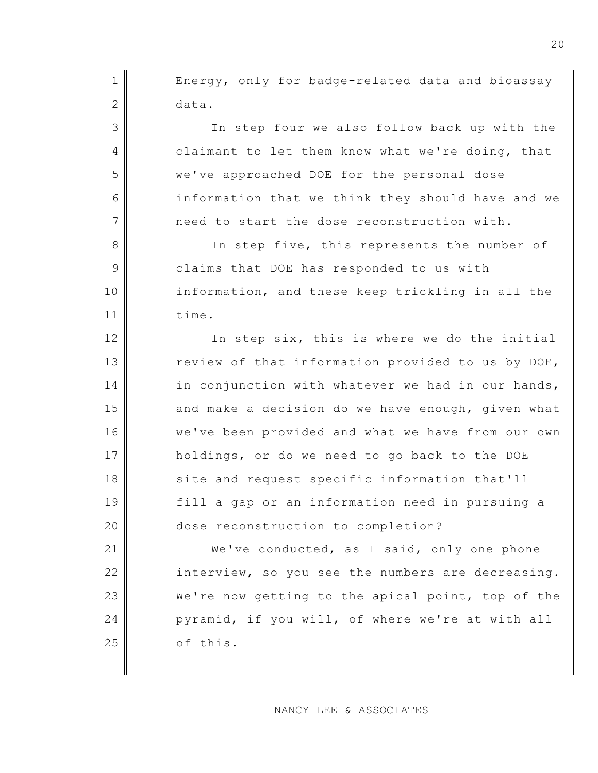1 Energy, only for badge-related data and bioassay  $2$  data.

3 In step four we also follow back up with the 4 claimant to let them know what we're doing, that 5 we've approached DOE for the personal dose 6 information that we think they should have and we  $7$  need to start the dose reconstruction with. 8 In step five, this represents the number of 9 claims that DOE has responded to us with 10 information, and these keep trickling in all the  $11$  time. 12 In step six, this is where we do the initial 13 review of that information provided to us by DOE, 14 in conjunction with whatever we had in our hands,  $15$  and make a decision do we have enough, given what 16 we've been provided and what we have from our own 17 holdings, or do we need to go back to the DOE 18 site and request specific information that'll 19 fill a gap or an information need in pursuing a 20 dose reconstruction to completion? 21 We've conducted, as I said, only one phone 22 interview, so you see the numbers are decreasing.  $23$  We're now getting to the apical point, top of the  $24$  pyramid, if you will, of where we're at with all

#### NANCY LEE & ASSOCIATES

25 of this.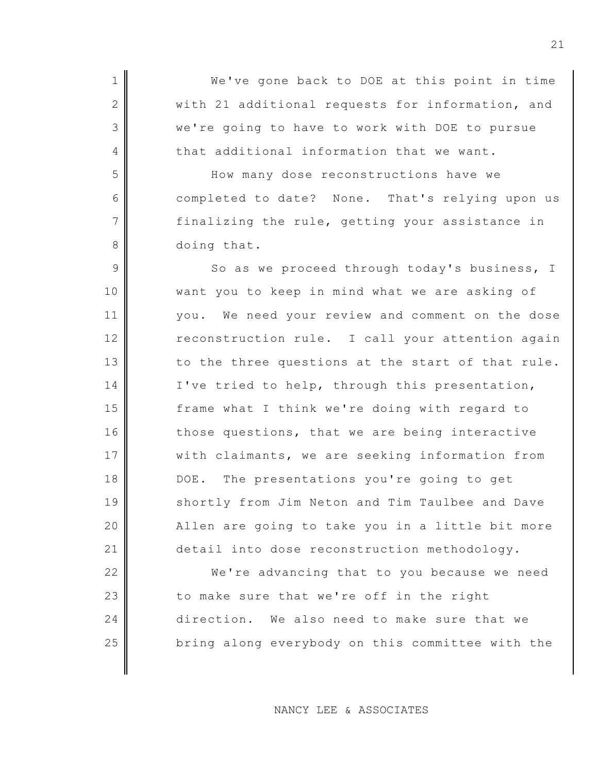1 We've gone back to DOE at this point in time 2 with 21 additional requests for information, and 3 we're going to have to work with DOE to pursue 4 that additional information that we want.

5 How many dose reconstructions have we 6 completed to date? None. That's relying upon us  $7$  finalizing the rule, getting your assistance in 8 doing that.

 $9$  So as we proceed through today's business, I 10 want you to keep in mind what we are asking of 11 | you. We need your review and comment on the dose 12 reconstruction rule. I call your attention again  $13$  to the three questions at the start of that rule. 14 I've tried to help, through this presentation, 15 frame what I think we're doing with regard to  $16$  those questions, that we are being interactive 17 | with claimants, we are seeking information from 18 DOE. The presentations you're going to get 19 Shortly from Jim Neton and Tim Taulbee and Dave 20 Allen are going to take you in a little bit more 21 detail into dose reconstruction methodology.

22 We're advancing that to you because we need  $23$  to make sure that we're off in the right 24 direction. We also need to make sure that we 25 **bring along everybody on this committee with the** 

NANCY LEE & ASSOCIATES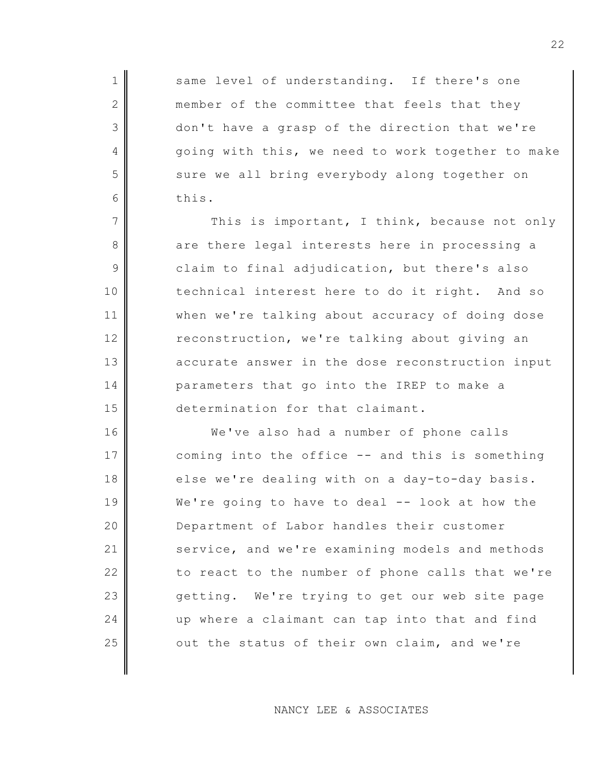1 Same level of understanding. If there's one 2 member of the committee that feels that they 3 don't have a grasp of the direction that we're 4 going with this, we need to work together to make 5 sure we all bring everybody along together on 6 this.

 $7$  This is important, I think, because not only 8 are there legal interests here in processing a 9 claim to final adjudication, but there's also 10 technical interest here to do it right. And so 11 when we're talking about accuracy of doing dose 12 reconstruction, we're talking about giving an 13 accurate answer in the dose reconstruction input 14 parameters that go into the IREP to make a 15 determination for that claimant.

16 We've also had a number of phone calls 17 coming into the office -- and this is something 18 else we're dealing with on a day-to-day basis. 19 We're going to have to deal -- look at how the 20 Department of Labor handles their customer 21 service, and we're examining models and methods 22 to react to the number of phone calls that we're 23 getting. We're trying to get our web site page 24 up where a claimant can tap into that and find  $25$  out the status of their own claim, and we're

NANCY LEE & ASSOCIATES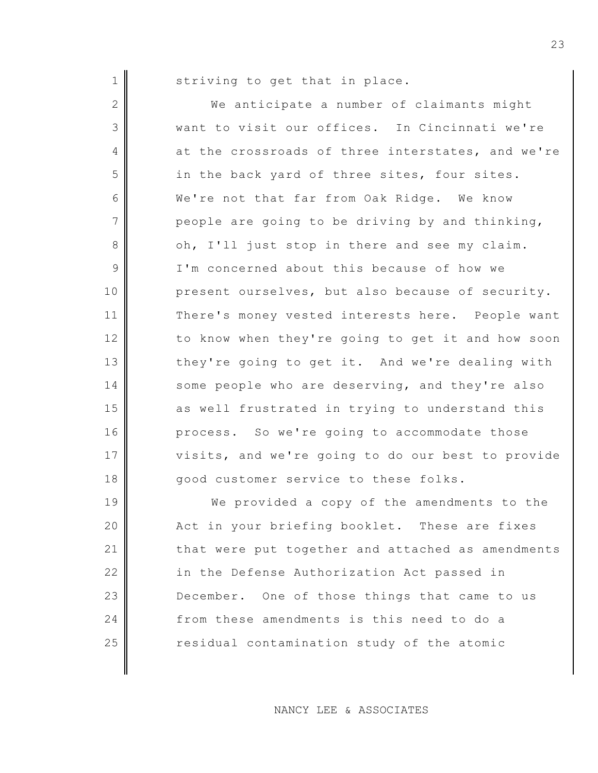$1$  striving to get that in place.

2 We anticipate a number of claimants might 3 want to visit our offices. In Cincinnati we're 4 at the crossroads of three interstates, and we're 5 in the back vard of three sites, four sites. 6 We're not that far from Oak Ridge. We know  $7$  people are going to be driving by and thinking, 8 oh, I'll just stop in there and see my claim. 9 I'm concerned about this because of how we 10 present ourselves, but also because of security. 11 There's money vested interests here. People want 12 to know when they're going to get it and how soon 13 they're going to get it. And we're dealing with 14 some people who are deserving, and they're also 15 as well frustrated in trying to understand this 16 process. So we're going to accommodate those 17 visits, and we're going to do our best to provide 18 good customer service to these folks. 19 We provided a copy of the amendments to the

20 Act in your briefing booklet. These are fixes 21 that were put together and attached as amendments 22 in the Defense Authorization Act passed in 23 December. One of those things that came to us 24 from these amendments is this need to do a 25 residual contamination study of the atomic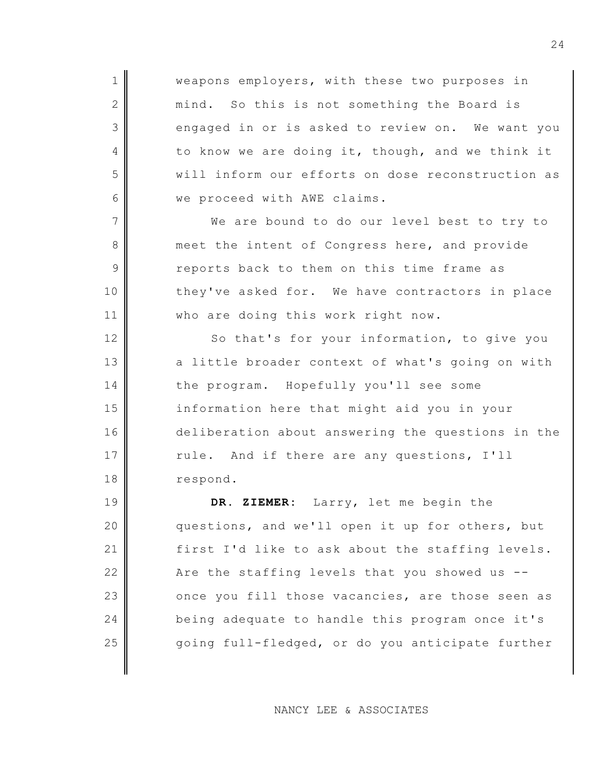1 Weapons employers, with these two purposes in 2 mind. So this is not something the Board is 3 engaged in or is asked to review on. We want you  $4 \parallel$  to know we are doing it, though, and we think it 5 will inform our efforts on dose reconstruction as 6 we proceed with AWE claims.

7 We are bound to do our level best to try to 8 meet the intent of Congress here, and provide 9 reports back to them on this time frame as 10 they've asked for. We have contractors in place 11 who are doing this work right now.

12 So that's for your information, to give you  $13$  a little broader context of what's going on with 14 the program. Hopefully you'll see some 15 information here that might aid you in your 16 deliberation about answering the questions in the 17 | rule. And if there are any questions, I'll 18 respond.

19 **DR. ZIEMER:** Larry, let me begin the 20 questions, and we'll open it up for others, but 21 first I'd like to ask about the staffing levels. 22 Are the staffing levels that you showed us -- $23$  once you fill those vacancies, are those seen as 24 being adequate to handle this program once it's 25 going full-fledged, or do you anticipate further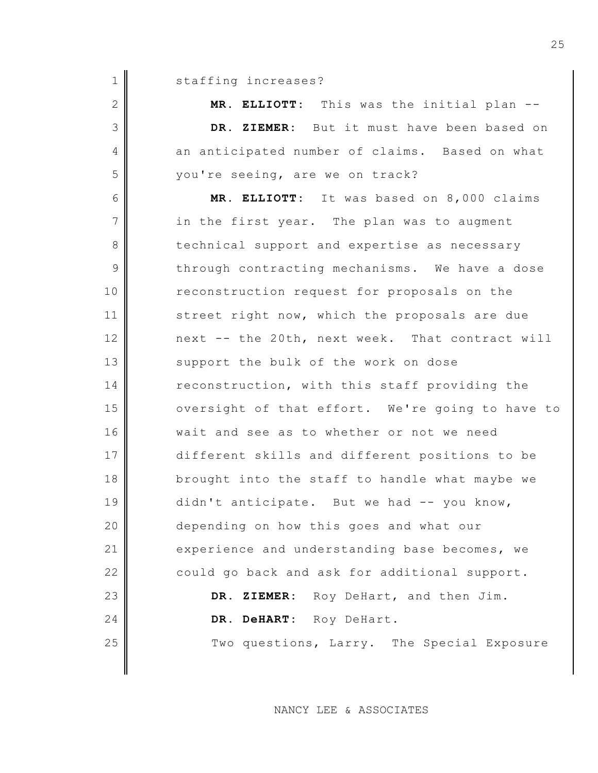| $\mathbf 1$    | staffing increases?                              |
|----------------|--------------------------------------------------|
| $\mathbf{2}$   | MR. ELLIOTT: This was the initial plan --        |
| 3              | DR. ZIEMER: But it must have been based on       |
| $\overline{4}$ | an anticipated number of claims. Based on what   |
| 5              | you're seeing, are we on track?                  |
| 6              | MR. ELLIOTT: It was based on 8,000 claims        |
| 7              | in the first year. The plan was to augment       |
| $8\,$          | technical support and expertise as necessary     |
| $\overline{9}$ | through contracting mechanisms. We have a dose   |
| 10             | reconstruction request for proposals on the      |
| 11             | street right now, which the proposals are due    |
| 12             | next -- the 20th, next week. That contract will  |
| 13             | support the bulk of the work on dose             |
| 14             | reconstruction, with this staff providing the    |
| 15             | oversight of that effort. We're going to have to |
| 16             | wait and see as to whether or not we need        |
| 17             | different skills and different positions to be   |
| 18             | brought into the staff to handle what maybe we   |
| 19             | didn't anticipate. But we had -- you know,       |
| 20             | depending on how this goes and what our          |
| 21             | experience and understanding base becomes, we    |
| 22             | could go back and ask for additional support.    |
| 23             | DR. ZIEMER: Roy DeHart, and then Jim.            |
| 24             | DR. DeHART: Roy DeHart.                          |
| 25             | Two questions, Larry. The Special Exposure       |
|                |                                                  |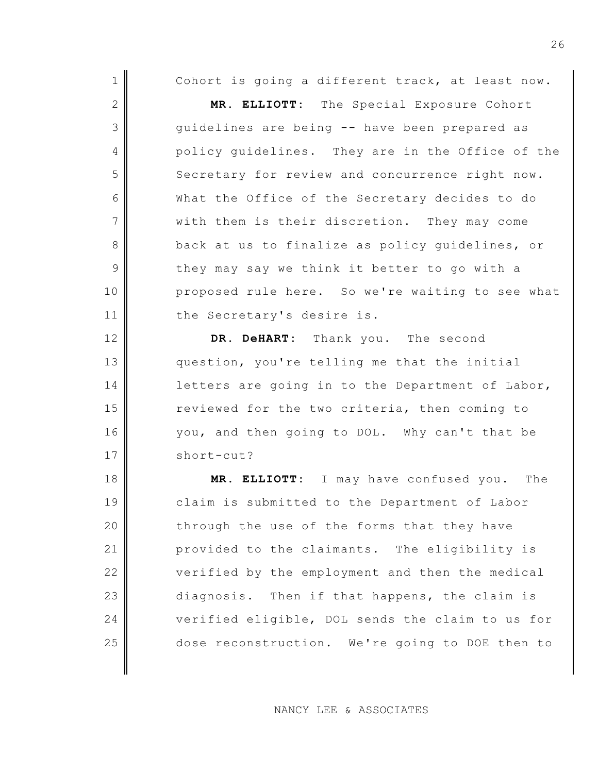| $\mathbf 1$   | Cohort is going a different track, at least now. |
|---------------|--------------------------------------------------|
| $\sqrt{2}$    | MR. ELLIOTT: The Special Exposure Cohort         |
| 3             | quidelines are being -- have been prepared as    |
| 4             | policy guidelines. They are in the Office of the |
| 5             | Secretary for review and concurrence right now.  |
| 6             | What the Office of the Secretary decides to do   |
| 7             | with them is their discretion. They may come     |
| 8             | back at us to finalize as policy guidelines, or  |
| $\mathcal{G}$ | they may say we think it better to go with a     |
| 10            | proposed rule here. So we're waiting to see what |
| 11            | the Secretary's desire is.                       |
| 12            | DR. DeHART: Thank you. The second                |
| 13            | question, you're telling me that the initial     |
| 14            | letters are going in to the Department of Labor, |
| 15            | reviewed for the two criteria, then coming to    |
| 16            | you, and then going to DOL. Why can't that be    |
| 17            | short-cut?                                       |
| 18            | MR. ELLIOTT: I may have confused you.<br>The     |
| 19            | claim is submitted to the Department of Labor    |
| 20            | through the use of the forms that they have      |
| 21            | provided to the claimants. The eligibility is    |
| 22            | verified by the employment and then the medical  |
| 23            | diagnosis. Then if that happens, the claim is    |
| 24            | verified eligible, DOL sends the claim to us for |
| 25            | dose reconstruction. We're going to DOE then to  |

NANCY LEE & ASSOCIATES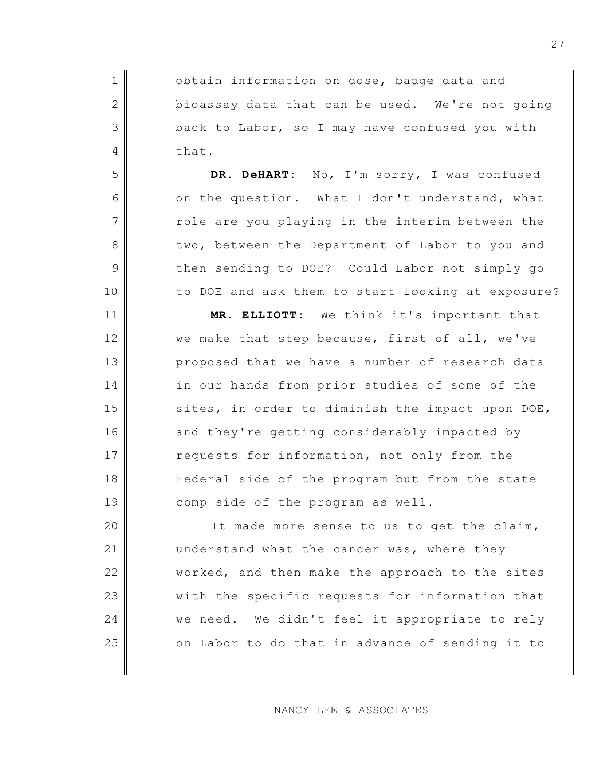1 **b** obtain information on dose, badge data and  $2$  bioassay data that can be used. We're not going 3 back to Labor, so I may have confused you with 4 that.

5 **DR. DeHART:** No, I'm sorry, I was confused  $6$  on the question. What I don't understand, what  $7$   $\parallel$  role are you playing in the interim between the 8 two, between the Department of Labor to you and 9 then sending to DOE? Could Labor not simply go 10 to DOE and ask them to start looking at exposure?

11 **MR. ELLIOTT:** We think it's important that 12  $\parallel$  we make that step because, first of all, we've 13 proposed that we have a number of research data 14 in our hands from prior studies of some of the  $15$  sites, in order to diminish the impact upon DOE, 16 and they're getting considerably impacted by 17 requests for information, not only from the 18 Federal side of the program but from the state 19 comp side of the program as well.

20 || It made more sense to us to get the claim, 21 understand what the cancer was, where they 22 worked, and then make the approach to the sites 23 with the specific requests for information that 24 we need. We didn't feel it appropriate to rely 25 | con Labor to do that in advance of sending it to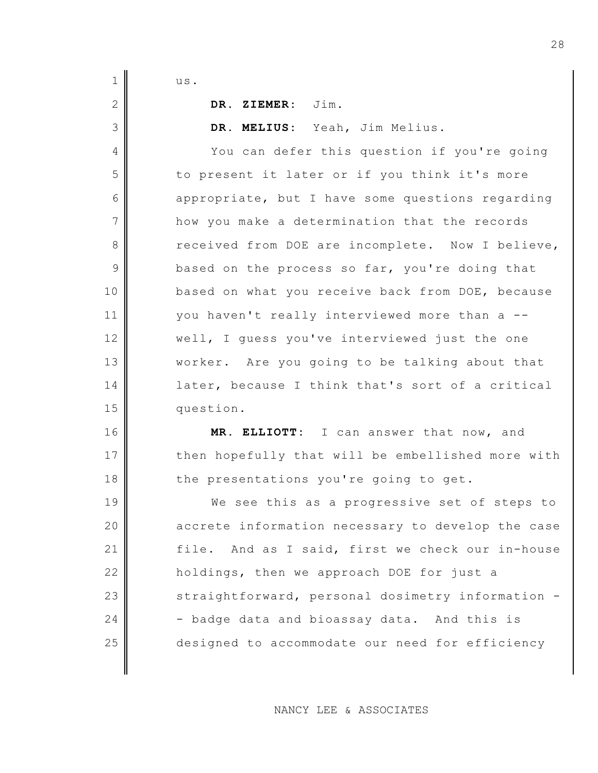$1 \parallel$  us.

## 2 **DR. ZIEMER:** Jim.

3 **DR. MELIUS:** Yeah, Jim Melius.

4 You can defer this question if you're going 5 to present it later or if you think it's more 6 appropriate, but I have some questions regarding 7 how you make a determination that the records 8 received from DOE are incomplete. Now I believe,  $9$  based on the process so far, you're doing that 10 based on what you receive back from DOE, because 11 | vou haven't really interviewed more than a --12 well, I quess you've interviewed just the one 13 worker. Are you going to be talking about that 14 | later, because I think that's sort of a critical 15 question.

16 **MR. ELLIOTT:** I can answer that now, and 17 then hopefully that will be embellished more with 18 the presentations you're going to get.

19 We see this as a progressive set of steps to 20 accrete information necessary to develop the case 21 file. And as I said, first we check our in-house 22 holdings, then we approach DOE for just a  $23$  straightforward, personal dosimetry information - $24$   $-$  badge data and bioassay data. And this is 25 designed to accommodate our need for efficiency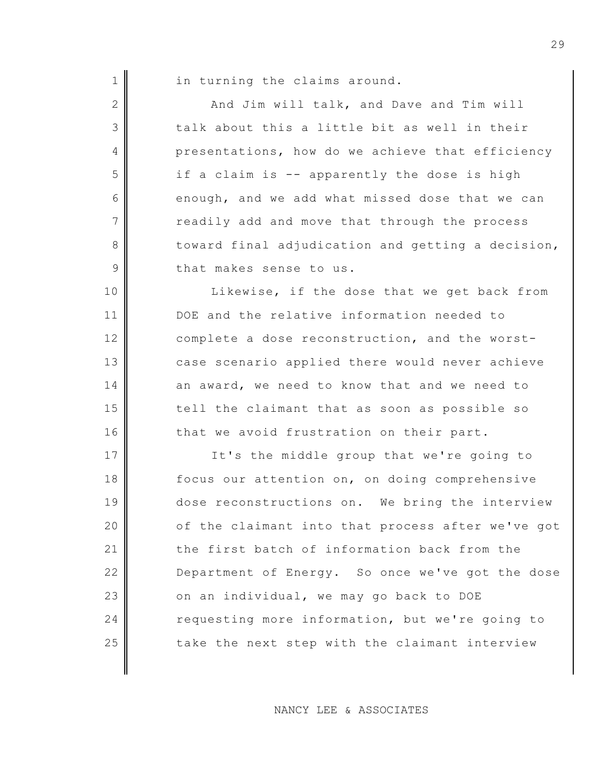| ۰. |  |
|----|--|
|    |  |

#### in turning the claims around.

2 And Jim will talk, and Dave and Tim will  $3$  talk about this a little bit as well in their 4 presentations, how do we achieve that efficiency  $5$  if a claim is -- apparently the dose is high  $6$  enough, and we add what missed dose that we can  $7$  readily add and move that through the process  $8 \parallel$  toward final adjudication and getting a decision, 9 that makes sense to us.

10 Likewise, if the dose that we get back from 11 DOE and the relative information needed to 12 complete a dose reconstruction, and the worst-13 case scenario applied there would never achieve  $14$  an award, we need to know that and we need to 15 tell the claimant that as soon as possible so 16 that we avoid frustration on their part.

17 || It's the middle group that we're going to 18 focus our attention on, on doing comprehensive 19 dose reconstructions on. We bring the interview  $20$  of the claimant into that process after we've got 21 the first batch of information back from the 22 Department of Energy. So once we've got the dose  $23$  on an individual, we may go back to DOE 24 requesting more information, but we're going to 25 | take the next step with the claimant interview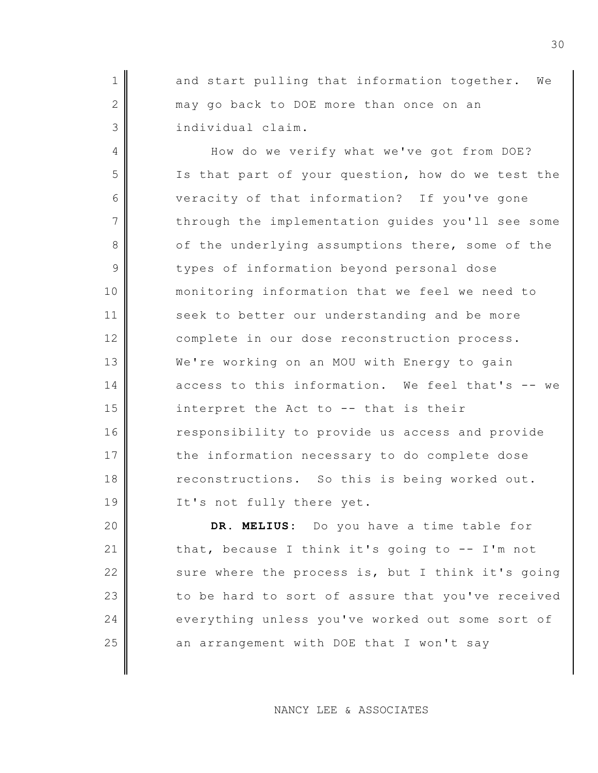1 and start pulling that information together. We 2 may go back to DOE more than once on an 3 individual claim.

4 How do we verify what we've got from DOE? 5 Is that part of your question, how do we test the 6 veracity of that information? If you've gone 7 through the implementation guides you'll see some 8 of the underlying assumptions there, some of the 9 types of information beyond personal dose 10 monitoring information that we feel we need to 11 seek to better our understanding and be more 12 complete in our dose reconstruction process. 13 We're working on an MOU with Energy to gain 14 access to this information. We feel that's -- we  $15$  interpret the Act to  $-$ - that is their 16 responsibility to provide us access and provide 17 the information necessary to do complete dose 18 reconstructions. So this is being worked out. 19 || It's not fully there yet.

20 **DR. MELIUS:** Do you have a time table for 21 that, because I think it's going to  $-$ - I'm not  $22$  sure where the process is, but I think it's going  $23$  to be hard to sort of assure that you've received 24 everything unless you've worked out some sort of 25 an arrangement with DOE that I won't say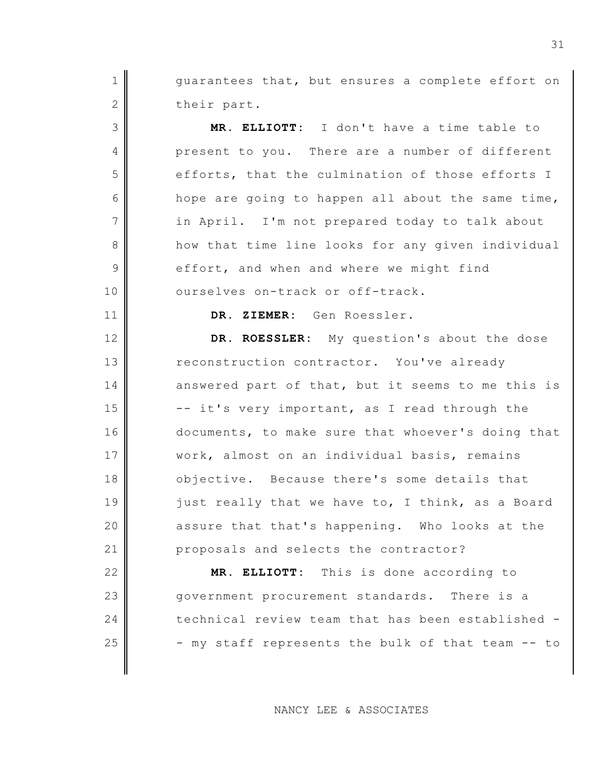$1$  quarantees that, but ensures a complete effort on 2 their part.

3 **MR. ELLIOTT:** I don't have a time table to 4 present to you. There are a number of different 5 efforts, that the culmination of those efforts I  $6 \parallel$  hope are going to happen all about the same time, 7 in April. I'm not prepared today to talk about 8 how that time line looks for any given individual  $9$  effort, and when and where we might find 10 ourselves on-track or off-track.

11 **DR. ZIEMER:** Gen Roessler.

12 **DR. ROESSLER:** My question's about the dose 13 reconstruction contractor. You've already 14 answered part of that, but it seems to me this is  $15$   $\parallel$  -- it's very important, as I read through the 16 documents, to make sure that whoever's doing that 17 | work, almost on an individual basis, remains 18 objective. Because there's some details that 19 just really that we have to, I think, as a Board 20 assure that that's happening. Who looks at the 21 proposals and selects the contractor?

22 **MR. ELLIOTT:** This is done according to 23 government procurement standards. There is a 24 technical review team that has been established - $25$   $\parallel$  - my staff represents the bulk of that team -- to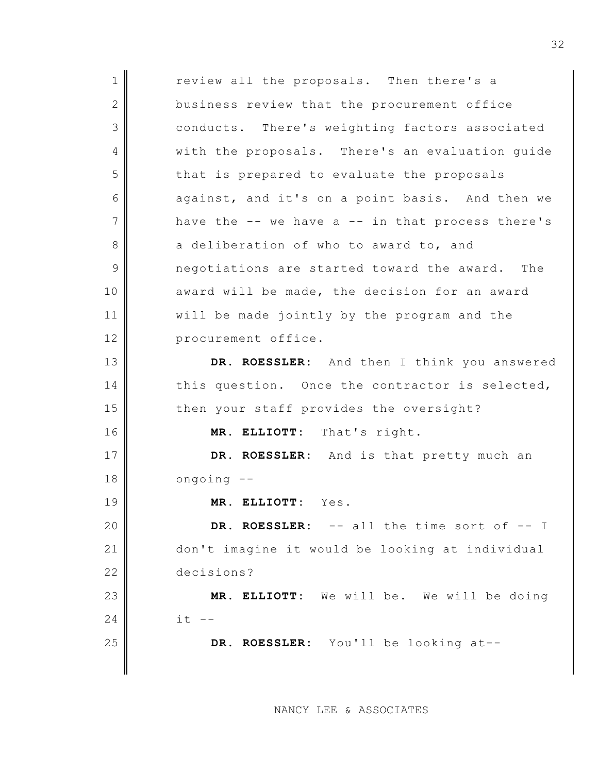| $\mathbf 1$     | review all the proposals. Then there's a           |
|-----------------|----------------------------------------------------|
| $\mathbf{2}$    | business review that the procurement office        |
| 3               | conducts. There's weighting factors associated     |
| 4               | with the proposals. There's an evaluation guide    |
| 5               | that is prepared to evaluate the proposals         |
| 6               | against, and it's on a point basis. And then we    |
| $7\phantom{.0}$ | have the $-$ we have a $-$ in that process there's |
| $8\,$           | a deliberation of who to award to, and             |
| $\mathcal{G}$   | negotiations are started toward the award. The     |
| 10              | award will be made, the decision for an award      |
| 11              | will be made jointly by the program and the        |
| 12              | procurement office.                                |
| 13              | DR. ROESSLER: And then I think you answered        |
| 14              | this question. Once the contractor is selected,    |
| 15              | then your staff provides the oversight?            |
| 16              | MR. ELLIOTT: That's right.                         |
| 17              | DR. ROESSLER: And is that pretty much an           |
| 18              | ongoing --                                         |
| 19              | MR. ELLIOTT: Yes.                                  |
| 20              | DR. ROESSLER: -- all the time sort of -- I         |
| 21              | don't imagine it would be looking at individual    |
| 22              | decisions?                                         |
| 23              | MR. ELLIOTT: We will be. We will be doing          |
| 24              | $it$ $-$                                           |
| 25              | DR. ROESSLER: You'll be looking at--               |
|                 |                                                    |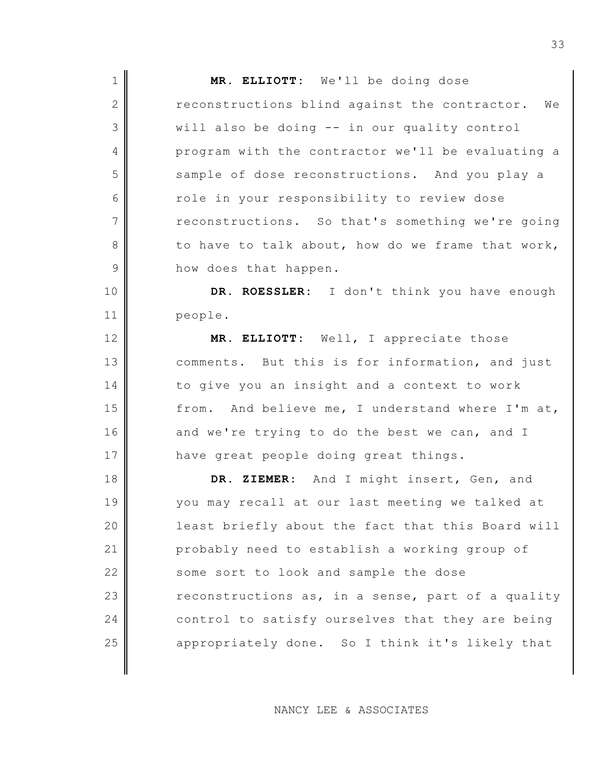1 **MR. ELLIOTT:** We'll be doing dose  $2$  reconstructions blind against the contractor. We 3 will also be doing -- in our quality control 4 program with the contractor we'll be evaluating a 5 sample of dose reconstructions. And you play a 6 cole in your responsibility to review dose 7 reconstructions. So that's something we're going  $8 \parallel$  to have to talk about, how do we frame that work, 9 how does that happen. 10 **DR. ROESSLER:** I don't think you have enough 11 people. 12 **MR. ELLIOTT:** Well, I appreciate those 13 comments. But this is for information, and just 14 to give you an insight and a context to work 15 from. And believe me, I understand where I'm at,  $16$  and we're trying to do the best we can, and I 17 have great people doing great things. 18 **DR. ZIEMER:** And I might insert, Gen, and 19 you may recall at our last meeting we talked at 20 **least briefly about the fact that this Board will** 21 probably need to establish a working group of 22 some sort to look and sample the dose

23 reconstructions as, in a sense, part of a quality 24 control to satisfy ourselves that they are being 25 appropriately done. So I think it's likely that

NANCY LEE & ASSOCIATES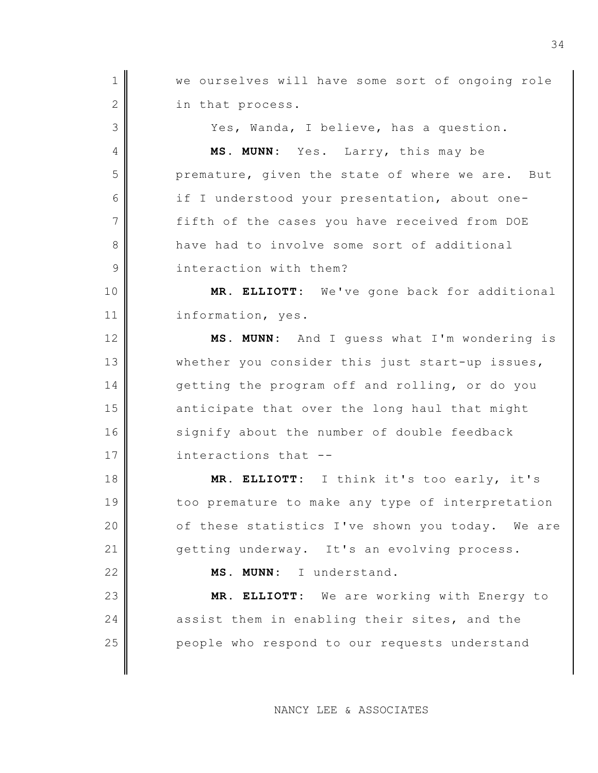| $\mathbf 1$    | we ourselves will have some sort of ongoing role |
|----------------|--------------------------------------------------|
| $\mathbf{2}$   | in that process.                                 |
| 3              | Yes, Wanda, I believe, has a question.           |
| 4              | MS. MUNN: Yes. Larry, this may be                |
| 5              | premature, given the state of where we are. But  |
| 6              | if I understood your presentation, about one-    |
| $\overline{7}$ | fifth of the cases you have received from DOE    |
| 8              | have had to involve some sort of additional      |
| $\mathcal{G}$  | interaction with them?                           |
| 10             | MR. ELLIOTT: We've gone back for additional      |
| 11             | information, yes.                                |
| 12             | MS. MUNN: And I guess what I'm wondering is      |
| 13             | whether you consider this just start-up issues,  |
| 14             | getting the program off and rolling, or do you   |
| 15             | anticipate that over the long haul that might    |
| 16             | signify about the number of double feedback      |
| 17             | interactions that --                             |
| 18             | MR. ELLIOTT: I think it's too early, it's        |
| 19             | too premature to make any type of interpretation |
| 20             | of these statistics I've shown you today. We are |
| 21             | getting underway. It's an evolving process.      |
| 22             | I understand.<br>MS. MUNN:                       |
| 23             | MR. ELLIOTT: We are working with Energy to       |
| 24             | assist them in enabling their sites, and the     |
| 25             | people who respond to our requests understand    |
|                |                                                  |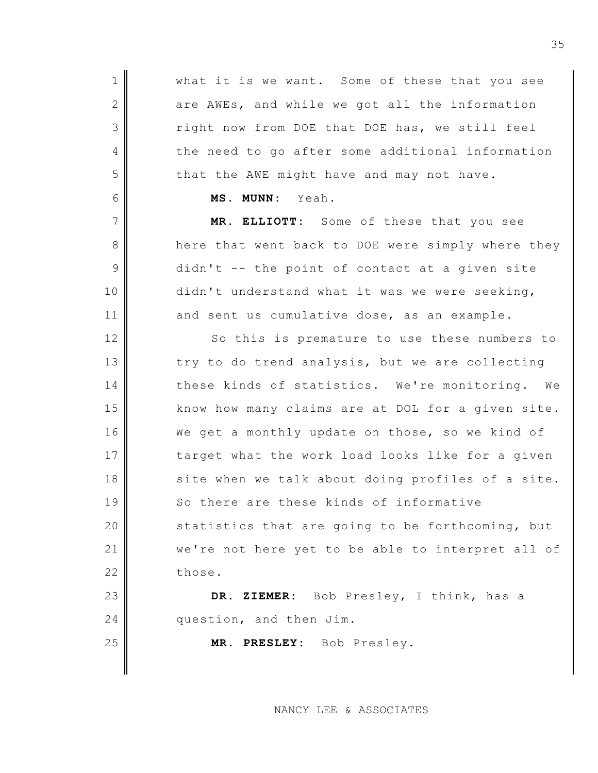$1$  what it is we want. Some of these that you see  $2$  are AWEs, and while we got all the information 3 right now from DOE that DOE has, we still feel 4 the need to go after some additional information  $5$  that the AWE might have and may not have. 6 **MS. MUNN:** Yeah. 7 **MR. ELLIOTT:** Some of these that you see 8 here that went back to DOE were simply where they  $9$  didn't -- the point of contact at a given site 10 didn't understand what it was we were seeking, 11 and sent us cumulative dose, as an example. 12 So this is premature to use these numbers to 13 try to do trend analysis, but we are collecting 14 these kinds of statistics. We're monitoring. We 15 know how many claims are at DOL for a given site. 16 We get a monthly update on those, so we kind of 17 target what the work load looks like for a given 18 site when we talk about doing profiles of a site. 19 So there are these kinds of informative 20  $\parallel$  statistics that are going to be forthcoming, but 21 we're not here yet to be able to interpret all of 22 those. 23 **DR. ZIEMER:** Bob Presley, I think, has a  $24$  question, and then Jim. 25 **MR. PRESLEY:** Bob Presley.

NANCY LEE & ASSOCIATES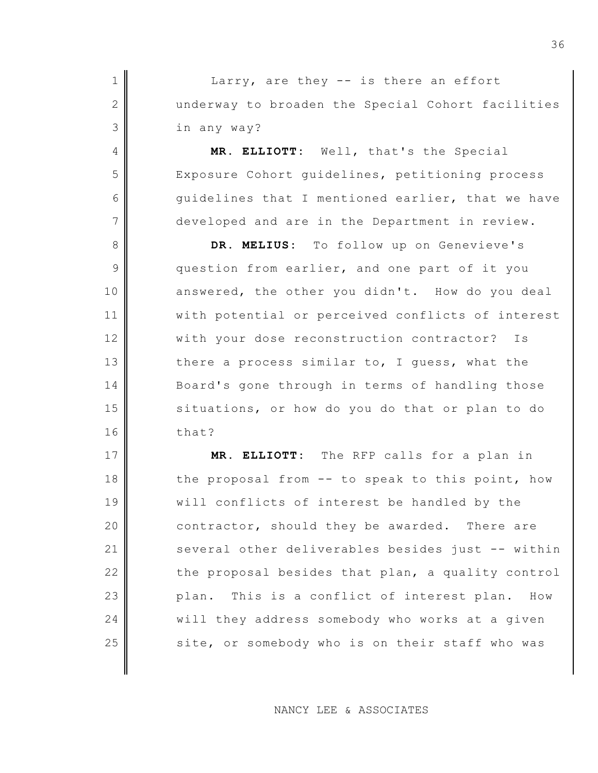$1 \parallel$  Larry, are they -- is there an effort 2 underway to broaden the Special Cohort facilities 3 in any way?

 **MR. ELLIOTT:** Well, that's the Special Exposure Cohort guidelines, petitioning process 6 Guidelines that I mentioned earlier, that we have developed and are in the Department in review.

8 **DR. MELIUS:** To follow up on Genevieve's  $9$  question from earlier, and one part of it you 10 answered, the other you didn't. How do you deal 11 with potential or perceived conflicts of interest 12 | with your dose reconstruction contractor? Is 13 there a process similar to, I quess, what the 14 Board's gone through in terms of handling those 15 situations, or how do you do that or plan to do  $16$  that?

17 **MR. ELLIOTT:** The RFP calls for a plan in 18 the proposal from  $-$  to speak to this point, how 19 will conflicts of interest be handled by the 20  $\parallel$  contractor, should they be awarded. There are 21 several other deliverables besides just -- within 22 the proposal besides that plan, a quality control 23 plan. This is a conflict of interest plan. How 24 will they address somebody who works at a given 25 site, or somebody who is on their staff who was

NANCY LEE & ASSOCIATES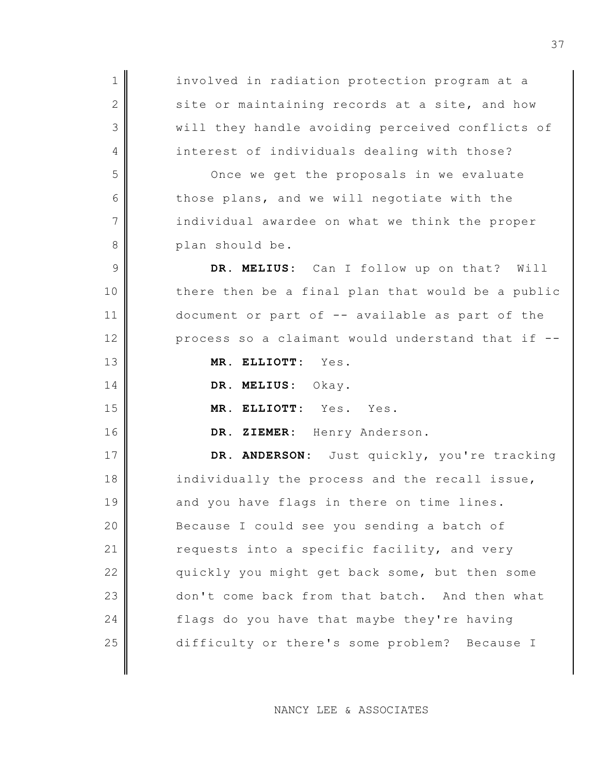| $\mathbf 1$  | involved in radiation protection program at a     |
|--------------|---------------------------------------------------|
| $\mathbf{2}$ | site or maintaining records at a site, and how    |
| 3            | will they handle avoiding perceived conflicts of  |
| 4            | interest of individuals dealing with those?       |
| 5            | Once we get the proposals in we evaluate          |
| 6            | those plans, and we will negotiate with the       |
| 7            | individual awardee on what we think the proper    |
| 8            | plan should be.                                   |
| 9            | DR. MELIUS: Can I follow up on that? Will         |
| 10           | there then be a final plan that would be a public |
| 11           | document or part of -- available as part of the   |
| 12           | process so a claimant would understand that if -- |
| 13           | MR. ELLIOTT: Yes.                                 |
| 14           | DR.<br><b>MELIUS:</b> Okay.                       |
| 15           | MR.<br>ELLIOTT: Yes. Yes.                         |
| 16           | ZIEMER: Henry Anderson.<br>DR.                    |
| 17           | DR. ANDERSON: Just quickly, you're tracking       |
| 18           | individually the process and the recall issue,    |
| 19           | and you have flags in there on time lines.        |
| 20           | Because I could see you sending a batch of        |
| 21           | requests into a specific facility, and very       |
| 22           | quickly you might get back some, but then some    |
| 23           | don't come back from that batch. And then what    |
| 24           | flags do you have that maybe they're having       |
| 25           | difficulty or there's some problem? Because I     |
|              |                                                   |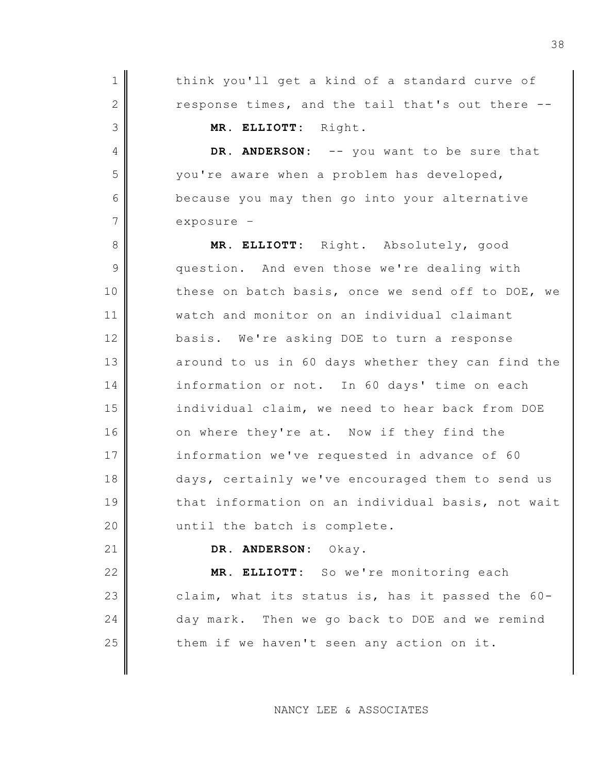1 1 think you'll get a kind of a standard curve of 2 response times, and the tail that's out there --

3 **MR. ELLIOTT:** Right.

 **DR. ANDERSON:** -- you want to be sure that you're aware when a problem has developed, because you may then go into your alternative exposure –

8 **MR. ELLIOTT:** Right. Absolutely, good 9 question. And even those we're dealing with 10 these on batch basis, once we send off to DOE, we 11 watch and monitor on an individual claimant 12 basis. We're asking DOE to turn a response 13 around to us in 60 days whether they can find the 14 information or not. In 60 days' time on each 15 individual claim, we need to hear back from DOE 16 on where they're at. Now if they find the 17 information we've requested in advance of 60 18 days, certainly we've encouraged them to send us 19 that information on an individual basis, not wait 20 until the batch is complete.

## 21 **DR. ANDERSON:** Okay.

22 **MR. ELLIOTT:** So we're monitoring each 23 claim, what its status is, has it passed the  $60-$ 24 day mark. Then we go back to DOE and we remind  $25$   $\parallel$  them if we haven't seen any action on it.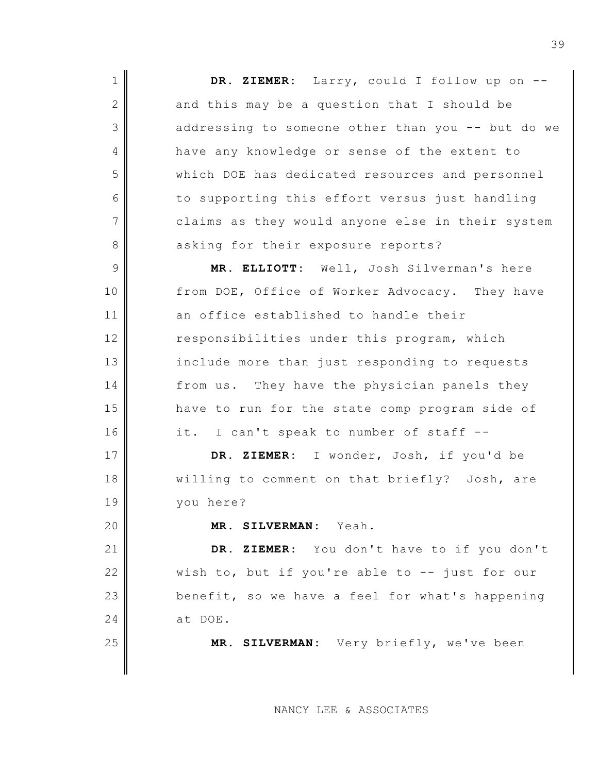1 **DR. ZIEMER:** Larry, could I follow up on --  $2$  and this may be a question that I should be 3 addressing to someone other than you -- but do we 4 have any knowledge or sense of the extent to 5 which DOE has dedicated resources and personnel 6 to supporting this effort versus just handling  $7$   $\parallel$  claims as they would anyone else in their system 8 asking for their exposure reports? 9 **MR. ELLIOTT:** Well, Josh Silverman's here 10 from DOE, Office of Worker Advocacy. They have 11 an office established to handle their 12 responsibilities under this program, which 13 include more than just responding to requests 14 from us. They have the physician panels they 15 have to run for the state comp program side of  $16$  it. I can't speak to number of staff --17 **DR. ZIEMER:** I wonder, Josh, if you'd be 18 | willing to comment on that briefly? Josh, are

19 you here?

20 **MR. SILVERMAN:** Yeah.

21 **DR. ZIEMER:** You don't have to if you don't 22 wish to, but if you're able to -- just for our 23 benefit, so we have a feel for what's happening 24 at DOE.

25 **MR. SILVERMAN:** Very briefly, we've been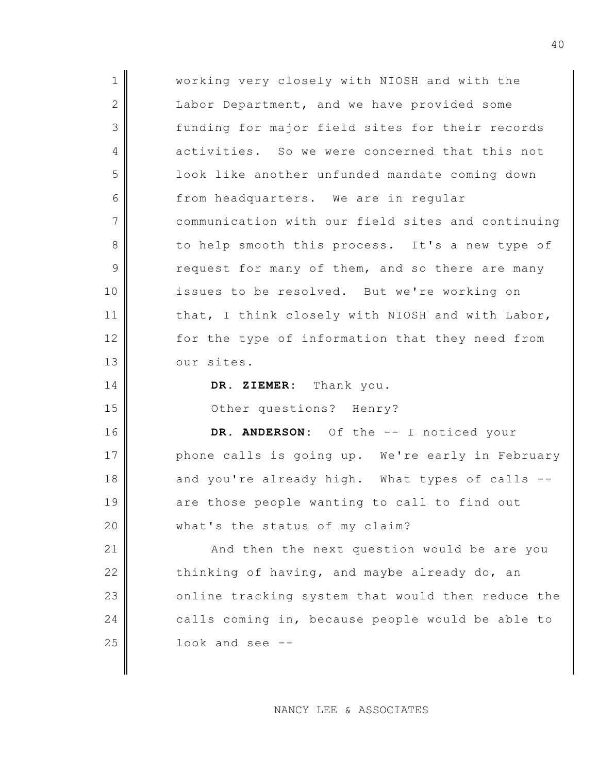| $\mathbf 1$    | working very closely with NIOSH and with the      |
|----------------|---------------------------------------------------|
| 2              | Labor Department, and we have provided some       |
| 3              | funding for major field sites for their records   |
| 4              | activities. So we were concerned that this not    |
| 5              | look like another unfunded mandate coming down    |
| 6              | from headquarters. We are in regular              |
| $\overline{7}$ | communication with our field sites and continuing |
| 8              | to help smooth this process. It's a new type of   |
| $\mathsf 9$    | request for many of them, and so there are many   |
| 10             | issues to be resolved. But we're working on       |
| 11             | that, I think closely with NIOSH and with Labor,  |
| 12             | for the type of information that they need from   |
| 13             | our sites.                                        |
|                |                                                   |
| 14             | DR. ZIEMER: Thank you.                            |
| 15             | Other questions? Henry?                           |
| 16             | DR. ANDERSON: Of the -- I noticed your            |
| 17             | phone calls is going up. We're early in February  |
| 18             | and you're already high. What types of calls --   |
| 19             | are those people wanting to call to find out      |
| 20             | what's the status of my claim?                    |
| 21             | And then the next question would be are you       |
| 22             | thinking of having, and maybe already do, an      |
| 23             | online tracking system that would then reduce the |
| 24             | calls coming in, because people would be able to  |
| 25             | look and see                                      |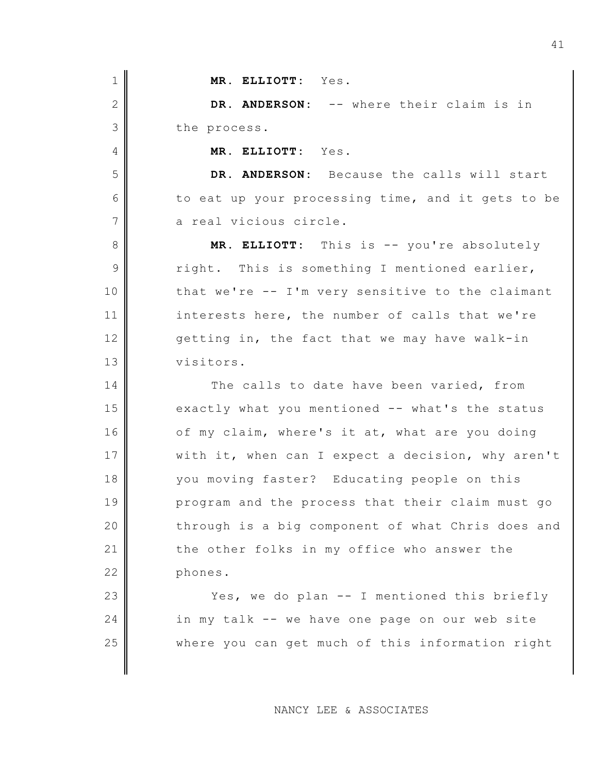| $\mathbf 1$   | MR. ELLIOTT: Yes.                                 |
|---------------|---------------------------------------------------|
| $\mathbf{2}$  | DR. ANDERSON: -- where their claim is in          |
| 3             | the process.                                      |
| 4             | MR. ELLIOTT: Yes.                                 |
| 5             | DR. ANDERSON: Because the calls will start        |
| 6             | to eat up your processing time, and it gets to be |
| 7             | a real vicious circle.                            |
| 8             | MR. ELLIOTT: This is -- you're absolutely         |
| $\mathcal{G}$ | right. This is something I mentioned earlier,     |
| 10            | that we're -- I'm very sensitive to the claimant  |
| 11            | interests here, the number of calls that we're    |
| 12            | getting in, the fact that we may have walk-in     |
| 13            | visitors.                                         |
| 14            | The calls to date have been varied, from          |
| 15            | exactly what you mentioned -- what's the status   |
| 16            | of my claim, where's it at, what are you doing    |
| $17\,$        | with it, when can I expect a decision, why aren't |
| 18            | you moving faster? Educating people on this       |
| 19            | program and the process that their claim must go  |
| $20$          | through is a big component of what Chris does and |
| 21            | the other folks in my office who answer the       |
| 22            | phones.                                           |
| 23            | Yes, we do plan -- I mentioned this briefly       |
| 24            | in my talk -- we have one page on our web site    |
| 25            | where you can get much of this information right  |
|               |                                                   |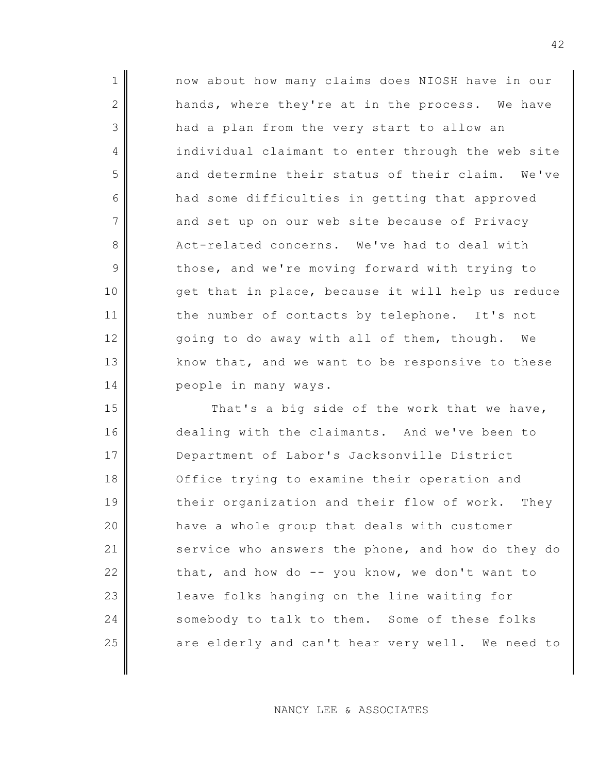| $\mathbf 1$    | now about how many claims does NIOSH have in our  |
|----------------|---------------------------------------------------|
| 2              | hands, where they're at in the process. We have   |
| 3              | had a plan from the very start to allow an        |
| $\overline{4}$ | individual claimant to enter through the web site |
| 5              | and determine their status of their claim. We've  |
| 6              | had some difficulties in getting that approved    |
| 7              | and set up on our web site because of Privacy     |
| 8              | Act-related concerns. We've had to deal with      |
| 9              | those, and we're moving forward with trying to    |
| 10             | get that in place, because it will help us reduce |
| 11             | the number of contacts by telephone. It's not     |
| 12             | going to do away with all of them, though. We     |
| 13             | know that, and we want to be responsive to these  |
| 14             | people in many ways.                              |
| 15             | That's a big side of the work that we have,       |
| 16             | dealing with the claimants. And we've been to     |
| 17             | Department of Labor's Jacksonville District       |
| 18             | Office trying to examine their operation and      |
| 19             | their organization and their flow of work. They   |
| 20             | have a whole group that deals with customer       |
| 21             | service who answers the phone, and how do they do |
| 22             | that, and how do -- you know, we don't want to    |
| 23             | leave folks hanging on the line waiting for       |
|                |                                                   |

are elderly and can't hear very well. We need to

24 somebody to talk to them. Some of these folks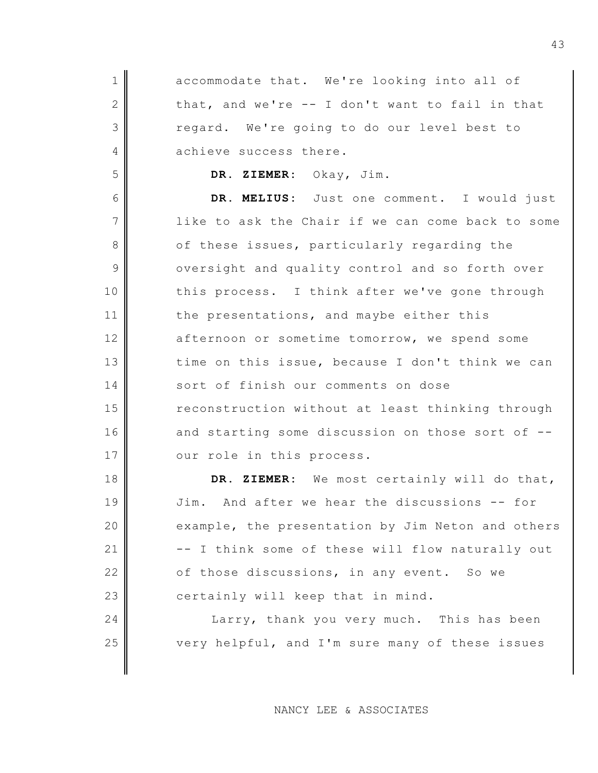| $\mathbf 1$  | accommodate that. We're looking into all of       |
|--------------|---------------------------------------------------|
| $\mathbf{2}$ | that, and we're -- I don't want to fail in that   |
| 3            | regard. We're going to do our level best to       |
| 4            | achieve success there.                            |
| 5            | DR. ZIEMER: Okay, Jim.                            |
| 6            | DR. MELIUS: Just one comment. I would just        |
| 7            | like to ask the Chair if we can come back to some |
| 8            | of these issues, particularly regarding the       |
| 9            | oversight and quality control and so forth over   |
| 10           | this process. I think after we've gone through    |
| 11           | the presentations, and maybe either this          |
| 12           | afternoon or sometime tomorrow, we spend some     |
| 13           | time on this issue, because I don't think we can  |
| 14           | sort of finish our comments on dose               |
| 15           | reconstruction without at least thinking through  |
| 16           | and starting some discussion on those sort of --  |
| 17           | our role in this process.                         |
| 18           | DR. ZIEMER: We most certainly will do that,       |
| 19           | Jim. And after we hear the discussions -- for     |
| 20           | example, the presentation by Jim Neton and others |
| 21           | -- I think some of these will flow naturally out  |
| 22           | of those discussions, in any event. So we         |
| 23           | certainly will keep that in mind.                 |
| 24           | Larry, thank you very much. This has been         |
| 25           | very helpful, and I'm sure many of these issues   |
|              |                                                   |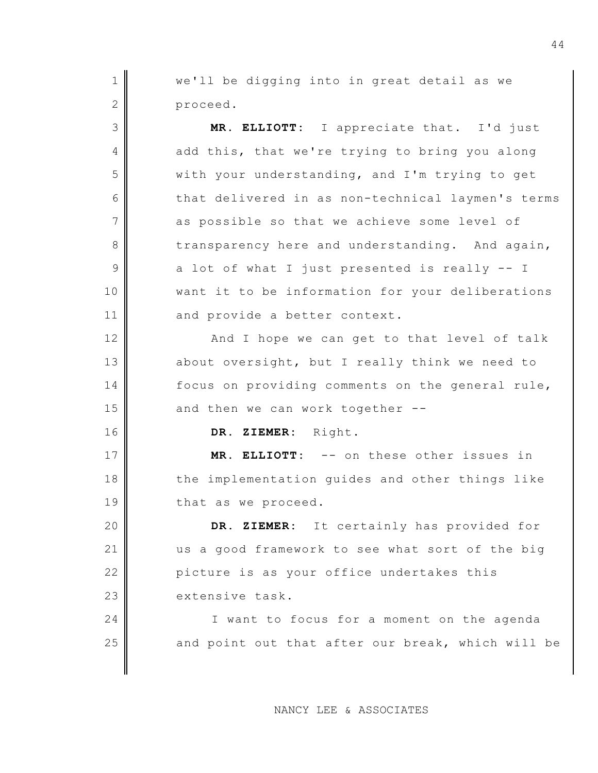1 || we'll be digging into in great detail as we 2 proceed.

3 **MR. ELLIOTT:** I appreciate that. I'd just 4 add this, that we're trying to bring you along 5 with your understanding, and I'm trying to get 6 that delivered in as non-technical laymen's terms  $7$  as possible so that we achieve some level of 8 transparency here and understanding. And again,  $9$  a lot of what I just presented is really  $-1$ 10 want it to be information for your deliberations 11 and provide a better context. 12 And I hope we can get to that level of talk 13 about oversight, but I really think we need to 14 focus on providing comments on the general rule,  $15$  and then we can work together  $-$ 16 **DR. ZIEMER:** Right. 17 **MR. ELLIOTT:** -- on these other issues in 18 the implementation guides and other things like 19 | that as we proceed. 20 **DR. ZIEMER:** It certainly has provided for 21 us a good framework to see what sort of the big 22 picture is as your office undertakes this 23 extensive task.

24 | I want to focus for a moment on the agenda  $25$  and point out that after our break, which will be

NANCY LEE & ASSOCIATES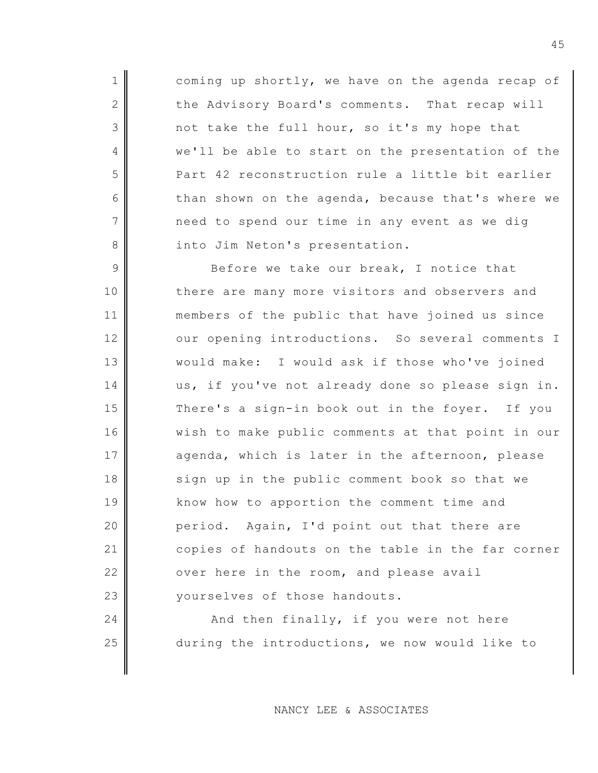$1 \parallel$  coming up shortly, we have on the agenda recap of 2 the Advisory Board's comments. That recap will 3 not take the full hour, so it's my hope that 4 | we'll be able to start on the presentation of the 5 Part 42 reconstruction rule a little bit earlier 6 than shown on the agenda, because that's where we  $7$  need to spend our time in any event as we dig 8 into Jim Neton's presentation.

9 Before we take our break, I notice that 10 there are many more visitors and observers and 11 members of the public that have joined us since 12 our opening introductions. So several comments I 13 would make: I would ask if those who've joined 14 us, if you've not already done so please sign in. 15 There's a sign-in book out in the foyer. If you 16 wish to make public comments at that point in our 17 agenda, which is later in the afternoon, please 18 sign up in the public comment book so that we 19 know how to apportion the comment time and 20 period. Again, I'd point out that there are 21 copies of handouts on the table in the far corner 22 over here in the room, and please avail 23 yourselves of those handouts.

24  $\parallel$  And then finally, if you were not here 25 during the introductions, we now would like to

NANCY LEE & ASSOCIATES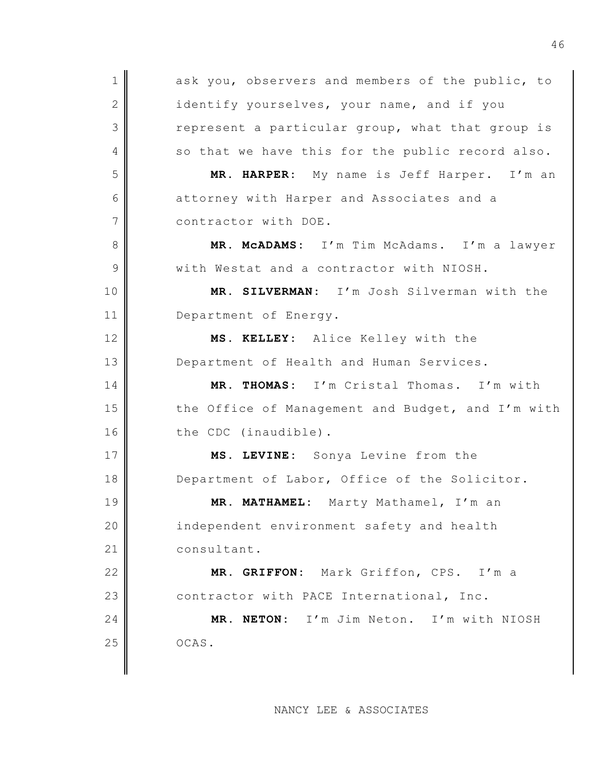1 ask you, observers and members of the public, to 2 identify yourselves, your name, and if you 3 represent a particular group, what that group is 4 so that we have this for the public record also. 5 **MR. HARPER:** My name is Jeff Harper. I'm an 6 attorney with Harper and Associates and a 7 | contractor with DOE. 8 **MR. McADAMS:** I'm Tim McAdams. I'm a lawyer 9 with Westat and a contractor with NIOSH. 10 **MR. SILVERMAN:** I'm Josh Silverman with the 11 Department of Energy. 12 **MS. KELLEY:** Alice Kelley with the 13 Department of Health and Human Services. 14 **MR. THOMAS:** I'm Cristal Thomas. I'm with 15 the Office of Management and Budget, and I'm with 16 the CDC (inaudible). 17 **MS. LEVINE:** Sonya Levine from the 18 Department of Labor, Office of the Solicitor. 19 **MR. MATHAMEL:** Marty Mathamel, I'm an 20 | independent environment safety and health 21 consultant. 22 **MR. GRIFFON:** Mark Griffon, CPS. I'm a 23 contractor with PACE International, Inc. 24 **MR. NETON:** I'm Jim Neton. I'm with NIOSH 25 OCAS.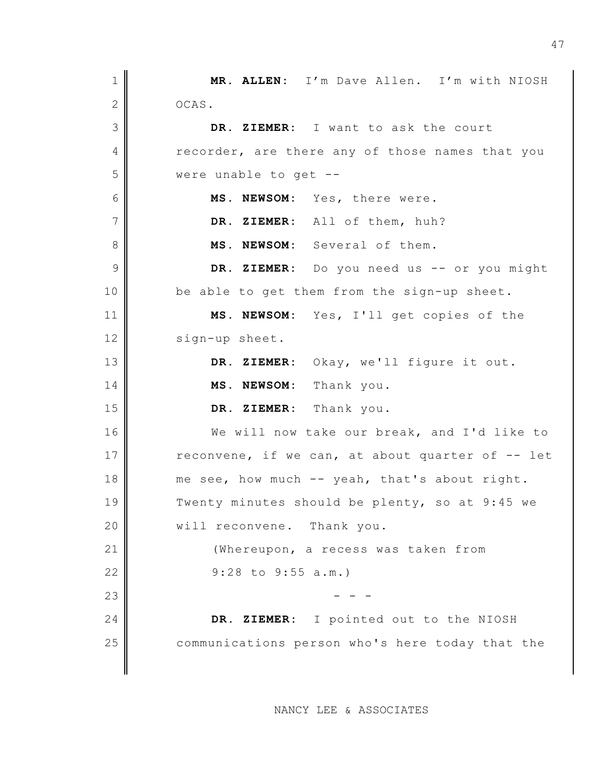1 **MR. ALLEN:** I'm Dave Allen. I'm with NIOSH 2 OCAS. 3 **DR. ZIEMER:** I want to ask the court 4 recorder, are there any of those names that you 5 were unable to get --6 **MS. NEWSOM:** Yes, there were. 7 **DR. ZIEMER:** All of them, huh? 8 **MS. NEWSOM:** Several of them. 9 **DR. ZIEMER:** Do you need us -- or you might 10 be able to get them from the sign-up sheet. 11 **MS. NEWSOM:** Yes, I'll get copies of the 12 sign-up sheet. 13 **DR. ZIEMER:** Okay, we'll figure it out. 14 **MS. NEWSOM:** Thank you. 15 **DR. ZIEMER:** Thank you. 16 We will now take our break, and I'd like to  $17$  reconvene, if we can, at about quarter of  $-$  let 18 me see, how much  $--$  yeah, that's about right. 19 Twenty minutes should be plenty, so at 9:45 we 20 will reconvene. Thank you. 21 **(Whereupon, a recess was taken from** 22 9:28 to 9:55 a.m.)  $23$   $-$  - -24 **DR. ZIEMER:** I pointed out to the NIOSH 25 communications person who's here today that the

NANCY LEE & ASSOCIATES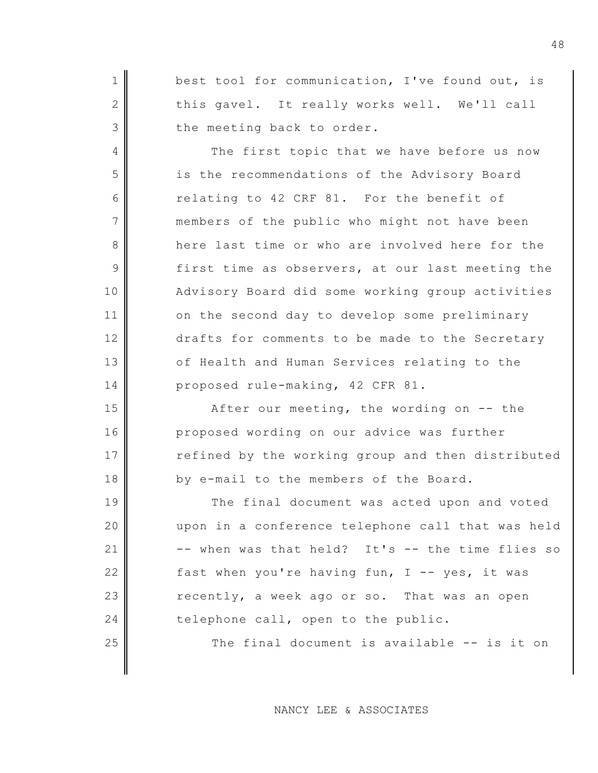1 best tool for communication, I've found out, is 2 this gavel. It really works well. We'll call 3 the meeting back to order.

4 The first topic that we have before us now 5 is the recommendations of the Advisory Board 6 relating to 42 CRF 81. For the benefit of 7 members of the public who might not have been 8 here last time or who are involved here for the  $9$  first time as observers, at our last meeting the 10 Advisory Board did some working group activities 11 on the second day to develop some preliminary 12 drafts for comments to be made to the Secretary 13 of Health and Human Services relating to the 14 proposed rule-making, 42 CFR 81.

15 After our meeting, the wording on -- the 16 proposed wording on our advice was further 17 refined by the working group and then distributed 18 by e-mail to the members of the Board.

19 The final document was acted upon and voted 20 upon in a conference telephone call that was held 21  $\parallel$  -- when was that held? It's -- the time flies so 22 fast when you're having fun, I -- yes, it was  $23$  recently, a week ago or so. That was an open  $24$  telephone call, open to the public. 25 || The final document is available -- is it on

NANCY LEE & ASSOCIATES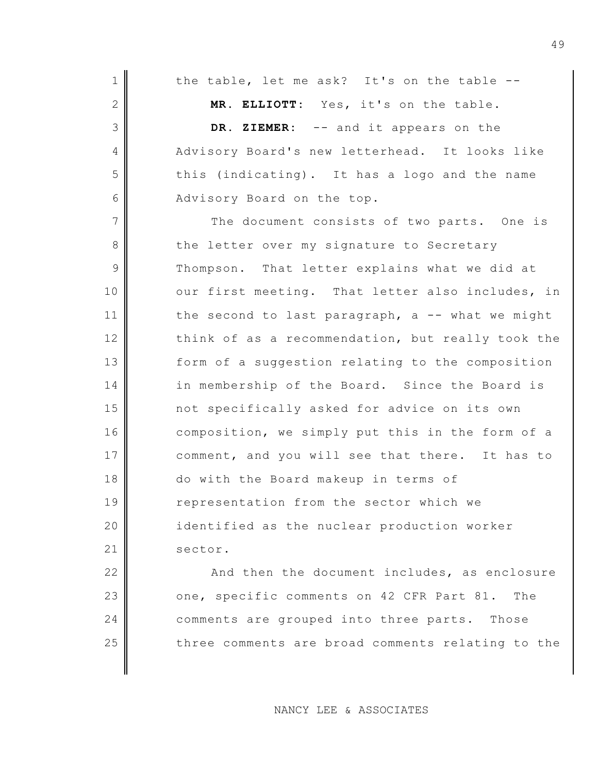| $\mathbf 1$    | the table, let me ask? It's on the table --       |
|----------------|---------------------------------------------------|
| $\mathbf{2}$   | MR. ELLIOTT: Yes, it's on the table.              |
| 3              | <b>DR. ZIEMER:</b> -- and it appears on the       |
| 4              | Advisory Board's new letterhead. It looks like    |
| 5              | this (indicating). It has a logo and the name     |
| 6              | Advisory Board on the top.                        |
| $\overline{7}$ | The document consists of two parts. One is        |
| $8\,$          | the letter over my signature to Secretary         |
| $\overline{9}$ | Thompson. That letter explains what we did at     |
| 10             | our first meeting. That letter also includes, in  |
| 11             | the second to last paragraph, a -- what we might  |
| 12             | think of as a recommendation, but really took the |
| 13             | form of a suggestion relating to the composition  |
| 14             | in membership of the Board. Since the Board is    |
| 15             | not specifically asked for advice on its own      |
| 16             | composition, we simply put this in the form of a  |
| 17             | comment, and you will see that there. It has to   |
| 18             | do with the Board makeup in terms of              |
| 19             | representation from the sector which we           |
| 20             | identified as the nuclear production worker       |
| 21             | sector.                                           |
| 22             | And then the document includes, as enclosure      |
| 23             | one, specific comments on 42 CFR Part 81.<br>The  |
| 24             | comments are grouped into three parts. Those      |

three comments are broad comments relating to the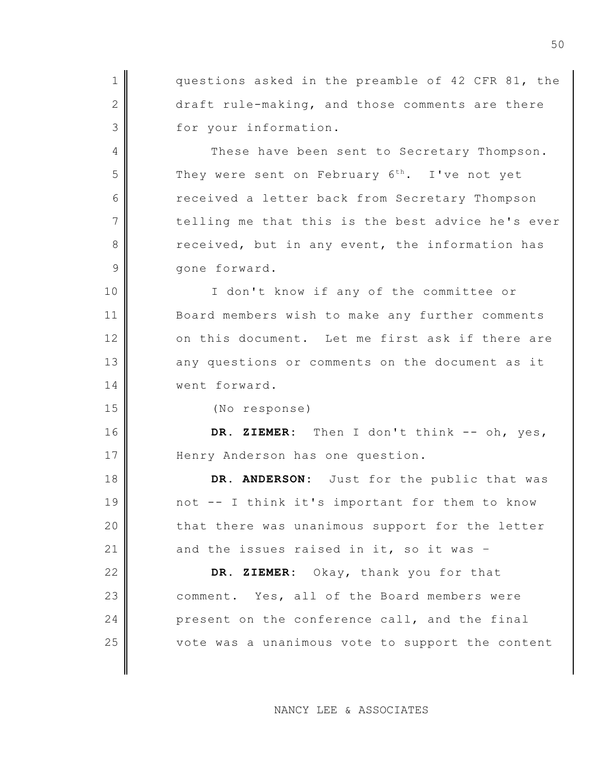| $\mathbf 1$    | questions asked in the preamble of 42 CFR 81, the         |
|----------------|-----------------------------------------------------------|
| $\mathbf{2}$   | draft rule-making, and those comments are there           |
| 3              | for your information.                                     |
| 4              | These have been sent to Secretary Thompson.               |
| 5              | They were sent on February 6 <sup>th</sup> . I've not yet |
| 6              | received a letter back from Secretary Thompson            |
| 7              | telling me that this is the best advice he's ever         |
| 8              | received, but in any event, the information has           |
| $\overline{9}$ | gone forward.                                             |
| 10             | I don't know if any of the committee or                   |
| 11             | Board members wish to make any further comments           |
| 12             | on this document. Let me first ask if there are           |
| 13             | any questions or comments on the document as it           |
| 14             | went forward.                                             |
| 15             | (No response)                                             |
| 16             | DR. ZIEMER: Then I don't think -- oh, yes,                |
| 17             | Henry Anderson has one question.                          |
| 18             | DR. ANDERSON: Just for the public that was                |
| 19             | not -- I think it's important for them to know            |
| 20             | that there was unanimous support for the letter           |
| 21             | and the issues raised in it, so it was -                  |
| 22             | DR. ZIEMER: Okay, thank you for that                      |
| 23             | comment. Yes, all of the Board members were               |
| 24             | present on the conference call, and the final             |
| 25             | vote was a unanimous vote to support the content          |
|                |                                                           |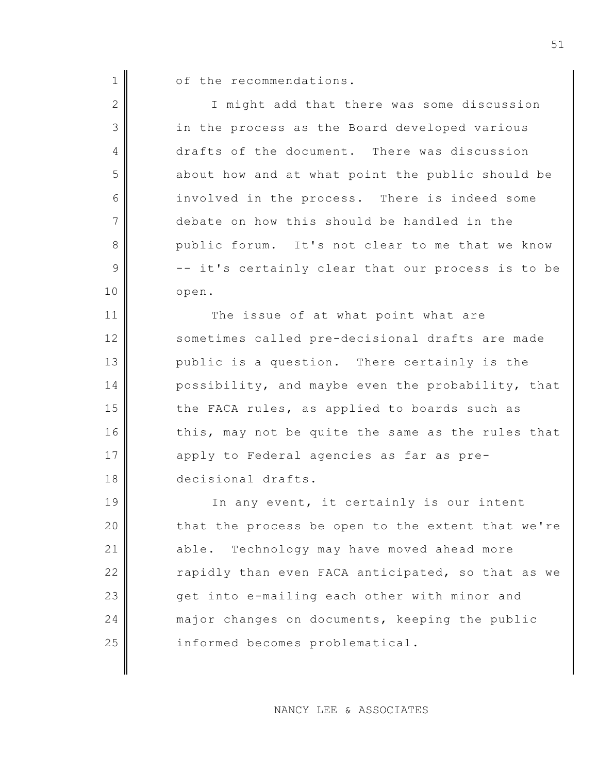1 of the recommendations.

2 I might add that there was some discussion 3 in the process as the Board developed various 4 drafts of the document. There was discussion 5 about how and at what point the public should be 6 involved in the process. There is indeed some  $7$  debate on how this should be handled in the 8 public forum. It's not clear to me that we know  $9 \parallel$  -- it's certainly clear that our process is to be 10 open.

11 The issue of at what point what are 12 sometimes called pre-decisional drafts are made 13 public is a question. There certainly is the 14 possibility, and maybe even the probability, that  $15$  the FACA rules, as applied to boards such as  $16$  this, may not be quite the same as the rules that 17 apply to Federal agencies as far as pre-18 decisional drafts.

19 In any event, it certainly is our intent 20  $\parallel$  that the process be open to the extent that we're 21 able. Technology may have moved ahead more 22 | Tapidly than even FACA anticipated, so that as we 23 get into e-mailing each other with minor and 24 major changes on documents, keeping the public 25 | informed becomes problematical.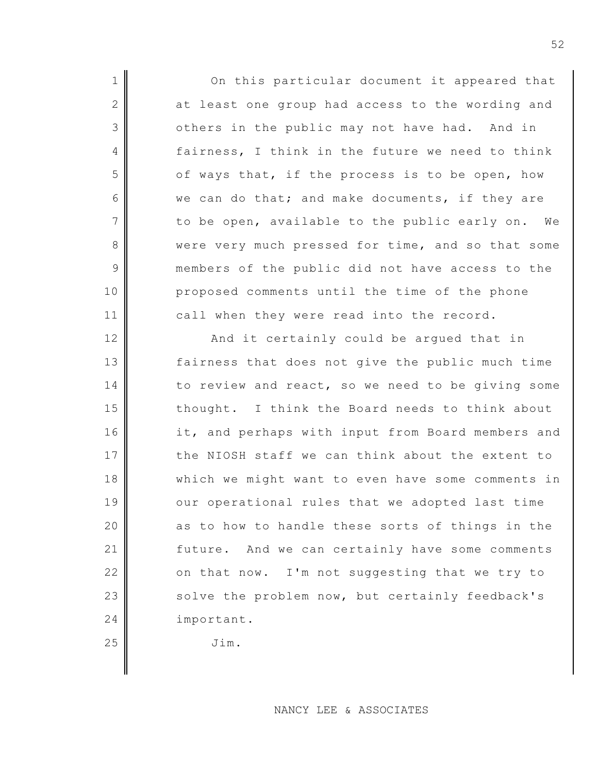| $\mathbf 1$    | On this particular document it appeared that      |
|----------------|---------------------------------------------------|
| $\mathbf{2}$   | at least one group had access to the wording and  |
| $\mathfrak{Z}$ | others in the public may not have had. And in     |
| $\overline{4}$ | fairness, I think in the future we need to think  |
| 5              | of ways that, if the process is to be open, how   |
| 6              | we can do that; and make documents, if they are   |
| $\overline{7}$ | to be open, available to the public early on. We  |
| $8\,$          | were very much pressed for time, and so that some |
| $\mathsf 9$    | members of the public did not have access to the  |
| 10             | proposed comments until the time of the phone     |
| 11             | call when they were read into the record.         |
| 12             | And it certainly could be argued that in          |
| 13             | fairness that does not give the public much time  |
| 14             | to review and react, so we need to be giving some |
| 15             | thought. I think the Board needs to think about   |
| 16             | it, and perhaps with input from Board members and |
| 17             | the NIOSH staff we can think about the extent to  |
| 18             | which we might want to even have some comments in |
| 19             | our operational rules that we adopted last time   |
| 20             | as to how to handle these sorts of things in the  |
| 21             | future. And we can certainly have some comments   |
| 22             | on that now. I'm not suggesting that we try to    |
| 23             | solve the problem now, but certainly feedback's   |
| 24             | important.                                        |
| 25             | Jim.                                              |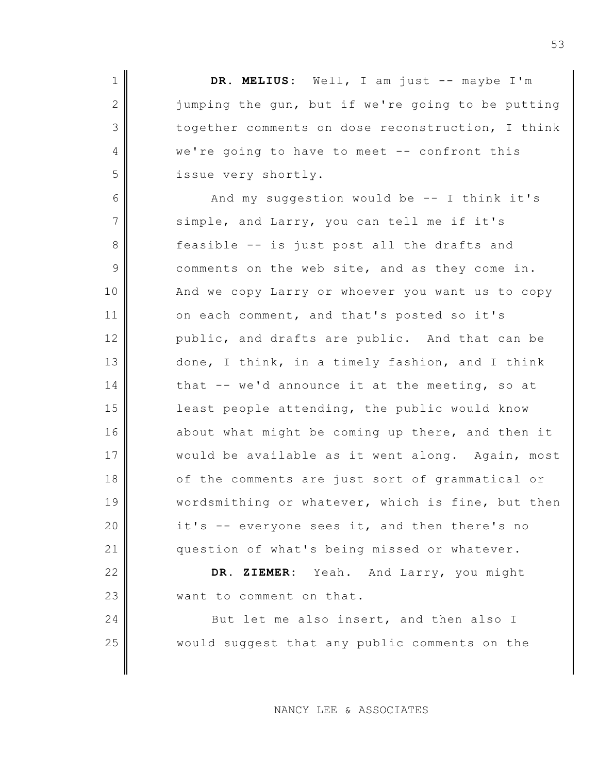| $\mathbf 1$    | DR. MELIUS: Well, I am just -- maybe I'm          |
|----------------|---------------------------------------------------|
| $\mathbf{2}$   | jumping the gun, but if we're going to be putting |
| 3              | together comments on dose reconstruction, I think |
| $\overline{4}$ | we're going to have to meet -- confront this      |
| 5              | issue very shortly.                               |
| 6              | And my suggestion would be -- I think it's        |
| 7              | simple, and Larry, you can tell me if it's        |
| $8\,$          | feasible -- is just post all the drafts and       |
| $\mathcal{G}$  | comments on the web site, and as they come in.    |
| 10             | And we copy Larry or whoever you want us to copy  |
| 11             | on each comment, and that's posted so it's        |
| 12             | public, and drafts are public. And that can be    |
| 13             | done, I think, in a timely fashion, and I think   |
| 14             | that -- we'd announce it at the meeting, so at    |
| 15             | least people attending, the public would know     |
| 16             | about what might be coming up there, and then it  |
| 17             | would be available as it went along. Again, most  |
| 18             | of the comments are just sort of grammatical or   |
| 19             | wordsmithing or whatever, which is fine, but then |
| 20             | it's -- everyone sees it, and then there's no     |
| 21             | question of what's being missed or whatever.      |
| 22             | DR. ZIEMER: Yeah. And Larry, you might            |
| 23             | want to comment on that.                          |
| 24             | But let me also insert, and then also I           |

**would suggest that any public comments on the** 

NANCY LEE & ASSOCIATES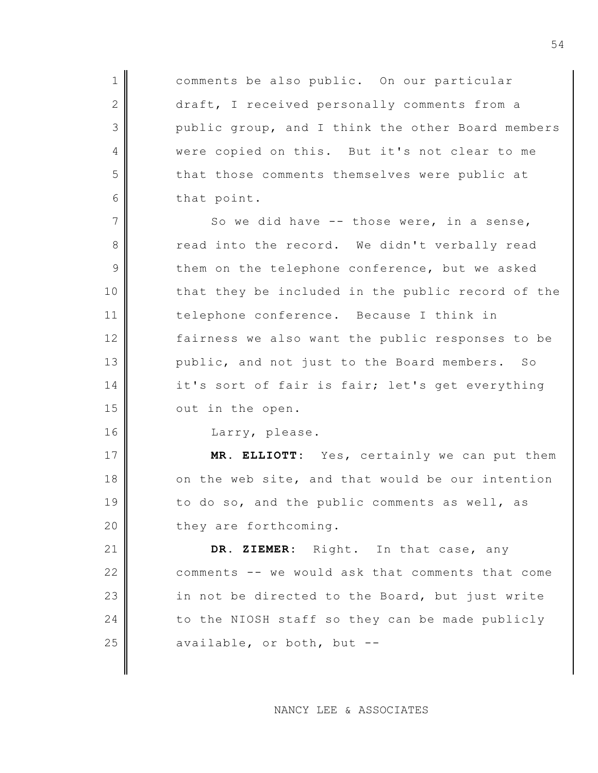1 comments be also public. On our particular 2 draft, I received personally comments from a 3 public group, and I think the other Board members 4 were copied on this. But it's not clear to me 5 that those comments themselves were public at 6 that point.  $7$  So we did have -- those were, in a sense, 8 read into the record. We didn't verbally read  $9$  them on the telephone conference, but we asked 10 that they be included in the public record of the 11 telephone conference. Because I think in 12 fairness we also want the public responses to be 13 public, and not just to the Board members. So 14 it's sort of fair is fair; let's get everything 15 out in the open. 16 Larry, please. 17 **MR. ELLIOTT:** Yes, certainly we can put them 18 on the web site, and that would be our intention 19 to do so, and the public comments as well, as 20 they are forthcoming. 21 **DR. ZIEMER:** Right. In that case, any 22 comments -- we would ask that comments that come  $23$  in not be directed to the Board, but just write 24 to the NIOSH staff so they can be made publicly  $25$   $\parallel$  available, or both, but --

NANCY LEE & ASSOCIATES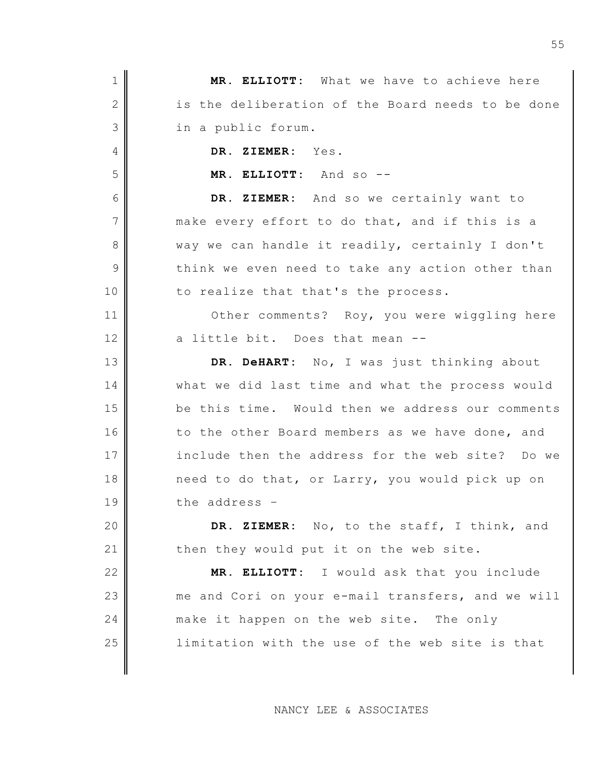| $\mathbf 1$    | MR. ELLIOTT: What we have to achieve here         |
|----------------|---------------------------------------------------|
| $\mathbf{2}$   | is the deliberation of the Board needs to be done |
| 3              | in a public forum.                                |
| 4              | DR. ZIEMER: Yes.                                  |
| 5              | MR. ELLIOTT: And so                               |
| 6              | DR. ZIEMER: And so we certainly want to           |
| $\overline{7}$ | make every effort to do that, and if this is a    |
| 8              | way we can handle it readily, certainly I don't   |
| 9              | think we even need to take any action other than  |
| 10             | to realize that that's the process.               |
| 11             | Other comments? Roy, you were wiggling here       |
| 12             | a little bit. Does that mean --                   |
| 13             | DR. DeHART: No, I was just thinking about         |
| 14             | what we did last time and what the process would  |
| 15             | be this time. Would then we address our comments  |
| 16             | to the other Board members as we have done, and   |
| 17             | include then the address for the web site? Do we  |
| 18             | need to do that, or Larry, you would pick up on   |
| 19             | the address                                       |
| 20             | DR. ZIEMER: No, to the staff, I think, and        |
| 21             | then they would put it on the web site.           |
| 22             | MR. ELLIOTT: I would ask that you include         |
| 23             | me and Cori on your e-mail transfers, and we will |
| 24             | make it happen on the web site. The only          |
| 25             | limitation with the use of the web site is that   |
|                |                                                   |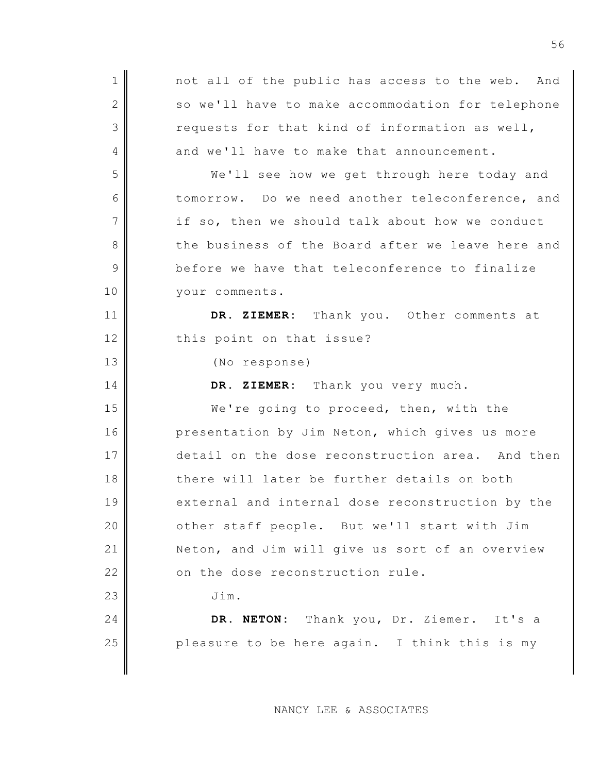| $1\,$          | not all of the public has access to the web. And  |
|----------------|---------------------------------------------------|
| $\mathbf{2}$   | so we'll have to make accommodation for telephone |
| 3              | requests for that kind of information as well,    |
| $\overline{4}$ | and we'll have to make that announcement.         |
| 5              | We'll see how we get through here today and       |
| 6              | tomorrow. Do we need another teleconference, and  |
| 7              | if so, then we should talk about how we conduct   |
| $8\,$          | the business of the Board after we leave here and |
| $\mathcal{G}$  | before we have that teleconference to finalize    |
| 10             | your comments.                                    |
| 11             | DR. ZIEMER: Thank you. Other comments at          |
| 12             | this point on that issue?                         |
| 13             | (No response)                                     |
|                |                                                   |
| 14             | DR. ZIEMER: Thank you very much.                  |
| 15             | We're going to proceed, then, with the            |
| 16             | presentation by Jim Neton, which gives us more    |
| 17             | detail on the dose reconstruction area. And then  |
| 18             | there will later be further details on both       |
| 19             | external and internal dose reconstruction by the  |
| 20             | other staff people. But we'll start with Jim      |
| 21             | Neton, and Jim will give us sort of an overview   |
| 22             | on the dose reconstruction rule.                  |
| 23             | Jim.                                              |
| 24             | DR. NETON: Thank you, Dr. Ziemer. It's a          |
| 25             | pleasure to be here again. I think this is my     |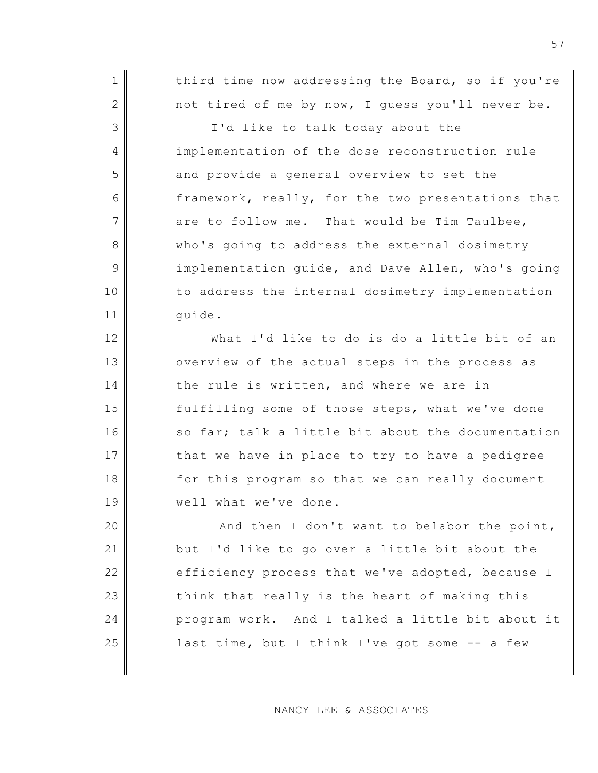1 third time now addressing the Board, so if you're  $2 \parallel$  not tired of me by now, I quess you'll never be.

3 || I'd like to talk today about the 4 || implementation of the dose reconstruction rule 5 and provide a general overview to set the 6 framework, really, for the two presentations that  $7$  are to follow me. That would be Tim Taulbee, 8 who's going to address the external dosimetry 9 implementation quide, and Dave Allen, who's going 10 to address the internal dosimetry implementation 11 | quide.

12 What I'd like to do is do a little bit of an 13 overview of the actual steps in the process as 14 the rule is written, and where we are in 15 fulfilling some of those steps, what we've done 16 so far; talk a little bit about the documentation 17 that we have in place to try to have a pedigree 18 for this program so that we can really document 19 well what we've done.

20  $\parallel$  and then I don't want to belabor the point, 21 but I'd like to go over a little bit about the 22 efficiency process that we've adopted, because I  $23$  think that really is the heart of making this 24 program work. And I talked a little bit about it 25 | last time, but I think I've got some -- a few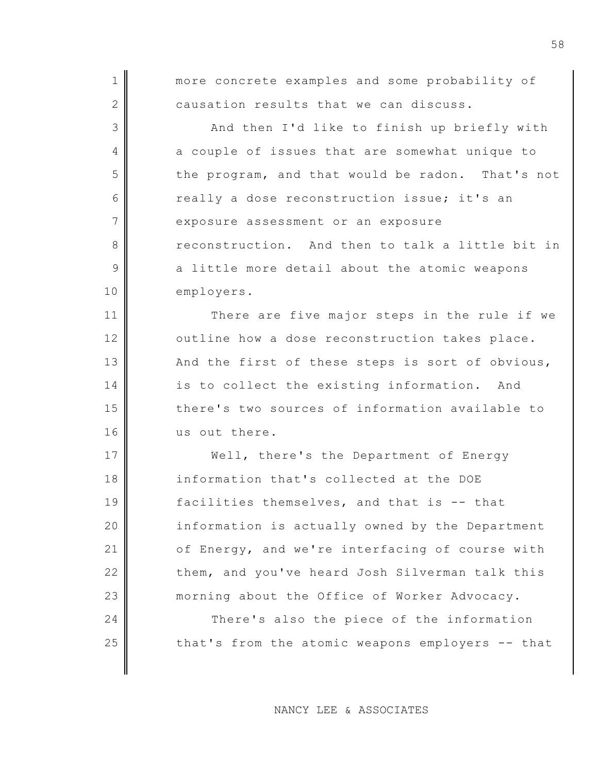| $\mathbf 1$    | more concrete examples and some probability of   |
|----------------|--------------------------------------------------|
|                |                                                  |
| $\mathbf{2}$   | causation results that we can discuss.           |
| 3              | And then I'd like to finish up briefly with      |
| $\overline{4}$ | a couple of issues that are somewhat unique to   |
| 5              | the program, and that would be radon. That's not |
| 6              | really a dose reconstruction issue; it's an      |
| $\overline{7}$ | exposure assessment or an exposure               |
| 8              | reconstruction. And then to talk a little bit in |
| $\mathsf 9$    | a little more detail about the atomic weapons    |
| 10             | employers.                                       |
| 11             | There are five major steps in the rule if we     |
| 12             | outline how a dose reconstruction takes place.   |
| 13             | And the first of these steps is sort of obvious, |
| 14             | is to collect the existing information. And      |
| 15             | there's two sources of information available to  |
| 16             | us out there.                                    |
| 17             | Well, there's the Department of Energy           |
| 18             | information that's collected at the DOE          |
| 19             | facilities themselves, and that is -- that       |
| 20             | information is actually owned by the Department  |
| 21             | of Energy, and we're interfacing of course with  |
| 22             | them, and you've heard Josh Silverman talk this  |
| 23             | morning about the Office of Worker Advocacy.     |
| 24             | There's also the piece of the information        |
| 25             | that's from the atomic weapons employers -- that |
|                |                                                  |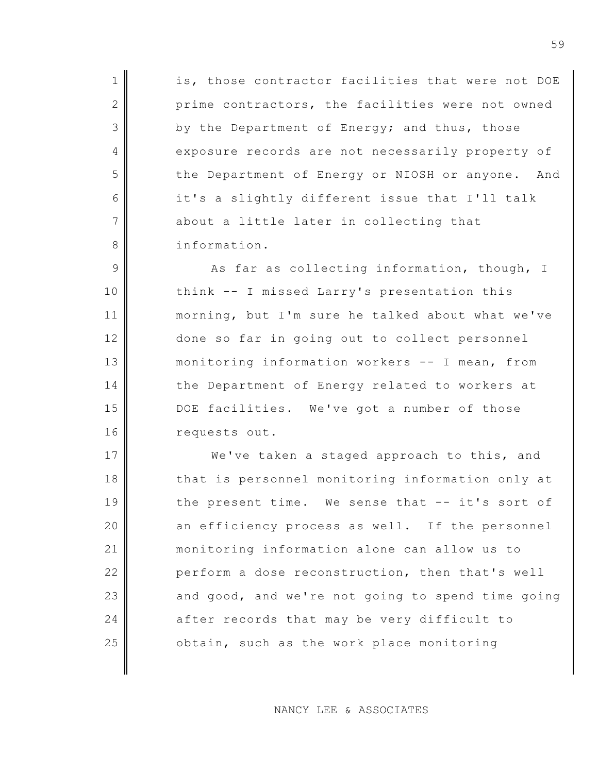| $\mathbf{1}$   | is, those contractor facilities that were not DOE |
|----------------|---------------------------------------------------|
| $\overline{2}$ | prime contractors, the facilities were not owned  |
| 3              | by the Department of Energy; and thus, those      |
| 4              | exposure records are not necessarily property of  |
| 5              | the Department of Energy or NIOSH or anyone. And  |
| 6              | it's a slightly different issue that I'll talk    |
| 7              | about a little later in collecting that           |
| 8              | information.                                      |
|                |                                                   |

9 As far as collecting information, though, I 10 think -- I missed Larry's presentation this 11 morning, but I'm sure he talked about what we've 12 done so far in going out to collect personnel 13 monitoring information workers -- I mean, from 14 the Department of Energy related to workers at 15 DOE facilities. We've got a number of those 16 requests out.

17 We've taken a staged approach to this, and 18 that is personnel monitoring information only at 19 the present time. We sense that -- it's sort of  $20$  an efficiency process as well. If the personnel 21 monitoring information alone can allow us to 22 perform a dose reconstruction, then that's well  $23$  and good, and we're not going to spend time going 24  $\parallel$  after records that may be very difficult to 25  $\parallel$  obtain, such as the work place monitoring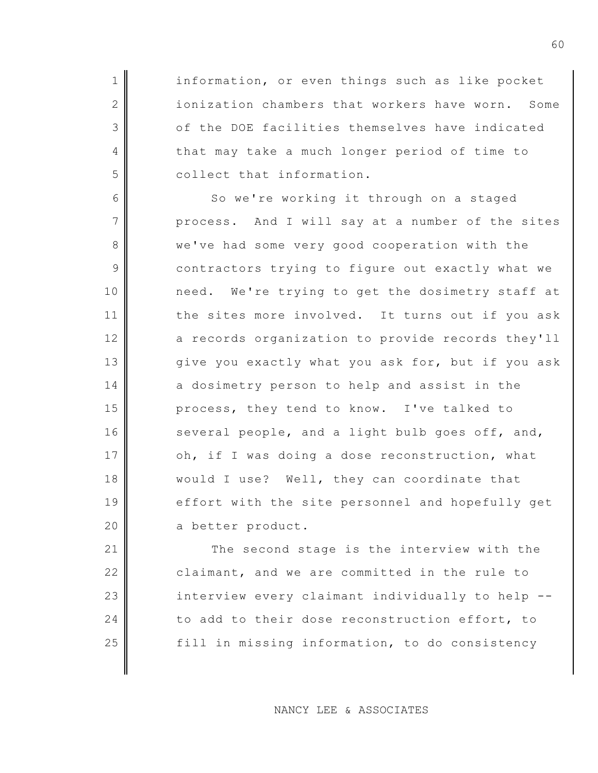1 | information, or even things such as like pocket 2 ionization chambers that workers have worn. Some 3 of the DOE facilities themselves have indicated 4 that may take a much longer period of time to 5 collect that information.

6 So we're working it through on a staged  $7$  process. And I will say at a number of the sites 8 we've had some very good cooperation with the 9 contractors trying to figure out exactly what we 10 need. We're trying to get the dosimetry staff at 11 the sites more involved. It turns out if you ask 12 a records organization to provide records they'll 13 give you exactly what you ask for, but if you ask 14 a dosimetry person to help and assist in the 15 process, they tend to know. I've talked to 16 several people, and a light bulb goes off, and, 17 | oh, if I was doing a dose reconstruction, what 18 || would I use? Well, they can coordinate that 19 effort with the site personnel and hopefully get 20 a better product.

21 The second stage is the interview with the 22 claimant, and we are committed in the rule to 23 interview every claimant individually to help -- $24$  to add to their dose reconstruction effort, to 25 fill in missing information, to do consistency

NANCY LEE & ASSOCIATES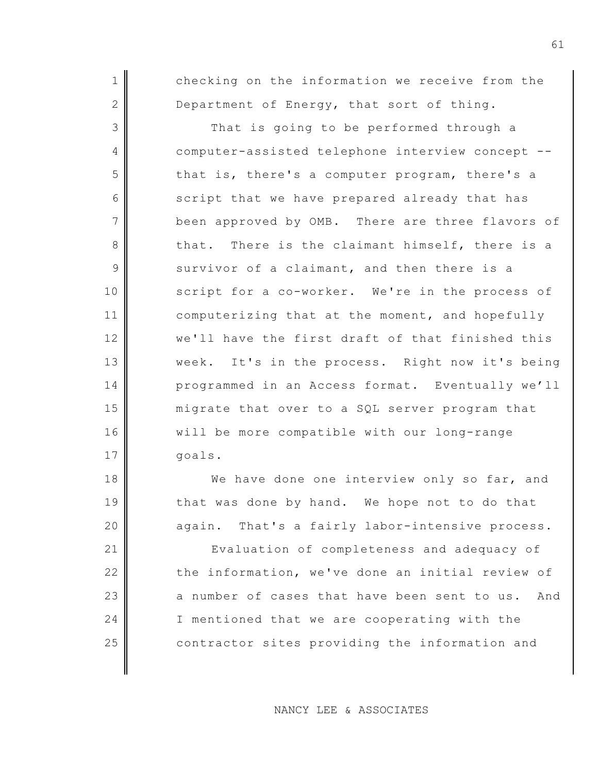1 checking on the information we receive from the  $2 \parallel$  Department of Energy, that sort of thing.

3 That is going to be performed through a 4 computer-assisted telephone interview concept --  $5$  that is, there's a computer program, there's a 6 script that we have prepared already that has  $7$  been approved by OMB. There are three flavors of 8 that. There is the claimant himself, there is a  $9$  survivor of a claimant, and then there is a 10 script for a co-worker. We're in the process of 11 computerizing that at the moment, and hopefully 12 | we'll have the first draft of that finished this 13 | week. It's in the process. Right now it's being 14 programmed in an Access format. Eventually we'll 15 migrate that over to a SQL server program that 16 | will be more compatible with our long-range 17 | qoals.

18 We have done one interview only so far, and 19 that was done by hand. We hope not to do that  $20$  again. That's a fairly labor-intensive process.

21 Evaluation of completeness and adequacy of 22 the information, we've done an initial review of 23 anumber of cases that have been sent to us. And 24 I mentioned that we are cooperating with the 25 contractor sites providing the information and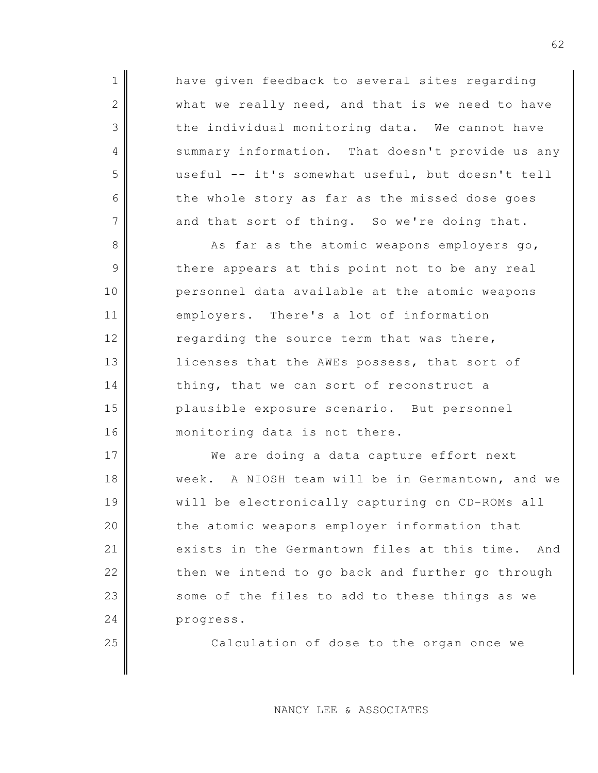1 have given feedback to several sites regarding  $2$  what we really need, and that is we need to have 3 the individual monitoring data. We cannot have 4 Summary information. That doesn't provide us any 5 useful -- it's somewhat useful, but doesn't tell 6 the whole story as far as the missed dose goes  $7$  and that sort of thing. So we're doing that. 8 As far as the atomic weapons employers go,  $9$  there appears at this point not to be any real 10 personnel data available at the atomic weapons 11 employers. There's a lot of information  $12$  regarding the source term that was there, 13 licenses that the AWEs possess, that sort of

14 thing, that we can sort of reconstruct a 15 plausible exposure scenario. But personnel 16 monitoring data is not there.

17 We are doing a data capture effort next 18 || week. A NIOSH team will be in Germantown, and we 19 will be electronically capturing on CD-ROMs all  $20$  the atomic weapons employer information that 21 exists in the Germantown files at this time. And  $22$  then we intend to go back and further go through  $23$  some of the files to add to these things as we 24 progress.

25 Calculation of dose to the organ once we

NANCY LEE & ASSOCIATES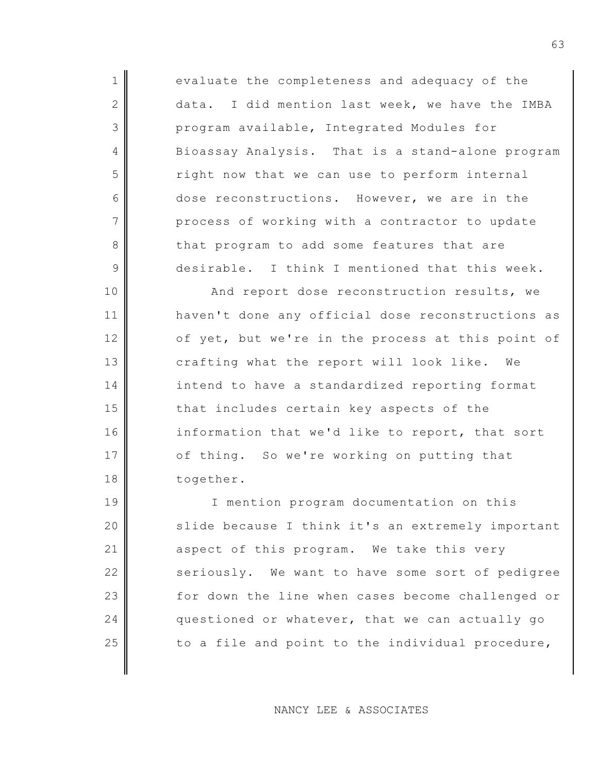1 evaluate the completeness and adequacy of the  $2$  data. I did mention last week, we have the IMBA 3 program available, Integrated Modules for 4 Bioassay Analysis. That is a stand-alone program 5 Terright now that we can use to perform internal 6 dose reconstructions. However, we are in the  $7$  process of working with a contractor to update 8 that program to add some features that are  $9 \parallel$  desirable. I think I mentioned that this week.

10 And report dose reconstruction results, we 11 haven't done any official dose reconstructions as  $12$  of yet, but we're in the process at this point of 13 crafting what the report will look like. We 14 intend to have a standardized reporting format 15 that includes certain key aspects of the 16 information that we'd like to report, that sort 17 of thing. So we're working on putting that 18 together.

19 || I mention program documentation on this 20 slide because I think it's an extremely important 21 aspect of this program. We take this very 22 seriously. We want to have some sort of pedigree 23 for down the line when cases become challenged or 24 questioned or whatever, that we can actually go 25  $\parallel$  to a file and point to the individual procedure,

NANCY LEE & ASSOCIATES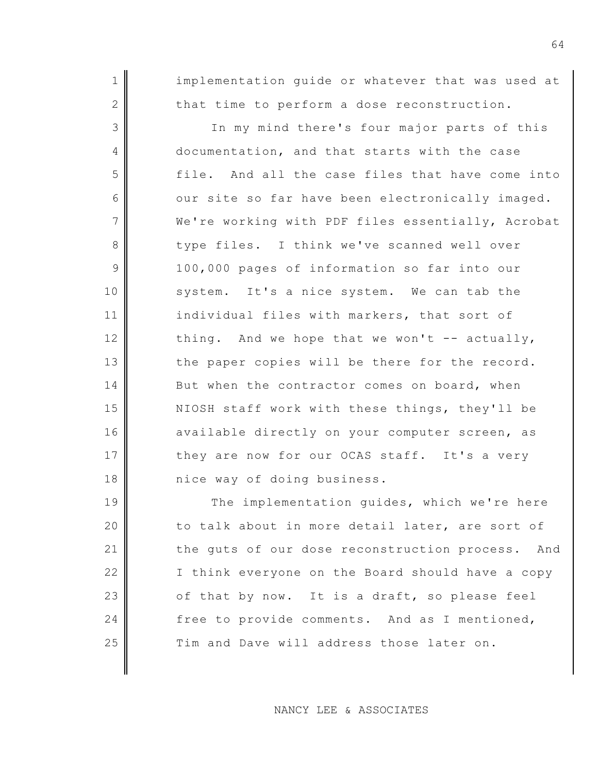1 || implementation quide or whatever that was used at  $2$  that time to perform a dose reconstruction.

3 In my mind there's four major parts of this 4 documentation, and that starts with the case 5 file. And all the case files that have come into 6 our site so far have been electronically imaged. 7 We're working with PDF files essentially, Acrobat 8 type files. I think we've scanned well over 9 100,000 pages of information so far into our 10 system. It's a nice system. We can tab the 11 individual files with markers, that sort of 12 thing. And we hope that we won't  $-$  actually, 13 the paper copies will be there for the record. 14 But when the contractor comes on board, when 15 NIOSH staff work with these things, they'll be 16 available directly on your computer screen, as 17 they are now for our OCAS staff. It's a very 18 nice way of doing business.

19 The implementation quides, which we're here 20 to talk about in more detail later, are sort of 21 the guts of our dose reconstruction process. And 22 | I think everyone on the Board should have a copy  $23$  of that by now. It is a draft, so please feel 24 free to provide comments. And as I mentioned, 25 Tim and Dave will address those later on.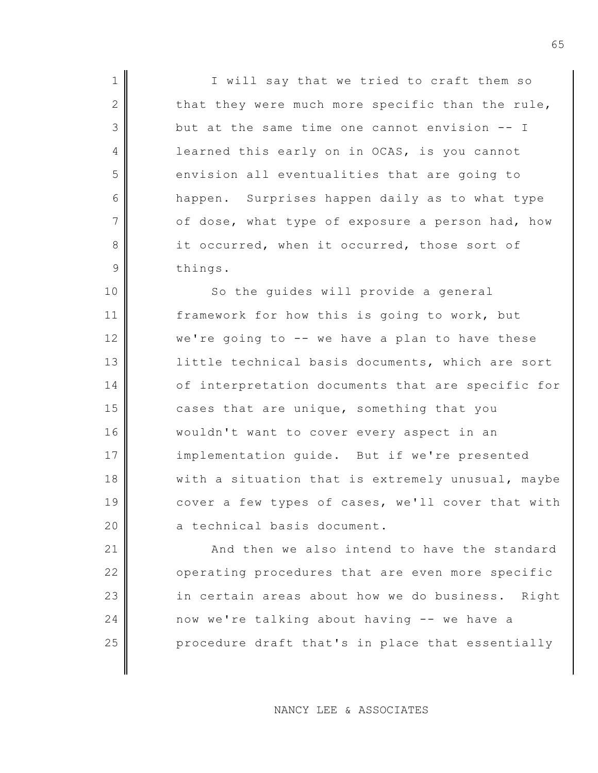| $\mathbf 1$ | I will say that we tried to craft them so         |
|-------------|---------------------------------------------------|
| 2           | that they were much more specific than the rule,  |
| 3           | but at the same time one cannot envision -- I     |
| 4           | learned this early on in OCAS, is you cannot      |
| 5           | envision all eventualities that are going to      |
| 6           | happen. Surprises happen daily as to what type    |
| 7           | of dose, what type of exposure a person had, how  |
| 8           | it occurred, when it occurred, those sort of      |
| 9           | things.                                           |
| 10          | So the guides will provide a general              |
| 11          | framework for how this is going to work, but      |
| 12          | we're going to -- we have a plan to have these    |
| 13          | little technical basis documents, which are sort  |
| 14          | of interpretation documents that are specific for |
| 15          | cases that are unique, something that you         |
| 16          | wouldn't want to cover every aspect in an         |
| 17          | implementation guide. But if we're presented      |
| 18          | with a situation that is extremely unusual, maybe |
| 19          | cover a few types of cases, we'll cover that with |
| 20          | a technical basis document.                       |
| 21          | And then we also intend to have the standard      |
| 22          | operating procedures that are even more specific  |
| 23          | in certain areas about how we do business. Right  |
| 24          | now we're talking about having -- we have a       |

**procedure draft that's in place that essentially** 

NANCY LEE & ASSOCIATES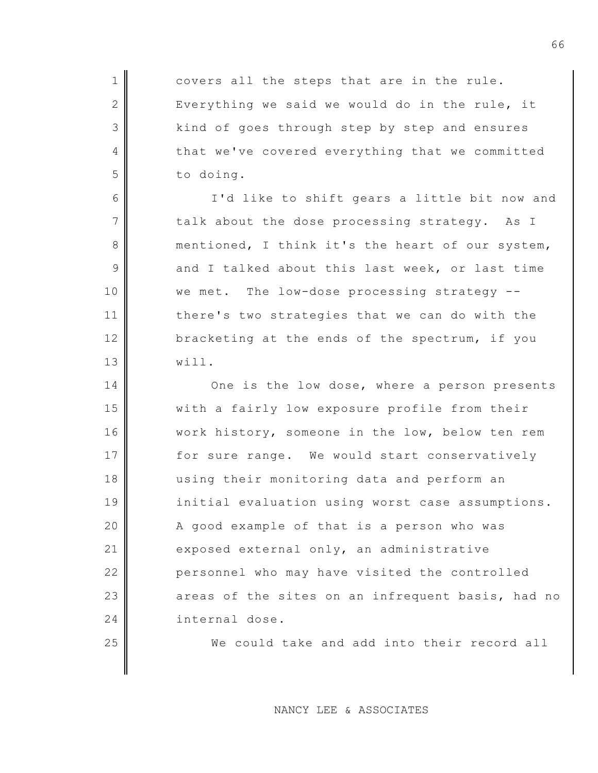| $1\,$          | covers all the steps that are in the rule.        |
|----------------|---------------------------------------------------|
| $\sqrt{2}$     | Everything we said we would do in the rule, it    |
| 3              | kind of goes through step by step and ensures     |
| 4              | that we've covered everything that we committed   |
| 5              | to doing.                                         |
| 6              | I'd like to shift gears a little bit now and      |
| $\overline{7}$ | talk about the dose processing strategy. As I     |
| $8\,$          | mentioned, I think it's the heart of our system,  |
| $\mathcal{G}$  | and I talked about this last week, or last time   |
| 10             | we met. The low-dose processing strategy --       |
| 11             | there's two strategies that we can do with the    |
| 12             | bracketing at the ends of the spectrum, if you    |
| 13             | will.                                             |
| 14             | One is the low dose, where a person presents      |
| 15             | with a fairly low exposure profile from their     |
| 16             | work history, someone in the low, below ten rem   |
| 17             | for sure range. We would start conservatively     |
| 18             | using their monitoring data and perform an        |
| 19             | initial evaluation using worst case assumptions.  |
| 20             | A good example of that is a person who was        |
| 21             | exposed external only, an administrative          |
| 22             | personnel who may have visited the controlled     |
| 23             | areas of the sites on an infrequent basis, had no |
| 24             | internal dose.                                    |
| 25             | We could take and add into their record all       |
|                |                                                   |

 $\parallel$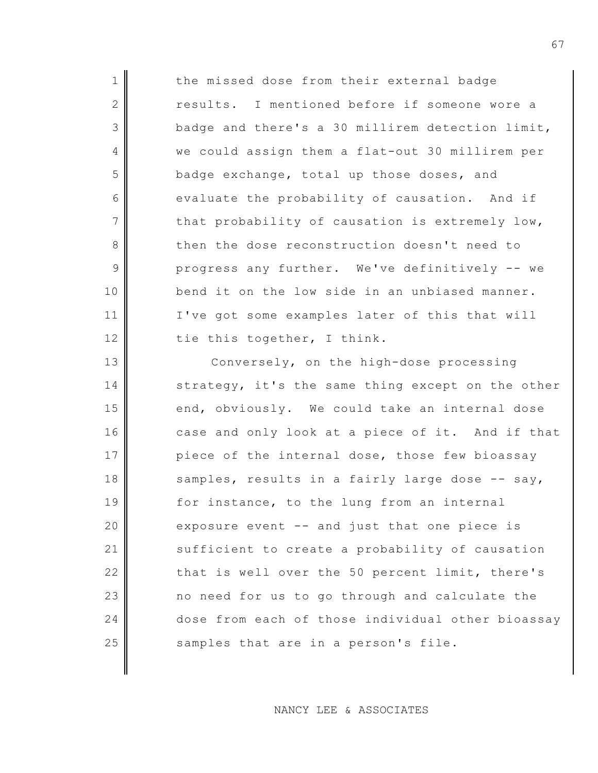1 the missed dose from their external badge 2 results. I mentioned before if someone wore a 3 badge and there's a 30 millirem detection limit, 4 we could assign them a flat-out 30 millirem per  $5$  badge exchange, total up those doses, and 6 evaluate the probability of causation. And if  $7$  that probability of causation is extremely low, 8 then the dose reconstruction doesn't need to 9 progress any further. We've definitively -- we 10 bend it on the low side in an unbiased manner. 11 | I've got some examples later of this that will  $12$  tie this together, I think. 13 Conversely, on the high-dose processing 14 strategy, it's the same thing except on the other 15 end, obviously. We could take an internal dose 16 case and only look at a piece of it. And if that 17 piece of the internal dose, those few bioassay  $18$  samples, results in a fairly large dose -- say, 19 for instance, to the lung from an internal 20 exposure event  $-$  and just that one piece is 21 Sufficient to create a probability of causation 22 that is well over the 50 percent limit, there's 23 no need for us to go through and calculate the 24 dose from each of those individual other bioassay  $25$  samples that are in a person's file.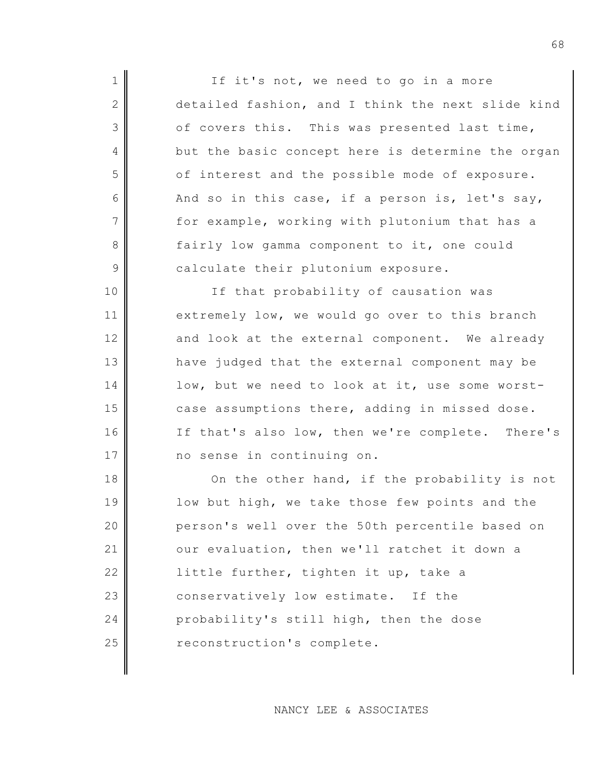1 If it's not, we need to go in a more 2 detailed fashion, and I think the next slide kind 3 of covers this. This was presented last time, 4 but the basic concept here is determine the organ  $5$  of interest and the possible mode of exposure. 6 And so in this case, if a person is, let's say,  $7$   $\parallel$  for example, working with plutonium that has a 8 fairly low gamma component to it, one could 9 calculate their plutonium exposure. 10 || If that probability of causation was 11 extremely low, we would go over to this branch 12 and look at the external component. We already 13 have judged that the external component may be 14 low, but we need to look at it, use some worst-15 case assumptions there, adding in missed dose. 16 If that's also low, then we're complete. There's 17 no sense in continuing on. 18 On the other hand, if the probability is not

19 || low but high, we take those few points and the 20 **person's well over the 50th percentile based on** 21 | our evaluation, then we'll ratchet it down a 22 | little further, tighten it up, take a 23 conservatively low estimate. If the 24 probability's still high, then the dose  $25$   $\parallel$  reconstruction's complete.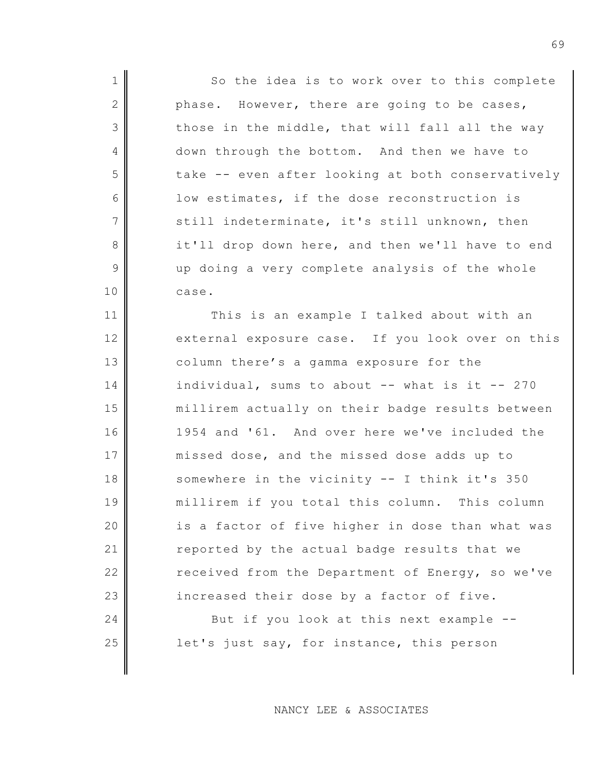| $\mathbf 1$    | So the idea is to work over to this complete      |
|----------------|---------------------------------------------------|
| $\mathbf{2}$   | phase. However, there are going to be cases,      |
| $\mathfrak{Z}$ | those in the middle, that will fall all the way   |
| 4              | down through the bottom. And then we have to      |
| 5              | take -- even after looking at both conservatively |
| 6              | low estimates, if the dose reconstruction is      |
| $\overline{7}$ | still indeterminate, it's still unknown, then     |
| $8\,$          | it'll drop down here, and then we'll have to end  |
| $\mathcal{G}$  | up doing a very complete analysis of the whole    |
| 10             | case.                                             |
| 11             | This is an example I talked about with an         |
| 12             | external exposure case. If you look over on this  |
| 13             | column there's a gamma exposure for the           |
| 14             | individual, sums to about -- what is it -- 270    |
| 15             | millirem actually on their badge results between  |
| 16             | 1954 and '61. And over here we've included the    |
| 17             | missed dose, and the missed dose adds up to       |
| 18             | somewhere in the vicinity -- I think it's 350     |
| 19             | millirem if you total this column. This column    |
| 20             | is a factor of five higher in dose than what was  |
| 21             | reported by the actual badge results that we      |
| 22             | received from the Department of Energy, so we've  |
| 23             | increased their dose by a factor of five.         |
| 24             | But if you look at this next example --           |
| 25             | let's just say, for instance, this person         |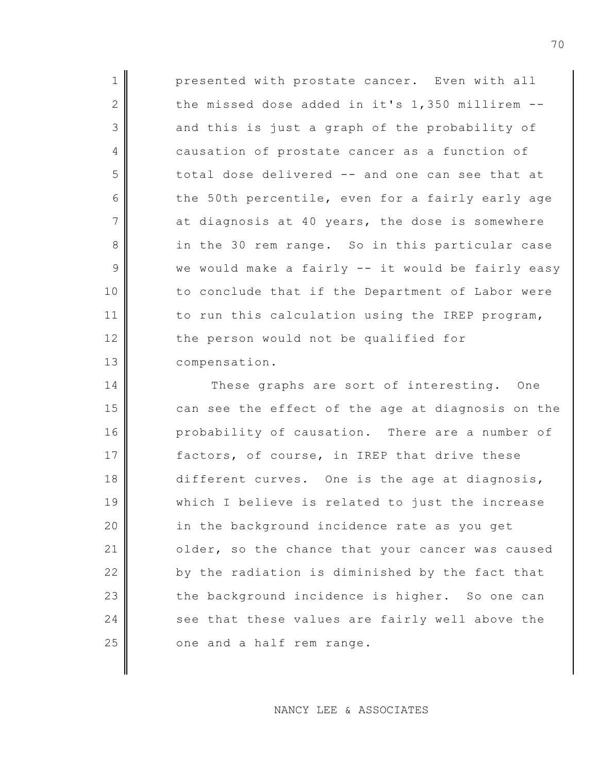1 presented with prostate cancer. Even with all  $2$  the missed dose added in it's 1,350 millirem  $-$ 3 and this is just a graph of the probability of 4 causation of prostate cancer as a function of 5 total dose delivered -- and one can see that at 6 the 50th percentile, even for a fairly early age  $7$  at diagnosis at 40 years, the dose is somewhere 8 in the 30 rem range. So in this particular case 9 we would make a fairly -- it would be fairly easy 10 to conclude that if the Department of Labor were 11 to run this calculation using the IREP program, 12 the person would not be qualified for 13 compensation.

14 These graphs are sort of interesting. One 15 can see the effect of the age at diagnosis on the 16 probability of causation. There are a number of 17 factors, of course, in IREP that drive these 18 different curves. One is the age at diagnosis, 19 which I believe is related to just the increase 20 in the background incidence rate as you get 21 older, so the chance that your cancer was caused 22 by the radiation is diminished by the fact that  $23$  the background incidence is higher. So one can  $24$  see that these values are fairly well above the  $25$  || one and a half rem range.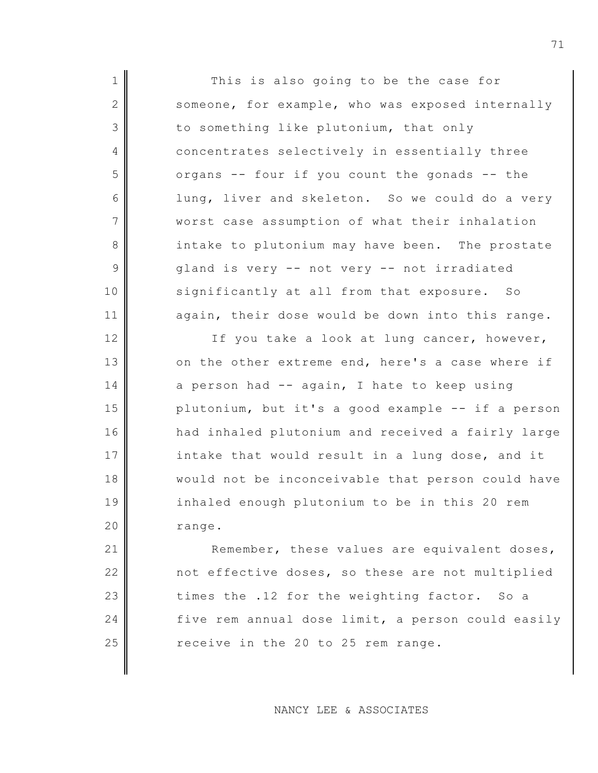| $\mathbf 1$   | This is also going to be the case for             |
|---------------|---------------------------------------------------|
| $\mathbf{2}$  | someone, for example, who was exposed internally  |
| 3             | to something like plutonium, that only            |
| 4             | concentrates selectively in essentially three     |
| 5             | organs -- four if you count the gonads -- the     |
| 6             | lung, liver and skeleton. So we could do a very   |
| 7             | worst case assumption of what their inhalation    |
| 8             | intake to plutonium may have been. The prostate   |
| $\mathcal{G}$ | gland is very -- not very -- not irradiated       |
| 10            | significantly at all from that exposure. So       |
| 11            | again, their dose would be down into this range.  |
| 12            | If you take a look at lung cancer, however,       |
| 13            | on the other extreme end, here's a case where if  |
| 14            | a person had -- again, I hate to keep using       |
| 15            | plutonium, but it's a good example -- if a person |
| 16            | had inhaled plutonium and received a fairly large |
| 17            | intake that would result in a lung dose, and it   |
| 18            | would not be inconceivable that person could have |
| 19            | inhaled enough plutonium to be in this 20 rem     |
| 20            | range.                                            |
| 21            | Remember, these values are equivalent doses,      |
| 22            | not effective doses, so these are not multiplied  |
| 23            | times the .12 for the weighting factor. So a      |
| 24            | five rem annual dose limit, a person could easily |
| 25            | receive in the 20 to 25 rem range.                |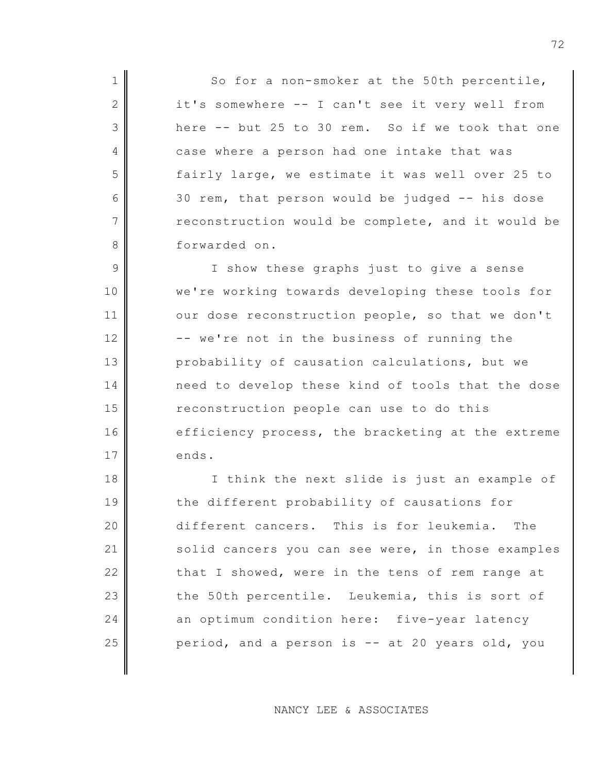1 So for a non-smoker at the 50th percentile, 2 it's somewhere -- I can't see it very well from 3 here -- but 25 to 30 rem. So if we took that one 4 case where a person had one intake that was 5 fairly large, we estimate it was well over 25 to 6 30 rem, that person would be judged -- his dose  $7$  reconstruction would be complete, and it would be 8 forwarded on.

9 || Show these graphs just to give a sense 10 we're working towards developing these tools for 11 | our dose reconstruction people, so that we don't  $12$   $\parallel$  -- we're not in the business of running the 13 probability of causation calculations, but we 14 need to develop these kind of tools that the dose 15 reconstruction people can use to do this 16 efficiency process, the bracketing at the extreme 17 ends.

18 || I think the next slide is just an example of 19 the different probability of causations for 20 different cancers. This is for leukemia. The 21 solid cancers you can see were, in those examples 22 that I showed, were in the tens of rem range at  $23$  the 50th percentile. Leukemia, this is sort of 24 an optimum condition here: five-year latency  $25$   $\parallel$  period, and a person is -- at 20 years old, you

NANCY LEE & ASSOCIATES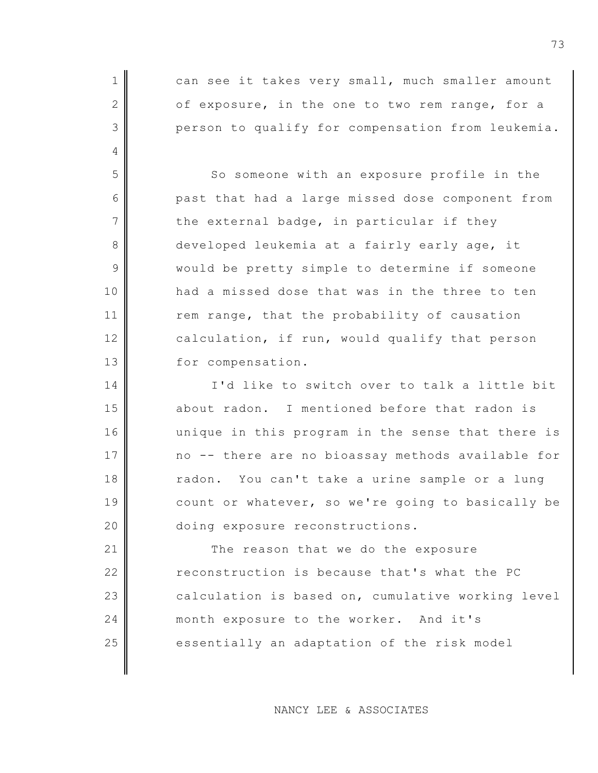| $\mathbf 1$  | can see it takes very small, much smaller amount  |
|--------------|---------------------------------------------------|
| $\mathbf{2}$ | of exposure, in the one to two rem range, for a   |
| 3            | person to qualify for compensation from leukemia. |
| 4            |                                                   |
| 5            | So someone with an exposure profile in the        |
| 6            | past that had a large missed dose component from  |
| 7            | the external badge, in particular if they         |
| 8            | developed leukemia at a fairly early age, it      |
| $\mathsf 9$  | would be pretty simple to determine if someone    |
| 10           | had a missed dose that was in the three to ten    |
| 11           | rem range, that the probability of causation      |
| 12           | calculation, if run, would qualify that person    |
| 13           | for compensation.                                 |
| 14           | I'd like to switch over to talk a little bit      |
| 15           | about radon. I mentioned before that radon is     |
| 16           | unique in this program in the sense that there is |
| 17           | no -- there are no bioassay methods available for |
| 18           | radon. You can't take a urine sample or a lung    |
| 19           | count or whatever, so we're going to basically be |
| 20           | doing exposure reconstructions.                   |
| 21           | The reason that we do the exposure                |
| 22           | reconstruction is because that's what the PC      |
| 23           | calculation is based on, cumulative working level |
| 24           | month exposure to the worker. And it's            |
| 25           | essentially an adaptation of the risk model       |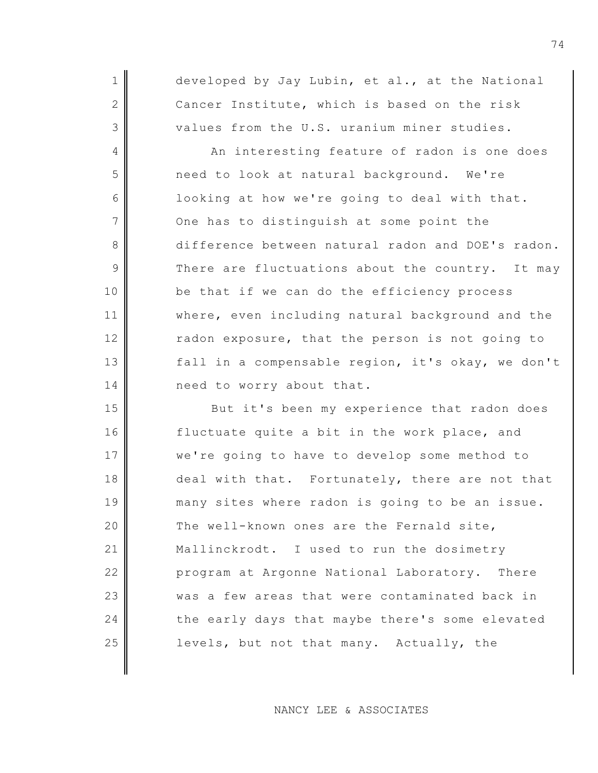$1 \parallel$  developed by Jay Lubin, et al., at the National 2 Cancer Institute, which is based on the risk 3 Values from the U.S. uranium miner studies. 4 An interesting feature of radon is one does 5 need to look at natural background. We're  $6$  looking at how we're going to deal with that.  $7$  One has to distinguish at some point the 8 difference between natural radon and DOE's radon.  $9$  There are fluctuations about the country. It may 10 be that if we can do the efficiency process 11 where, even including natural background and the 12 || radon exposure, that the person is not going to 13 fall in a compensable region, it's okay, we don't 14 need to worry about that. 15 But it's been my experience that radon does 16 fluctuate quite a bit in the work place, and 17 we're going to have to develop some method to 18 deal with that. Fortunately, there are not that

19 many sites where radon is going to be an issue. 20 The well-known ones are the Fernald site, 21 Mallinckrodt. I used to run the dosimetry 22 program at Argonne National Laboratory. There 23 was a few areas that were contaminated back in  $24$  the early days that maybe there's some elevated 25 **levels, but not that many.** Actually, the

NANCY LEE & ASSOCIATES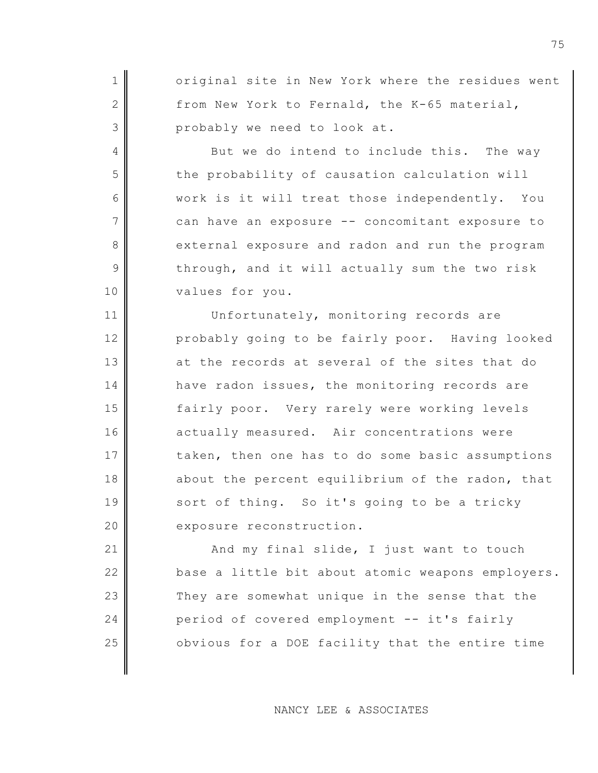| $1 \parallel$ | original site in New York where the residues went |
|---------------|---------------------------------------------------|
| 2 II          | from New York to Fernald, the K-65 material,      |
| $3 \parallel$ | probably we need to look at.                      |

4 But we do intend to include this. The way 5 the probability of causation calculation will 6 work is it will treat those independently. You 7 can have an exposure -- concomitant exposure to 8 external exposure and radon and run the program  $9$  through, and it will actually sum the two risk 10 values for you.

11 Unfortunately, monitoring records are 12 probably going to be fairly poor. Having looked 13 at the records at several of the sites that do 14 have radon issues, the monitoring records are 15 fairly poor. Very rarely were working levels 16 actually measured. Air concentrations were 17 taken, then one has to do some basic assumptions 18 about the percent equilibrium of the radon, that 19 sort of thing. So it's going to be a tricky 20 exposure reconstruction.

21 And my final slide, I just want to touch 22 base a little bit about atomic weapons employers.  $23$  They are somewhat unique in the sense that the 24 period of covered employment -- it's fairly 25 **O** obvious for a DOE facility that the entire time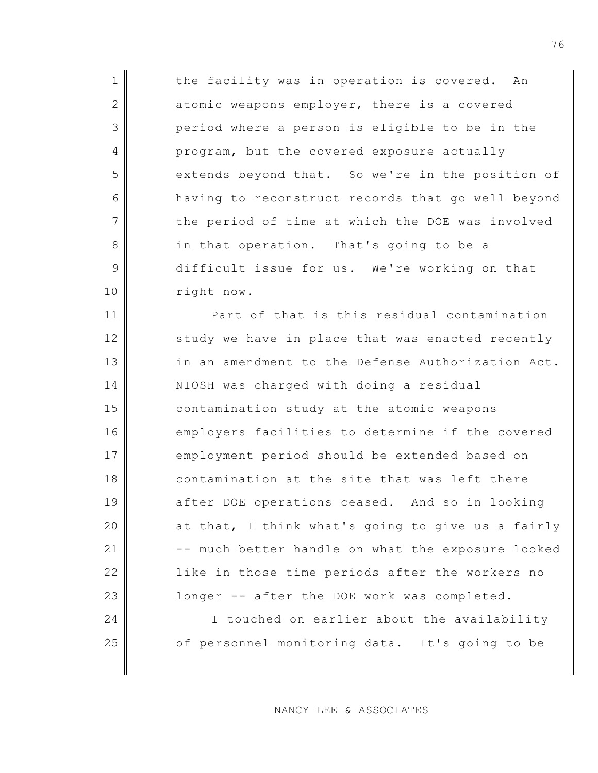| $\mathbf 1$ | the facility was in operation is covered. An      |
|-------------|---------------------------------------------------|
| 2           | atomic weapons employer, there is a covered       |
| 3           | period where a person is eligible to be in the    |
| 4           | program, but the covered exposure actually        |
| 5           | extends beyond that. So we're in the position of  |
| 6           | having to reconstruct records that go well beyond |
| 7           | the period of time at which the DOE was involved  |
| 8           | in that operation. That's going to be a           |
| 9           | difficult issue for us. We're working on that     |
| 10          | right now.                                        |
| 11          | Part of that is this residual contamination       |
| 12          | study we have in place that was enacted recently  |
| 13          | in an amendment to the Defense Authorization Act. |
| 14          | NIOSH was charged with doing a residual           |
| 15          | contamination study at the atomic weapons         |
| 16          | employers facilities to determine if the covered  |
| 17          | employment period should be extended based on     |
| 18          | contamination at the site that was left there     |
| 19          | after DOE operations ceased. And so in looking    |
| 20          | at that, I think what's going to give us a fairly |
| 21          | -- much better handle on what the exposure looked |
| 22          | like in those time periods after the workers no   |
| 23          | longer -- after the DOE work was completed.       |
| 24          | I touched on earlier about the availability       |
| 25          | of personnel monitoring data. It's going to be    |
|             |                                                   |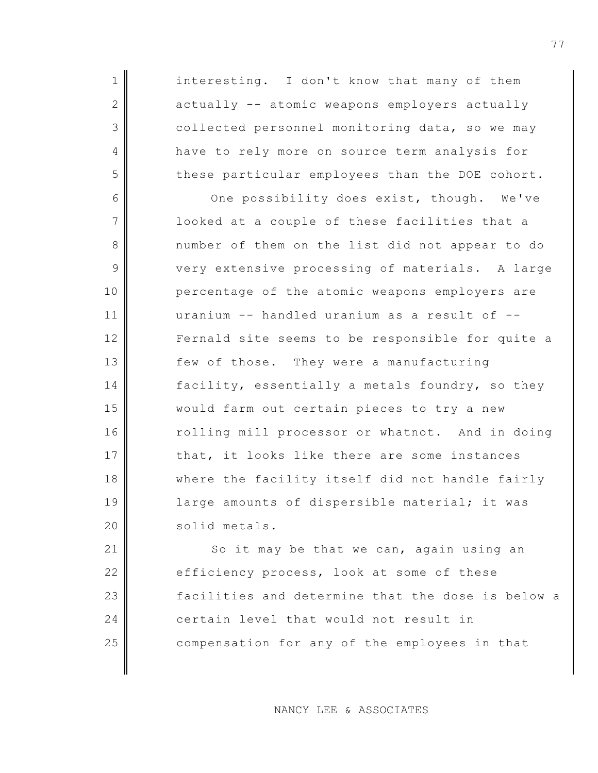1 interesting. I don't know that many of them 2 actually -- atomic weapons employers actually 3 collected personnel monitoring data, so we may 4 have to rely more on source term analysis for  $5$  these particular employees than the DOE cohort.

6 One possibility does exist, though. We've  $7$  |  $\blacksquare$  looked at a couple of these facilities that a 8 number of them on the list did not appear to do 9 very extensive processing of materials. A large 10 percentage of the atomic weapons employers are  $11$  uranium -- handled uranium as a result of --12 Fernald site seems to be responsible for quite a 13 few of those. They were a manufacturing 14 facility, essentially a metals foundry, so they 15 would farm out certain pieces to try a new 16 rolling mill processor or whatnot. And in doing 17 that, it looks like there are some instances 18 where the facility itself did not handle fairly 19 | large amounts of dispersible material; it was 20 solid metals.

21 So it may be that we can, again using an 22 efficiency process, look at some of these 23 facilities and determine that the dose is below a 24 certain level that would not result in 25 compensation for any of the employees in that

NANCY LEE & ASSOCIATES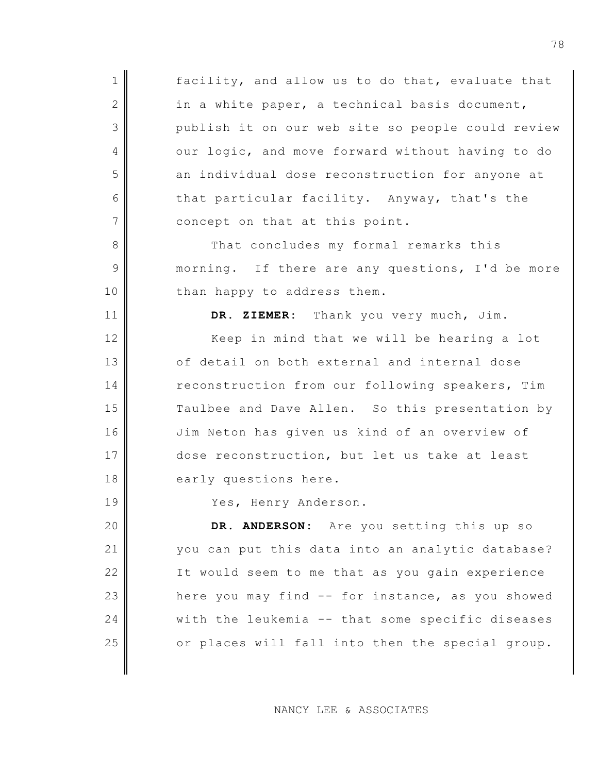$1$  facility, and allow us to do that, evaluate that  $2 \parallel$  in a white paper, a technical basis document, 3 publish it on our web site so people could review 4 our logic, and move forward without having to do 5 an individual dose reconstruction for anyone at 6 that particular facility. Anyway, that's the  $7$  concept on that at this point.

8 That concludes my formal remarks this 9 morning. If there are any questions, I'd be more  $10$  | than happy to address them.

11 **DR. ZIEMER:** Thank you very much, Jim.

12 Keep in mind that we will be hearing a lot 13 of detail on both external and internal dose 14 reconstruction from our following speakers, Tim 15 Taulbee and Dave Allen. So this presentation by 16 Jim Neton has given us kind of an overview of 17 dose reconstruction, but let us take at least 18 early questions here.

19 Yes, Henry Anderson.

20 **DR. ANDERSON:** Are you setting this up so 21 you can put this data into an analytic database? 22 It would seem to me that as you gain experience 23 here you may find -- for instance, as you showed  $24$  with the leukemia -- that some specific diseases 25 | cr places will fall into then the special group.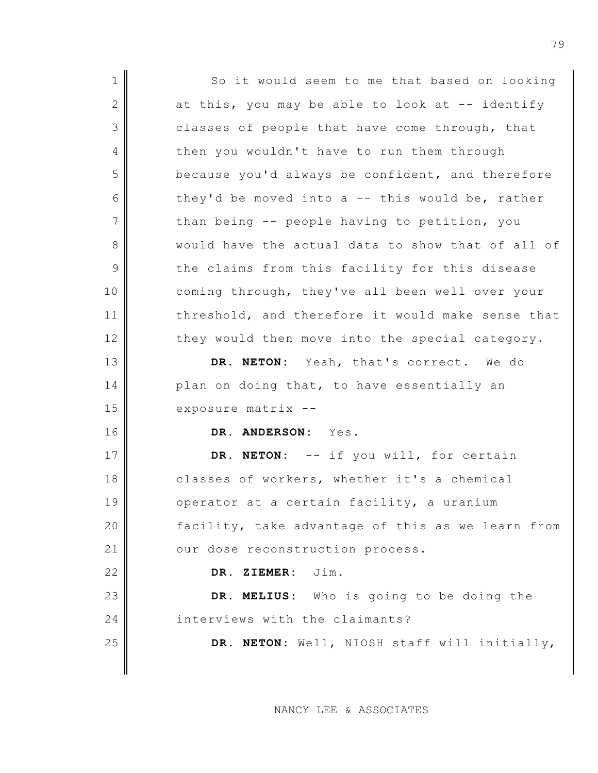| $\mathbf 1$    | So it would seem to me that based on looking      |
|----------------|---------------------------------------------------|
| 2              | at this, you may be able to look at -- identify   |
| 3              | classes of people that have come through, that    |
| 4              | then you wouldn't have to run them through        |
| 5              | because you'd always be confident, and therefore  |
| 6              | they'd be moved into a -- this would be, rather   |
| $7\phantom{.}$ | than being -- people having to petition, you      |
| 8              | would have the actual data to show that of all of |
| $\overline{9}$ | the claims from this facility for this disease    |
| 10             | coming through, they've all been well over your   |
| 11             | threshold, and therefore it would make sense that |
| 12             | they would then move into the special category.   |
| 13             | DR. NETON: Yeah, that's correct. We do            |
|                |                                                   |
| 14             | plan on doing that, to have essentially an        |
| 15             | exposure matrix --                                |
| 16             | DR. ANDERSON: Yes.                                |
| 17             | DR. NETON: -- if you will, for certain            |
| 18             | classes of workers, whether it's a chemical       |
| 19             | operator at a certain facility, a uranium         |
| 20             | facility, take advantage of this as we learn from |
| 21             | our dose reconstruction process.                  |
| 22             | Jim.<br>ZIEMER:<br>DR.                            |
| 23             | DR. MELIUS: Who is going to be doing the          |
| 24             | interviews with the claimants?                    |
| 25             | DR. NETON: Well, NIOSH staff will initially,      |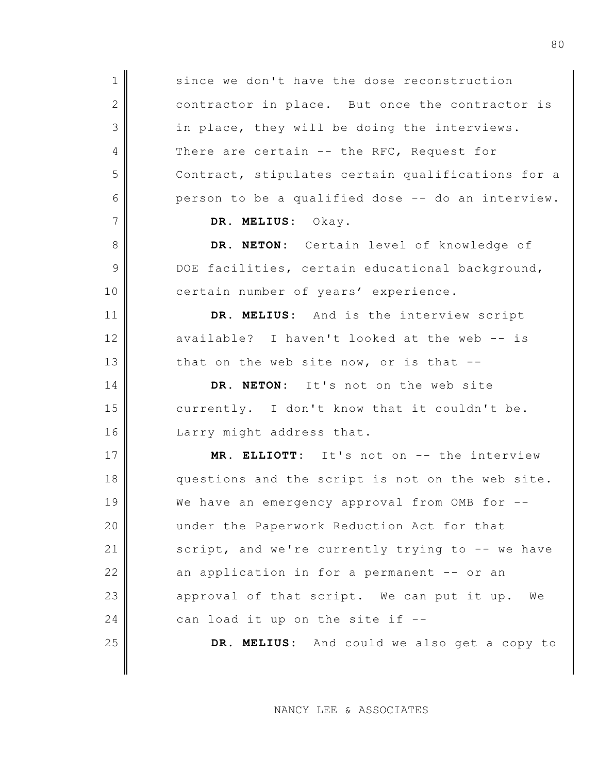1 since we don't have the dose reconstruction 2 contractor in place. But once the contractor is 3 in place, they will be doing the interviews. 4 There are certain -- the RFC, Request for 5 Contract, stipulates certain qualifications for a  $6 \parallel$  person to be a qualified dose -- do an interview. 7 **DR. MELIUS:** Okay. 8 **DR. NETON:** Certain level of knowledge of  $9$  DOE facilities, certain educational background, 10 certain number of years' experience. 11 **DR. MELIUS:** And is the interview script 12 available? I haven't looked at the web -- is  $13$  that on the web site now, or is that --14 **DR. NETON:** It's not on the web site  $15$  currently. I don't know that it couldn't be. 16 Larry might address that. 17 **MR. ELLIOTT:** It's not on -- the interview 18 questions and the script is not on the web site. 19 We have an emergency approval from OMB for --20 under the Paperwork Reduction Act for that 21 script, and we're currently trying to -- we have  $22$  an application in for a permanent  $-$  or an  $23$  approval of that script. We can put it up. We 24 can load it up on the site if  $-$ 25 **DR. MELIUS:** And could we also get a copy to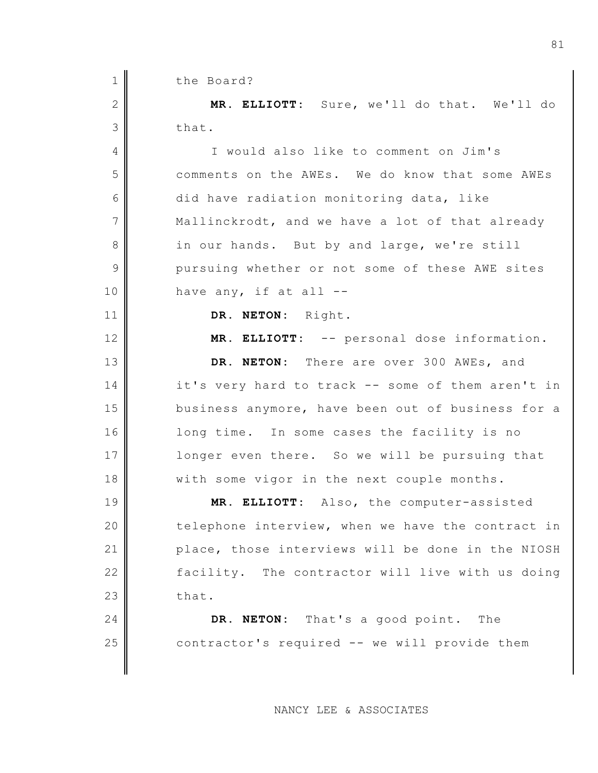1 the Board? 2 **MR. ELLIOTT:** Sure, we'll do that. We'll do 3 that. 4 I would also like to comment on Jim's 5 comments on the AWEs. We do know that some AWEs 6 did have radiation monitoring data, like  $7$  Mallinckrodt, and we have a lot of that already 8 in our hands. But by and large, we're still 9 pursuing whether or not some of these AWE sites  $10$  have any, if at all  $-$ 11 **DR. NETON:** Right. 12 **MR. ELLIOTT:** -- personal dose information. 13 **DR. NETON:** There are over 300 AWEs, and 14 it's very hard to track -- some of them aren't in 15 business anymore, have been out of business for a 16 | long time. In some cases the facility is no 17 | longer even there. So we will be pursuing that 18 || with some vigor in the next couple months. 19 **MR. ELLIOTT:** Also, the computer-assisted  $20$  telephone interview, when we have the contract in 21 place, those interviews will be done in the NIOSH 22 facility. The contractor will live with us doing  $23$  that.

24 **DR. NETON:** That's a good point. The 25 contractor's required -- we will provide them

NANCY LEE & ASSOCIATES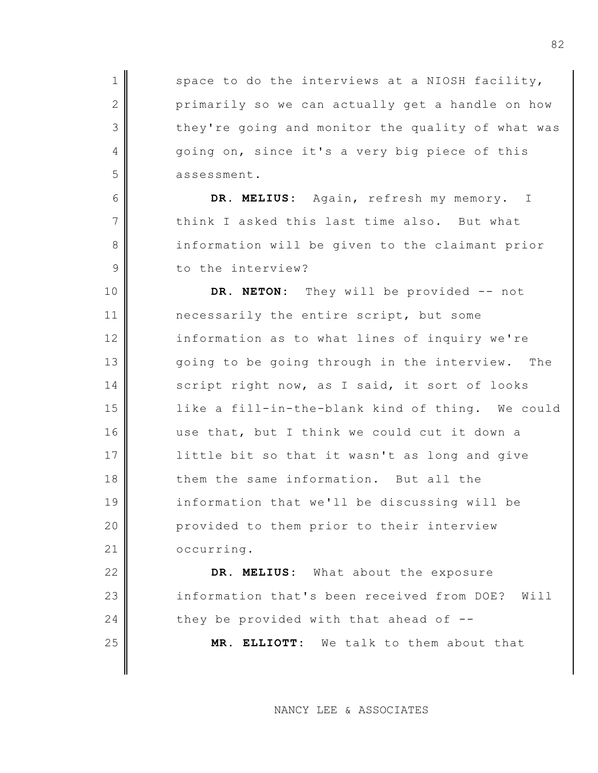$1 \parallel$  space to do the interviews at a NIOSH facility, 2 primarily so we can actually get a handle on how 3 they're going and monitor the quality of what was 4 qoing on, since it's a very big piece of this 5 assessment. 6 **DR. MELIUS:** Again, refresh my memory. I 7 think I asked this last time also. But what 8 information will be given to the claimant prior 9 to the interview? 10 **DR. NETON:** They will be provided -- not 11 necessarily the entire script, but some 12 information as to what lines of inquiry we're 13 going to be going through in the interview. The 14 script right now, as I said, it sort of looks 15 like a fill-in-the-blank kind of thing. We could 16 use that, but I think we could cut it down a 17 || little bit so that it wasn't as long and give 18 them the same information. But all the 19 information that we'll be discussing will be 20 **provided to them prior to their interview** 21 | occurring.

22 **DR. MELIUS:** What about the exposure 23 information that's been received from DOE? Will 24 they be provided with that ahead of  $-$ 25 **MR. ELLIOTT:** We talk to them about that

NANCY LEE & ASSOCIATES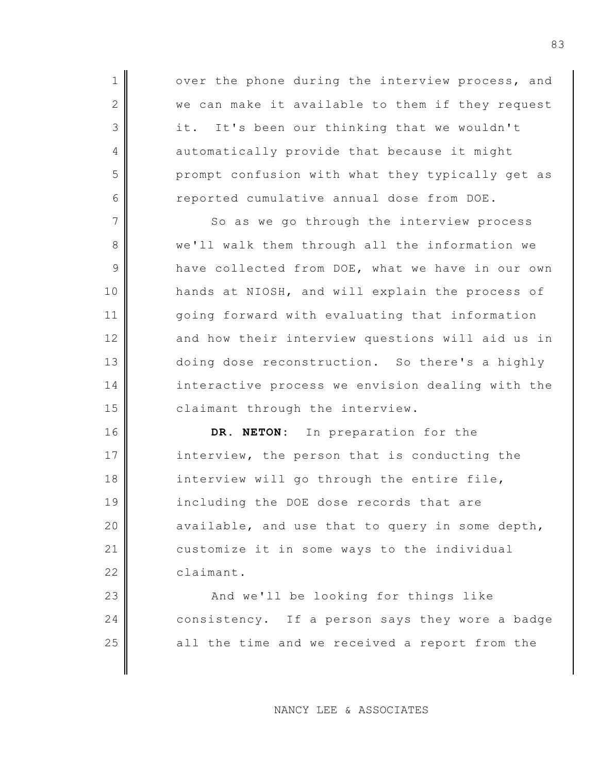1 over the phone during the interview process, and  $2$  we can make it available to them if they request 3 it. It's been our thinking that we wouldn't 4 automatically provide that because it might 5 prompt confusion with what they typically get as 6 reported cumulative annual dose from DOE.  $7$  So as we go through the interview process 8 we'll walk them through all the information we 9 have collected from DOE, what we have in our own 10 hands at NIOSH, and will explain the process of 11 going forward with evaluating that information 12 and how their interview questions will aid us in 13 doing dose reconstruction. So there's a highly 14 interactive process we envision dealing with the 15 claimant through the interview. 16 **DR. NETON:** In preparation for the 17 interview, the person that is conducting the 18 interview will go through the entire file, 19 including the DOE dose records that are 20  $\parallel$  available, and use that to query in some depth, 21 customize it in some ways to the individual 22 claimant. 23 And we'll be looking for things like 24 consistency. If a person says they wore a badge  $25$  all the time and we received a report from the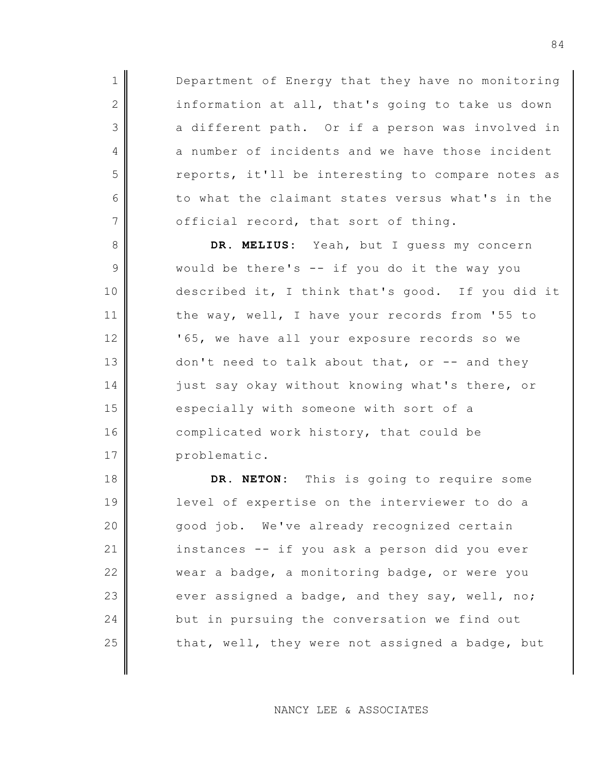1 Department of Energy that they have no monitoring  $2$  information at all, that's going to take us down 3 a different path. Or if a person was involved in 4 a number of incidents and we have those incident 5 reports, it'll be interesting to compare notes as 6 to what the claimant states versus what's in the  $7$  official record, that sort of thing.

8 **DR. MELIUS:** Yeah, but I guess my concern  $9$  would be there's -- if you do it the way you 10 described it, I think that's good. If you did it 11 the way, well, I have your records from '55 to 12 | 12 | 165, we have all your exposure records so we  $13$  don't need to talk about that, or -- and they 14 just say okay without knowing what's there, or 15 especially with someone with sort of a 16 complicated work history, that could be 17 problematic.

18 **DR. NETON:** This is going to require some 19 level of expertise on the interviewer to do a 20  $\parallel$  good job. We've already recognized certain 21 instances -- if you ask a person did you ever 22 wear a badge, a monitoring badge, or were you 23 ever assigned a badge, and they say, well, no; 24 but in pursuing the conversation we find out 25 that, well, they were not assigned a badge, but

NANCY LEE & ASSOCIATES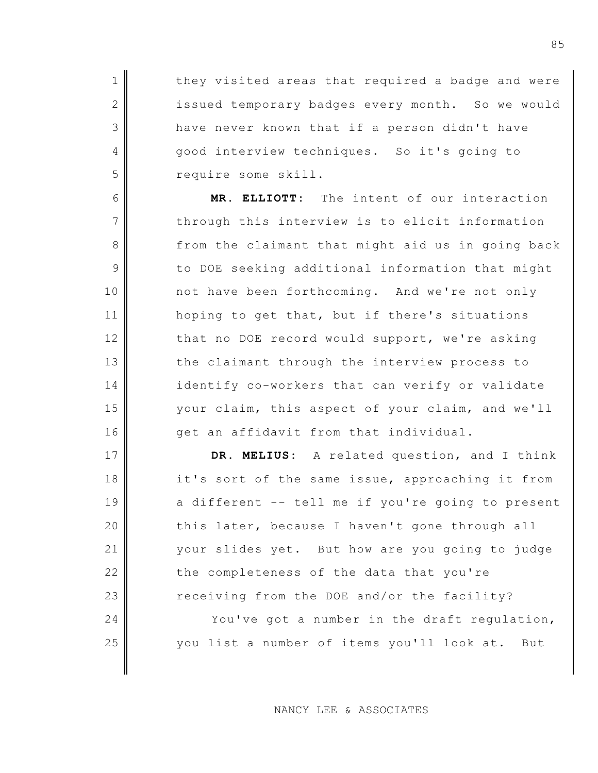1 1 they visited areas that required a badge and were 2 issued temporary badges every month. So we would 3 have never known that if a person didn't have 4 good interview techniques. So it's going to 5 require some skill.

6 **MR. ELLIOTT:** The intent of our interaction  $7$  through this interview is to elicit information 8 from the claimant that might aid us in going back 9 to DOE seeking additional information that might 10 not have been forthcoming. And we're not only 11 hoping to get that, but if there's situations  $12$  that no DOE record would support, we're asking 13 the claimant through the interview process to 14 identify co-workers that can verify or validate 15 your claim, this aspect of your claim, and we'll 16 get an affidavit from that individual.

17 **DR. MELIUS:** A related question, and I think 18 it's sort of the same issue, approaching it from 19 a different -- tell me if you're going to present 20 this later, because I haven't gone through all 21 your slides yet. But how are you going to judge 22 the completeness of the data that you're  $23$  receiving from the DOE and/or the facility?

24 You've got a number in the draft regulation, 25 you list a number of items you'll look at. But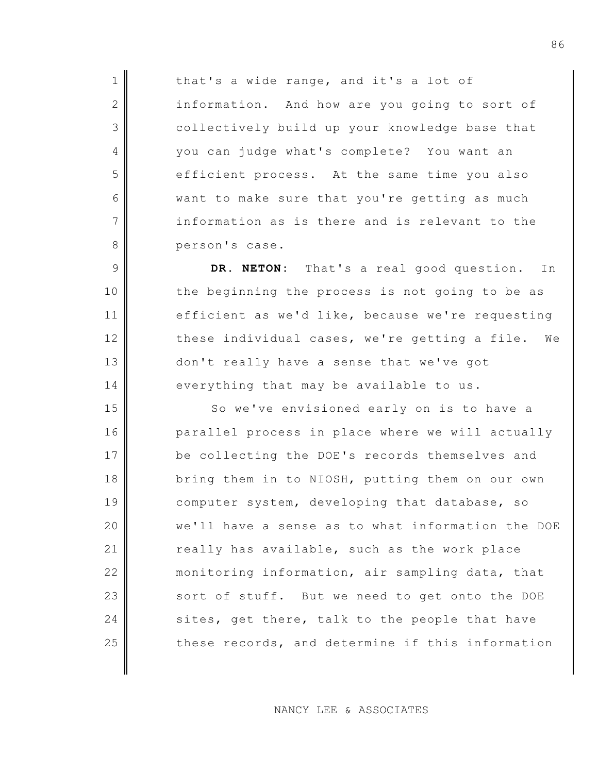1 that's a wide range, and it's a lot of 2 information. And how are you going to sort of collectively build up your knowledge base that you can judge what's complete? You want an efficient process. At the same time you also want to make sure that you're getting as much | information as is there and is relevant to the 8 person's case.

9 **DR. NETON:** That's a real good question. In 10 the beginning the process is not going to be as 11 efficient as we'd like, because we're requesting  $12$  these individual cases, we're getting a file. We 13 don't really have a sense that we've got 14 everything that may be available to us.

15 So we've envisioned early on is to have a 16 parallel process in place where we will actually 17 be collecting the DOE's records themselves and 18 bring them in to NIOSH, putting them on our own 19 computer system, developing that database, so 20 we'll have a sense as to what information the DOE 21  $\parallel$  really has available, such as the work place 22 monitoring information, air sampling data, that 23 sort of stuff. But we need to get onto the DOE  $24$  sites, get there, talk to the people that have  $25$  these records, and determine if this information

NANCY LEE & ASSOCIATES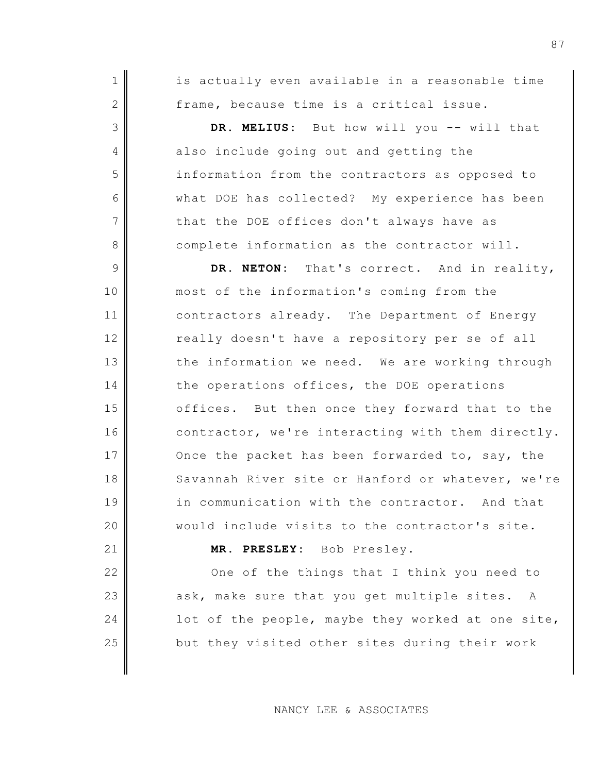$1$  is actually even available in a reasonable time 2 frame, because time is a critical issue.

 **DR. MELIUS:** But how will you -- will that 4 also include going out and getting the information from the contractors as opposed to what DOE has collected? My experience has been that the DOE offices don't always have as 8 complete information as the contractor will.

9 **DR. NETON:** That's correct. And in reality, 10 most of the information's coming from the 11 contractors already. The Department of Energy 12 really doesn't have a repository per se of all  $13$  the information we need. We are working through 14 the operations offices, the DOE operations 15 offices. But then once they forward that to the 16 contractor, we're interacting with them directly. 17 Once the packet has been forwarded to, say, the 18 Savannah River site or Hanford or whatever, we're 19 in communication with the contractor. And that 20 would include visits to the contractor's site.

## 21 **MR. PRESLEY:** Bob Presley.

22 | Che of the things that I think you need to  $23$  ask, make sure that you get multiple sites. A 24 | lot of the people, maybe they worked at one site, 25 but they visited other sites during their work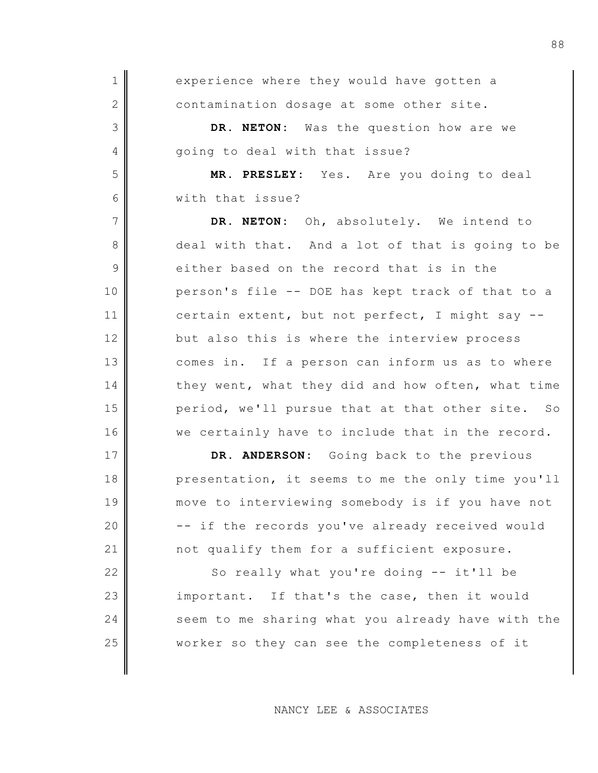| $\mathbf 1$    | experience where they would have gotten a         |
|----------------|---------------------------------------------------|
| $\sqrt{2}$     | contamination dosage at some other site.          |
| 3              | DR. NETON: Was the question how are we            |
| 4              | going to deal with that issue?                    |
| 5              | MR. PRESLEY: Yes. Are you doing to deal           |
| 6              | with that issue?                                  |
| $\overline{7}$ | DR. NETON: Oh, absolutely. We intend to           |
| 8              | deal with that. And a lot of that is going to be  |
| $\mathcal{G}$  | either based on the record that is in the         |
| 10             | person's file -- DOE has kept track of that to a  |
| 11             | certain extent, but not perfect, I might say --   |
| 12             | but also this is where the interview process      |
| 13             | comes in. If a person can inform us as to where   |
| 14             | they went, what they did and how often, what time |
| 15             | period, we'll pursue that at that other site. So  |
| 16             | we certainly have to include that in the record.  |
| 17             | DR. ANDERSON: Going back to the previous          |
| 18             | presentation, it seems to me the only time you'll |
| 19             | move to interviewing somebody is if you have not  |
| 20             | if the records you've already received would      |
| 21             | not qualify them for a sufficient exposure.       |
| 22             | So really what you're doing -- it'll be           |
| 23             | important. If that's the case, then it would      |
| 24             | seem to me sharing what you already have with the |
| 25             | worker so they can see the completeness of it     |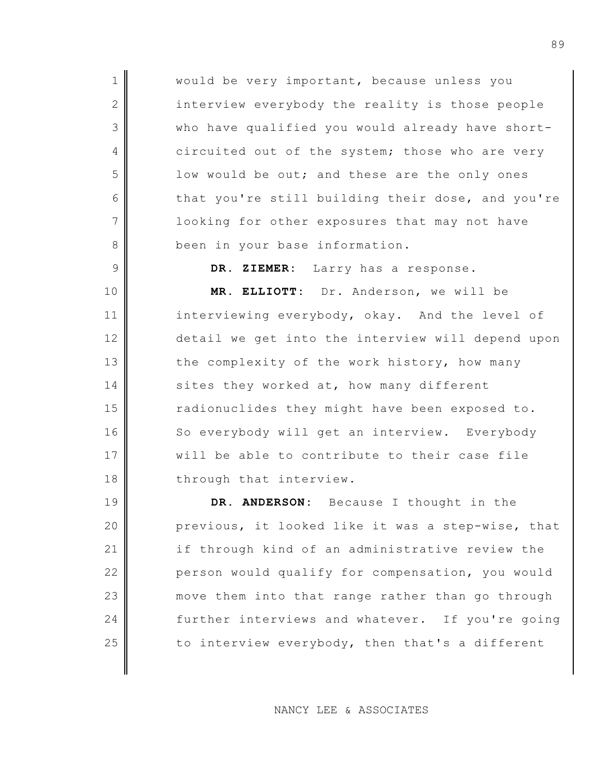1 || would be very important, because unless you 2 interview everybody the reality is those people 3 who have qualified you would already have short-4 circuited out of the system; those who are very  $5$  low would be out; and these are the only ones 6 that you're still building their dose, and you're 7 looking for other exposures that may not have 8 been in your base information.

9 **DR. ZIEMER:** Larry has a response.

10 **MR. ELLIOTT:** Dr. Anderson, we will be 11 interviewing everybody, okay. And the level of 12 detail we get into the interview will depend upon 13 the complexity of the work history, how many 14 sites they worked at, how many different 15 radionuclides they might have been exposed to. 16 So everybody will get an interview. Everybody 17 || will be able to contribute to their case file 18 through that interview.

19 **DR. ANDERSON:** Because I thought in the 20 previous, it looked like it was a step-wise, that 21 if through kind of an administrative review the 22 person would qualify for compensation, you would 23 move them into that range rather than go through 24 further interviews and whatever. If you're going  $25$  to interview everybody, then that's a different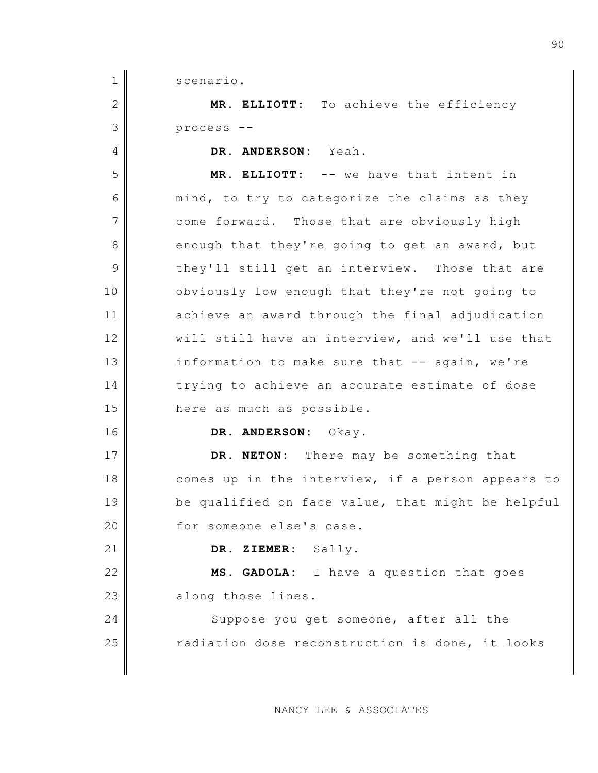1 scenario.

2 **MR. ELLIOTT:** To achieve the efficiency 3 process --

4 **DR. ANDERSON:** Yeah.

5 **MR. ELLIOTT:** -- we have that intent in  $6 \parallel$  mind, to try to categorize the claims as they  $7$  come forward. Those that are obviously high 8 enough that they're going to get an award, but  $9$  they'll still get an interview. Those that are 10 **b** obviously low enough that they're not going to 11 achieve an award through the final adjudication 12 | will still have an interview, and we'll use that 13 information to make sure that  $-$  again, we're 14 trying to achieve an accurate estimate of dose 15 here as much as possible.

16 **DR. ANDERSON:** Okay.

17 **DR. NETON:** There may be something that  $18$  comes up in the interview, if a person appears to 19 be qualified on face value, that might be helpful 20 for someone else's case.

21 **DR. ZIEMER:** Sally.

22 **MS. GADOLA:** I have a question that goes 23 along those lines.

24 Suppose you get someone, after all the 25 | cadiation dose reconstruction is done, it looks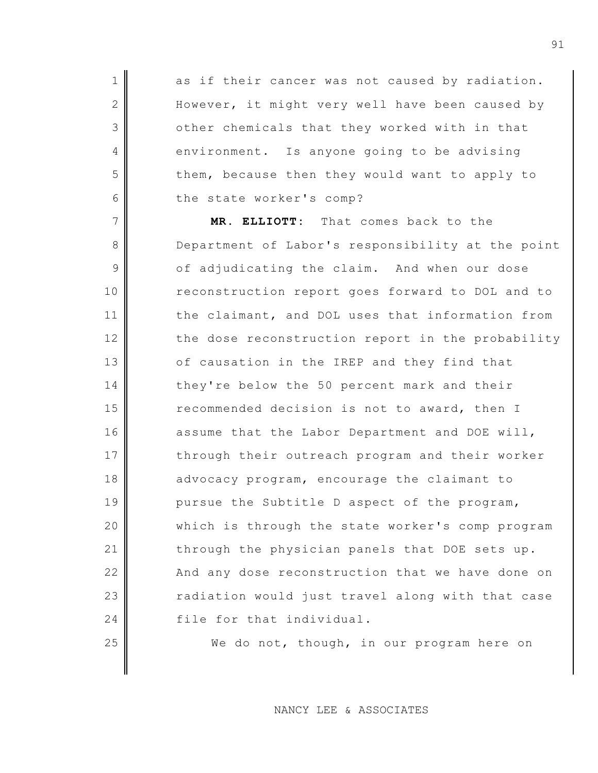$1$  as if their cancer was not caused by radiation.  $2$  However, it might very well have been caused by 3 other chemicals that they worked with in that 4 environment. Is anyone going to be advising  $5$  them, because then they would want to apply to 6 the state worker's comp? 7 **MR. ELLIOTT:** That comes back to the

8 Department of Labor's responsibility at the point 9 of adjudicating the claim. And when our dose 10 reconstruction report goes forward to DOL and to 11 the claimant, and DOL uses that information from  $12$  the dose reconstruction report in the probability 13 of causation in the IREP and they find that 14 they're below the 50 percent mark and their 15 recommended decision is not to award, then I 16 assume that the Labor Department and DOE will, 17 through their outreach program and their worker 18 advocacy program, encourage the claimant to 19 pursue the Subtitle D aspect of the program, 20 which is through the state worker's comp program  $21$  through the physician panels that DOE sets up. 22 And any dose reconstruction that we have done on 23 | cadiation would just travel along with that case 24 file for that individual.

25 We do not, though, in our program here on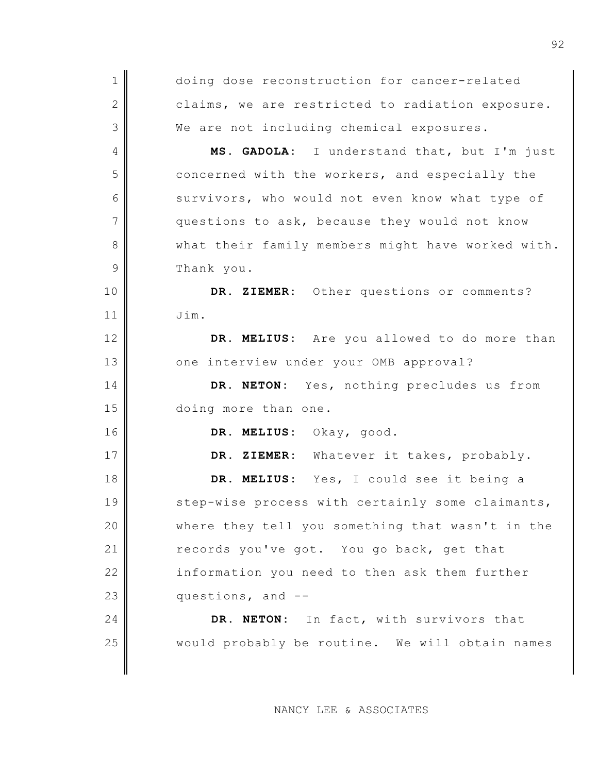| $1\,$          | doing dose reconstruction for cancer-related      |
|----------------|---------------------------------------------------|
| $\mathbf{2}$   | claims, we are restricted to radiation exposure.  |
| 3              | We are not including chemical exposures.          |
| 4              | MS. GADOLA: I understand that, but I'm just       |
| 5              | concerned with the workers, and especially the    |
| 6              | survivors, who would not even know what type of   |
| 7              | questions to ask, because they would not know     |
| $8\,$          | what their family members might have worked with. |
| $\overline{9}$ | Thank you.                                        |
| 10             | DR. ZIEMER: Other questions or comments?          |
| 11             | Jim.                                              |
| 12             | DR. MELIUS: Are you allowed to do more than       |
| 13             | one interview under your OMB approval?            |
| 14             | DR. NETON: Yes, nothing precludes us from         |
| 15             | doing more than one.                              |
| 16             | DR. MELIUS: Okay, good.                           |
| 17             | DR. ZIEMER: Whatever it takes, probably.          |
| 18             | DR. MELIUS: Yes, I could see it being a           |
| 19             | step-wise process with certainly some claimants,  |
| 20             | where they tell you something that wasn't in the  |
| 21             | records you've got. You go back, get that         |
| 22             | information you need to then ask them further     |
| 23             | questions, and --                                 |
| 24             | DR. NETON: In fact, with survivors that           |
| 25             | would probably be routine. We will obtain names   |
|                |                                                   |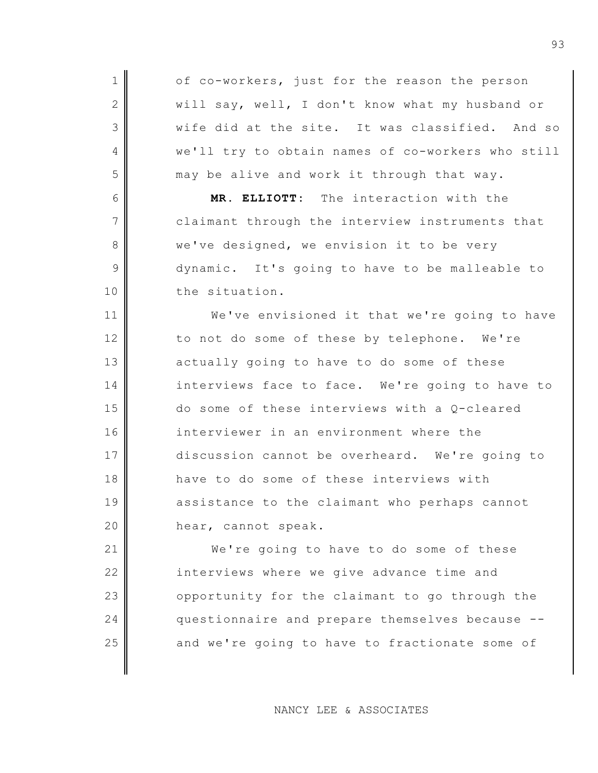| $\mathbf 1$  | of co-workers, just for the reason the person     |
|--------------|---------------------------------------------------|
| $\mathbf{2}$ | will say, well, I don't know what my husband or   |
| 3            | wife did at the site. It was classified. And so   |
| 4            | we'll try to obtain names of co-workers who still |
| 5            | may be alive and work it through that way.        |
| 6            | MR. ELLIOTT: The interaction with the             |
| 7            | claimant through the interview instruments that   |
| 8            | we've designed, we envision it to be very         |
| 9            | dynamic. It's going to have to be malleable to    |
| 10           | the situation.                                    |
| 11           | We've envisioned it that we're going to have      |
| 12           | to not do some of these by telephone. We're       |
| 13           | actually going to have to do some of these        |
| 14           | interviews face to face. We're going to have to   |
| 15           | do some of these interviews with a Q-cleared      |
| 16           | interviewer in an environment where the           |
| 17           | discussion cannot be overheard. We're going to    |
| 18           | have to do some of these interviews with          |
| 19           | assistance to the claimant who perhaps cannot     |
| 20           | hear, cannot speak.                               |
| 21           | We're going to have to do some of these           |
| 22           | interviews where we give advance time and         |
| 23           | opportunity for the claimant to go through the    |
| 24           | questionnaire and prepare themselves because --   |
| 25           | and we're going to have to fractionate some of    |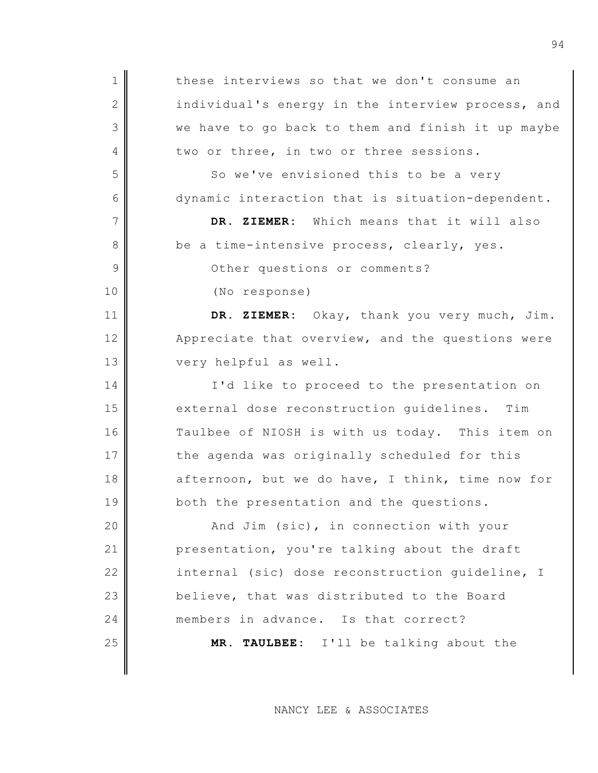| $\mathbf 1$   | these interviews so that we don't consume an      |
|---------------|---------------------------------------------------|
| $\mathbf{2}$  | individual's energy in the interview process, and |
| 3             | we have to go back to them and finish it up maybe |
|               |                                                   |
| 4             | two or three, in two or three sessions.           |
| 5             | So we've envisioned this to be a very             |
| 6             | dynamic interaction that is situation-dependent.  |
| 7             | DR. ZIEMER: Which means that it will also         |
| $8\,$         | be a time-intensive process, clearly, yes.        |
| $\mathcal{G}$ | Other questions or comments?                      |
| 10            | (No response)                                     |
| 11            | DR. ZIEMER: Okay, thank you very much, Jim.       |
| 12            | Appreciate that overview, and the questions were  |
| 13            | very helpful as well.                             |
| 14            | I'd like to proceed to the presentation on        |
| 15            | external dose reconstruction guidelines. Tim      |
| 16            | Taulbee of NIOSH is with us today. This item on   |
| 17            | the agenda was originally scheduled for this      |
| 18            | afternoon, but we do have, I think, time now for  |
| 19            | both the presentation and the questions.          |
| 20            | And Jim (sic), in connection with your            |
| 21            | presentation, you're talking about the draft      |
| 22            | internal (sic) dose reconstruction guideline, I   |
| 23            | believe, that was distributed to the Board        |
| 24            | members in advance. Is that correct?              |
| 25            | MR. TAULBEE: I'll be talking about the            |
|               |                                                   |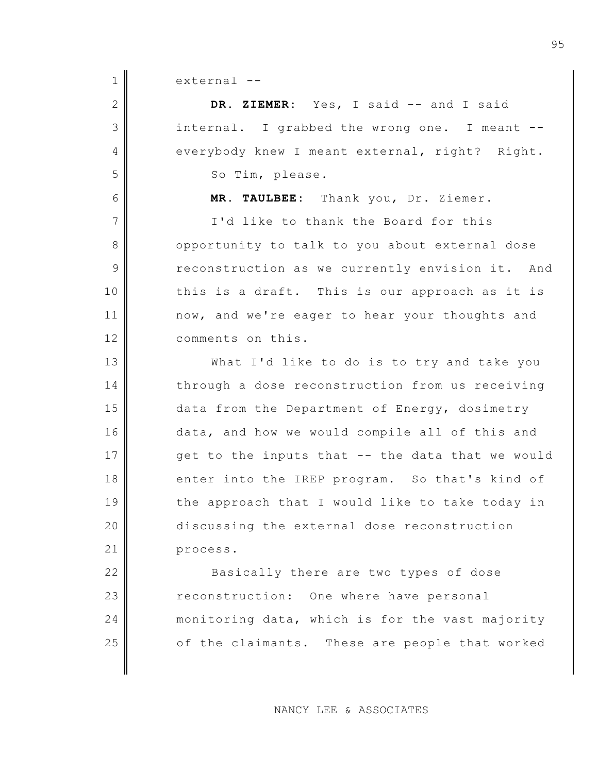1 external --

2 **DR. ZIEMER:** Yes, I said -- and I said 3 internal. I grabbed the wrong one. I meant --4 everybody knew I meant external, right? Right. 5 So Tim, please.

6 **MR. TAULBEE:** Thank you, Dr. Ziemer.

7 I'd like to thank the Board for this 8 opportunity to talk to you about external dose 9 reconstruction as we currently envision it. And 10 this is a draft. This is our approach as it is 11 || now, and we're eager to hear your thoughts and 12 comments on this.

13 What I'd like to do is to try and take you 14 through a dose reconstruction from us receiving 15 data from the Department of Energy, dosimetry 16 data, and how we would compile all of this and 17 get to the inputs that -- the data that we would 18 enter into the IREP program. So that's kind of 19 the approach that I would like to take today in 20 discussing the external dose reconstruction 21 process.

22 Basically there are two types of dose 23 reconstruction: One where have personal 24 monitoring data, which is for the vast majority 25 of the claimants. These are people that worked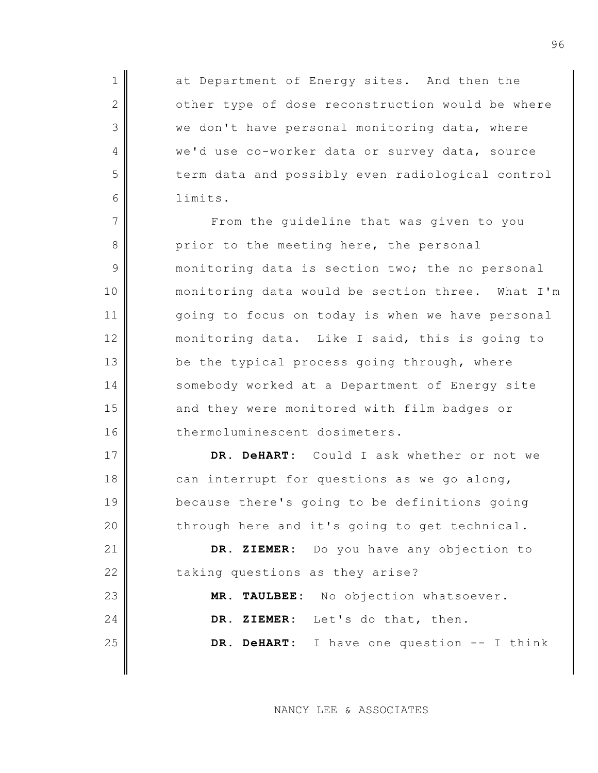1 at Department of Energy sites. And then the  $2$   $\parallel$  other type of dose reconstruction would be where 3 we don't have personal monitoring data, where 4 we'd use co-worker data or survey data, source 5 term data and possibly even radiological control 6 limits.

7 The Guideline that was given to you 8 prior to the meeting here, the personal  $9$  monitoring data is section two; the no personal 10 monitoring data would be section three. What I'm 11 | qoing to focus on today is when we have personal 12 monitoring data. Like I said, this is going to 13 be the typical process going through, where 14 Somebody worked at a Department of Energy site 15 and they were monitored with film badges or 16 thermoluminescent dosimeters.

17 **DR. DeHART:** Could I ask whether or not we 18 can interrupt for questions as we go along, 19 because there's going to be definitions going 20 through here and it's going to get technical.

21 **DR. ZIEMER:** Do you have any objection to 22 taking questions as they arise?

| 23             | MR. TAULBEE: No objection whatsoever.      |
|----------------|--------------------------------------------|
| 24             | DR. ZIEMER: Let's do that, then.           |
| 25 $\parallel$ | DR. DeHART: I have one question -- I think |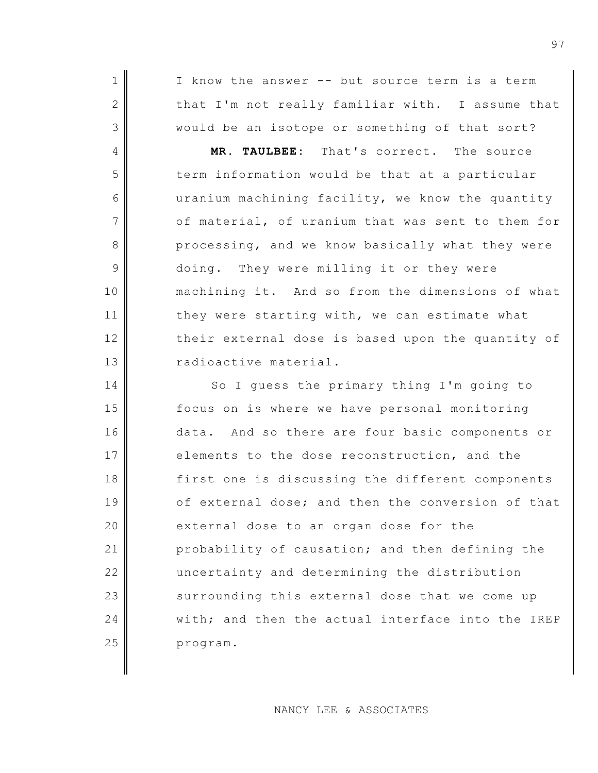1 I I know the answer -- but source term is a term  $2$  that I'm not really familiar with. I assume that 3 would be an isotope or something of that sort?

4 **MR. TAULBEE:** That's correct. The source 5 term information would be that at a particular 6 uranium machining facility, we know the quantity  $7$  of material, of uranium that was sent to them for 8 processing, and we know basically what they were 9 doing. They were milling it or they were 10 machining it. And so from the dimensions of what 11 they were starting with, we can estimate what 12 their external dose is based upon the quantity of 13 radioactive material.

14 So I guess the primary thing I'm going to 15 focus on is where we have personal monitoring 16 data. And so there are four basic components or 17 elements to the dose reconstruction, and the 18 first one is discussing the different components 19 of external dose; and then the conversion of that 20 external dose to an organ dose for the 21 probability of causation; and then defining the 22 uncertainty and determining the distribution  $23$  surrounding this external dose that we come up  $24$  with; and then the actual interface into the IREP 25 program.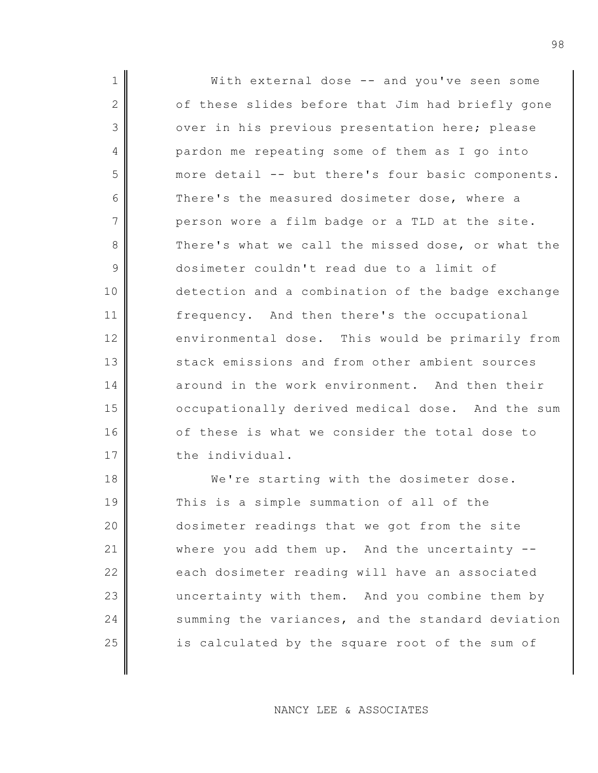1 || With external dose -- and you've seen some  $2$  of these slides before that Jim had briefly gone 3 over in his previous presentation here; please 4 pardon me repeating some of them as I go into 5 more detail -- but there's four basic components. 6 There's the measured dosimeter dose, where a  $7$  person wore a film badge or a TLD at the site. 8 There's what we call the missed dose, or what the 9 dosimeter couldn't read due to a limit of 10 detection and a combination of the badge exchange 11 frequency. And then there's the occupational 12 environmental dose. This would be primarily from 13 stack emissions and from other ambient sources 14 around in the work environment. And then their 15 occupationally derived medical dose. And the sum 16 of these is what we consider the total dose to 17 the individual.

18 **We're** starting with the dosimeter dose. 19 This is a simple summation of all of the 20 dosimeter readings that we got from the site 21 where you add them up. And the uncertainty --22 each dosimeter reading will have an associated 23 uncertainty with them. And you combine them by  $24$  summing the variances, and the standard deviation 25 **is calculated by the square root of the sum of** 

NANCY LEE & ASSOCIATES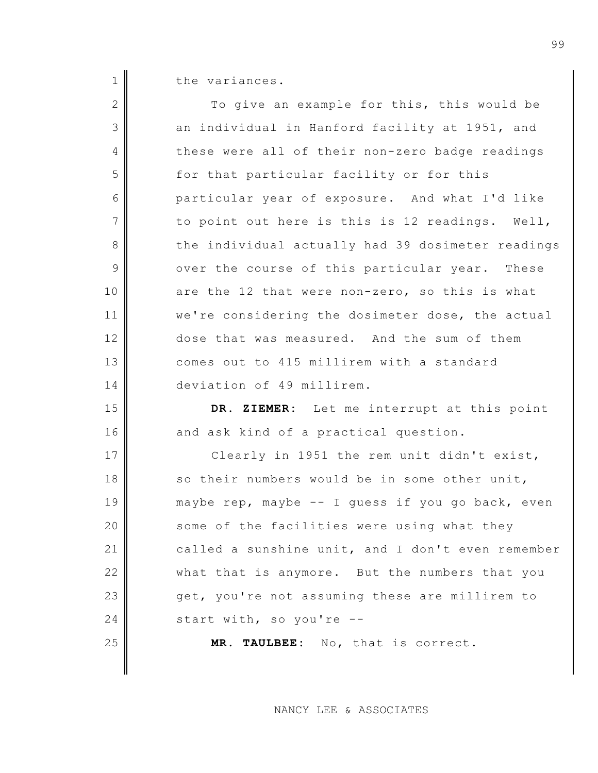**the variances.** 

| $\mathbf{2}$   | To give an example for this, this would be        |
|----------------|---------------------------------------------------|
| 3              | an individual in Hanford facility at 1951, and    |
| $\overline{4}$ | these were all of their non-zero badge readings   |
| 5              | for that particular facility or for this          |
| 6              | particular year of exposure. And what I'd like    |
| 7              | to point out here is this is 12 readings. Well,   |
| $8\,$          | the individual actually had 39 dosimeter readings |
| $\overline{9}$ | over the course of this particular year. These    |
| 10             | are the 12 that were non-zero, so this is what    |
| 11             | we're considering the dosimeter dose, the actual  |
| 12             | dose that was measured. And the sum of them       |
| 13             | comes out to 415 millirem with a standard         |
| 14             | deviation of 49 millirem.                         |
| 15             | DR. ZIEMER: Let me interrupt at this point        |
| 16             | and ask kind of a practical question.             |
| 17             | Clearly in 1951 the rem unit didn't exist,        |
| 18             | so their numbers would be in some other unit,     |
| 19             | maybe rep, maybe -- I guess if you go back, even  |
| 20             | some of the facilities were using what they       |
| 21             | called a sunshine unit, and I don't even remember |
| 22             | what that is anymore. But the numbers that you    |
| 23             | get, you're not assuming these are millirem to    |
| 24             | start with, so you're --                          |
| 25             | MR. TAULBEE: No, that is correct.                 |
|                |                                                   |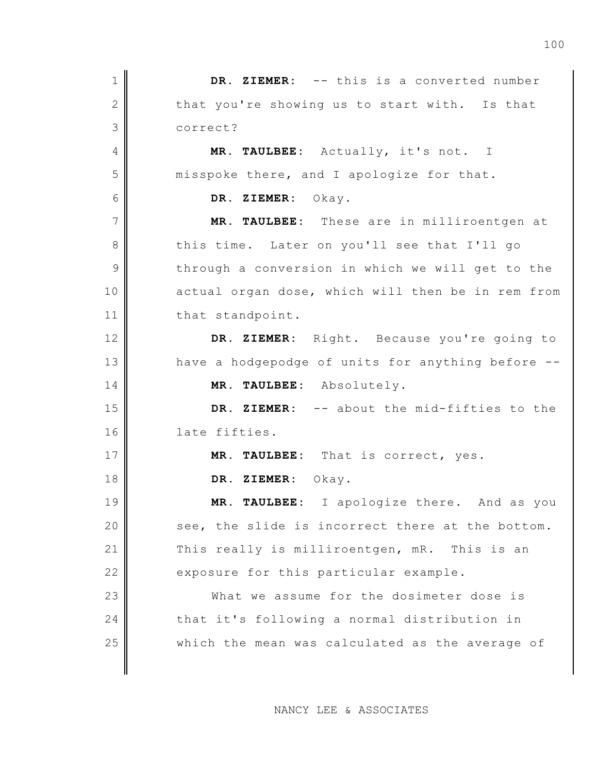**DR. ZIEMER:** -- this is a converted number that you're showing us to start with. Is that correct? **MR. TAULBEE:** Actually, it's not. I 5 misspoke there, and I apologize for that. **DR. ZIEMER:** Okay. **MR. TAULBEE:** These are in milliroentgen at 8 this time. Later on you'll see that I'll go 9 through a conversion in which we will get to the 10 actual organ dose, which will then be in rem from 11 that standpoint. **DR. ZIEMER:** Right. Because you're going to 13 have a hodgepodge of units for anything before -- **MR. TAULBEE:** Absolutely. **DR. ZIEMER:** -- about the mid-fifties to the late fifties. **MR. TAULBEE:** That is correct, yes. **DR. ZIEMER:** Okay. **MR. TAULBEE:** I apologize there. And as you see, the slide is incorrect there at the bottom. 21 This really is milliroentgen, mR. This is an  $\parallel$  exposure for this particular example. What we assume for the dosimeter dose is that it's following a normal distribution in which the mean was calculated as the average of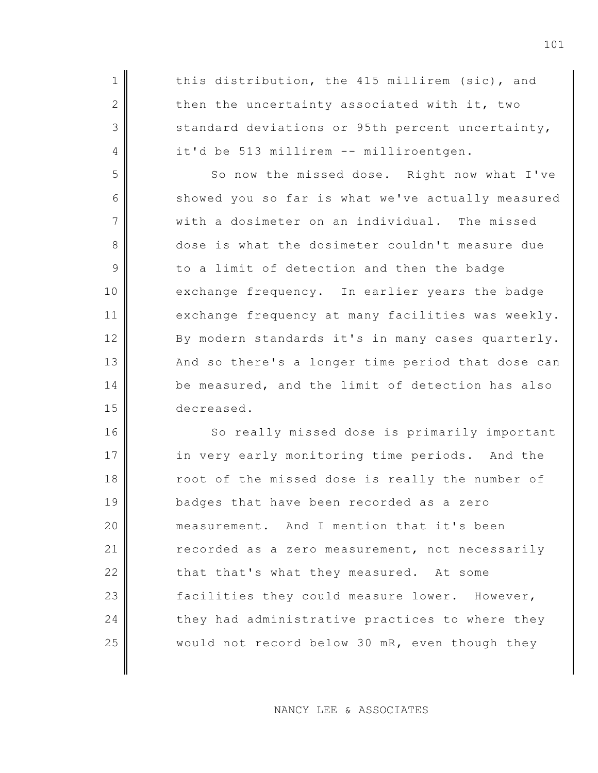| $\mathbf 1$    | this distribution, the 415 millirem (sic), and    |
|----------------|---------------------------------------------------|
| $\mathbf{2}$   | then the uncertainty associated with it, two      |
| $\mathfrak{Z}$ | standard deviations or 95th percent uncertainty,  |
| 4              | it'd be 513 millirem -- milliroentgen.            |
| 5              | So now the missed dose. Right now what I've       |
| 6              | showed you so far is what we've actually measured |
| $\overline{7}$ | with a dosimeter on an individual. The missed     |
| $\,8\,$        | dose is what the dosimeter couldn't measure due   |
| $\mathcal{G}$  | to a limit of detection and then the badge        |
| 10             | exchange frequency. In earlier years the badge    |
| 11             | exchange frequency at many facilities was weekly. |
| 12             | By modern standards it's in many cases quarterly. |
| 13             | And so there's a longer time period that dose can |
| 14             | be measured, and the limit of detection has also  |
| 15             | decreased.                                        |
| 16             | So really missed dose is primarily important      |
| 17             | in very early monitoring time periods. And the    |
| 18             | root of the missed dose is really the number of   |
| 19             | badges that have been recorded as a zero          |
| 20             | measurement. And I mention that it's been         |
| 21             | recorded as a zero measurement, not necessarily   |
| 22             | that that's what they measured. At some           |
| 23             | facilities they could measure lower. However,     |
| 24             | they had administrative practices to where they   |
| 25             | would not record below 30 mR, even though they    |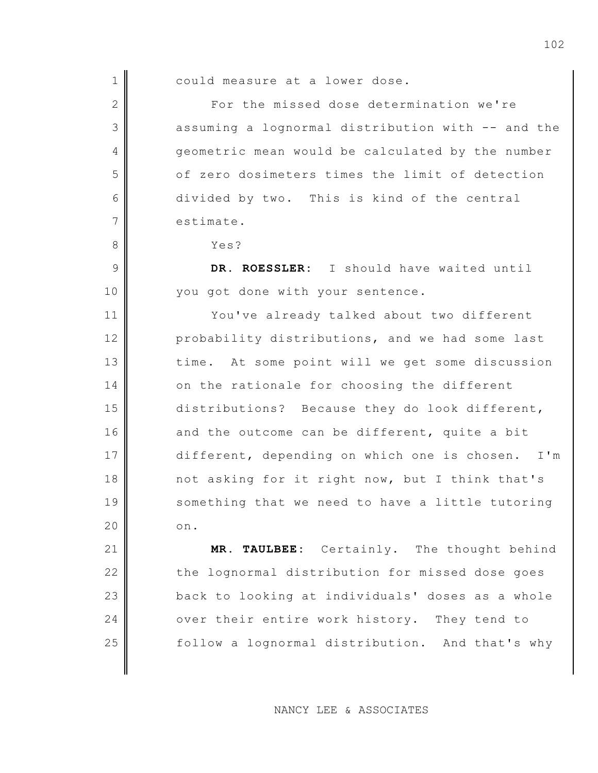1 could measure at a lower dose.

2 For the missed dose determination we're 3 assuming a lognormal distribution with -- and the 4 geometric mean would be calculated by the number 5 of zero dosimeters times the limit of detection 6 divided by two. This is kind of the central 7 estimate.

8 Yes?

9 **DR. ROESSLER:** I should have waited until 10 you got done with your sentence.

11 You've already talked about two different 12 probability distributions, and we had some last 13 time. At some point will we get some discussion 14 on the rationale for choosing the different 15 distributions? Because they do look different,  $16$  and the outcome can be different, quite a bit 17 different, depending on which one is chosen. I'm 18 not asking for it right now, but I think that's 19 Something that we need to have a little tutoring  $20$  |  $\circ$ n.

21 **MR. TAULBEE:** Certainly. The thought behind 22 the lognormal distribution for missed dose goes 23 back to looking at individuals' doses as a whole 24 over their entire work history. They tend to 25 | follow a lognormal distribution. And that's why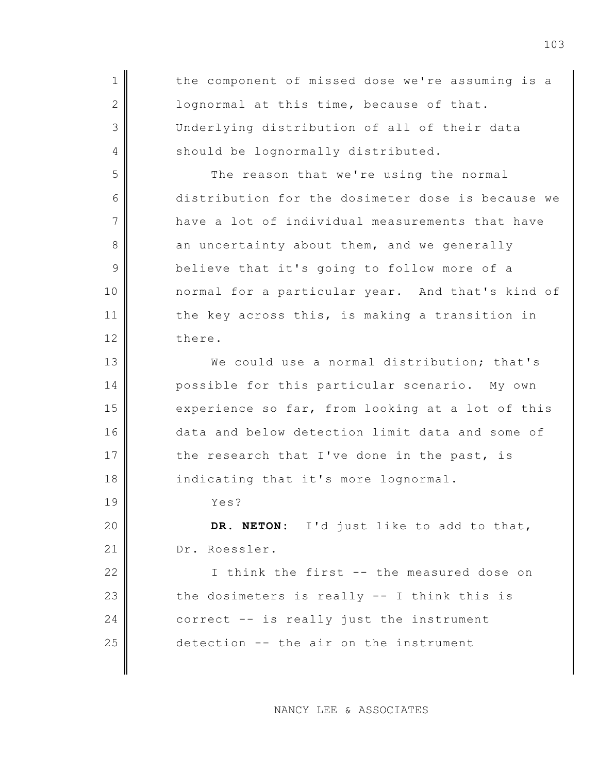| $1\,$        | the component of missed dose we're assuming is a  |
|--------------|---------------------------------------------------|
| $\mathbf{2}$ | lognormal at this time, because of that.          |
| 3            | Underlying distribution of all of their data      |
|              |                                                   |
| 4            | should be lognormally distributed.                |
| 5            | The reason that we're using the normal            |
| 6            | distribution for the dosimeter dose is because we |
| 7            | have a lot of individual measurements that have   |
| 8            | an uncertainty about them, and we generally       |
| 9            | believe that it's going to follow more of a       |
| 10           | normal for a particular year. And that's kind of  |
| 11           | the key across this, is making a transition in    |
| 12           | there.                                            |
| 13           | We could use a normal distribution; that's        |
| 14           | possible for this particular scenario. My own     |
| 15           | experience so far, from looking at a lot of this  |
| 16           | data and below detection limit data and some of   |
| 17           | the research that I've done in the past, is       |
| 18           | indicating that it's more lognormal.              |
| 19           | Yes?                                              |
| 20           | DR. NETON: I'd just like to add to that,          |
| 21           | Dr. Roessler.                                     |
| 22           | I think the first -- the measured dose on         |
| 23           | the dosimeters is really -- I think this is       |
| 24           | correct -- is really just the instrument          |
| 25           | detection -- the air on the instrument            |
|              |                                                   |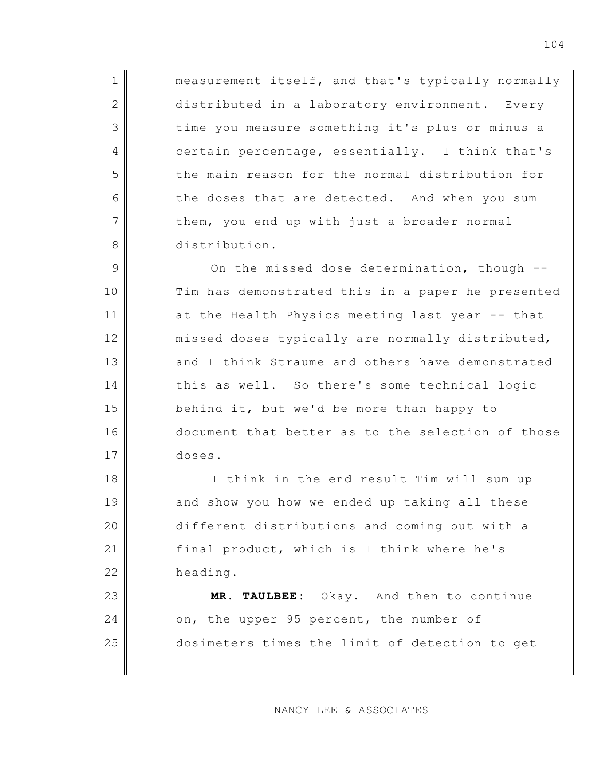1 measurement itself, and that's typically normally 2 distributed in a laboratory environment. Every 3 time you measure something it's plus or minus a 4 certain percentage, essentially. I think that's 5 the main reason for the normal distribution for 6 the doses that are detected. And when you sum  $7$  them, you end up with just a broader normal 8 distribution.

9 On the missed dose determination, though --10 Tim has demonstrated this in a paper he presented 11 at the Health Physics meeting last year -- that 12 missed doses typically are normally distributed, 13 and I think Straume and others have demonstrated 14 this as well. So there's some technical logic 15 behind it, but we'd be more than happy to 16 document that better as to the selection of those 17 doses.

18 I think in the end result Tim will sum up 19 and show you how we ended up taking all these 20 different distributions and coming out with a 21 final product, which is I think where he's 22 heading.

23 **MR. TAULBEE:** Okay. And then to continue 24 on, the upper 95 percent, the number of 25 dosimeters times the limit of detection to get

NANCY LEE & ASSOCIATES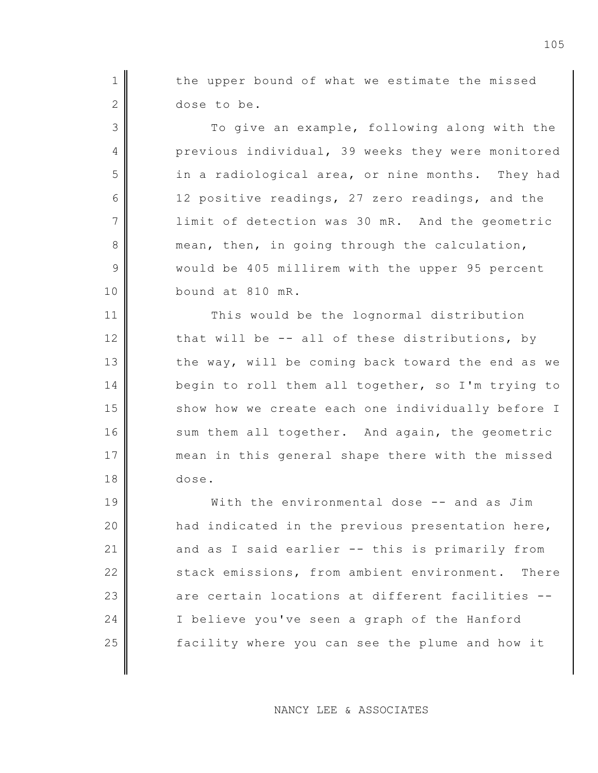1 1 the upper bound of what we estimate the missed 2 dose to be.

3 To give an example, following along with the 4 **previous individual, 39 weeks they were monitored** 5 in a radiological area, or nine months. They had 6 12 positive readings, 27 zero readings, and the 7 limit of detection was 30 mR. And the geometric 8 mean, then, in going through the calculation, 9 would be 405 millirem with the upper 95 percent 10 bound at 810 mR.

11 This would be the lognormal distribution 12 that will be  $-$  all of these distributions, by  $13$  the way, will be coming back toward the end as we 14 begin to roll them all together, so I'm trying to 15 show how we create each one individually before I 16 sum them all together. And again, the geometric 17 mean in this general shape there with the missed 18 dose.

19 With the environmental dose -- and as Jim  $20$  had indicated in the previous presentation here, 21 and as I said earlier -- this is primarily from 22 stack emissions, from ambient environment. There 23 are certain locations at different facilities --24 I believe you've seen a graph of the Hanford 25 facility where you can see the plume and how it

NANCY LEE & ASSOCIATES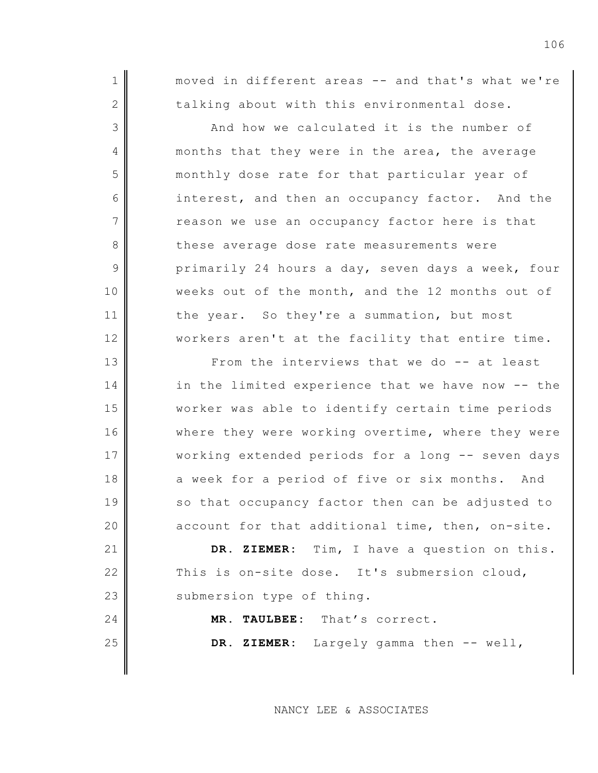1 || moved in different areas -- and that's what we're 2 talking about with this environmental dose.

3 And how we calculated it is the number of 4 months that they were in the area, the average 5 monthly dose rate for that particular year of 6 interest, and then an occupancy factor. And the  $7$   $\parallel$  reason we use an occupancy factor here is that 8 these average dose rate measurements were  $9$  primarily 24 hours a day, seven days a week, four 10 weeks out of the month, and the 12 months out of 11 the year. So they're a summation, but most 12 | workers aren't at the facility that entire time.

13 From the interviews that we do -- at least 14 in the limited experience that we have now -- the 15 worker was able to identify certain time periods 16 | where they were working overtime, where they were 17 working extended periods for a long -- seven days 18 a week for a period of five or six months. And 19 || so that occupancy factor then can be adjusted to 20  $\parallel$  account for that additional time, then, on-site.

21 **DR. ZIEMER:** Tim, I have a question on this. 22 This is on-site dose. It's submersion cloud, 23 Submersion type of thing.

24 **MR. TAULBEE:** That's correct. 25 **DR. ZIEMER:** Largely gamma then -- well,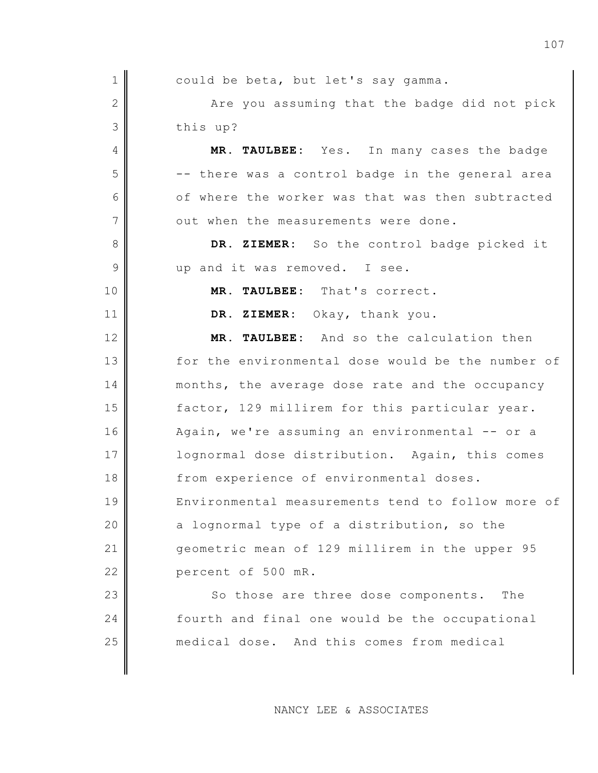$1 \parallel$  could be beta, but let's say gamma.  $2$   $\parallel$  2  $\parallel$  are you assuming that the badge did not pick 3 this up? 4 **MR. TAULBEE:** Yes. In many cases the badge 5 -- there was a control badge in the general area 6 of where the worker was that was then subtracted  $7$   $\parallel$  out when the measurements were done. 8 **DR. ZIEMER:** So the control badge picked it 9 up and it was removed. I see. 10 **MR. TAULBEE:** That's correct. 11 **DR. ZIEMER:** Okay, thank you. 12 **MR. TAULBEE:** And so the calculation then 13 for the environmental dose would be the number of 14 months, the average dose rate and the occupancy 15 factor, 129 millirem for this particular year. 16 Again, we're assuming an environmental -- or a 17 | lognormal dose distribution. Again, this comes 18 from experience of environmental doses. 19 Environmental measurements tend to follow more of 20  $\parallel$  a lognormal type of a distribution, so the 21 geometric mean of 129 millirem in the upper 95 22 percent of 500 mR. 23 So those are three dose components. The 24 fourth and final one would be the occupational 25 medical dose. And this comes from medical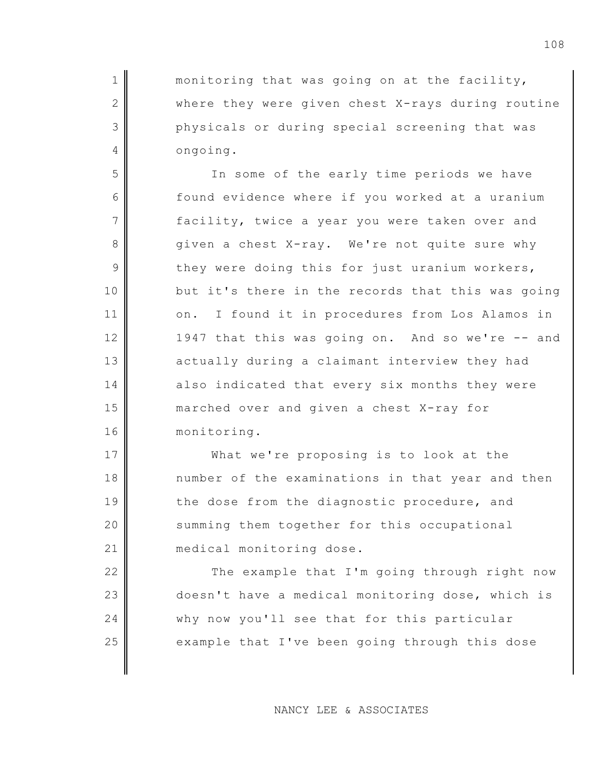1 monitoring that was going on at the facility, 2 where they were given chest X-rays during routine 3 physicals or during special screening that was 4 | ongoing.

5 In some of the early time periods we have 6 found evidence where if you worked at a uranium 7 facility, twice a year you were taken over and 8 given a chest X-ray. We're not quite sure why  $9 \parallel$  they were doing this for just uranium workers, 10 but it's there in the records that this was going 11 on. I found it in procedures from Los Alamos in 12 1947 that this was going on. And so we're -- and 13 actually during a claimant interview they had 14 also indicated that every six months they were 15 marched over and given a chest X-ray for 16 monitoring.

17 What we're proposing is to look at the 18 number of the examinations in that year and then 19 the dose from the diagnostic procedure, and 20 summing them together for this occupational 21 medical monitoring dose.

 $22$   $\parallel$  The example that I'm going through right now 23 doesn't have a medical monitoring dose, which is 24 why now you'll see that for this particular 25 example that I've been going through this dose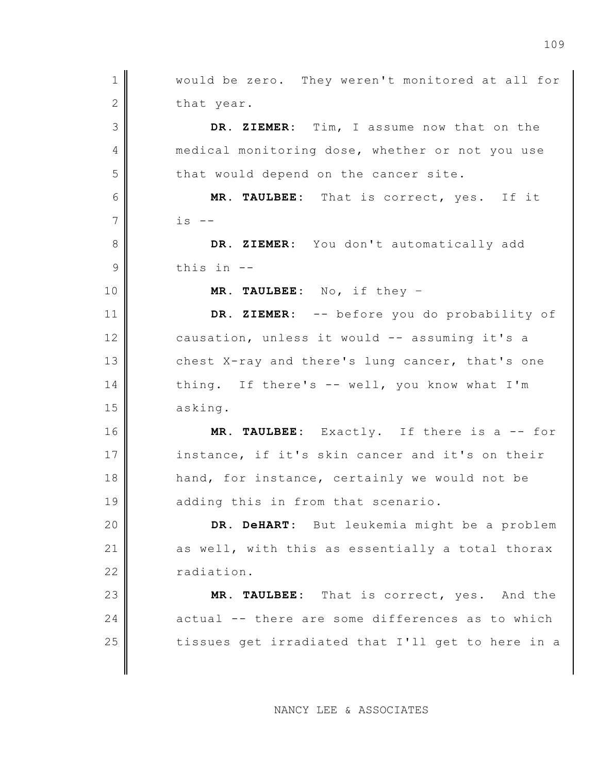1 would be zero. They weren't monitored at all for  $2$  that year. 3 **DR. ZIEMER:** Tim, I assume now that on the 4 medical monitoring dose, whether or not you use 5 || that would depend on the cancer site. 6 **MR. TAULBEE:** That is correct, yes. If it  $7$   $\parallel$  is  $-$ 8 **DR. ZIEMER:** You don't automatically add  $9$  this in  $-$ 10 **MR. TAULBEE:** No, if they – 11 **DR. ZIEMER:** -- before you do probability of 12 causation, unless it would -- assuming it's a 13 chest X-ray and there's lung cancer, that's one 14 thing. If there's -- well, you know what I'm 15 asking. 16 **MR. TAULBEE:** Exactly. If there is a -- for 17 instance, if it's skin cancer and it's on their 18 hand, for instance, certainly we would not be 19 adding this in from that scenario. 20 **DR. DeHART:** But leukemia might be a problem  $21$  as well, with this as essentially a total thorax 22 | radiation. 23 **MR. TAULBEE:** That is correct, yes. And the  $24$   $\parallel$  actual -- there are some differences as to which 25 tissues get irradiated that I'll get to here in a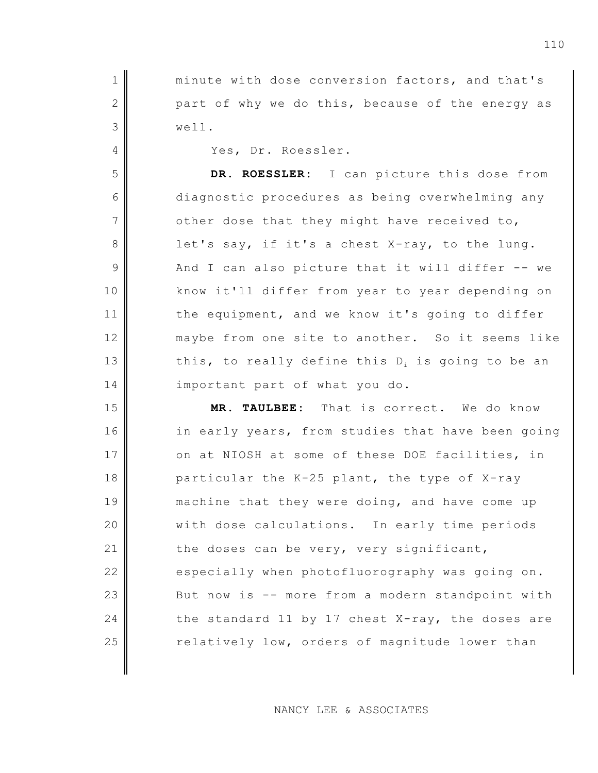1 minute with dose conversion factors, and that's  $2$  part of why we do this, because of the energy as 3 well.

4 Yes, Dr. Roessler.

5 **DR. ROESSLER:** I can picture this dose from 6 diagnostic procedures as being overwhelming any  $7$  other dose that they might have received to,  $8$  let's say, if it's a chest X-ray, to the lung. 9 And I can also picture that it will differ -- we 10 know it'll differ from year to year depending on 11 the equipment, and we know it's going to differ 12 maybe from one site to another. So it seems like 13 this, to really define this  $D_i$  is going to be an 14 important part of what you do.

15 **MR. TAULBEE:** That is correct. We do know 16 in early years, from studies that have been going 17 on at NIOSH at some of these DOE facilities, in 18 particular the K-25 plant, the type of X-ray 19 machine that they were doing, and have come up 20 | with dose calculations. In early time periods 21 the doses can be very, very significant, 22 especially when photofluorography was going on. 23 But now is -- more from a modern standpoint with  $24$  the standard 11 by 17 chest X-ray, the doses are 25 crelatively low, orders of magnitude lower than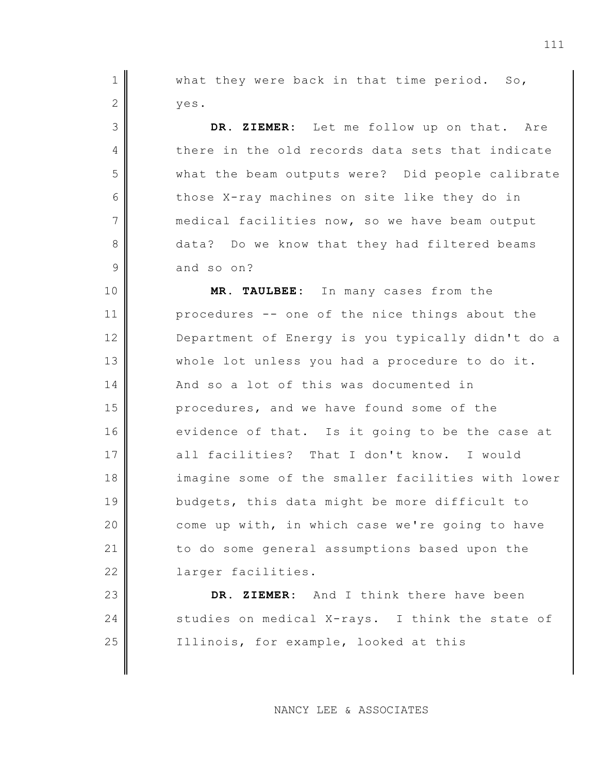1 What they were back in that time period. So, 2 ves.

3 **DR. ZIEMER:** Let me follow up on that. Are 4 there in the old records data sets that indicate 5 what the beam outputs were? Did people calibrate 6 those X-ray machines on site like they do in 7 medical facilities now, so we have beam output 8 data? Do we know that they had filtered beams 9 and so on? 10 **MR. TAULBEE:** In many cases from the 11 procedures -- one of the nice things about the 12 Department of Energy is you typically didn't do a 13 whole lot unless you had a procedure to do it. 14 And so a lot of this was documented in 15 procedures, and we have found some of the 16 evidence of that. Is it going to be the case at 17 all facilities? That I don't know. I would 18 imagine some of the smaller facilities with lower 19 budgets, this data might be more difficult to 20 come up with, in which case we're going to have 21 to do some general assumptions based upon the

22 **larger** facilities. 23 **DR. ZIEMER:** And I think there have been 24 studies on medical X-rays. I think the state of

25 || Illinois, for example, looked at this

NANCY LEE & ASSOCIATES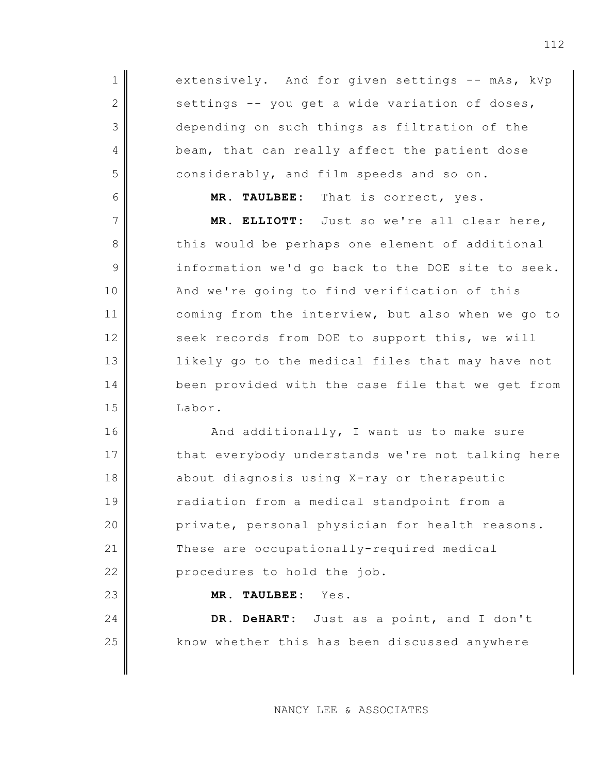1 extensively. And for given settings -- mAs, kVp  $2$  settings -- you get a wide variation of doses, 3 depending on such things as filtration of the 4 beam, that can really affect the patient dose 5 considerably, and film speeds and so on. 6 **MR. TAULBEE:** That is correct, yes. 7 **MR. ELLIOTT:** Just so we're all clear here, 8 this would be perhaps one element of additional 9 information we'd go back to the DOE site to seek. 10 And we're going to find verification of this 11 coming from the interview, but also when we go to 12 seek records from DOE to support this, we will 13 likely go to the medical files that may have not 14 been provided with the case file that we get from 15 Labor. 16 And additionally, I want us to make sure 17 that everybody understands we're not talking here 18 about diagnosis using X-ray or therapeutic 19 radiation from a medical standpoint from a 20 private, personal physician for health reasons. 21 These are occupationally-required medical 22 **procedures** to hold the job. 23 **MR. TAULBEE:** Yes. 24 **DR. DeHART:** Just as a point, and I don't 25 know whether this has been discussed anywhere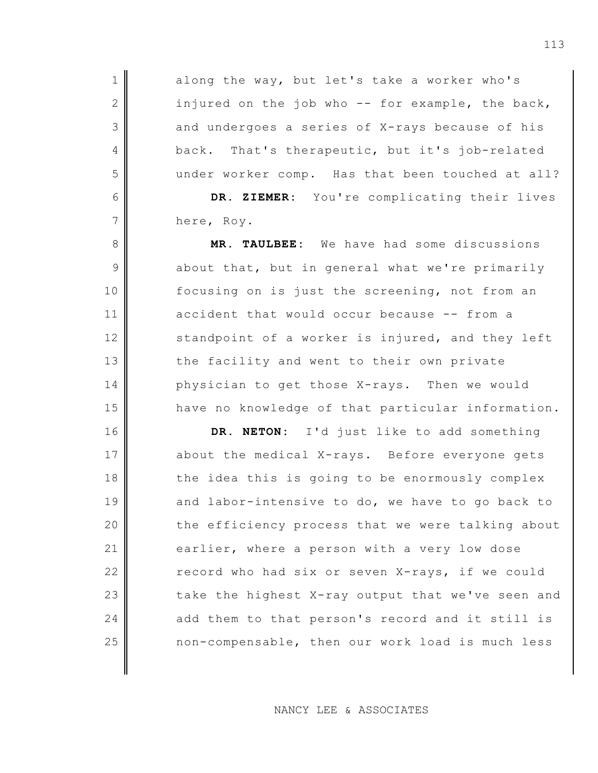1 along the way, but let's take a worker who's  $2$  injured on the job who -- for example, the back, 3 and undergoes a series of X-rays because of his 4 back. That's therapeutic, but it's job-related 5 under worker comp. Has that been touched at all?

6 **DR. ZIEMER:** You're complicating their lives 7 here, Roy.

8 **MR. TAULBEE:** We have had some discussions 9 about that, but in general what we're primarily 10 focusing on is just the screening, not from an 11 accident that would occur because -- from a 12 standpoint of a worker is injured, and they left 13 the facility and went to their own private 14 physician to get those X-rays. Then we would 15 have no knowledge of that particular information.

16 **DR. NETON:** I'd just like to add something 17 about the medical X-rays. Before everyone gets  $18$  the idea this is going to be enormously complex  $19$  and labor-intensive to do, we have to go back to  $20$  the efficiency process that we were talking about 21 earlier, where a person with a very low dose 22  $\parallel$  record who had six or seven X-rays, if we could 23 take the highest X-ray output that we've seen and 24 add them to that person's record and it still is 25 non-compensable, then our work load is much less

## NANCY LEE & ASSOCIATES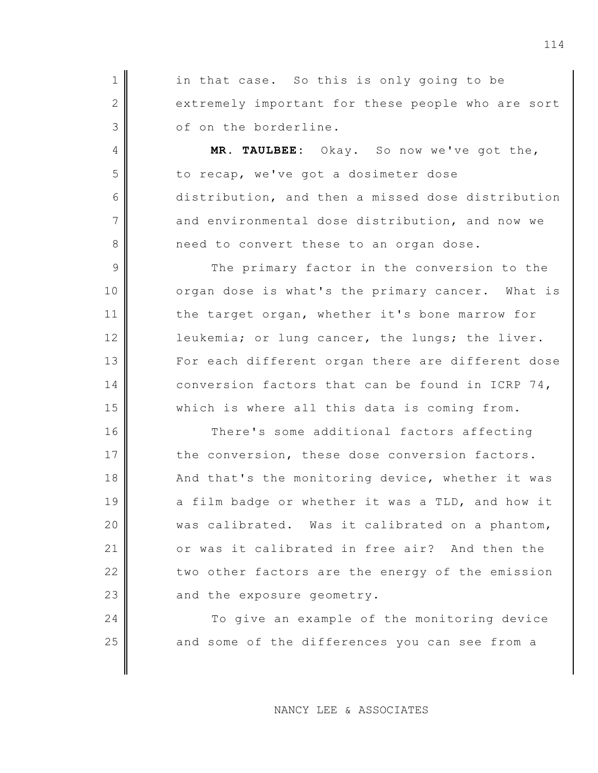| $1 \parallel$ | in that case. So this is only going to be         |
|---------------|---------------------------------------------------|
| $2 \parallel$ | extremely important for these people who are sort |
| 3 II          | of on the borderline.                             |

4 **MR. TAULBEE:** Okay. So now we've got the, 5 to recap, we've got a dosimeter dose 6 distribution, and then a missed dose distribution 7 and environmental dose distribution, and now we 8 need to convert these to an organ dose.

9 The primary factor in the conversion to the 10 organ dose is what's the primary cancer. What is 11 the target organ, whether it's bone marrow for 12 leukemia; or lung cancer, the lungs; the liver. 13 For each different organ there are different dose  $14$  conversion factors that can be found in ICRP 74, 15 which is where all this data is coming from.

16 There's some additional factors affecting 17 the conversion, these dose conversion factors. And that's the monitoring device, whether it was a film badge or whether it was a TLD, and how it  $\parallel$  was calibrated. Was it calibrated on a phantom, 21 or was it calibrated in free air? And then the  $\parallel$  two other factors are the energy of the emission and the exposure geometry.

24 To give an example of the monitoring device 25 and some of the differences you can see from a

## NANCY LEE & ASSOCIATES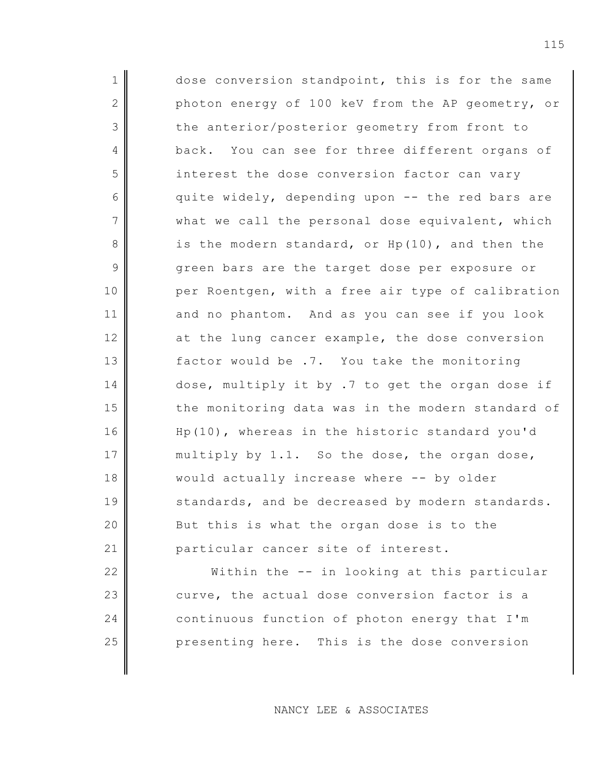1 dose conversion standpoint, this is for the same 2 photon energy of 100 keV from the AP geometry, or 3 the anterior/posterior geometry from front to 4 back. You can see for three different organs of 5 interest the dose conversion factor can vary 6 quite widely, depending upon  $-$  the red bars are  $7$  what we call the personal dose equivalent, which  $8 \parallel$  is the modern standard, or Hp(10), and then the 9 green bars are the target dose per exposure or 10 per Roentgen, with a free air type of calibration 11 and no phantom. And as you can see if you look 12 at the lung cancer example, the dose conversion 13 factor would be .7. You take the monitoring 14 dose, multiply it by .7 to get the organ dose if  $15$  the monitoring data was in the modern standard of 16 Hp(10), whereas in the historic standard you'd 17 multiply by 1.1. So the dose, the organ dose, 18 || would actually increase where -- by older 19 standards, and be decreased by modern standards. 20 But this is what the organ dose is to the 21 || particular cancer site of interest.

22 | Within the -- in looking at this particular  $23$  curve, the actual dose conversion factor is a 24 continuous function of photon energy that I'm 25 **presenting here.** This is the dose conversion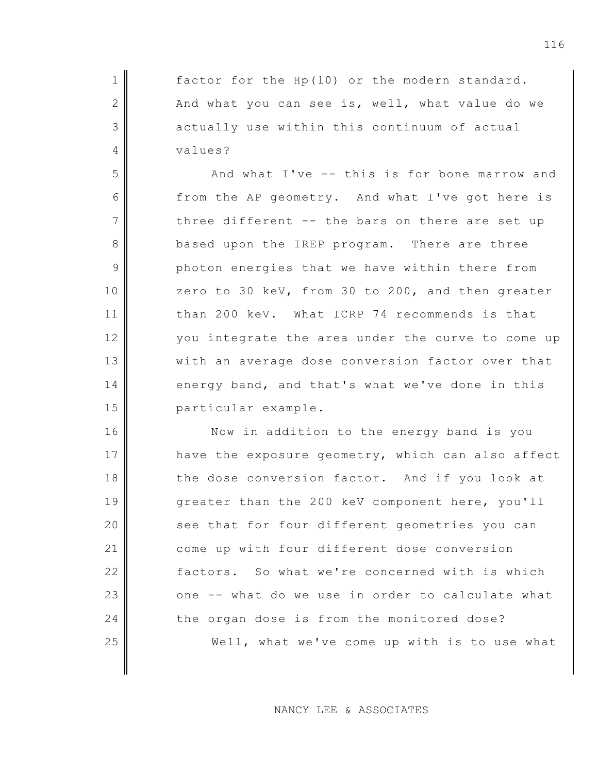$1$  factor for the Hp(10) or the modern standard.  $2$  And what you can see is, well, what value do we 3 actually use within this continuum of actual 4 values?

5 And what I've -- this is for bone marrow and 6 from the AP geometry. And what I've got here is  $7$  three different -- the bars on there are set up 8 based upon the IREP program. There are three 9 photon energies that we have within there from 10 zero to 30 keV, from 30 to 200, and then greater 11 than 200 keV. What ICRP 74 recommends is that 12 you integrate the area under the curve to come up 13 with an average dose conversion factor over that 14 energy band, and that's what we've done in this 15 particular example.

16 Now in addition to the energy band is you 17 have the exposure geometry, which can also affect 18 the dose conversion factor. And if you look at 19 greater than the 200 keV component here, you'll 20 see that for four different geometries you can 21 come up with four different dose conversion 22 factors. So what we're concerned with is which 23 || one -- what do we use in order to calculate what 24 the organ dose is from the monitored dose? 25 Well, what we've come up with is to use what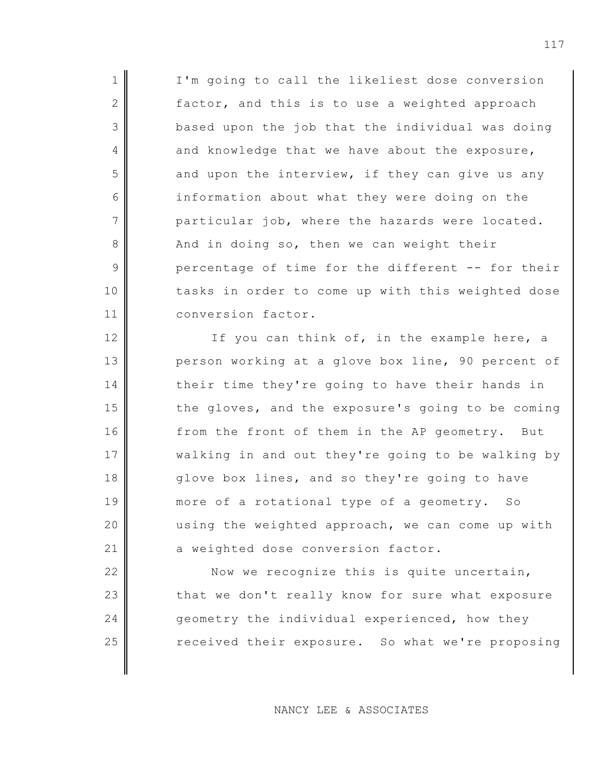1 I'm going to call the likeliest dose conversion  $2$  factor, and this is to use a weighted approach 3 based upon the job that the individual was doing  $4 \parallel$  and knowledge that we have about the exposure,  $5$  and upon the interview, if they can give us any 6 information about what they were doing on the  $7$  particular job, where the hazards were located. 8 And in doing so, then we can weight their 9 percentage of time for the different -- for their 10 tasks in order to come up with this weighted dose 11 conversion factor.

12 If you can think of, in the example here, a 13 person working at a glove box line, 90 percent of 14 their time they're going to have their hands in  $15$  the gloves, and the exposure's going to be coming 16 from the front of them in the AP geometry. But 17 walking in and out they're going to be walking by 18 glove box lines, and so they're going to have 19 more of a rotational type of a geometry. So 20 using the weighted approach, we can come up with 21 a weighted dose conversion factor.

22  $\parallel$  Now we recognize this is quite uncertain, 23 that we don't really know for sure what exposure 24 geometry the individual experienced, how they 25 Teceived their exposure. So what we're proposing

NANCY LEE & ASSOCIATES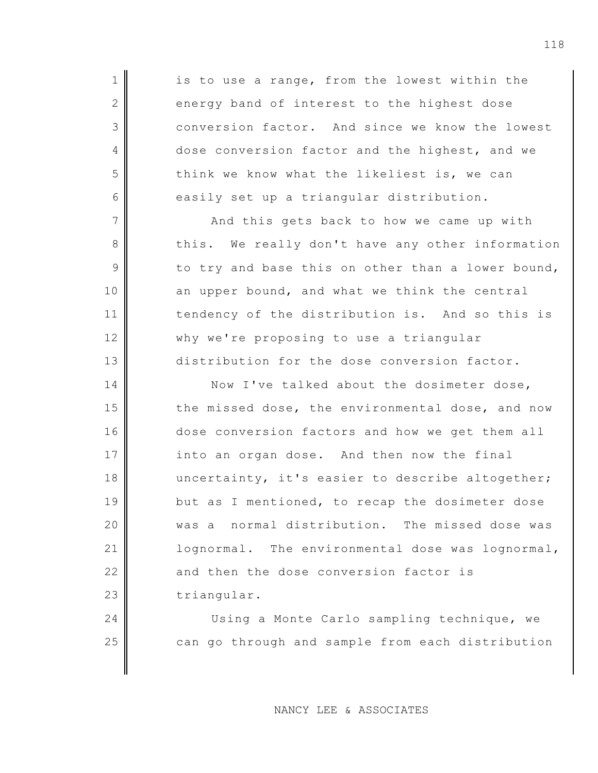1 is to use a range, from the lowest within the  $2$  energy band of interest to the highest dose 3 conversion factor. And since we know the lowest 4 dose conversion factor and the highest, and we 5 think we know what the likeliest is, we can 6 easily set up a triangular distribution. 7 And this gets back to how we came up with 8 this. We really don't have any other information  $9 \parallel$  to try and base this on other than a lower bound,  $10$  an upper bound, and what we think the central 11 tendency of the distribution is. And so this is 12 **Why we're proposing to use a triangular** 13 distribution for the dose conversion factor. 14 Now I've talked about the dosimeter dose,  $15$  the missed dose, the environmental dose, and now 16 dose conversion factors and how we get them all 17 into an organ dose. And then now the final 18 uncertainty, it's easier to describe altogether; 19 but as I mentioned, to recap the dosimeter dose 20 was a normal distribution. The missed dose was 21 | lognormal. The environmental dose was lognormal, 22 and then the dose conversion factor is 23 triangular. 24 Using a Monte Carlo sampling technique, we

NANCY LEE & ASSOCIATES

25 can go through and sample from each distribution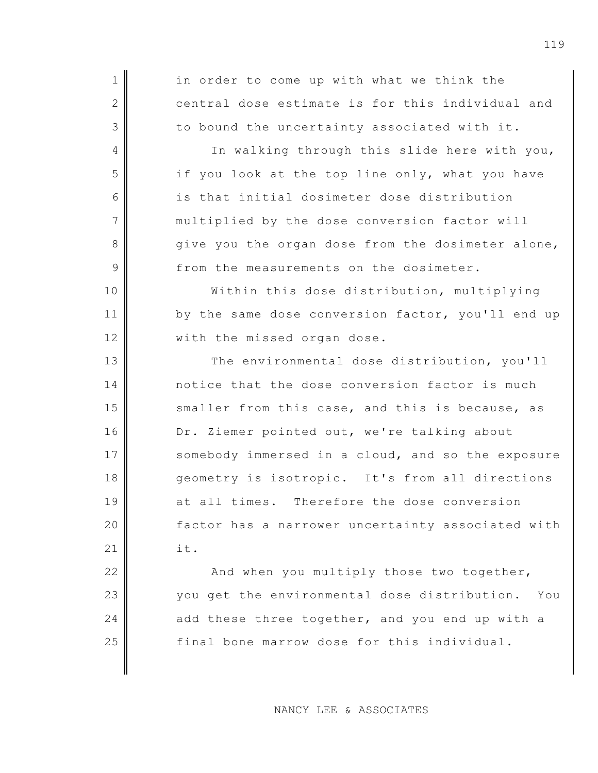| $\mathbf 1$ | in order to come up with what we think the          |
|-------------|-----------------------------------------------------|
| 2           | central dose estimate is for this individual and    |
| 3           | to bound the uncertainty associated with it.        |
| 4           | In walking through this slide here with you,        |
| 5           | if you look at the top line only, what you have     |
| 6           | is that initial dosimeter dose distribution         |
| 7           | multiplied by the dose conversion factor will       |
| 8           | give you the organ dose from the dosimeter alone,   |
| 9           | from the measurements on the dosimeter.             |
|             |                                                     |
| 10          | Within this dose distribution, multiplying          |
| 11          | by the same dose conversion factor, you'll end up   |
| 12          | with the missed organ dose.                         |
| 13          | The environmental dose distribution, you'll         |
| 14          | notice that the dose conversion factor is much      |
| 15          | smaller from this case, and this is because, as     |
| 16          | Dr. Ziemer pointed out, we're talking about         |
| 17          | somebody immersed in a cloud, and so the exposure   |
| 18          | geometry is isotropic. It's from all directions     |
| 19          | at all times. Therefore the dose conversion         |
| 20          | factor has a narrower uncertainty associated with   |
| 21          | it.                                                 |
| 22          | And when you multiply those two together,           |
|             |                                                     |
| 23          | you get the environmental dose distribution.<br>You |
| 24          | add these three together, and you end up with a     |

final bone marrow dose for this individual.

## NANCY LEE & ASSOCIATES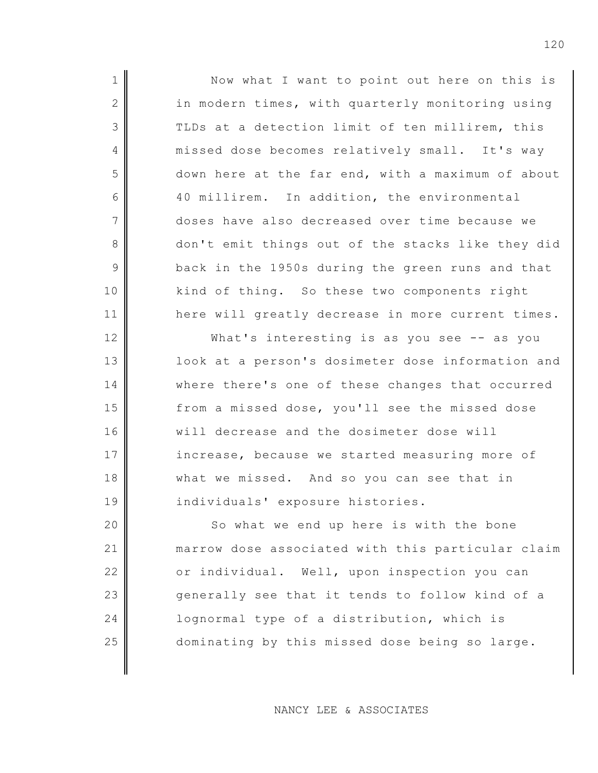1 | Now what I want to point out here on this is 2 in modern times, with quarterly monitoring using 3 TLDs at a detection limit of ten millirem, this 4 missed dose becomes relatively small. It's way 5 down here at the far end, with a maximum of about 6 40 millirem. In addition, the environmental 7 doses have also decreased over time because we 8 don't emit things out of the stacks like they did 9 back in the 1950s during the green runs and that 10 kind of thing. So these two components right 11 here will greatly decrease in more current times.

12 What's interesting is as you see -- as you 13 look at a person's dosimeter dose information and 14 where there's one of these changes that occurred 15 from a missed dose, you'll see the missed dose 16 will decrease and the dosimeter dose will 17 increase, because we started measuring more of 18 what we missed. And so you can see that in 19 individuals' exposure histories.

20 | So what we end up here is with the bone 21 marrow dose associated with this particular claim 22 | crindividual. Well, upon inspection you can 23 generally see that it tends to follow kind of a 24 | lognormal type of a distribution, which is 25 dominating by this missed dose being so large.

NANCY LEE & ASSOCIATES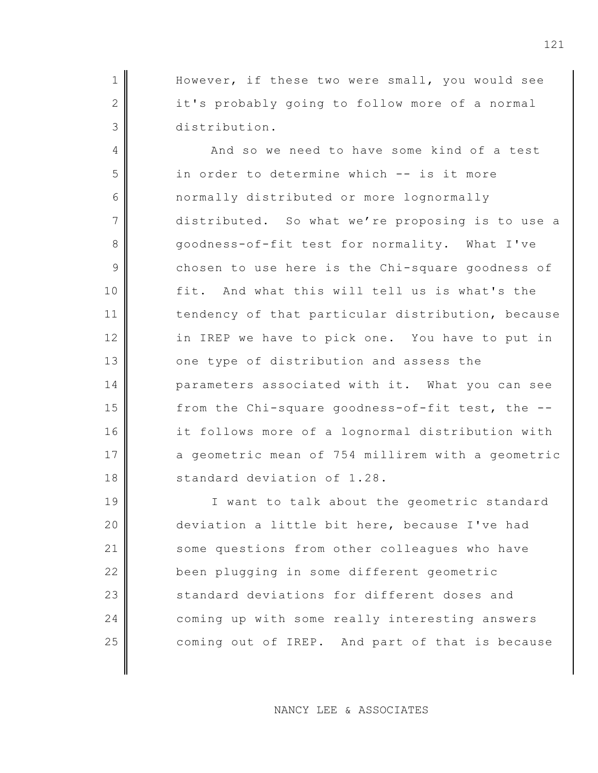1 However, if these two were small, you would see 2 it's probably going to follow more of a normal 3 distribution.

4 And so we need to have some kind of a test 5 in order to determine which -- is it more 6 normally distributed or more lognormally 7 distributed. So what we're proposing is to use a 8 goodness-of-fit test for normality. What I've 9 chosen to use here is the Chi-square goodness of 10 fit. And what this will tell us is what's the 11 tendency of that particular distribution, because 12 in IREP we have to pick one. You have to put in 13 one type of distribution and assess the 14 parameters associated with it. What you can see  $15$  from the Chi-square goodness-of-fit test, the  $-$ -16 it follows more of a lognormal distribution with 17 a geometric mean of 754 millirem with a geometric 18 standard deviation of 1.28.

19 I want to talk about the geometric standard 20 deviation a little bit here, because I've had 21 some questions from other colleagues who have 22 been plugging in some different geometric 23 standard deviations for different doses and 24 coming up with some really interesting answers 25 coming out of IREP. And part of that is because

NANCY LEE & ASSOCIATES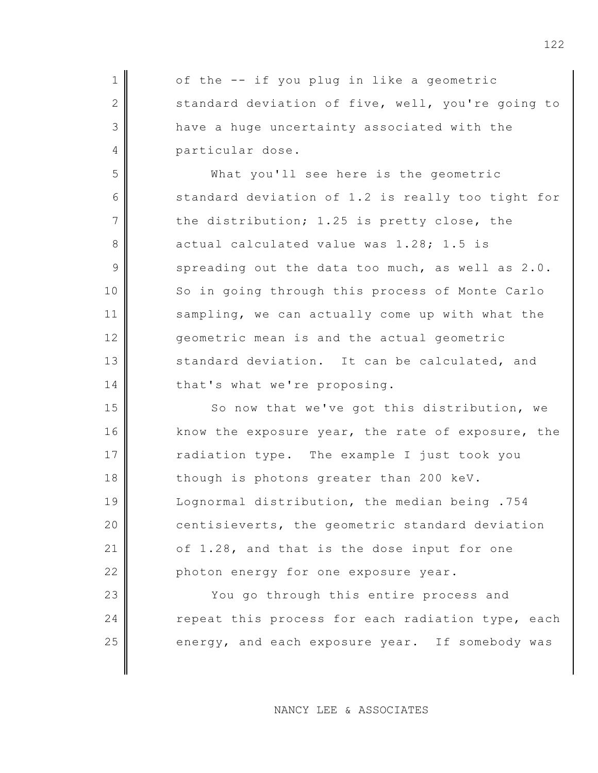| $1 \parallel$  | of the -- if you plug in like a geometric         |
|----------------|---------------------------------------------------|
| $2 \parallel$  | standard deviation of five, well, you're going to |
| 3 <sup>1</sup> | have a huge uncertainty associated with the       |
| $4 \mid$       | particular dose.                                  |

5 What you'll see here is the geometric 6 standard deviation of 1.2 is really too tight for  $7$  the distribution; 1.25 is pretty close, the 8 actual calculated value was 1.28; 1.5 is  $9 \parallel$  spreading out the data too much, as well as 2.0. 10 So in going through this process of Monte Carlo 11 sampling, we can actually come up with what the 12 geometric mean is and the actual geometric 13 standard deviation. It can be calculated, and 14 that's what we're proposing.

15 So now that we've got this distribution, we 16 know the exposure year, the rate of exposure, the 17 || radiation type. The example I just took you 18 though is photons greater than 200 keV. 19 Lognormal distribution, the median being .754 20 centisieverts, the geometric standard deviation 21 of 1.28, and that is the dose input for one 22 **photon** energy for one exposure year.

23 You go through this entire process and 24 repeat this process for each radiation type, each 25 energy, and each exposure year. If somebody was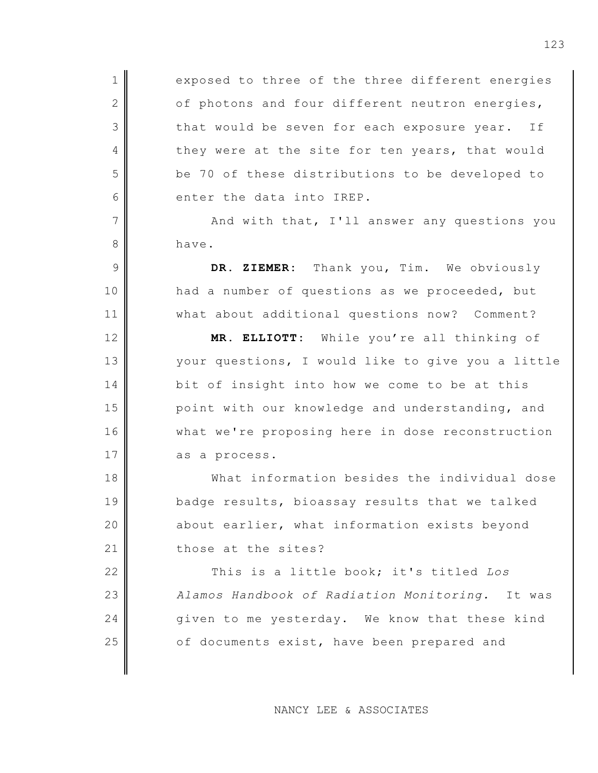1 exposed to three of the three different energies  $2 \parallel$  of photons and four different neutron energies, 3 that would be seven for each exposure year. If 4 they were at the site for ten years, that would 5 be 70 of these distributions to be developed to 6 enter the data into IREP.

 $7$   $\parallel$  And with that, I'll answer any questions you 8 have.

9 **DR. ZIEMER:** Thank you, Tim. We obviously 10 had a number of questions as we proceeded, but 11 what about additional questions now? Comment?

12 **MR. ELLIOTT:** While you're all thinking of 13 your questions, I would like to give you a little 14 bit of insight into how we come to be at this 15 point with our knowledge and understanding, and 16 what we're proposing here in dose reconstruction 17 as a process.

18 What information besides the individual dose 19 badge results, bioassay results that we talked 20 about earlier, what information exists beyond  $21$   $\parallel$  those at the sites?

22 This is a little book; it's titled *Los* 23 *Alamos Handbook of Radiation Monitoring.* It was 24 given to me yesterday. We know that these kind 25 of documents exist, have been prepared and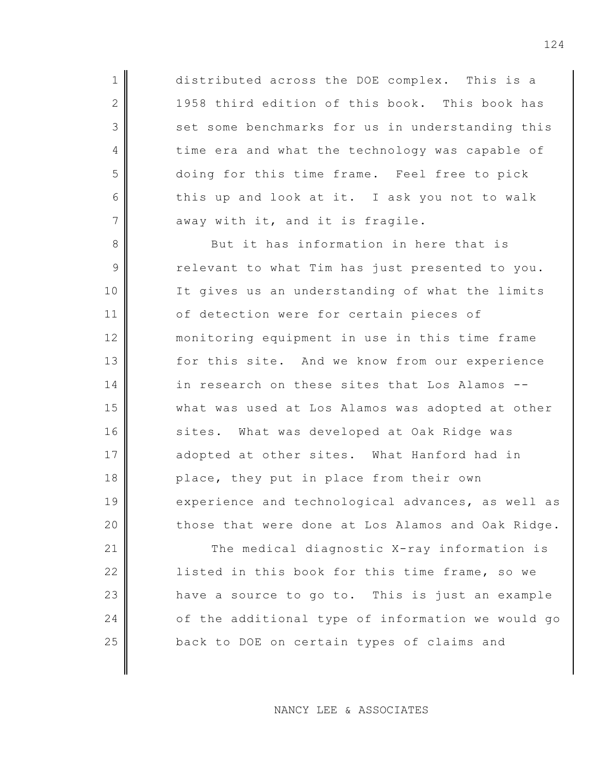1 distributed across the DOE complex. This is a 2 2 1958 third edition of this book. This book has 3 set some benchmarks for us in understanding this 4 time era and what the technology was capable of 5 doing for this time frame. Feel free to pick 6 this up and look at it. I ask you not to walk  $7$  away with it, and it is fragile.

8 But it has information in here that is 9 relevant to what Tim has just presented to you. 10 It gives us an understanding of what the limits 11 of detection were for certain pieces of 12 monitoring equipment in use in this time frame 13 for this site. And we know from our experience 14 in research on these sites that Los Alamos --15 | what was used at Los Alamos was adopted at other 16 sites. What was developed at Oak Ridge was 17 adopted at other sites. What Hanford had in 18 place, they put in place from their own 19 experience and technological advances, as well as  $20$  those that were done at Los Alamos and Oak Ridge.

21 The medical diagnostic X-ray information is 22 | listed in this book for this time frame, so we 23 have a source to go to. This is just an example  $24$  of the additional type of information we would go 25 back to DOE on certain types of claims and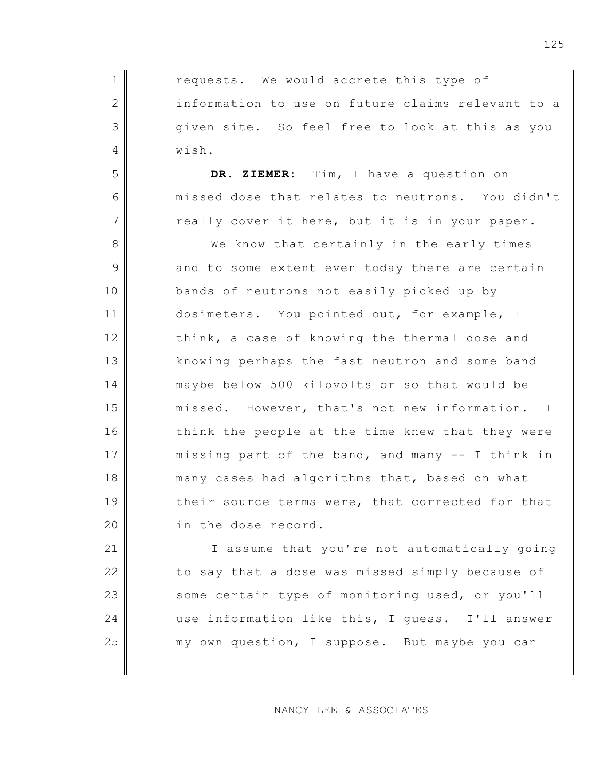1 **I** requests. We would accrete this type of 2 information to use on future claims relevant to a 3 given site. So feel free to look at this as you 4 wish.

5 **DR. ZIEMER:** Tim, I have a question on 6 missed dose that relates to neutrons. You didn't  $7$  really cover it here, but it is in your paper.

8 We know that certainly in the early times 9 and to some extent even today there are certain 10 bands of neutrons not easily picked up by 11 dosimeters. You pointed out, for example, I 12 think, a case of knowing the thermal dose and 13 knowing perhaps the fast neutron and some band 14 maybe below 500 kilovolts or so that would be 15 missed. However, that's not new information. I  $16$  think the people at the time knew that they were 17 missing part of the band, and many -- I think in 18 many cases had algorithms that, based on what 19 their source terms were, that corrected for that 20 in the dose record.

21 | I assume that you're not automatically going  $22$  to say that a dose was missed simply because of 23 some certain type of monitoring used, or you'll 24 use information like this, I quess. I'll answer 25 my own question, I suppose. But maybe you can

NANCY LEE & ASSOCIATES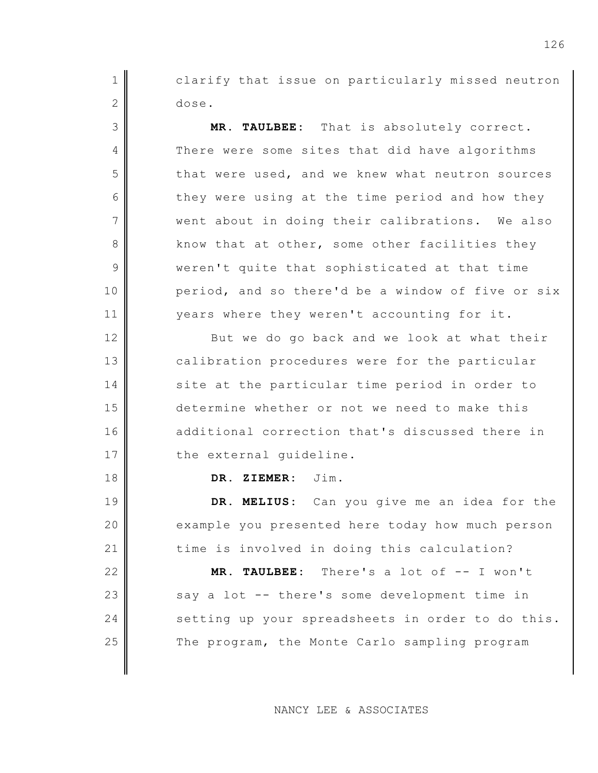1 clarify that issue on particularly missed neutron 2<sup>dose</sup>.

3 **MR. TAULBEE:** That is absolutely correct. 4 There were some sites that did have algorithms 5 that were used, and we knew what neutron sources 6 they were using at the time period and how they 7 went about in doing their calibrations. We also 8 know that at other, some other facilities they 9 | weren't quite that sophisticated at that time 10 period, and so there'd be a window of five or six 11 | vears where they weren't accounting for it. 12 But we do go back and we look at what their 13 calibration procedures were for the particular 14 site at the particular time period in order to 15 determine whether or not we need to make this 16 additional correction that's discussed there in 17 the external quideline. 18 **DR. ZIEMER:** Jim. 19 **DR. MELIUS:** Can you give me an idea for the 20 example you presented here today how much person 21 time is involved in doing this calculation?

22 **MR. TAULBEE:** There's a lot of -- I won't  $23$  say a lot  $-$  there's some development time in 24 setting up your spreadsheets in order to do this. 25 The program, the Monte Carlo sampling program

NANCY LEE & ASSOCIATES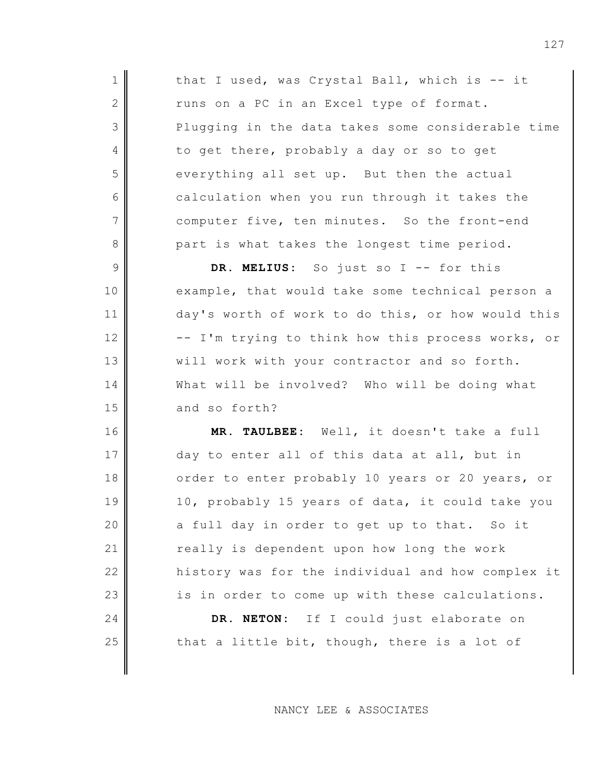| $\mathbf 1$    | that I used, was Crystal Ball, which is -- it     |
|----------------|---------------------------------------------------|
| $\mathbf{2}$   | runs on a PC in an Excel type of format.          |
| 3              | Plugging in the data takes some considerable time |
| 4              | to get there, probably a day or so to get         |
| 5              | everything all set up. But then the actual        |
| 6              | calculation when you run through it takes the     |
| $\overline{7}$ | computer five, ten minutes. So the front-end      |
| $8\,$          | part is what takes the longest time period.       |
| $\mathcal{G}$  | DR. MELIUS: So just so I -- for this              |
| 10             | example, that would take some technical person a  |
| 11             | day's worth of work to do this, or how would this |
| 12             | -- I'm trying to think how this process works, or |
| 13             | will work with your contractor and so forth.      |
| 14             | What will be involved? Who will be doing what     |
| 15             | and so forth?                                     |
| 16             | MR. TAULBEE: Well, it doesn't take a full         |
| 17             | day to enter all of this data at all, but in      |
| 18             | order to enter probably 10 years or 20 years, or  |
| 19             | 10, probably 15 years of data, it could take you  |
| 20             | a full day in order to get up to that. So it      |
| 21             | really is dependent upon how long the work        |
| 22             | history was for the individual and how complex it |
| 23             | is in order to come up with these calculations.   |
| 24             | DR. NETON: If I could just elaborate on           |
| 25             | that a little bit, though, there is a lot of      |
|                |                                                   |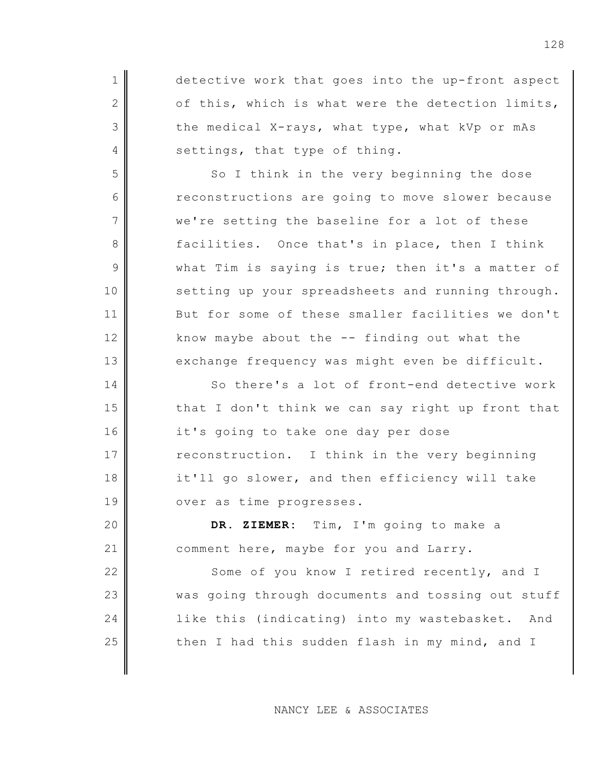1 detective work that goes into the up-front aspect  $2 \parallel$  of this, which is what were the detection limits, 3 the medical X-rays, what type, what kVp or mAs  $4 \parallel$  settings, that type of thing.

5 So I think in the very beginning the dose 6 reconstructions are going to move slower because 7 | we're setting the baseline for a lot of these 8 facilities. Once that's in place, then I think 9 what Tim is saying is true; then it's a matter of 10 setting up your spreadsheets and running through. 11 But for some of these smaller facilities we don't 12 know maybe about the -- finding out what the 13 exchange frequency was might even be difficult.

14 So there's a lot of front-end detective work  $15$  that I don't think we can say right up front that 16 it's going to take one day per dose 17 reconstruction. I think in the very beginning 18 it'll go slower, and then efficiency will take 19 | over as time progresses.

20 **DR. ZIEMER:** Tim, I'm going to make a 21 comment here, maybe for you and Larry.

22 || Some of you know I retired recently, and I 23 was going through documents and tossing out stuff 24 like this (indicating) into my wastebasket. And  $25$  then I had this sudden flash in my mind, and I

NANCY LEE & ASSOCIATES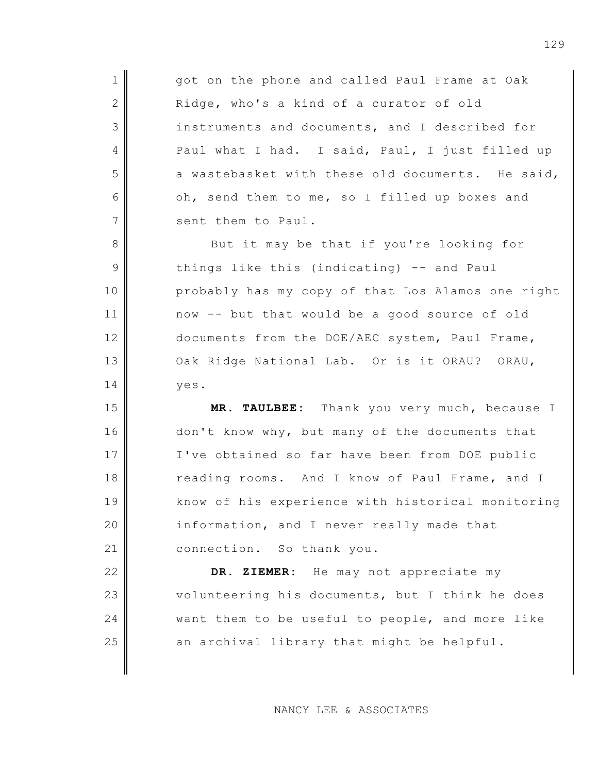1 got on the phone and called Paul Frame at Oak 2 Ridge, who's a kind of a curator of old 3 instruments and documents, and I described for 4 Paul what I had. I said, Paul, I just filled up  $5$  a wastebasket with these old documents. He said, 6 oh, send them to me, so I filled up boxes and 7 sent them to Paul. 8 But it may be that if you're looking for 9 things like this (indicating) -- and Paul 10 probably has my copy of that Los Alamos one right 11 now -- but that would be a good source of old 12 documents from the DOE/AEC system, Paul Frame, 13 Oak Ridge National Lab. Or is it ORAU? ORAU, 14 | yes. 15 **MR. TAULBEE:** Thank you very much, because I 16 don't know why, but many of the documents that 17 || I've obtained so far have been from DOE public 18 reading rooms. And I know of Paul Frame, and I 19 || know of his experience with historical monitoring

20 | information, and I never really made that 21 connection. So thank you.

22 **DR. ZIEMER:** He may not appreciate my 23 volunteering his documents, but I think he does 24 want them to be useful to people, and more like  $25$  an archival library that might be helpful.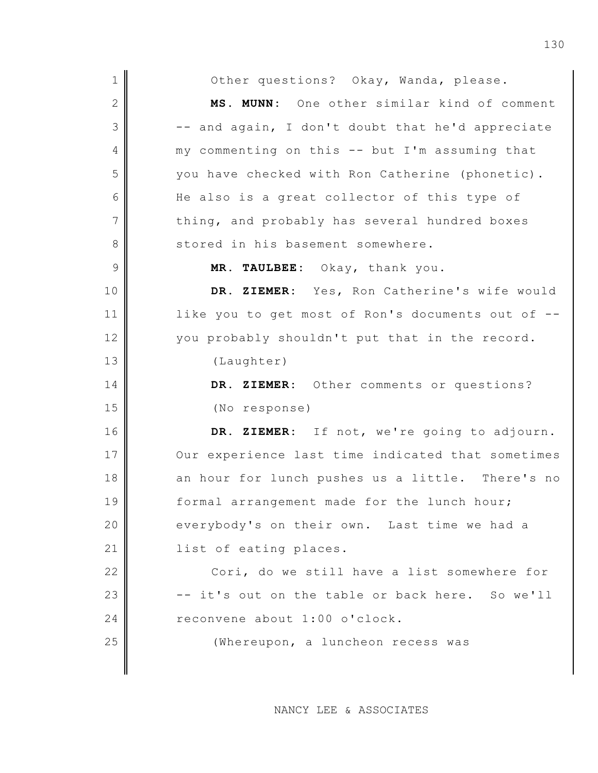| $\mathbf 1$    | Other questions? Okay, Wanda, please.             |
|----------------|---------------------------------------------------|
| $\mathbf{2}$   | MS. MUNN: One other similar kind of comment       |
| 3              | and again, I don't doubt that he'd appreciate     |
| 4              | my commenting on this -- but I'm assuming that    |
| 5              | you have checked with Ron Catherine (phonetic).   |
| 6              | He also is a great collector of this type of      |
| $\overline{7}$ | thing, and probably has several hundred boxes     |
| 8              | stored in his basement somewhere.                 |
| 9              | MR. TAULBEE: Okay, thank you.                     |
| 10             | DR. ZIEMER: Yes, Ron Catherine's wife would       |
| 11             | like you to get most of Ron's documents out of -- |
| 12             | you probably shouldn't put that in the record.    |
| 13             | (Laughter)                                        |
| 14             | DR. ZIEMER: Other comments or questions?          |
|                | (No response)                                     |
|                |                                                   |
| 15<br>16       | DR. ZIEMER: If not, we're going to adjourn.       |
| 17             | Our experience last time indicated that sometimes |
| 18             | an hour for lunch pushes us a little. There's no  |
|                | formal arrangement made for the lunch hour;       |
| 19<br>20       | everybody's on their own. Last time we had a      |
|                | list of eating places.                            |
| 21<br>22       | Cori, do we still have a list somewhere for       |
| 23             | -- it's out on the table or back here. So we'll   |
| 24             | reconvene about 1:00 o'clock.                     |
| 25             | (Whereupon, a luncheon recess was                 |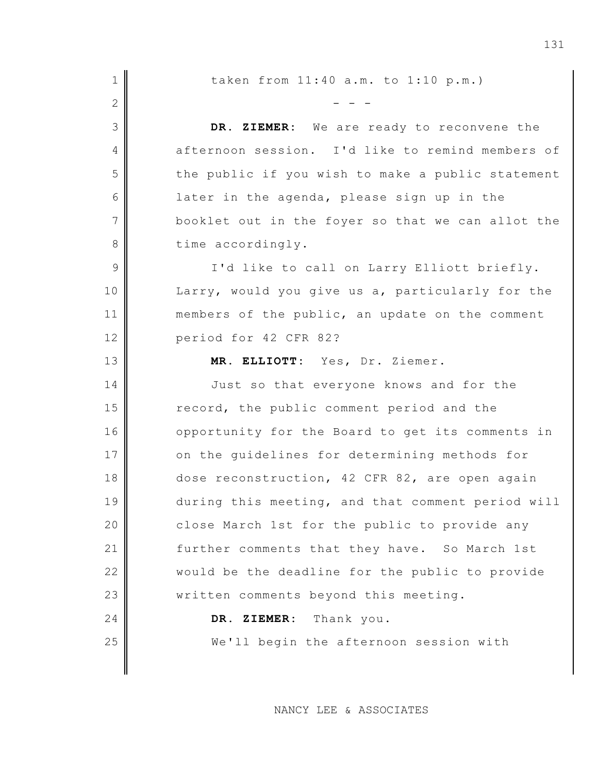| $\mathbf 1$    | taken from $11:40$ a.m. to $1:10$ p.m.)           |
|----------------|---------------------------------------------------|
| $\mathbf{2}$   |                                                   |
| 3              | DR. ZIEMER: We are ready to reconvene the         |
| 4              | afternoon session. I'd like to remind members of  |
| 5              | the public if you wish to make a public statement |
| 6              | later in the agenda, please sign up in the        |
| 7              | booklet out in the foyer so that we can allot the |
| 8              | time accordingly.                                 |
| $\overline{9}$ | I'd like to call on Larry Elliott briefly.        |
| 10             | Larry, would you give us a, particularly for the  |
| 11             | members of the public, an update on the comment   |
| 12             | period for 42 CFR 82?                             |
| 13             | MR. ELLIOTT: Yes, Dr. Ziemer.                     |
| 14             | Just so that everyone knows and for the           |
| 15             | record, the public comment period and the         |
| 16             | opportunity for the Board to get its comments in  |
| 17             | on the guidelines for determining methods for     |
| 18             | dose reconstruction, 42 CFR 82, are open again    |
| 19             | during this meeting, and that comment period will |
| 20             | close March 1st for the public to provide any     |
| 21             | further comments that they have. So March 1st     |
| 22             | would be the deadline for the public to provide   |
| 23             | written comments beyond this meeting.             |
| 24             | DR. ZIEMER: Thank you.                            |
| 25             | We'll begin the afternoon session with            |
|                |                                                   |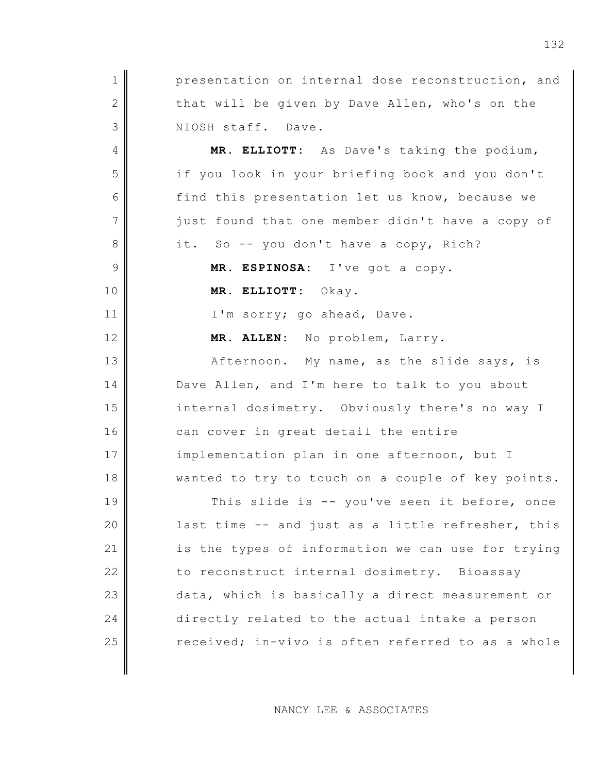1 **presentation on internal dose reconstruction, and**  $2$  that will be given by Dave Allen, who's on the 3 NIOSH staff. Dave. 4 **MR. ELLIOTT:** As Dave's taking the podium, 5 || if you look in your briefing book and you don't 6 find this presentation let us know, because we 7 just found that one member didn't have a copy of 8 it. So -- you don't have a copy, Rich? 9 **MR. ESPINOSA:** I've got a copy. 10 **MR. ELLIOTT:** Okay. 11 | I'm sorry; go ahead, Dave. 12 **MR. ALLEN:** No problem, Larry. 13 Afternoon. My name, as the slide says, is 14 Dave Allen, and I'm here to talk to you about 15 internal dosimetry. Obviously there's no way I 16 can cover in great detail the entire 17 implementation plan in one afternoon, but I 18 wanted to try to touch on a couple of key points. 19 This slide is -- you've seen it before, once  $20$  | last time  $-$  and just as a little refresher, this 21 is the types of information we can use for trying 22 to reconstruct internal dosimetry. Bioassay 23 data, which is basically a direct measurement or 24 directly related to the actual intake a person 25 **Philops** received; in-vivo is often referred to as a whole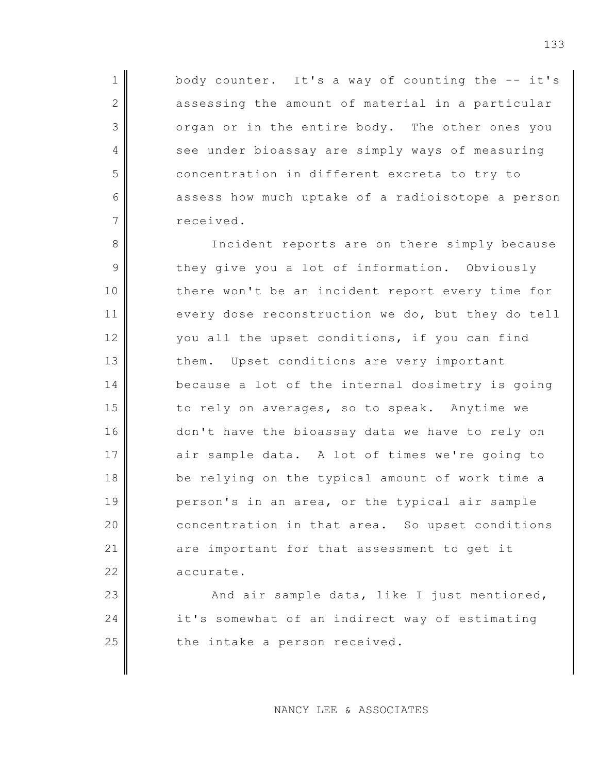1 body counter. It's a way of counting the -- it's 2 assessing the amount of material in a particular 3 organ or in the entire body. The other ones you 4 see under bioassay are simply ways of measuring 5 concentration in different excreta to try to 6 assess how much uptake of a radioisotope a person 7 received.

8 Incident reports are on there simply because 9 they give you a lot of information. Obviously 10 there won't be an incident report every time for 11 every dose reconstruction we do, but they do tell 12 you all the upset conditions, if you can find 13 them. Upset conditions are very important 14 because a lot of the internal dosimetry is going 15 to rely on averages, so to speak. Anytime we 16 don't have the bioassay data we have to rely on 17 air sample data. A lot of times we're going to 18 be relying on the typical amount of work time a 19 person's in an area, or the typical air sample 20 concentration in that area. So upset conditions 21 are important for that assessment to get it 22 accurate.

23  $\parallel$  And air sample data, like I just mentioned, 24 it's somewhat of an indirect way of estimating  $25$  | the intake a person received.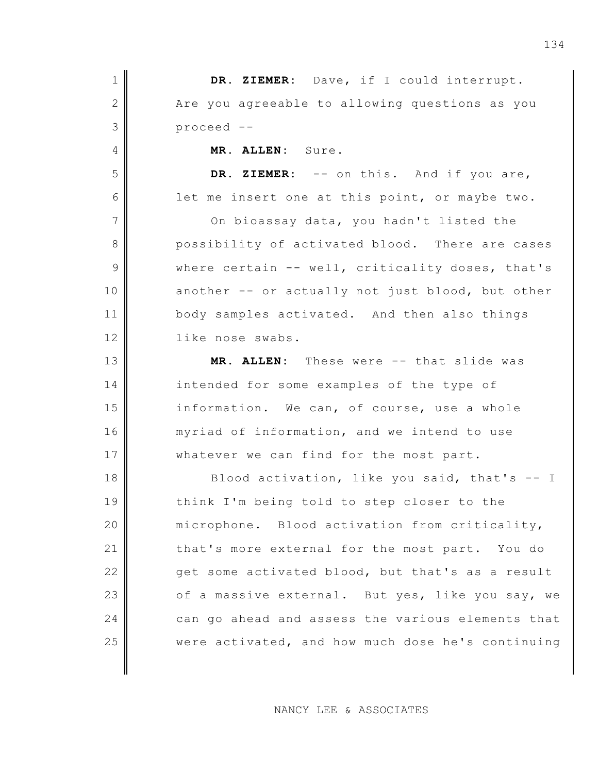**DR. ZIEMER:** Dave, if I could interrupt.  $\parallel$  Are you agreeable to allowing questions as you proceed -- **MR. ALLEN:** Sure.

5 **DR. ZIEMER:** -- on this. And if you are, 6 let me insert one at this point, or maybe two.

7 On bioassay data, you hadn't listed the 8 possibility of activated blood. There are cases 9 | where certain -- well, criticality doses, that's 10 another -- or actually not just blood, but other 11 body samples activated. And then also things 12 like nose swabs.

13 **MR. ALLEN:** These were -- that slide was 14 intended for some examples of the type of 15 information. We can, of course, use a whole 16 myriad of information, and we intend to use 17 || whatever we can find for the most part.

18 Blood activation, like you said, that's -- I 19 think I'm being told to step closer to the 20 microphone. Blood activation from criticality, 21 that's more external for the most part. You do  $22$  get some activated blood, but that's as a result 23 of a massive external. But yes, like you say, we 24 can go ahead and assess the various elements that 25 were activated, and how much dose he's continuing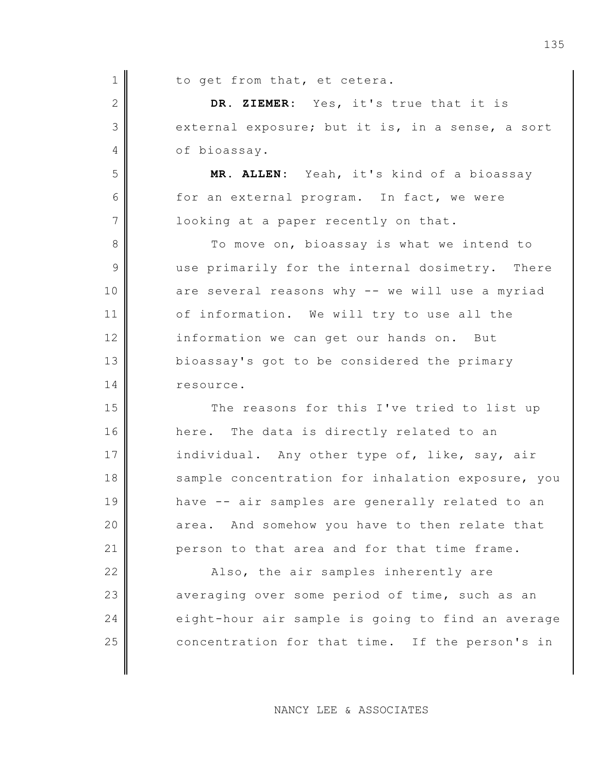| $\mathbf 1$    | to get from that, et cetera.                      |
|----------------|---------------------------------------------------|
| $\mathbf{2}$   | DR. ZIEMER: Yes, it's true that it is             |
| 3              | external exposure; but it is, in a sense, a sort  |
| 4              | of bioassay.                                      |
| 5              | MR. ALLEN: Yeah, it's kind of a bioassay          |
| 6              | for an external program. In fact, we were         |
| 7              | looking at a paper recently on that.              |
| 8              | To move on, bioassay is what we intend to         |
| $\overline{9}$ | use primarily for the internal dosimetry. There   |
| 10             | are several reasons why -- we will use a myriad   |
| 11             | of information. We will try to use all the        |
| 12             | information we can get our hands on. But          |
| 13             | bioassay's got to be considered the primary       |
| 14             | resource.                                         |
| 15             | The reasons for this I've tried to list up        |
| 16             | here. The data is directly related to an          |
| 17             | individual. Any other type of, like, say, air     |
| 18             | sample concentration for inhalation exposure, you |
| 19             | have -- air samples are generally related to an   |
| 20             | area. And somehow you have to then relate that    |
| 21             | person to that area and for that time frame.      |
| 22             | Also, the air samples inherently are              |
| 23             | averaging over some period of time, such as an    |
| 24             | eight-hour air sample is going to find an average |
| 25             | concentration for that time. If the person's in   |
|                |                                                   |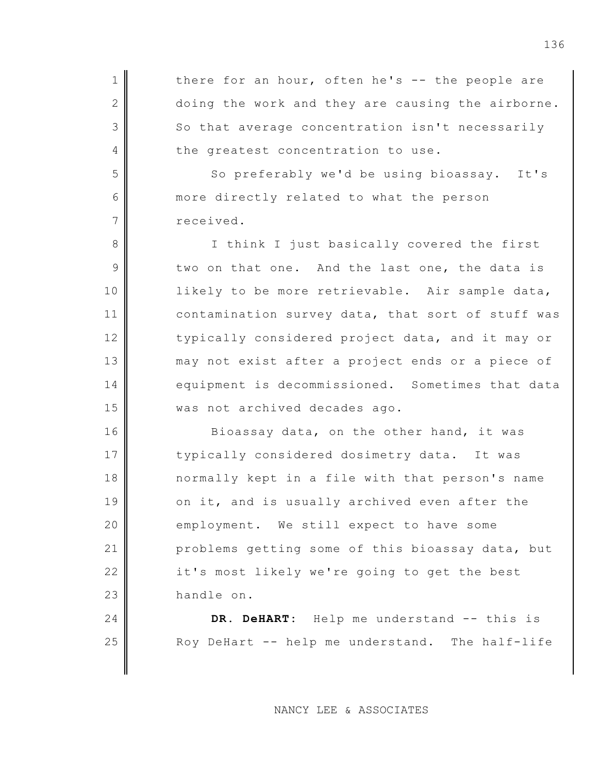$1$  there for an hour, often he's -- the people are  $2 \parallel$  doing the work and they are causing the airborne. 3 So that average concentration isn't necessarily 4 the greatest concentration to use. 5 So preferably we'd be using bioassay. It's 6 more directly related to what the person 7 received. 8 I think I just basically covered the first  $9$  two on that one. And the last one, the data is 10 likely to be more retrievable. Air sample data, 11 contamination survey data, that sort of stuff was 12 typically considered project data, and it may or 13 may not exist after a project ends or a piece of 14 equipment is decommissioned. Sometimes that data 15 | was not archived decades ago. 16 Bioassay data, on the other hand, it was 17 typically considered dosimetry data. It was 18 normally kept in a file with that person's name 19 on it, and is usually archived even after the 20 employment. We still expect to have some 21 problems getting some of this bioassay data, but  $22$  it's most likely we're going to get the best 23 handle on.

24 **DR. DeHART:** Help me understand -- this is 25 Roy DeHart -- help me understand. The half-life

NANCY LEE & ASSOCIATES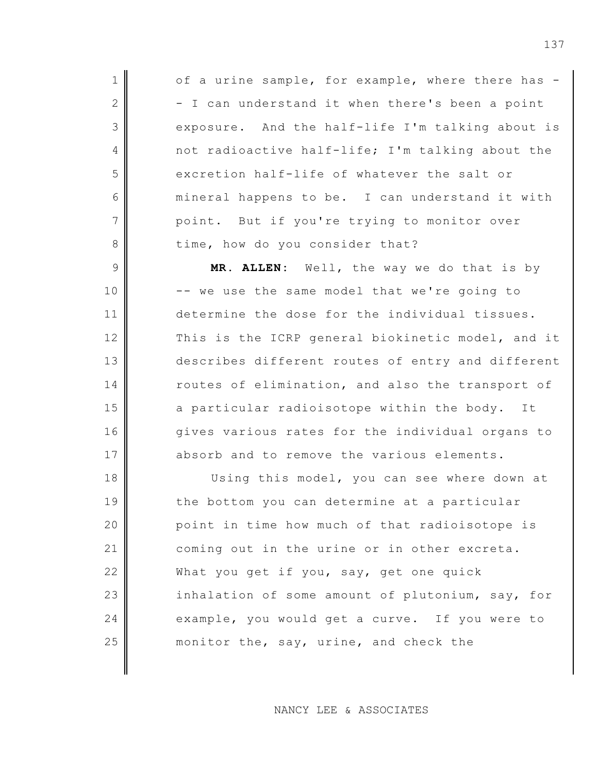| $\mathbf 1$    | of a urine sample, for example, where there has - |
|----------------|---------------------------------------------------|
| $\mathbf{2}$   | - I can understand it when there's been a point   |
| 3              | exposure. And the half-life I'm talking about is  |
| 4              | not radioactive half-life; I'm talking about the  |
| 5              | excretion half-life of whatever the salt or       |
| 6              | mineral happens to be. I can understand it with   |
| $\overline{7}$ | point. But if you're trying to monitor over       |
| $8\,$          | time, how do you consider that?                   |
| $\mathcal{G}$  | MR. ALLEN: Well, the way we do that is by         |
| 10             | -- we use the same model that we're going to      |
| 11             | determine the dose for the individual tissues.    |
| 12             | This is the ICRP general biokinetic model, and it |
| 13             | describes different routes of entry and different |
| 14             | routes of elimination, and also the transport of  |
| 15             | a particular radioisotope within the body. It     |
| 16             | gives various rates for the individual organs to  |
| 17             | absorb and to remove the various elements.        |
| 18             | Using this model, you can see where down at       |
| 19             | the bottom you can determine at a particular      |
| 20             | point in time how much of that radioisotope is    |
| 21             | coming out in the urine or in other excreta.      |
| 22             | What you get if you, say, get one quick           |
| 23             | inhalation of some amount of plutonium, say, for  |
| 24             | example, you would get a curve. If you were to    |
| 25             | monitor the, say, urine, and check the            |
|                |                                                   |

NANCY LEE & ASSOCIATES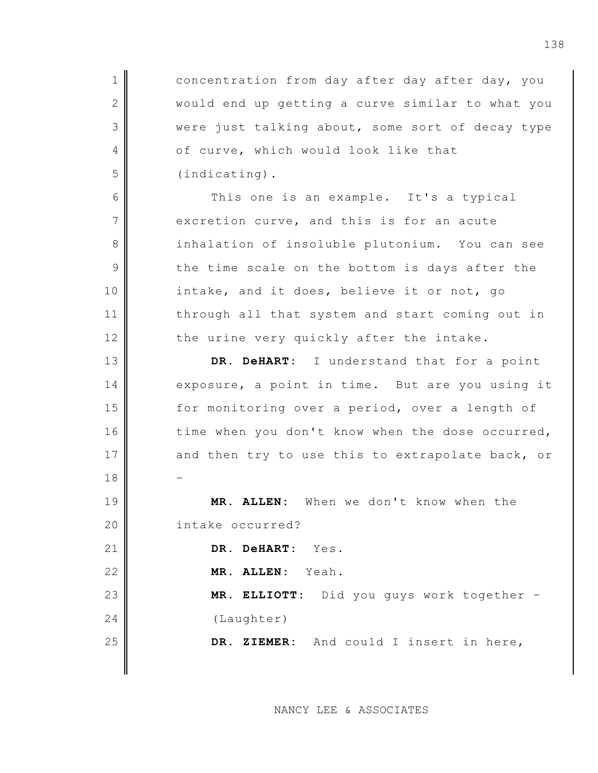1 concentration from day after day after day, you 2 would end up getting a curve similar to what you 3 were just talking about, some sort of decay type 4 | of curve, which would look like that 5 (indicating). 6 This one is an example. It's a typical  $7$  excretion curve, and this is for an acute 8 inhalation of insoluble plutonium. You can see 9 the time scale on the bottom is days after the 10 intake, and it does, believe it or not, go 11 through all that system and start coming out in  $12$  the urine very quickly after the intake. 13 **DR. DeHART:** I understand that for a point 14 exposure, a point in time. But are you using it 15 for monitoring over a period, over a length of 16 time when you don't know when the dose occurred, 17 and then try to use this to extrapolate back, or 18 –

19 **MR. ALLEN:** When we don't know when the 20 intake occurred?

21 **DR. DeHART:** Yes.

22 **MR. ALLEN:** Yeah.

23 **MR. ELLIOTT:** Did you guys work together – 24 (Laughter)

25 **DR. ZIEMER:** And could I insert in here,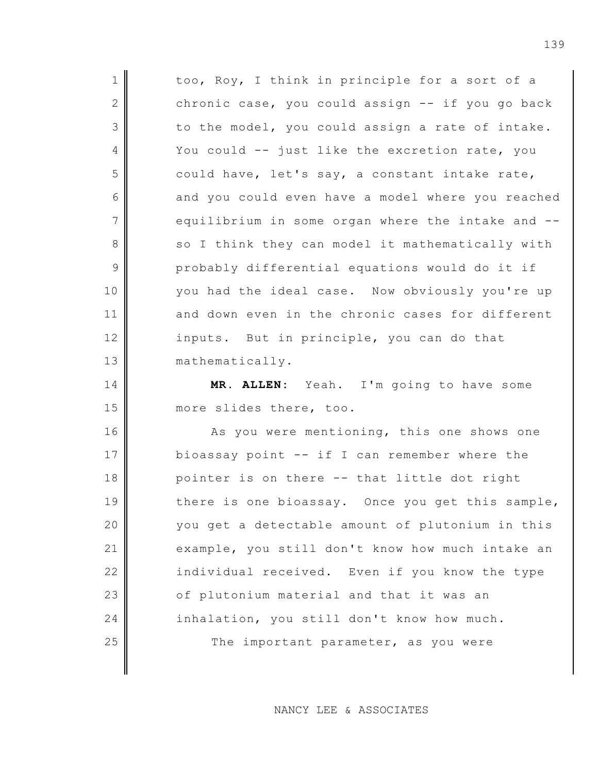| $\mathbf 1$    | too, Roy, I think in principle for a sort of a    |
|----------------|---------------------------------------------------|
| $\mathbf{2}$   | chronic case, you could assign -- if you go back  |
| 3              | to the model, you could assign a rate of intake.  |
| 4              | You could -- just like the excretion rate, you    |
| 5              | could have, let's say, a constant intake rate,    |
| 6              | and you could even have a model where you reached |
| $\sqrt{}$      | equilibrium in some organ where the intake and -- |
| $8\,$          | so I think they can model it mathematically with  |
| $\overline{9}$ | probably differential equations would do it if    |
| 10             | you had the ideal case. Now obviously you're up   |
| 11             | and down even in the chronic cases for different  |
| 12             | inputs. But in principle, you can do that         |
| 13             | mathematically.                                   |
|                |                                                   |
| 14             | MR. ALLEN: Yeah. I'm going to have some           |
| 15             | more slides there, too.                           |
| 16             | As you were mentioning, this one shows one        |
| 17             | bioassay point -- if I can remember where the     |
| 18             | pointer is on there -- that little dot right      |
| 19             | there is one bioassay. Once you get this sample,  |
| 20             | you get a detectable amount of plutonium in this  |
| 21             | example, you still don't know how much intake an  |
| 22             | individual received. Even if you know the type    |
| 23             | of plutonium material and that it was an          |
| 24             | inhalation, you still don't know how much.        |
| 25             | The important parameter, as you were              |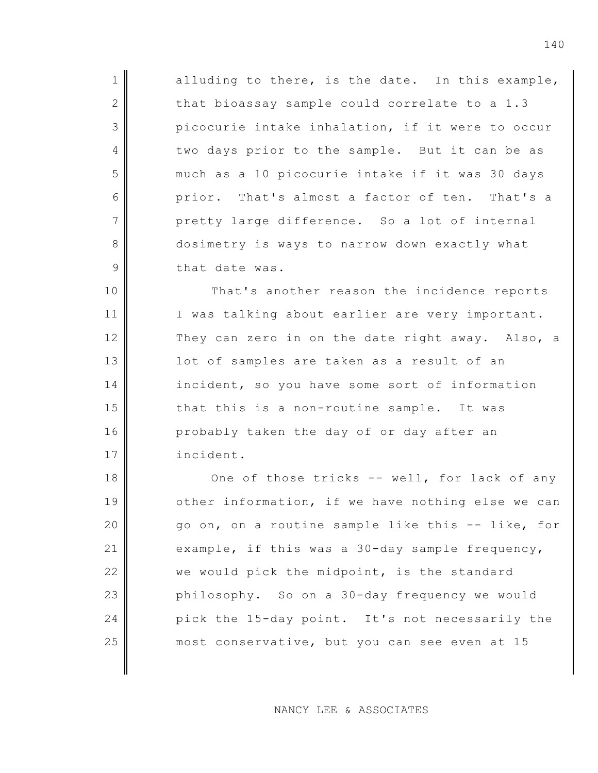$1 \parallel$  alluding to there, is the date. In this example, 2 that bioassay sample could correlate to a 1.3 3 picocurie intake inhalation, if it were to occur 4 two days prior to the sample. But it can be as 5 much as a 10 picocurie intake if it was 30 days 6 **prior.** That's almost a factor of ten. That's a 7 pretty large difference. So a lot of internal 8 dosimetry is ways to narrow down exactly what 9 | that date was.

10 That's another reason the incidence reports 11 | I was talking about earlier are very important. 12 They can zero in on the date right away. Also, a 13 | lot of samples are taken as a result of an 14 incident, so you have some sort of information  $15$  that this is a non-routine sample. It was 16 probably taken the day of or day after an 17 incident.

18 One of those tricks -- well, for lack of any 19 || other information, if we have nothing else we can 20 go on, on a routine sample like this -- like, for 21 example, if this was a 30-day sample frequency, 22 we would pick the midpoint, is the standard 23 philosophy. So on a 30-day frequency we would 24 pick the 15-day point. It's not necessarily the 25 most conservative, but you can see even at 15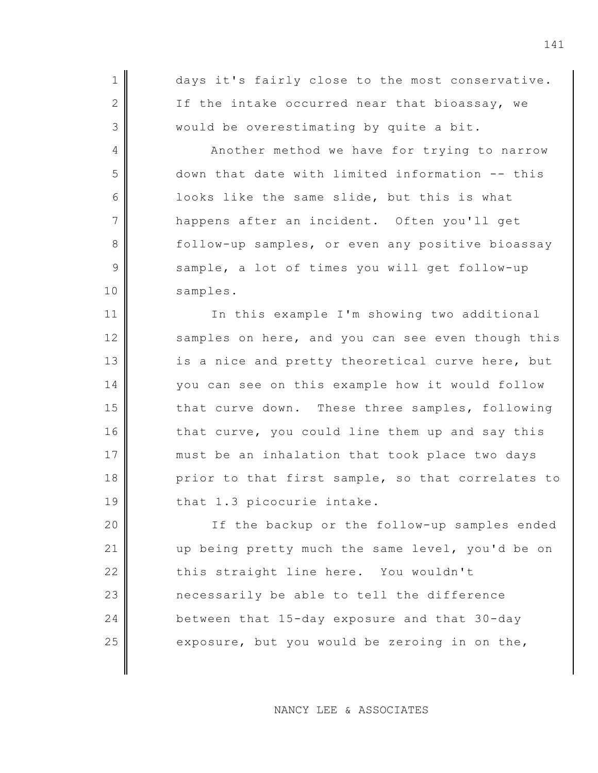| $\mathbf 1$    | days it's fairly close to the most conservative.  |
|----------------|---------------------------------------------------|
| $\mathbf{2}$   | If the intake occurred near that bioassay, we     |
| 3              | would be overestimating by quite a bit.           |
| $\overline{4}$ | Another method we have for trying to narrow       |
| 5              | down that date with limited information -- this   |
| 6              | looks like the same slide, but this is what       |
| 7              | happens after an incident. Often you'll get       |
| 8              | follow-up samples, or even any positive bioassay  |
| $\overline{9}$ | sample, a lot of times you will get follow-up     |
| 10             | samples.                                          |
| 11             | In this example I'm showing two additional        |
| 12             | samples on here, and you can see even though this |
| 13             | is a nice and pretty theoretical curve here, but  |
| 14             | you can see on this example how it would follow   |
| 15             | that curve down. These three samples, following   |
| 16             | that curve, you could line them up and say this   |
| 17             | must be an inhalation that took place two days    |
| 18             | prior to that first sample, so that correlates to |
| 19             | that 1.3 picocurie intake.                        |
| 20             | If the backup or the follow-up samples ended      |
| 21             | up being pretty much the same level, you'd be on  |

22 this straight line here. You wouldn't 23 necessarily be able to tell the difference 24 between that 15-day exposure and that 30-day 25 exposure, but you would be zeroing in on the,

NANCY LEE & ASSOCIATES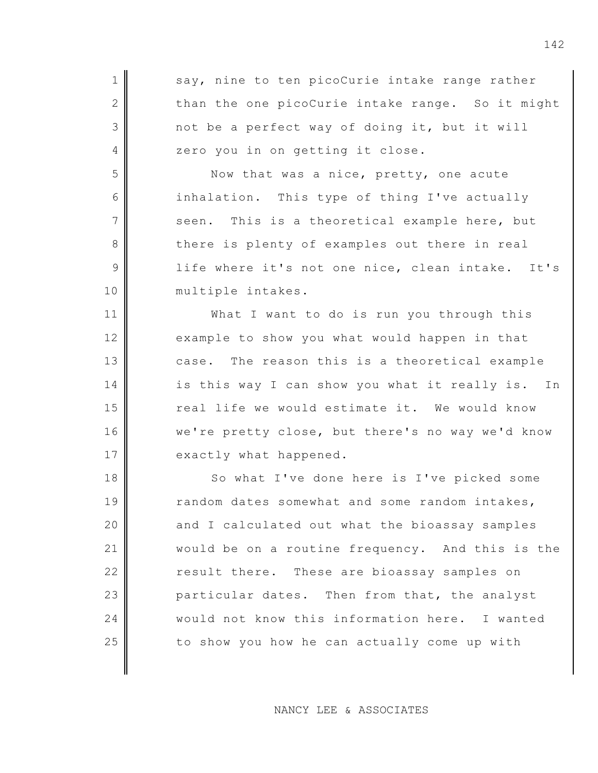| $\mathbf 1$    |                                                  |
|----------------|--------------------------------------------------|
|                | say, nine to ten picoCurie intake range rather   |
| $\mathbf{2}$   | than the one picoCurie intake range. So it might |
| 3              | not be a perfect way of doing it, but it will    |
| $\overline{4}$ | zero you in on getting it close.                 |
| 5              | Now that was a nice, pretty, one acute           |
| 6              | inhalation. This type of thing I've actually     |
| $\overline{7}$ | seen. This is a theoretical example here, but    |
| $8\,$          | there is plenty of examples out there in real    |
| 9              | life where it's not one nice, clean intake. It's |
| 10             | multiple intakes.                                |
| 11             | What I want to do is run you through this        |
| 12             | example to show you what would happen in that    |
| 13             | case. The reason this is a theoretical example   |
| 14             | is this way I can show you what it really is. In |
| 15             | real life we would estimate it. We would know    |
| 16             | we're pretty close, but there's no way we'd know |
| 17             | exactly what happened.                           |
| 18             | So what I've done here is I've picked some       |
| 19             | random dates somewhat and some random intakes,   |
| 20             | and I calculated out what the bioassay samples   |
| 21             | would be on a routine frequency. And this is the |
| 22             | result there. These are bioassay samples on      |
| 23             | particular dates. Then from that, the analyst    |
| 24             | would not know this information here. I wanted   |
| 25             | to show you how he can actually come up with     |

NANCY LEE & ASSOCIATES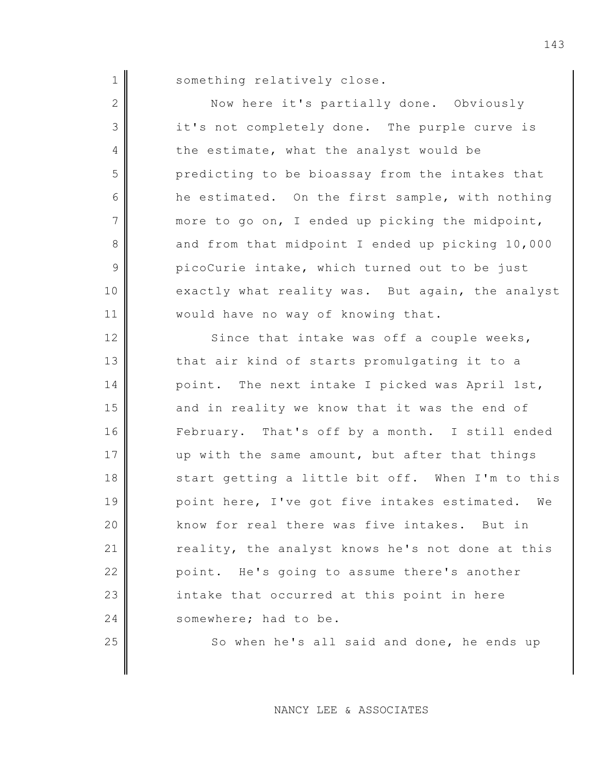1 Something relatively close.

2 Now here it's partially done. Obviously 3 it's not completely done. The purple curve is  $4 \parallel$  the estimate, what the analyst would be 5 predicting to be bioassay from the intakes that 6 he estimated. On the first sample, with nothing  $7$  more to go on, I ended up picking the midpoint, 8 and from that midpoint I ended up picking 10,000 9 picoCurie intake, which turned out to be just 10 exactly what reality was. But again, the analyst 11 | would have no way of knowing that. 12 Since that intake was off a couple weeks, 13 that air kind of starts promulgating it to a 14 point. The next intake I picked was April 1st,  $15$  and in reality we know that it was the end of 16 February. That's off by a month. I still ended 17 up with the same amount, but after that things  $18$  start getting a little bit off. When I'm to this 19 point here, I've got five intakes estimated. We 20 know for real there was five intakes. But in 21 reality, the analyst knows he's not done at this 22 point. He's going to assume there's another 23 intake that occurred at this point in here

24 somewhere; had to be.

25 So when he's all said and done, he ends up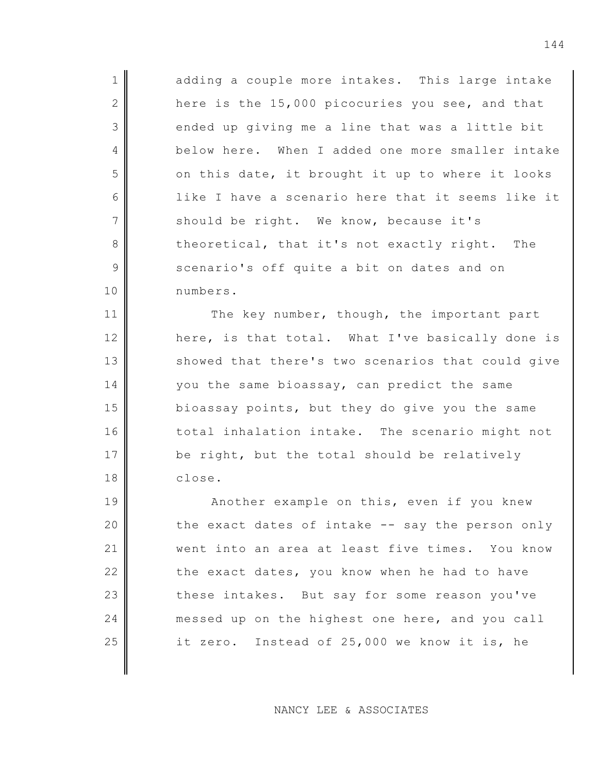1 adding a couple more intakes. This large intake  $2$  here is the 15,000 picocuries you see, and that 3 ended up giving me a line that was a little bit 4 below here. When I added one more smaller intake  $5$  on this date, it brought it up to where it looks 6 like I have a scenario here that it seems like it 7 should be right. We know, because it's 8 b theoretical, that it's not exactly right. The 9 scenario's off quite a bit on dates and on 10 numbers.

11 The key number, though, the important part 12 here, is that total. What I've basically done is 13 showed that there's two scenarios that could give 14 you the same bioassay, can predict the same 15 bioassay points, but they do give you the same 16 total inhalation intake. The scenario might not 17 be right, but the total should be relatively 18 close.

19 Another example on this, even if you knew  $20$  the exact dates of intake -- say the person only 21 | went into an area at least five times. You know  $22$  the exact dates, you know when he had to have 23 these intakes. But say for some reason you've 24 messed up on the highest one here, and you call 25 it zero. Instead of 25,000 we know it is, he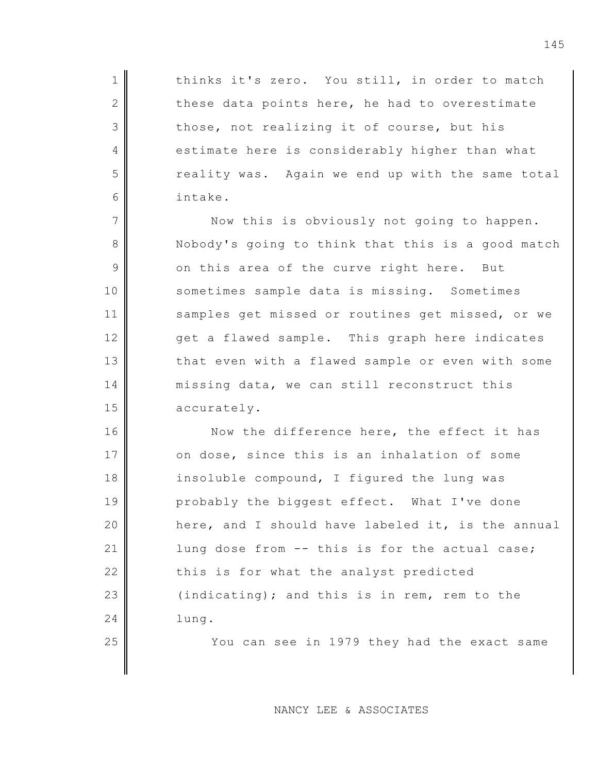1 thinks it's zero. You still, in order to match  $2$  these data points here, he had to overestimate 3 those, not realizing it of course, but his 4 estimate here is considerably higher than what 5 reality was. Again we end up with the same total 6 intake.

7 Now this is obviously not going to happen. 8 Nobody's going to think that this is a good match 9 on this area of the curve right here. But 10 sometimes sample data is missing. Sometimes 11 samples get missed or routines get missed, or we 12 get a flawed sample. This graph here indicates 13 that even with a flawed sample or even with some 14 missing data, we can still reconstruct this 15 accurately.

16 Now the difference here, the effect it has 17 on dose, since this is an inhalation of some 18 insoluble compound, I figured the lung was 19 probably the biggest effect. What I've done  $20$  here, and I should have labeled it, is the annual 21 | lung dose from -- this is for the actual case;  $22$  this is for what the analyst predicted  $23$  (indicating); and this is in rem, rem to the  $24$  |  $\mu$  |  $\mu$  |  $\mu$  |  $\mu$  |  $\mu$  |  $\mu$  |  $\mu$  |  $\mu$  |  $\mu$  |  $\mu$  |  $\mu$  |  $\mu$  |  $\mu$  |  $\mu$  |  $\mu$  |  $\mu$  |  $\mu$  |  $\mu$  |  $\mu$  |  $\mu$  |  $\mu$  |  $\mu$  |  $\mu$  |  $\mu$  |  $\mu$  |  $\mu$  |  $\mu$  |  $\mu$  |  $\mu$  |  $\mu$  |  $\mu$ 

25 | You can see in 1979 they had the exact same

NANCY LEE & ASSOCIATES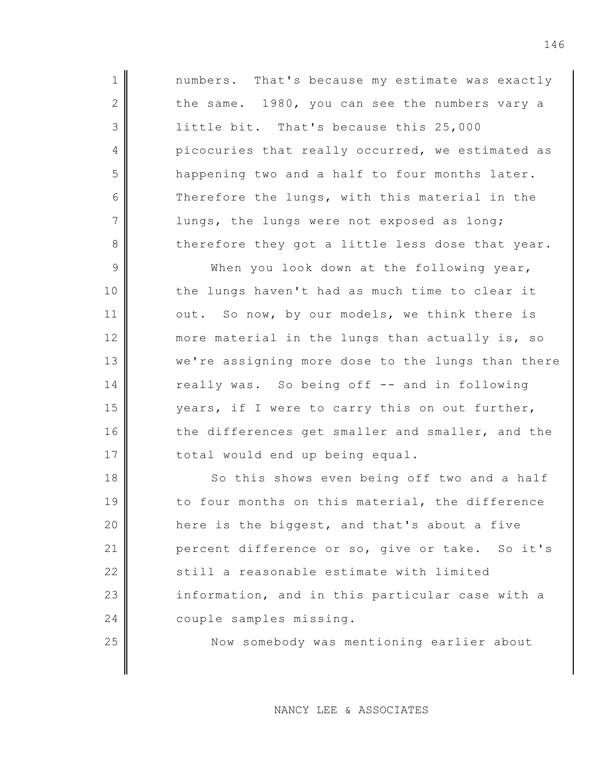1 | numbers. That's because my estimate was exactly  $2$  the same. 1980, you can see the numbers vary a 3 little bit. That's because this 25,000  $4 \parallel$  picocuries that really occurred, we estimated as 5 happening two and a half to four months later. 6 Therefore the lungs, with this material in the  $7$  lungs, the lungs were not exposed as long; 8 therefore they got a little less dose that year.

9 When you look down at the following year, 10 the lungs haven't had as much time to clear it 11 | out. So now, by our models, we think there is 12 more material in the lungs than actually is, so 13 we're assigning more dose to the lungs than there 14 really was. So being off -- and in following 15 vears, if I were to carry this on out further, 16 the differences get smaller and smaller, and the 17 | total would end up being equal.

18 So this shows even being off two and a half 19 to four months on this material, the difference 20 **h**ere is the biggest, and that's about a five 21 percent difference or so, give or take. So it's 22 still a reasonable estimate with limited 23 information, and in this particular case with a 24 couple samples missing.

25 Now somebody was mentioning earlier about

NANCY LEE & ASSOCIATES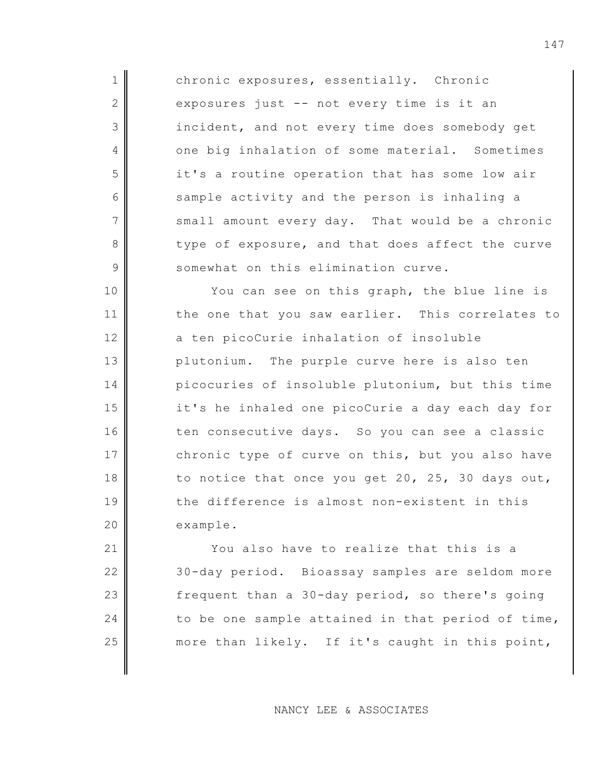1 chronic exposures, essentially. Chronic 2 exposures just -- not every time is it an 3 incident, and not every time does somebody get 4 one big inhalation of some material. Sometimes 5 it's a routine operation that has some low air 6 sample activity and the person is inhaling a  $7$  small amount every day. That would be a chronic 8 type of exposure, and that does affect the curve 9 somewhat on this elimination curve.

10 You can see on this graph, the blue line is 11 the one that you saw earlier. This correlates to 12 || a ten picoCurie inhalation of insoluble 13 plutonium. The purple curve here is also ten 14 picocuries of insoluble plutonium, but this time 15 it's he inhaled one picoCurie a day each day for 16 ten consecutive days. So you can see a classic 17 chronic type of curve on this, but you also have  $18$  to notice that once you get 20, 25, 30 days out, 19 the difference is almost non-existent in this 20 example.

21 You also have to realize that this is a 22 30-day period. Bioassay samples are seldom more 23 frequent than a 30-day period, so there's going 24 to be one sample attained in that period of time, 25 more than likely. If it's caught in this point,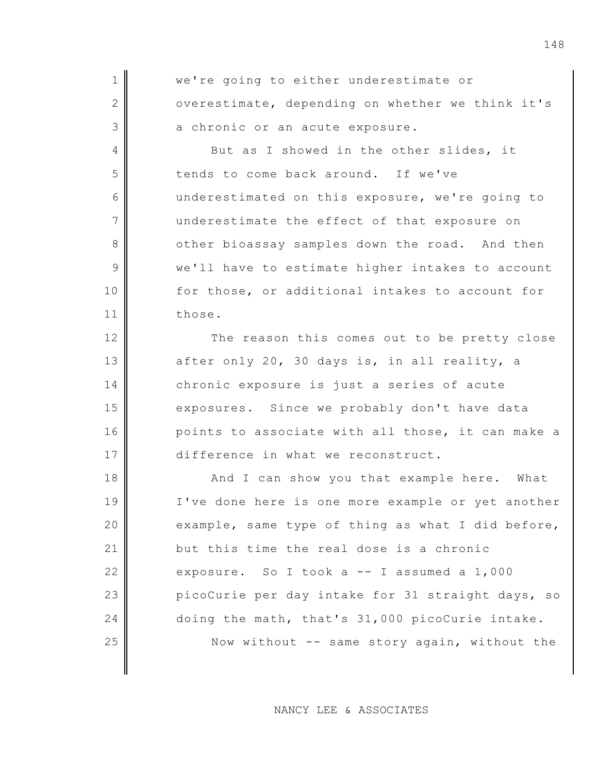| $\mathbf 1$ | we're going to either underestimate or            |  |
|-------------|---------------------------------------------------|--|
| 2           | overestimate, depending on whether we think it's  |  |
| 3           | a chronic or an acute exposure.                   |  |
| 4           | But as I showed in the other slides, it           |  |
| 5           | tends to come back around. If we've               |  |
| 6           | underestimated on this exposure, we're going to   |  |
| 7           | underestimate the effect of that exposure on      |  |
| 8           | other bioassay samples down the road. And then    |  |
| 9           | we'll have to estimate higher intakes to account  |  |
| 10          | for those, or additional intakes to account for   |  |
| 11          | those.                                            |  |
| 12          | The reason this comes out to be pretty close      |  |
| 13          | after only 20, 30 days is, in all reality, a      |  |
| 14          | chronic exposure is just a series of acute        |  |
| 15          | exposures. Since we probably don't have data      |  |
| 16          | points to associate with all those, it can make a |  |
| 17          | difference in what we reconstruct.                |  |
| 18          | And I can show you that example here. What        |  |
| 19          | I've done here is one more example or yet another |  |
| 20          | example, same type of thing as what I did before, |  |
| 21          | but this time the real dose is a chronic          |  |
| 22          | exposure. So I took a -- I assumed a 1,000        |  |
| 23          | picoCurie per day intake for 31 straight days, so |  |
| 24          | doing the math, that's 31,000 picoCurie intake.   |  |
| 25          | Now without -- same story again, without the      |  |

NANCY LEE & ASSOCIATES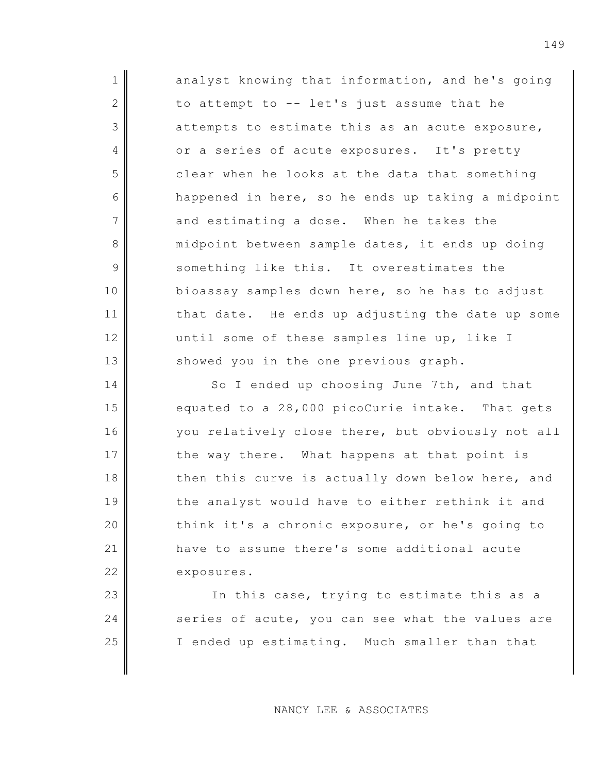1 analyst knowing that information, and he's going  $2$  to attempt to -- let's just assume that he 3 attempts to estimate this as an acute exposure, 4 or a series of acute exposures. It's pretty 5 clear when he looks at the data that something 6 happened in here, so he ends up taking a midpoint 7 and estimating a dose. When he takes the 8 midpoint between sample dates, it ends up doing 9 Something like this. It overestimates the 10 bioassay samples down here, so he has to adjust 11 that date. He ends up adjusting the date up some 12 until some of these samples line up, like I 13 showed you in the one previous graph.

14 So I ended up choosing June 7th, and that 15 equated to a 28,000 picoCurie intake. That gets 16 you relatively close there, but obviously not all 17 the way there. What happens at that point is  $18$  then this curve is actually down below here, and 19 the analyst would have to either rethink it and 20 think it's a chronic exposure, or he's going to 21 have to assume there's some additional acute 22 exposures.

23  $\parallel$  In this case, trying to estimate this as a 24 series of acute, you can see what the values are 25 I ended up estimating. Much smaller than that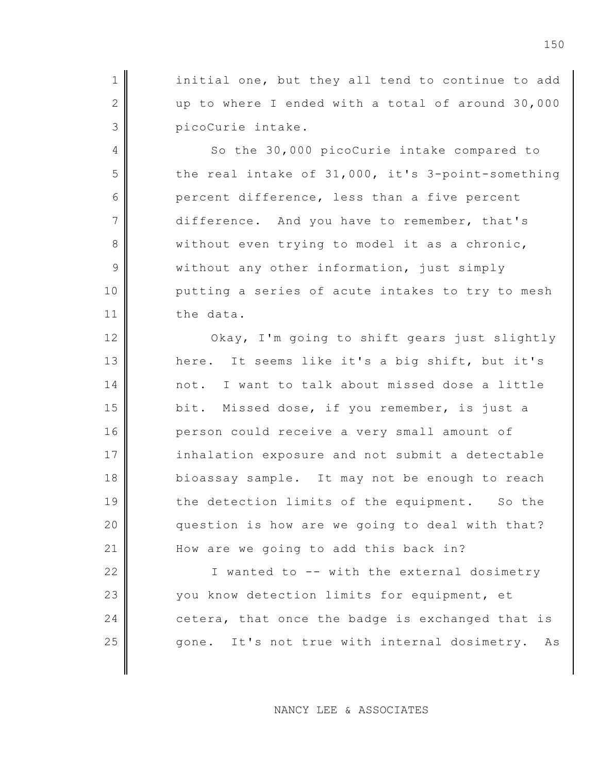$1$  initial one, but they all tend to continue to add 2 up to where I ended with a total of around 30,000 3 picoCurie intake.

4 So the 30,000 picoCurie intake compared to  $5$  the real intake of 31,000, it's 3-point-something 6 percent difference, less than a five percent  $7$  difference. And you have to remember, that's 8 without even trying to model it as a chronic, 9 without any other information, just simply 10 putting a series of acute intakes to try to mesh 11 the data.

12 | Okay, I'm going to shift gears just slightly 13 here. It seems like it's a big shift, but it's 14 not. I want to talk about missed dose a little 15 bit. Missed dose, if you remember, is just a 16 person could receive a very small amount of 17 inhalation exposure and not submit a detectable 18 bioassay sample. It may not be enough to reach 19 the detection limits of the equipment. So the 20 question is how are we going to deal with that? 21 How are we going to add this back in?

22 | I wanted to -- with the external dosimetry 23 you know detection limits for equipment, et  $24$   $\parallel$  cetera, that once the badge is exchanged that is 25 gone. It's not true with internal dosimetry. As

NANCY LEE & ASSOCIATES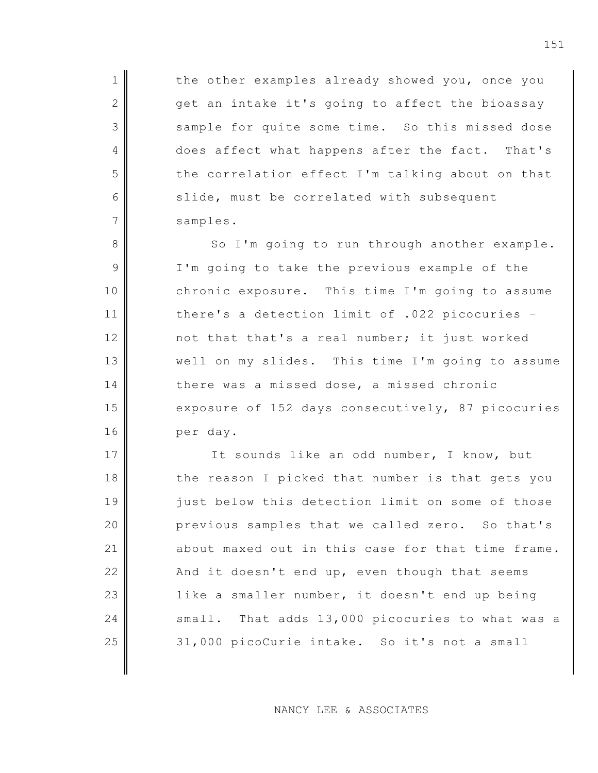1 the other examples already showed you, once you  $2$  get an intake it's going to affect the bioassay 3 Sample for quite some time. So this missed dose 4 does affect what happens after the fact. That's 5 the correlation effect I'm talking about on that 6 slide, must be correlated with subsequent 7 samples.

8 So I'm going to run through another example. 9 I'm going to take the previous example of the 10 chronic exposure. This time I'm going to assume 11 there's a detection limit of .022 picocuries -12 not that that's a real number; it just worked 13 well on my slides. This time I'm going to assume 14 there was a missed dose, a missed chronic 15 exposure of 152 days consecutively, 87 picocuries 16 per day.

17 | It sounds like an odd number, I know, but  $18$  the reason I picked that number is that gets you 19 iust below this detection limit on some of those 20 **previous samples that we called zero.** So that's 21 about maxed out in this case for that time frame. 22  $\parallel$  And it doesn't end up, even though that seems 23  $\parallel$  like a smaller number, it doesn't end up being 24 small. That adds 13,000 picocuries to what was a 25 31,000 picoCurie intake. So it's not a small

NANCY LEE & ASSOCIATES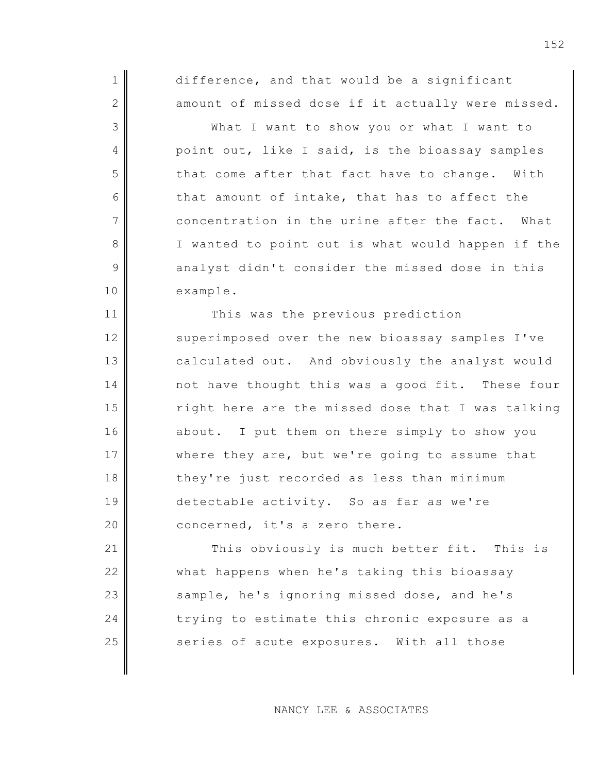1 difference, and that would be a significant 2 amount of missed dose if it actually were missed.

3 What I want to show you or what I want to  $4 \parallel$  point out, like I said, is the bioassay samples 5 that come after that fact have to change. With 6 that amount of intake, that has to affect the  $7$  concentration in the urine after the fact. What 8 I wanted to point out is what would happen if the 9 analyst didn't consider the missed dose in this 10 example.

11 This was the previous prediction 12 superimposed over the new bioassay samples I've 13 calculated out. And obviously the analyst would 14 not have thought this was a good fit. These four  $15$  right here are the missed dose that I was talking 16 about. I put them on there simply to show you 17 | where they are, but we're going to assume that 18 they're just recorded as less than minimum 19 detectable activity. So as far as we're 20  $\parallel$  concerned, it's a zero there.

21 This obviously is much better fit. This is 22 what happens when he's taking this bioassay 23 sample, he's ignoring missed dose, and he's 24 trying to estimate this chronic exposure as a 25 series of acute exposures. With all those

NANCY LEE & ASSOCIATES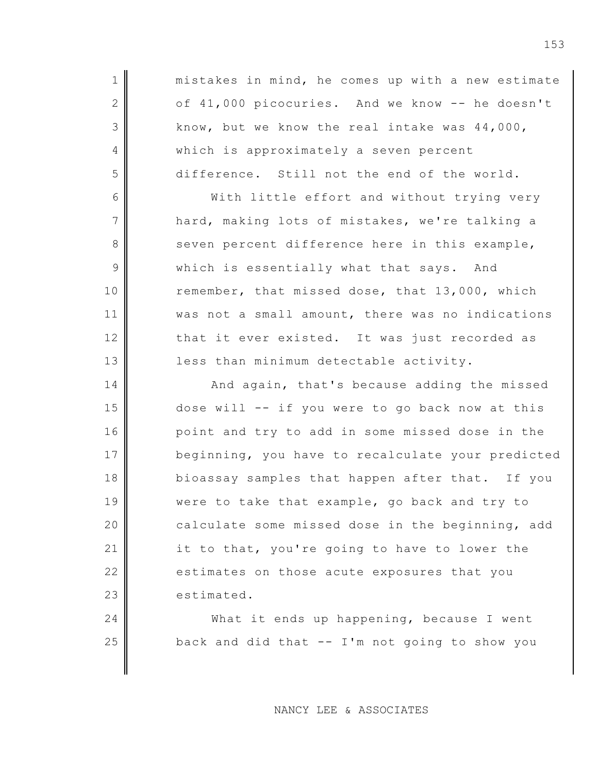| $\mathbf 1$   | mistakes in mind, he comes up with a new estimate |
|---------------|---------------------------------------------------|
| $\mathbf{2}$  | of 41,000 picocuries. And we know -- he doesn't   |
| 3             | know, but we know the real intake was 44,000,     |
| 4             | which is approximately a seven percent            |
| 5             | difference. Still not the end of the world.       |
| 6             | With little effort and without trying very        |
| 7             | hard, making lots of mistakes, we're talking a    |
| $8\,$         | seven percent difference here in this example,    |
| $\mathcal{G}$ | which is essentially what that says. And          |
| 10            | remember, that missed dose, that 13,000, which    |
| 11            | was not a small amount, there was no indications  |
| 12            | that it ever existed. It was just recorded as     |
| 13            | less than minimum detectable activity.            |
| 14            | And again, that's because adding the missed       |
| 15            | dose will -- if you were to go back now at this   |
| 16            | point and try to add in some missed dose in the   |
| 17            | beginning, you have to recalculate your predicted |
| 18            | bioassay samples that happen after that. If you   |
| 19            | were to take that example, go back and try to     |
| 20            | calculate some missed dose in the beginning, add  |
| 21            | it to that, you're going to have to lower the     |
| 22            | estimates on those acute exposures that you       |
| 23            | estimated.                                        |
| 24            | What it ends up happening, because I went         |
| 25            | back and did that -- I'm not going to show you    |

NANCY LEE & ASSOCIATES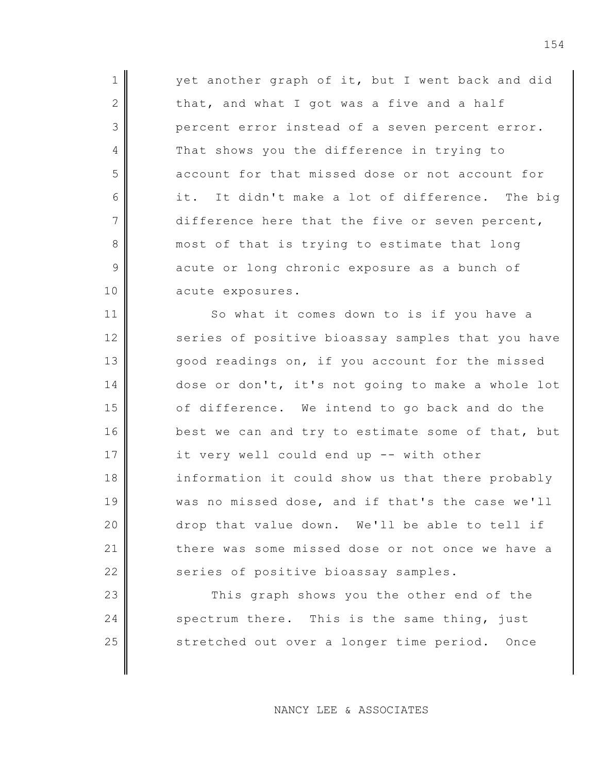| $\mathbf 1$    | yet another graph of it, but I went back and did |  |
|----------------|--------------------------------------------------|--|
| 2              | that, and what I got was a five and a half       |  |
| 3              | percent error instead of a seven percent error.  |  |
| $\overline{4}$ | That shows you the difference in trying to       |  |
| .5             | account for that missed dose or not account for  |  |
| 6              | it. It didn't make a lot of difference. The big  |  |
| 7              | difference here that the five or seven percent,  |  |
| 8              | most of that is trying to estimate that long     |  |
| $\mathcal{Q}$  | acute or long chronic exposure as a bunch of     |  |
| 10             | acute exposures.                                 |  |

11 So what it comes down to is if you have a 12 series of positive bioassay samples that you have 13 good readings on, if you account for the missed 14 dose or don't, it's not going to make a whole lot 15 of difference. We intend to go back and do the 16 best we can and try to estimate some of that, but 17 it very well could end up -- with other 18 information it could show us that there probably 19 was no missed dose, and if that's the case we'll 20 drop that value down. We'll be able to tell if 21 there was some missed dose or not once we have a 22 series of positive bioassay samples.

23 This graph shows you the other end of the 24 spectrum there. This is the same thing, just 25 stretched out over a longer time period. Once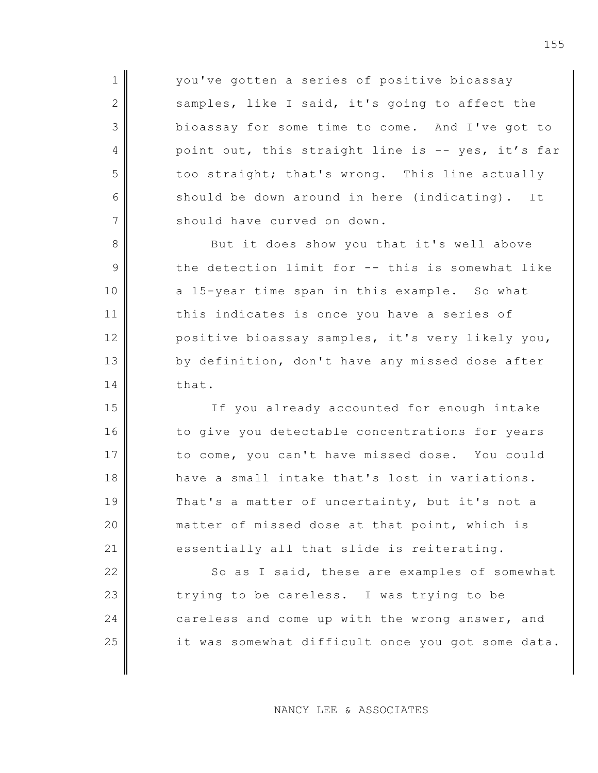1 | vou've gotten a series of positive bioassay  $2$  samples, like I said, it's going to affect the 3 bioassay for some time to come. And I've got to  $4 \parallel$  point out, this straight line is -- yes, it's far  $5$  too straight; that's wrong. This line actually 6 should be down around in here (indicating). It 7 should have curved on down.

8 But it does show you that it's well above 9 the detection limit for -- this is somewhat like 10 a 15-year time span in this example. So what 11 this indicates is once you have a series of 12 positive bioassay samples, it's very likely you, 13 by definition, don't have any missed dose after  $14$  that.

15 || If you already accounted for enough intake 16 to give you detectable concentrations for years 17 to come, you can't have missed dose. You could 18 have a small intake that's lost in variations. 19 That's a matter of uncertainty, but it's not a 20 matter of missed dose at that point, which is 21 essentially all that slide is reiterating.

 $22$   $\parallel$  So as I said, these are examples of somewhat 23 trying to be careless. I was trying to be 24 careless and come up with the wrong answer, and 25 it was somewhat difficult once you got some data.

## NANCY LEE & ASSOCIATES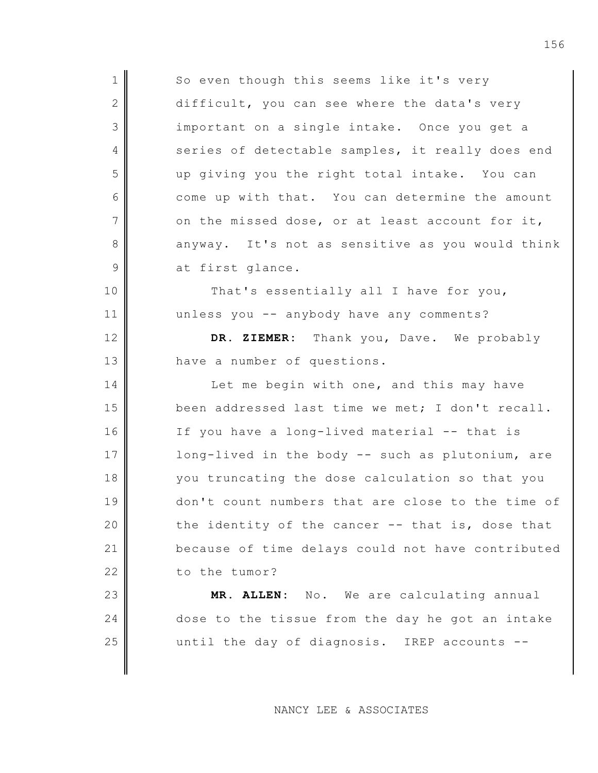1 So even though this seems like it's very  $2$  difficult, you can see where the data's very 3 important on a single intake. Once you get a 4 series of detectable samples, it really does end 5 up giving you the right total intake. You can 6 come up with that. You can determine the amount  $7$  on the missed dose, or at least account for it, 8 anyway. It's not as sensitive as you would think 9 at first glance. 10 That's essentially all I have for you, 11 unless you -- anybody have any comments? 12 **DR. ZIEMER:** Thank you, Dave. We probably 13 have a number of questions.

14 Let me begin with one, and this may have  $15$  been addressed last time we met; I don't recall. 16 If you have a long-lived material -- that is 17 | long-lived in the body -- such as plutonium, are 18 you truncating the dose calculation so that you 19 don't count numbers that are close to the time of 20 the identity of the cancer  $-$ - that is, dose that 21 because of time delays could not have contributed 22 to the tumor?

23 **MR. ALLEN:** No. We are calculating annual  $24$  dose to the tissue from the day he got an intake 25 until the day of diagnosis. IREP accounts --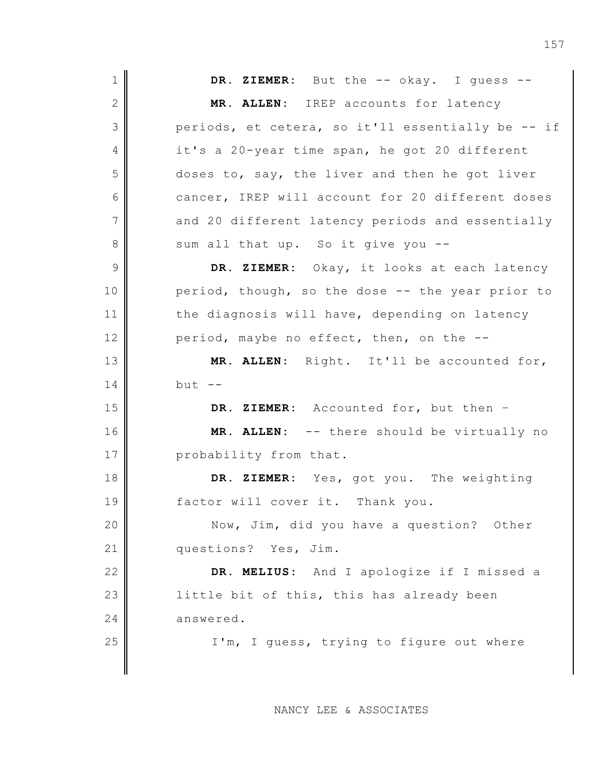| $\mathbf 1$ | DR. ZIEMER: But the -- okay. I guess --           |
|-------------|---------------------------------------------------|
| $\sqrt{2}$  | MR. ALLEN: IREP accounts for latency              |
| 3           | periods, et cetera, so it'll essentially be -- if |
| 4           | it's a 20-year time span, he got 20 different     |
| 5           | doses to, say, the liver and then he got liver    |
| 6           | cancer, IREP will account for 20 different doses  |
| 7           | and 20 different latency periods and essentially  |
| 8           | sum all that up. So it give you --                |
| 9           | DR. ZIEMER: Okay, it looks at each latency        |
| 10          | period, though, so the dose -- the year prior to  |
| 11          | the diagnosis will have, depending on latency     |
| 12          | period, maybe no effect, then, on the --          |
| 13          | MR. ALLEN: Right. It'll be accounted for,         |
| 14          | $but --$                                          |
| 15          | DR. ZIEMER: Accounted for, but then -             |
| 16          | MR. ALLEN: -- there should be virtually no        |
| 17          | probability from that.                            |
| 18          | DR. ZIEMER: Yes, got you. The weighting           |
| 19          | factor will cover it. Thank you.                  |
| 20          | Now, Jim, did you have a question? Other          |
| 21          | questions? Yes, Jim.                              |
| 22          | DR. MELIUS: And I apologize if I missed a         |
| 23          | little bit of this, this has already been         |
| 24          | answered.                                         |
| 25          | I'm, I guess, trying to figure out where          |

NANCY LEE & ASSOCIATES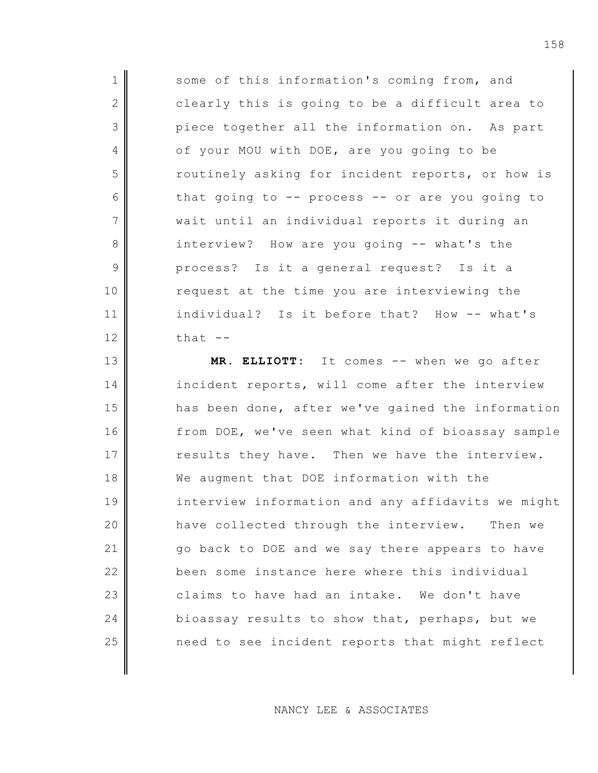1 Some of this information's coming from, and  $2$  clearly this is going to be a difficult area to 3 piece together all the information on. As part 4 of your MOU with DOE, are you going to be 5 coutinely asking for incident reports, or how is 6 that going to -- process -- or are you going to 7 wait until an individual reports it during an 8 interview? How are you going -- what's the 9 process? Is it a general request? Is it a 10 request at the time you are interviewing the 11 individual? Is it before that? How -- what's  $12$  that  $-$ 

13 **MR. ELLIOTT:** It comes -- when we go after 14 incident reports, will come after the interview 15 has been done, after we've gained the information 16 from DOE, we've seen what kind of bioassay sample 17 results they have. Then we have the interview. 18 We augment that DOE information with the 19 interview information and any affidavits we might 20 have collected through the interview. Then we 21 qo back to DOE and we say there appears to have 22 been some instance here where this individual  $23$  claims to have had an intake. We don't have 24 bioassay results to show that, perhaps, but we 25 need to see incident reports that might reflect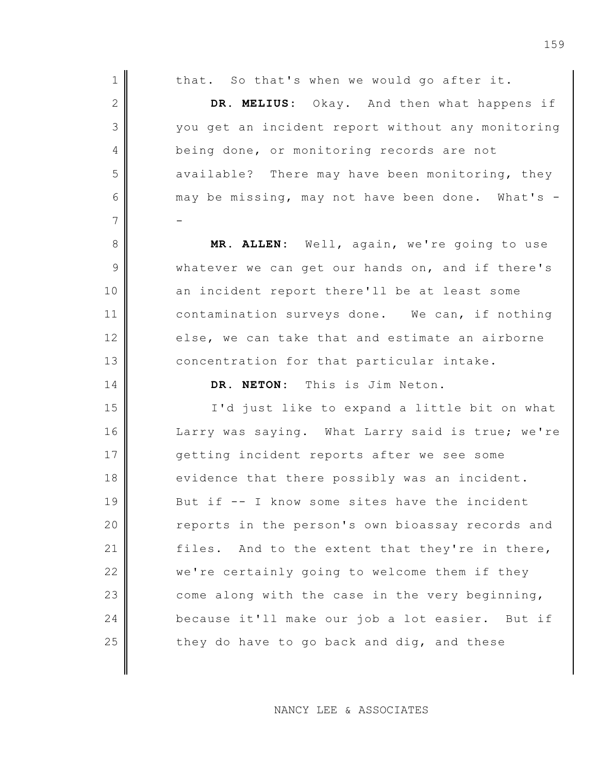| $\mathbf 1$  | that. So that's when we would go after it.        |
|--------------|---------------------------------------------------|
| $\mathbf{2}$ | DR. MELIUS: Okay. And then what happens if        |
| 3            | you get an incident report without any monitoring |
| 4            | being done, or monitoring records are not         |
| 5            | available? There may have been monitoring, they   |
| 6            | may be missing, may not have been done. What's -  |
| 7            |                                                   |
| 8            | MR. ALLEN: Well, again, we're going to use        |
| 9            | whatever we can get our hands on, and if there's  |
| 10           | an incident report there'll be at least some      |
| 11           | contamination surveys done. We can, if nothing    |
| 12           | else, we can take that and estimate an airborne   |
| 13           | concentration for that particular intake.         |
| 14           | DR. NETON: This is Jim Neton.                     |
|              |                                                   |
| 15           | I'd just like to expand a little bit on what      |
| 16           | Larry was saying. What Larry said is true; we're  |
| 17           | getting incident reports after we see some        |
| 18           | evidence that there possibly was an incident.     |
| 19           | But if -- I know some sites have the incident     |
| 20           | reports in the person's own bioassay records and  |
| 21           | files. And to the extent that they're in there,   |
| 22           | we're certainly going to welcome them if they     |
| 23           | come along with the case in the very beginning,   |
| 24           | because it'll make our job a lot easier. But if   |
| 25           | they do have to go back and dig, and these        |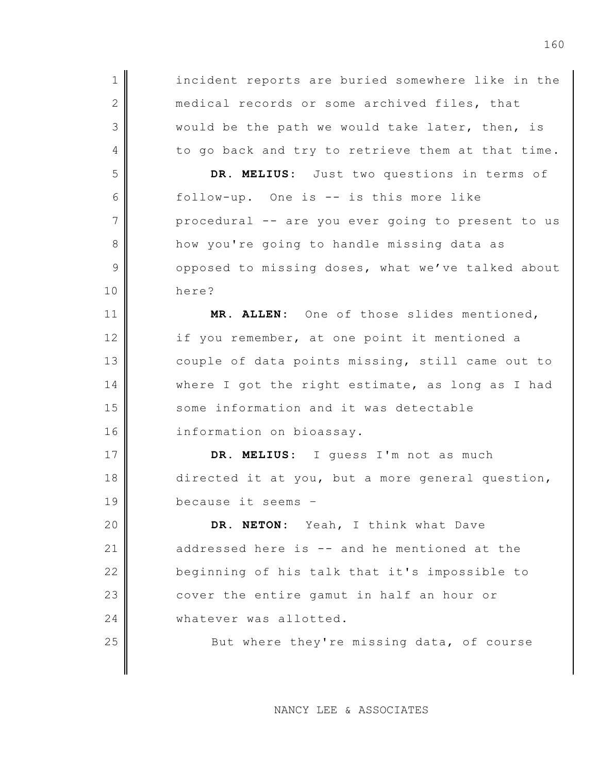1 | incident reports are buried somewhere like in the 2 medical records or some archived files, that 3 would be the path we would take later, then, is  $4 \parallel$  to go back and try to retrieve them at that time. 5 **DR. MELIUS:** Just two questions in terms of 6 follow-up. One is -- is this more like 7 procedural -- are you ever going to present to us 8 how you're going to handle missing data as 9 opposed to missing doses, what we've talked about 10 here? 11 **MR. ALLEN:** One of those slides mentioned, 12 if you remember, at one point it mentioned a 13 couple of data points missing, still came out to 14 | where I got the right estimate, as long as I had 15 some information and it was detectable 16 information on bioassay. 17 **DR. MELIUS:** I guess I'm not as much  $18$  directed it at you, but a more general question, 19 because it seems – 20 **DR. NETON:** Yeah, I think what Dave 21 addressed here is  $-$  and he mentioned at the 22 beginning of his talk that it's impossible to 23 cover the entire gamut in half an hour or 24 whatever was allotted. 25 But where they're missing data, of course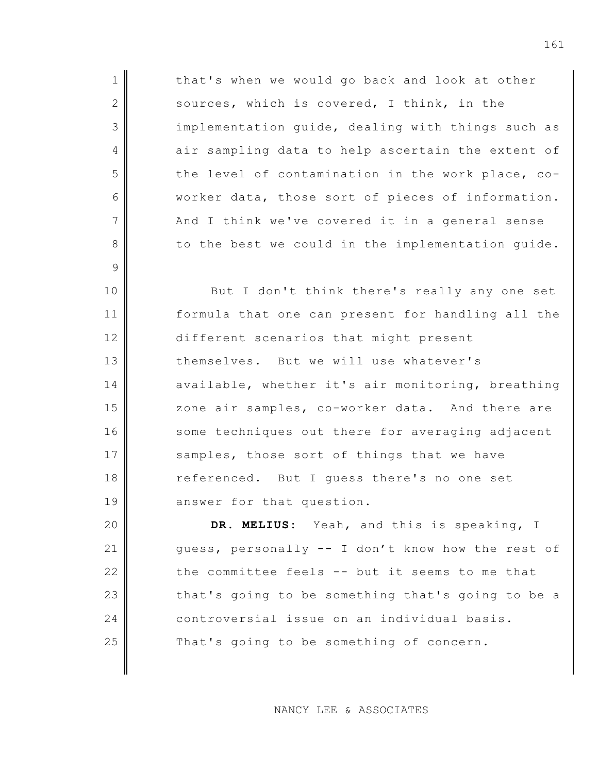1 || that's when we would go back and look at other 2 sources, which is covered, I think, in the 3 implementation quide, dealing with things such as  $4 \parallel$  air sampling data to help ascertain the extent of 5 the level of contamination in the work place, co-6 worker data, those sort of pieces of information. 7 And I think we've covered it in a general sense 8 || to the best we could in the implementation quide.

10 But I don't think there's really any one set 11 formula that one can present for handling all the 12 different scenarios that might present 13 themselves. But we will use whatever's 14 available, whether it's air monitoring, breathing 15 zone air samples, co-worker data. And there are 16 some techniques out there for averaging adjacent 17 samples, those sort of things that we have 18 referenced. But I guess there's no one set 19 answer for that question.

9

20 **DR. MELIUS:** Yeah, and this is speaking, I 21 guess, personally -- I don't know how the rest of  $22$   $\parallel$  the committee feels -- but it seems to me that  $23$  that's going to be something that's going to be a 24 controversial issue on an individual basis. 25 That's going to be something of concern.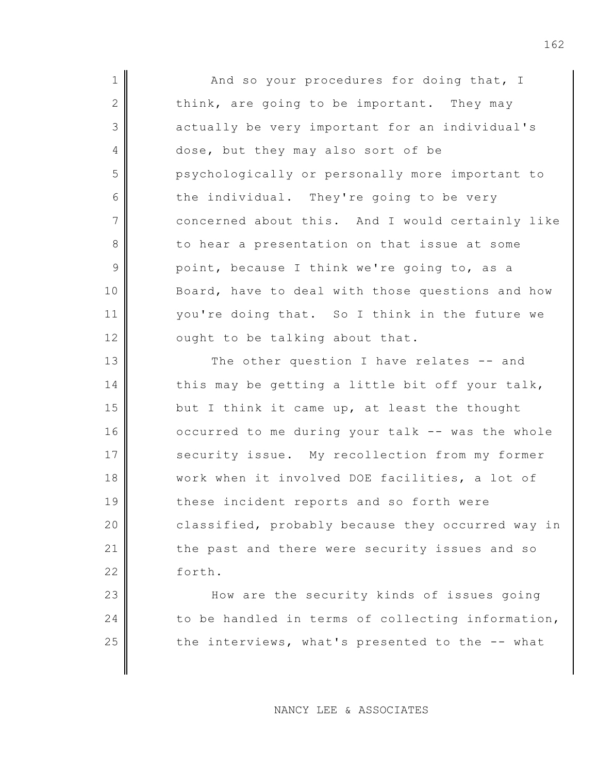1 and so your procedures for doing that, I  $2$  think, are going to be important. They may 3 actually be very important for an individual's 4 dose, but they may also sort of be 5 psychologically or personally more important to 6 the individual. They're going to be very 7 concerned about this. And I would certainly like 8 to hear a presentation on that issue at some 9 point, because I think we're going to, as a 10 Board, have to deal with those questions and how 11 | vou're doing that. So I think in the future we  $12$   $\parallel$  ought to be talking about that.

13 The other question I have relates -- and 14 this may be getting a little bit off your talk, 15 but I think it came up, at least the thought 16 occurred to me during your talk -- was the whole 17 Security issue. My recollection from my former 18 work when it involved DOE facilities, a lot of 19 these incident reports and so forth were 20 classified, probably because they occurred way in 21 the past and there were security issues and so 22 forth.

23 How are the security kinds of issues going  $24$  to be handled in terms of collecting information, 25 the interviews, what's presented to the -- what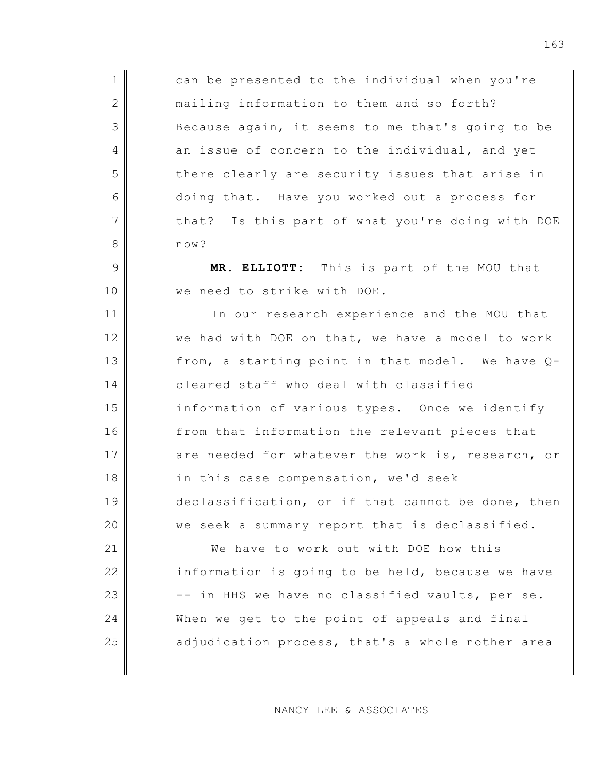1 can be presented to the individual when you're 2 mailing information to them and so forth? 3 Because again, it seems to me that's going to be  $4 \parallel$  an issue of concern to the individual, and yet 5 there clearly are security issues that arise in 6 doing that. Have you worked out a process for 7 that? Is this part of what you're doing with DOE 8 now?

9 **MR. ELLIOTT:** This is part of the MOU that 10 | we need to strike with DOE.

11 | In our research experience and the MOU that 12 we had with DOE on that, we have a model to work 13 from, a starting point in that model. We have Q-14 cleared staff who deal with classified 15 information of various types. Once we identify 16 from that information the relevant pieces that 17 are needed for whatever the work is, research, or 18 in this case compensation, we'd seek 19 declassification, or if that cannot be done, then 20 we seek a summary report that is declassified.

21 We have to work out with DOE how this 22 information is going to be held, because we have  $23$   $\parallel$  -- in HHS we have no classified vaults, per se. 24 When we get to the point of appeals and final 25 adjudication process, that's a whole nother area

163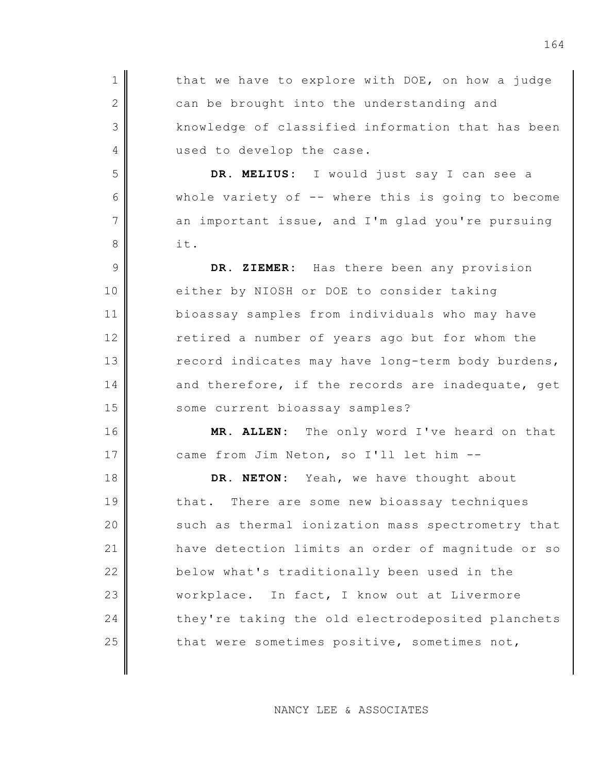1 that we have to explore with DOE, on how a judge  $2$  can be brought into the understanding and 3 knowledge of classified information that has been 4 used to develop the case. 5 **DR. MELIUS:** I would just say I can see a 6 whole variety of -- where this is going to become  $7$  an important issue, and I'm glad you're pursuing  $8 \parallel$  it. 9 **DR. ZIEMER:** Has there been any provision 10 either by NIOSH or DOE to consider taking 11 bioassay samples from individuals who may have 12 retired a number of years ago but for whom the 13 record indicates may have long-term body burdens,  $14$  and therefore, if the records are inadequate, get 15 | some current bioassay samples? 16 **MR. ALLEN:** The only word I've heard on that 17 came from Jim Neton, so I'll let him --18 **DR. NETON:** Yeah, we have thought about 19 that. There are some new bioassay techniques 20 such as thermal ionization mass spectrometry that 21 have detection limits an order of magnitude or so 22 **below what's traditionally been used in the** 23 | workplace. In fact, I know out at Livermore 24 they're taking the old electrodeposited planchets 25 that were sometimes positive, sometimes not,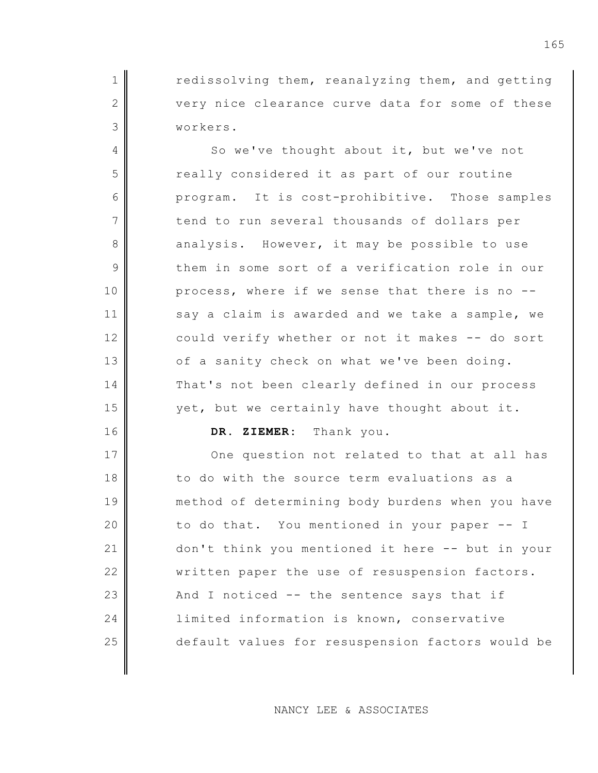$1$  redissolving them, reanalyzing them, and getting 2 very nice clearance curve data for some of these 3 workers.

4 So we've thought about it, but we've not 5 really considered it as part of our routine 6 program. It is cost-prohibitive. Those samples 7 tend to run several thousands of dollars per 8 analysis. However, it may be possible to use 9 them in some sort of a verification role in our 10 process, where if we sense that there is no --11 say a claim is awarded and we take a sample, we 12 could verify whether or not it makes -- do sort 13 of a sanity check on what we've been doing. 14 That's not been clearly defined in our process 15  $\parallel$  yet, but we certainly have thought about it.

## 16 **DR. ZIEMER:** Thank you.

17 One question not related to that at all has 18 to do with the source term evaluations as a method of determining body burdens when you have to do that. You mentioned in your paper  $-$ - I don't think you mentioned it here -- but in your **written paper the use of resuspension factors.**   $\parallel$  And I noticed -- the sentence says that if 24 limited information is known, conservative default values for resuspension factors would be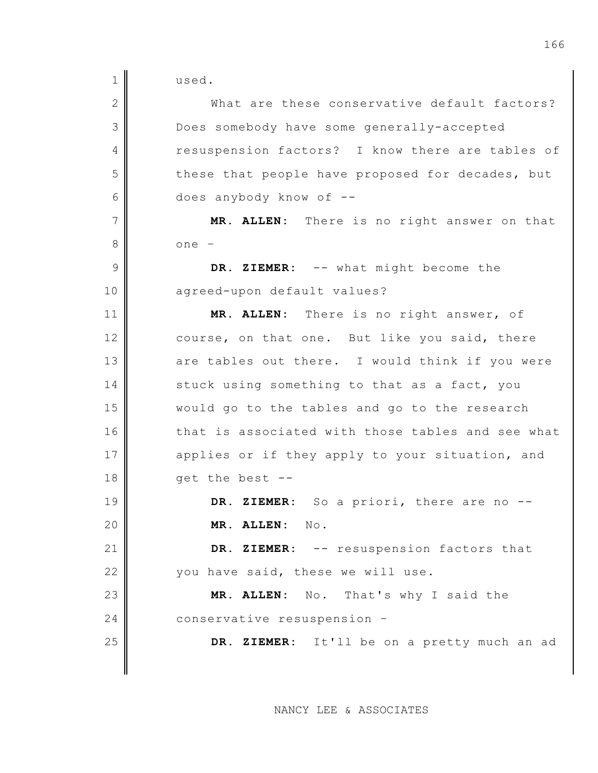1 used.

| $\overline{2}$ | What are these conservative default factors?      |
|----------------|---------------------------------------------------|
| 3              | Does somebody have some generally-accepted        |
| 4              | resuspension factors? I know there are tables of  |
| 5              | these that people have proposed for decades, but  |
| 6              | does anybody know of --                           |
| 7              | MR. ALLEN: There is no right answer on that       |
| 8              | one<br>$\overline{\phantom{0}}$                   |
| 9              | DR. ZIEMER: -- what might become the              |
| 10             | agreed-upon default values?                       |
| 11             | MR. ALLEN: There is no right answer, of           |
| 12             | course, on that one. But like you said, there     |
| 13             | are tables out there. I would think if you were   |
| 14             | stuck using something to that as a fact, you      |
| 15             | would go to the tables and go to the research     |
| 16             | that is associated with those tables and see what |
| 17             | applies or if they apply to your situation, and   |
| 18             | get the best --                                   |
| 19             | DR. ZIEMER: So a priori, there are no --          |
| 20             | MR. ALLEN: No.                                    |
| 21             | DR. ZIEMER: -- resuspension factors that          |
| 22             | you have said, these we will use.                 |
| 23             | MR. ALLEN: No. That's why I said the              |
| 24             | conservative resuspension -                       |
| 25             | DR. ZIEMER: It'll be on a pretty much an ad       |
|                |                                                   |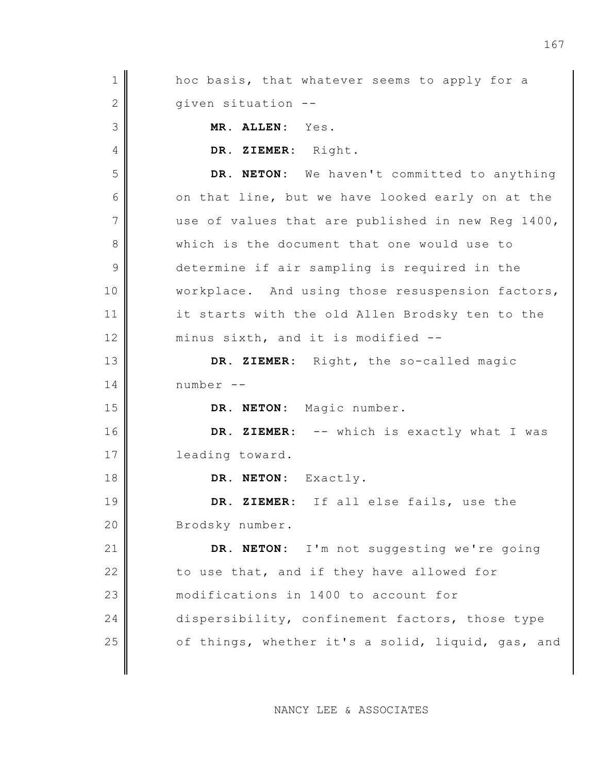1 hoc basis, that whatever seems to apply for a 2 given situation --3 **MR. ALLEN:** Yes. 4 **DR. ZIEMER:** Right. 5 **DR. NETON:** We haven't committed to anything 6 on that line, but we have looked early on at the  $7$  use of values that are published in new Req 1400, 8 which is the document that one would use to 9 determine if air sampling is required in the 10 | workplace. And using those resuspension factors, 11 it starts with the old Allen Brodsky ten to the 12 minus sixth, and it is modified --13 **DR. ZIEMER:** Right, the so-called magic  $14$  number  $-$ 15 **DR. NETON:** Magic number. 16 **DR. ZIEMER:** -- which is exactly what I was 17 | leading toward. 18 **DR. NETON:** Exactly. 19 **DR. ZIEMER:** If all else fails, use the 20 Brodsky number. 21 **DR. NETON:** I'm not suggesting we're going 22  $\parallel$  to use that, and if they have allowed for 23 modifications in 1400 to account for 24 dispersibility, confinement factors, those type 25 of things, whether it's a solid, liquid, gas, and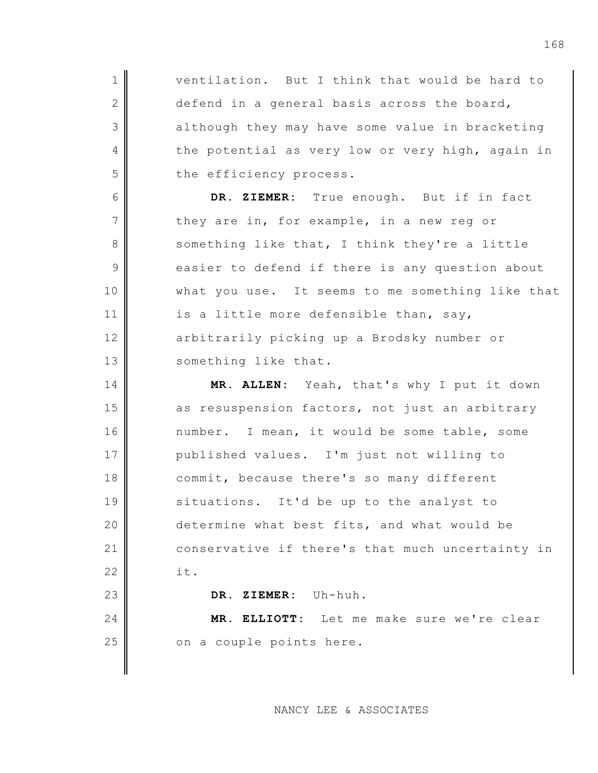1 **ventilation.** But I think that would be hard to  $2 \parallel$  defend in a general basis across the board, 3 although they may have some value in bracketing 4 the potential as very low or very high, again in 5 the efficiency process. 6 **DR. ZIEMER:** True enough. But if in fact  $7$  they are in, for example, in a new reg or 8 something like that, I think they're a little 9 easier to defend if there is any question about 10 what you use. It seems to me something like that 11 is a little more defensible than, say, 12 arbitrarily picking up a Brodsky number or 13 something like that. 14 **MR. ALLEN:** Yeah, that's why I put it down 15 as resuspension factors, not just an arbitrary 16 | number. I mean, it would be some table, some 17 published values. I'm just not willing to 18 commit, because there's so many different 19 situations. It'd be up to the analyst to 20 determine what best fits, and what would be 21 conservative if there's that much uncertainty in  $22$   $\parallel$  it. 23 **DR. ZIEMER:** Uh-huh. 24 **MR. ELLIOTT:** Let me make sure we're clear 25 | on a couple points here.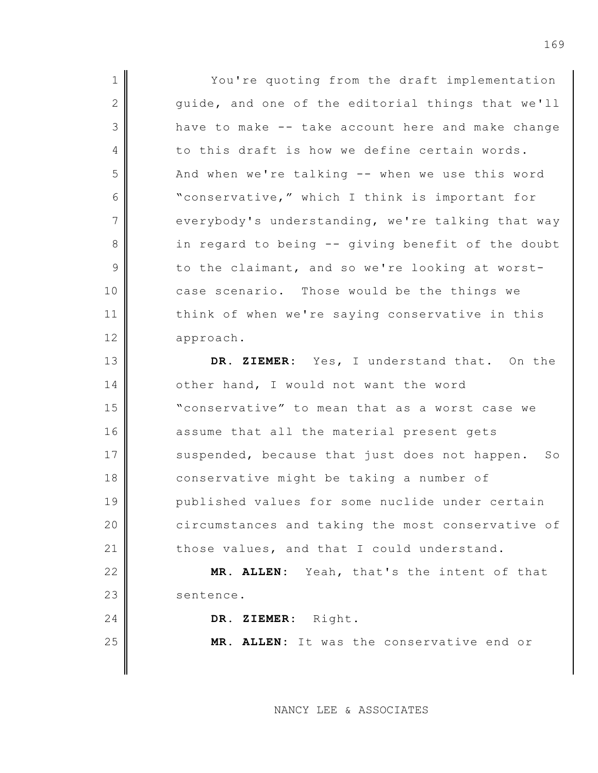| $\mathbf 1$    | You're quoting from the draft implementation        |  |
|----------------|-----------------------------------------------------|--|
| $\mathbf{2}$   | quide, and one of the editorial things that we'll   |  |
| $\mathfrak{Z}$ | have to make -- take account here and make change   |  |
| 4              | to this draft is how we define certain words.       |  |
| 5              | And when we're talking -- when we use this word     |  |
| 6              | "conservative," which I think is important for      |  |
| $\overline{7}$ | everybody's understanding, we're talking that way   |  |
| $8\,$          | in regard to being -- giving benefit of the doubt   |  |
| 9              | to the claimant, and so we're looking at worst-     |  |
| 10             | case scenario. Those would be the things we         |  |
| 11             | think of when we're saying conservative in this     |  |
| 12             | approach.                                           |  |
| 13             | DR. ZIEMER: Yes, I understand that. On the          |  |
| 14             | other hand, I would not want the word               |  |
|                |                                                     |  |
| 15             | "conservative" to mean that as a worst case we      |  |
| 16             | assume that all the material present gets           |  |
| 17             | suspended, because that just does not happen.<br>SO |  |
| 18             | conservative might be taking a number of            |  |
| 19             | published values for some nuclide under certain     |  |
| 20             | circumstances and taking the most conservative of   |  |
| 21             | those values, and that I could understand.          |  |
| 22             | MR. ALLEN: Yeah, that's the intent of that          |  |
| 23             | sentence.                                           |  |
| 24             | DR. ZIEMER: Right.                                  |  |
| 25             | MR. ALLEN: It was the conservative end or           |  |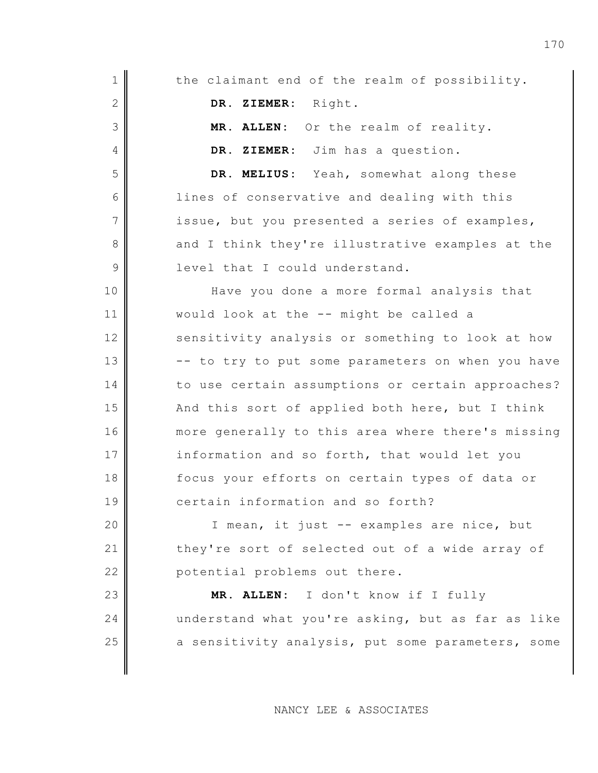| $\mathbf 1$    | the claimant end of the realm of possibility.     |  |
|----------------|---------------------------------------------------|--|
| $\mathbf{2}$   | DR. ZIEMER: Right.                                |  |
| 3              | MR. ALLEN: Or the realm of reality.               |  |
| 4              | DR. ZIEMER: Jim has a question.                   |  |
| 5              | DR. MELIUS: Yeah, somewhat along these            |  |
| 6              | lines of conservative and dealing with this       |  |
| $\overline{7}$ | issue, but you presented a series of examples,    |  |
| $8\,$          | and I think they're illustrative examples at the  |  |
| $\overline{9}$ | level that I could understand.                    |  |
| 10             | Have you done a more formal analysis that         |  |
| 11             | would look at the -- might be called a            |  |
| 12             | sensitivity analysis or something to look at how  |  |
| 13             | -- to try to put some parameters on when you have |  |
| 14             | to use certain assumptions or certain approaches? |  |
| 15             | And this sort of applied both here, but I think   |  |
| 16             | more generally to this area where there's missing |  |
| 17             | information and so forth, that would let you      |  |
| 18             | focus your efforts on certain types of data or    |  |
| 19             | certain information and so forth?                 |  |
| 20             | I mean, it just -- examples are nice, but         |  |
| 21             | they're sort of selected out of a wide array of   |  |
| 22             | potential problems out there.                     |  |
| 23             | MR. ALLEN: I don't know if I fully                |  |
| 24             | understand what you're asking, but as far as like |  |
| 25             | a sensitivity analysis, put some parameters, some |  |
|                |                                                   |  |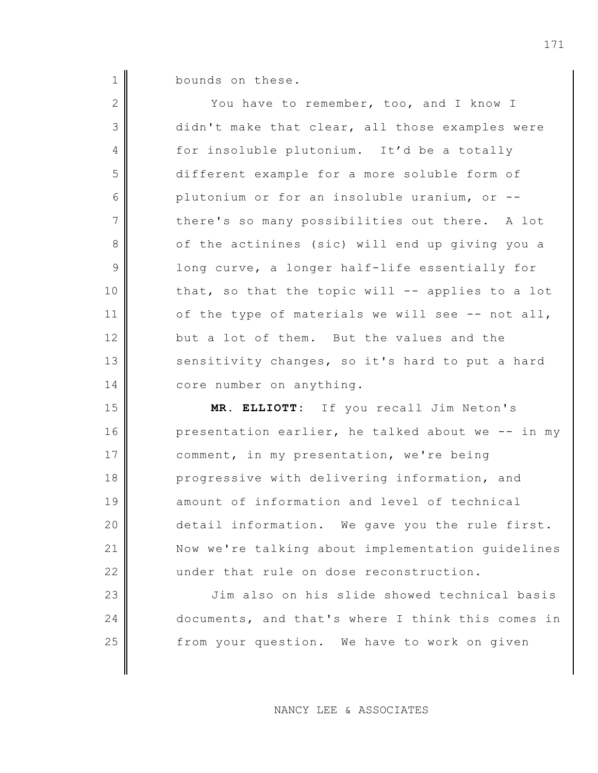1 bounds on these.

2 You have to remember, too, and I know I 3 didn't make that clear, all those examples were 4 for insoluble plutonium. It'd be a totally 5 different example for a more soluble form of 6 plutonium or for an insoluble uranium, or -- 7 there's so many possibilities out there. A lot 8 of the actinines (sic) will end up qiving you a 9 | long curve, a longer half-life essentially for  $10$  that, so that the topic will -- applies to a lot  $11$  of the type of materials we will see -- not all, 12 but a lot of them. But the values and the 13 sensitivity changes, so it's hard to put a hard 14 core number on anything.

15 **MR. ELLIOTT:** If you recall Jim Neton's 16 presentation earlier, he talked about we  $-$  in my 17 comment, in my presentation, we're being 18 progressive with delivering information, and 19 amount of information and level of technical 20 detail information. We gave you the rule first. 21 Now we're talking about implementation guidelines 22 under that rule on dose reconstruction.

23 Jim also on his slide showed technical basis 24 documents, and that's where I think this comes in 25 from your question. We have to work on given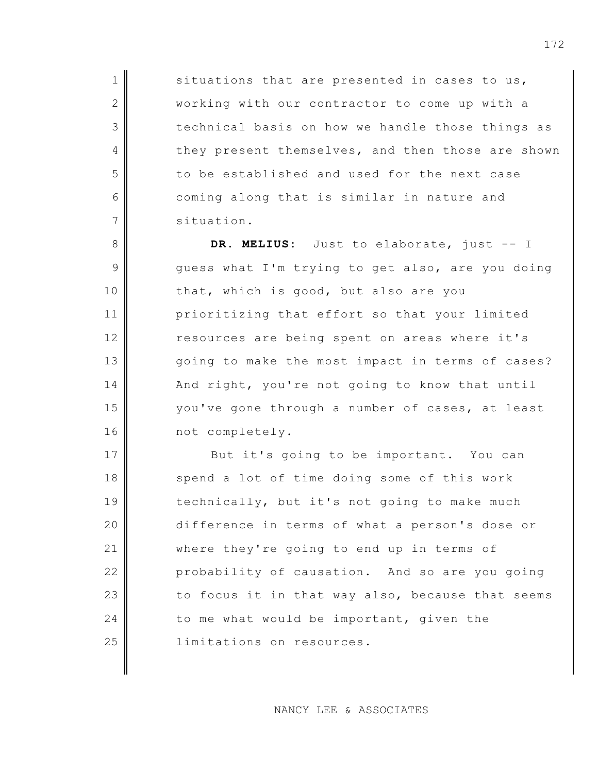$1 \parallel$  situations that are presented in cases to us, 2 working with our contractor to come up with a 3 technical basis on how we handle those things as 4 they present themselves, and then those are shown 5 to be established and used for the next case 6 coming along that is similar in nature and 7 situation.

8 **DR. MELIUS:** Just to elaborate, just -- I 9 guess what I'm trying to get also, are you doing 10 that, which is good, but also are you 11 prioritizing that effort so that your limited 12 resources are being spent on areas where it's 13 going to make the most impact in terms of cases? 14 | And right, you're not going to know that until 15 you've gone through a number of cases, at least 16 not completely.

17 But it's going to be important. You can 18 spend a lot of time doing some of this work 19 technically, but it's not going to make much 20 difference in terms of what a person's dose or 21 where they're going to end up in terms of 22 **probability of causation.** And so are you going 23 to focus it in that way also, because that seems  $24$  to me what would be important, given the 25 limitations on resources.

NANCY LEE & ASSOCIATES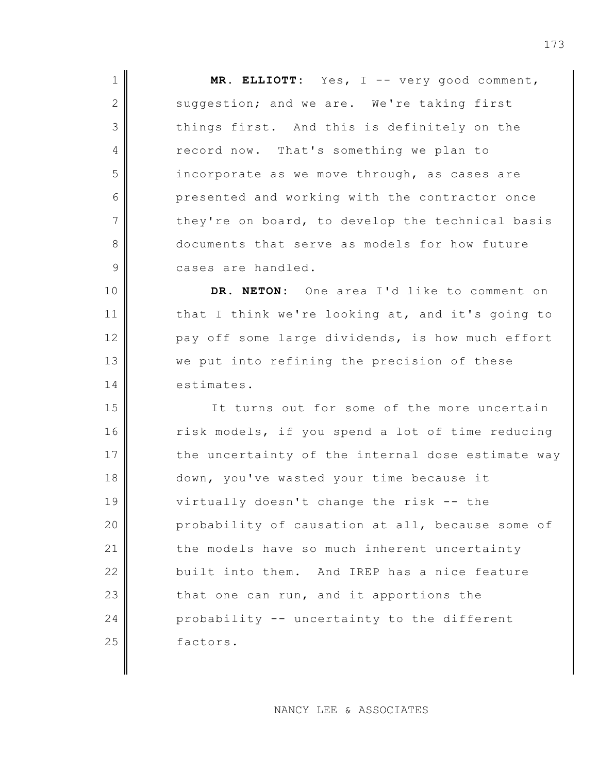1 **MR. ELLIOTT:** Yes, I -- very good comment,  $2 \parallel$  suggestion; and we are. We're taking first 3 things first. And this is definitely on the 4 record now. That's something we plan to 5 incorporate as we move through, as cases are 6 **presented and working with the contractor once**  $7$  they're on board, to develop the technical basis 8 documents that serve as models for how future 9 cases are handled.

10 **DR. NETON:** One area I'd like to comment on 11 that I think we're looking at, and it's going to 12 pay off some large dividends, is how much effort 13 we put into refining the precision of these 14 estimates.

15 It turns out for some of the more uncertain 16 risk models, if you spend a lot of time reducing 17 the uncertainty of the internal dose estimate way 18 down, you've wasted your time because it 19 virtually doesn't change the risk -- the 20 probability of causation at all, because some of 21 the models have so much inherent uncertainty 22 built into them. And IREP has a nice feature 23 that one can run, and it apportions the 24 probability  $-$  uncertainty to the different 25 factors.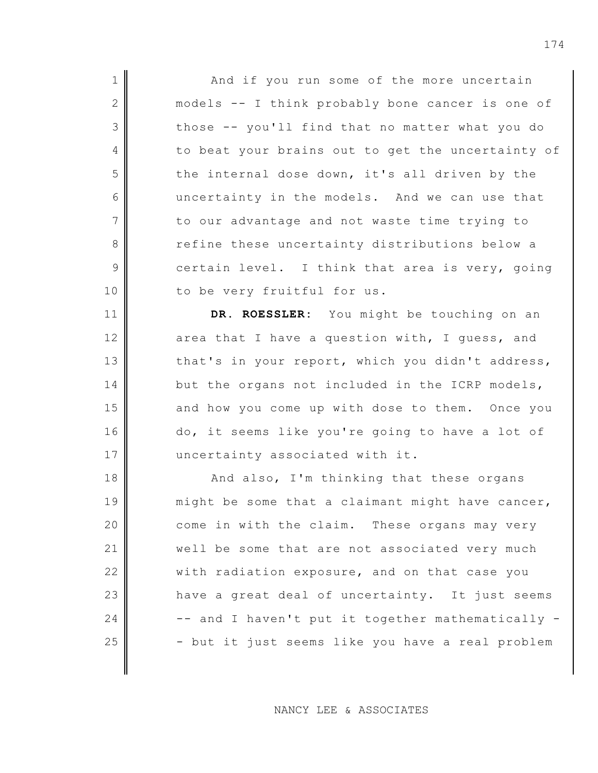| $\mathbf 1$    | And if you run some of the more uncertain         |  |
|----------------|---------------------------------------------------|--|
| 2              | models -- I think probably bone cancer is one of  |  |
| 3              | those -- you'll find that no matter what you do   |  |
| 4              | to beat your brains out to get the uncertainty of |  |
| 5              | the internal dose down, it's all driven by the    |  |
| 6              | uncertainty in the models. And we can use that    |  |
| $\overline{7}$ | to our advantage and not waste time trying to     |  |
| 8              | refine these uncertainty distributions below a    |  |
| $\mathcal{G}$  | certain level. I think that area is very, going   |  |
| 10             | to be very fruitful for us.                       |  |
| 11             | DR. ROESSLER: You might be touching on an         |  |
| 12             | area that I have a question with, I guess, and    |  |
| 13             | that's in your report, which you didn't address,  |  |
| 14             | but the organs not included in the ICRP models,   |  |
| 15             | and how you come up with dose to them. Once you   |  |
| 16             | do, it seems like you're going to have a lot of   |  |
| 17             | uncertainty associated with it.                   |  |
| 18             | And also, I'm thinking that these organs          |  |
| 19             | might be some that a claimant might have cancer,  |  |
| 20             | come in with the claim. These organs may very     |  |
| 21             | well be some that are not associated very much    |  |
| 22             | with radiation exposure, and on that case you     |  |
| 23             | have a great deal of uncertainty. It just seems   |  |
| 24             | -- and I haven't put it together mathematically - |  |
| 25             | - but it just seems like you have a real problem  |  |

NANCY LEE & ASSOCIATES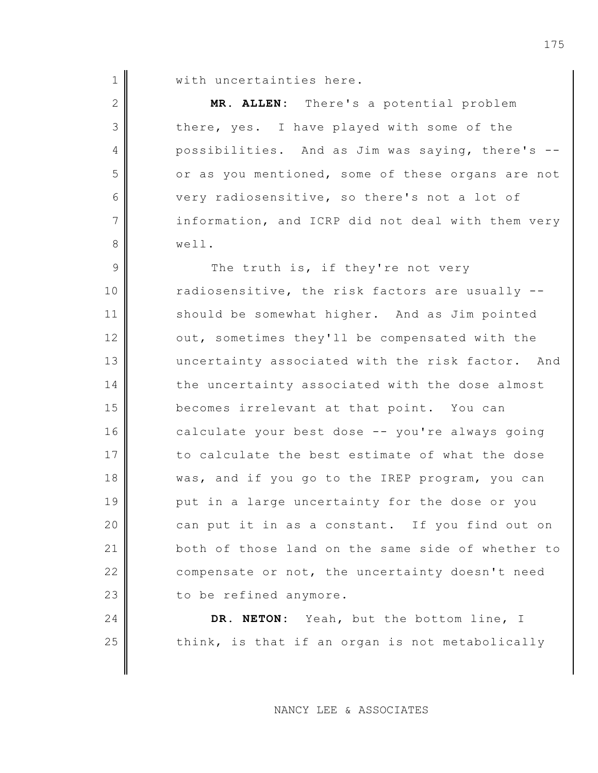1 With uncertainties here.

2 **MR. ALLEN:** There's a potential problem 3 there, yes. I have played with some of the 4 possibilities. And as Jim was saying, there's -- $5$  or as you mentioned, some of these organs are not 6 very radiosensitive, so there's not a lot of  $7$  information, and ICRP did not deal with them very 8 well.

 $9$  The truth is, if they're not very 10 radiosensitive, the risk factors are usually --11 Should be somewhat higher. And as Jim pointed 12 out, sometimes they'll be compensated with the 13 uncertainty associated with the risk factor. And 14 the uncertainty associated with the dose almost 15 becomes irrelevant at that point. You can 16 calculate your best dose -- you're always going 17 to calculate the best estimate of what the dose 18 was, and if you go to the IREP program, you can 19 put in a large uncertainty for the dose or you 20 can put it in as a constant. If you find out on 21 both of those land on the same side of whether to 22 compensate or not, the uncertainty doesn't need 23 to be refined anymore.

24 **DR. NETON:** Yeah, but the bottom line, I  $25$  think, is that if an organ is not metabolically

NANCY LEE & ASSOCIATES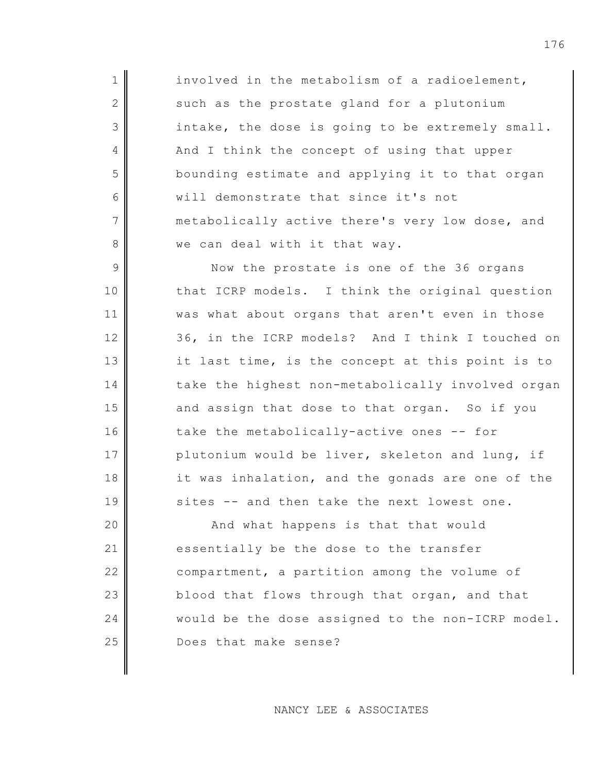involved in the metabolism of a radioelement, such as the prostate gland for a plutonium 3 intake, the dose is going to be extremely small. 4 And I think the concept of using that upper bounding estimate and applying it to that organ will demonstrate that since it's not 7 metabolically active there's very low dose, and we can deal with it that way.

9 Now the prostate is one of the 36 organs 10 that ICRP models. I think the original question 11 | was what about organs that aren't even in those 12 || 36, in the ICRP models? And I think I touched on  $13$  it last time, is the concept at this point is to 14 take the highest non-metabolically involved organ 15 and assign that dose to that organ. So if you 16 take the metabolically-active ones -- for 17 plutonium would be liver, skeleton and lung, if 18 it was inhalation, and the gonads are one of the  $19$  sites -- and then take the next lowest one.

20 | Rand what happens is that that would 21 essentially be the dose to the transfer 22  $\parallel$  compartment, a partition among the volume of  $23$  blood that flows through that organ, and that 24 would be the dose assigned to the non-ICRP model. 25 Does that make sense?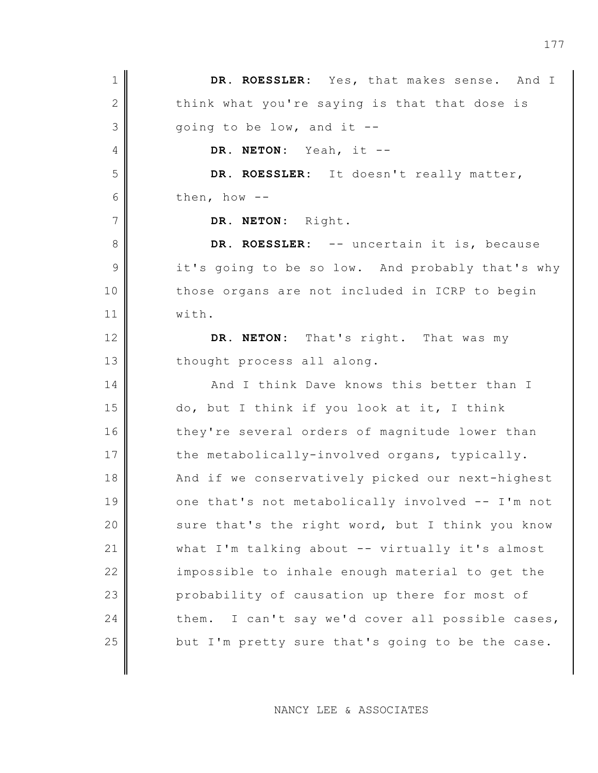1 **DR. ROESSLER:** Yes, that makes sense. And I  $2$  think what you're saying is that that dose is  $3$  going to be low, and it --4 **DR. NETON:** Yeah, it -- 5 **DR. ROESSLER:** It doesn't really matter, 6 then, how  $-$ 7 **DR. NETON:** Right. 8 **DR. ROESSLER:** -- uncertain it is, because 9 it's going to be so low. And probably that's why 10 those organs are not included in ICRP to begin 11 with. 12 **DR. NETON:** That's right. That was my 13 thought process all along. 14 And I think Dave knows this better than I 15 do, but I think if you look at it, I think 16 they're several orders of magnitude lower than 17 the metabolically-involved organs, typically. 18 And if we conservatively picked our next-highest  $19$  one that's not metabolically involved -- I'm not  $20$  sure that's the right word, but I think you know 21 what I'm talking about -- virtually it's almost  $22$  impossible to inhale enough material to get the 23 probability of causation up there for most of  $24$  them. I can't say we'd cover all possible cases,  $25$  but I'm pretty sure that's going to be the case.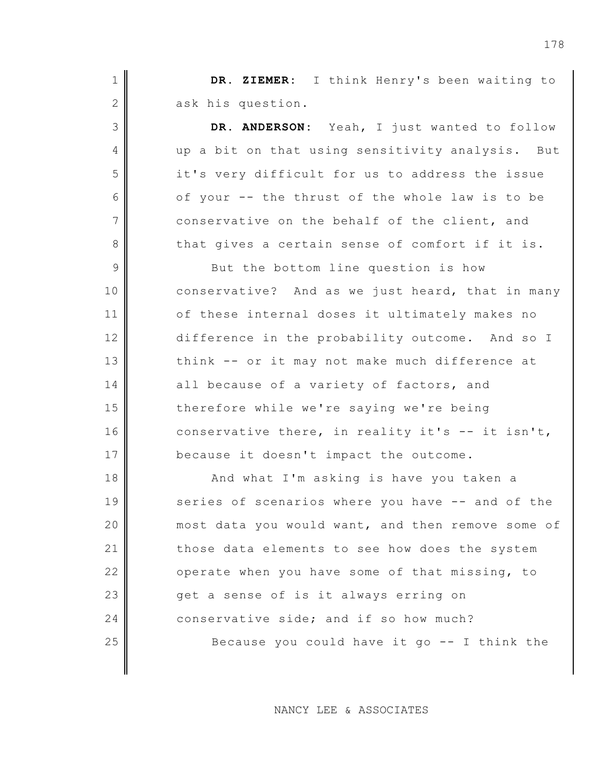1 **DR. ZIEMER:** I think Henry's been waiting to 2 ask his question.

3 **DR. ANDERSON:** Yeah, I just wanted to follow 4 up a bit on that using sensitivity analysis. But 5 it's very difficult for us to address the issue 6 of your  $-$ - the thrust of the whole law is to be 7 conservative on the behalf of the client, and  $8$  that gives a certain sense of comfort if it is.

9 But the bottom line question is how 10 conservative? And as we just heard, that in many 11 of these internal doses it ultimately makes no 12 difference in the probability outcome. And so I 13 think -- or it may not make much difference at 14 all because of a variety of factors, and 15 therefore while we're saying we're being  $16$  conservative there, in reality it's  $-$  it isn't, 17 because it doesn't impact the outcome.

18 And what I'm asking is have you taken a 19 series of scenarios where you have -- and of the 20 most data you would want, and then remove some of 21 those data elements to see how does the system  $22$  operate when you have some of that missing, to 23 get a sense of is it always erring on 24 conservative side; and if so how much? 25 || Because you could have it go -- I think the

NANCY LEE & ASSOCIATES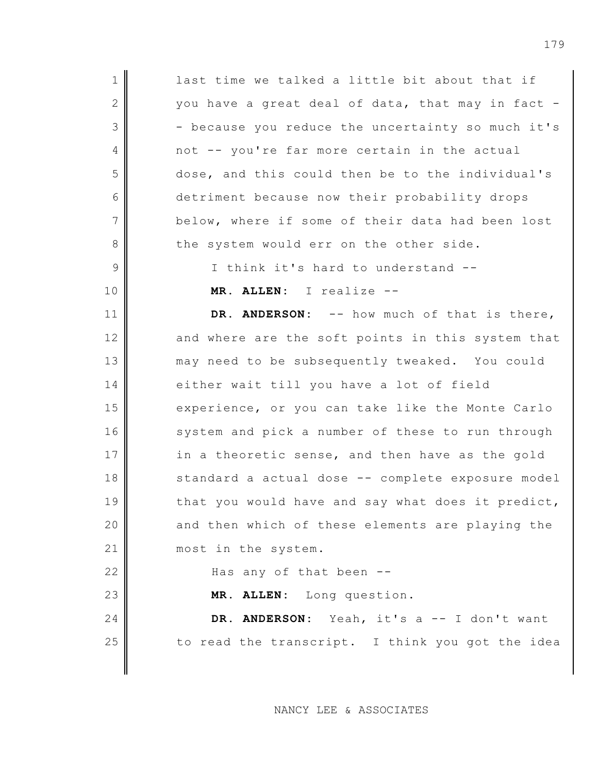1 last time we talked a little bit about that if  $2$  you have a great deal of data, that may in fact  $3$  - because you reduce the uncertainty so much it's  $4 \parallel$  not -- you're far more certain in the actual 5 dose, and this could then be to the individual's 6 detriment because now their probability drops 7 below, where if some of their data had been lost 8 the system would err on the other side. 9 || I think it's hard to understand --10 **MR. ALLEN:** I realize -- 11 **DR. ANDERSON:** -- how much of that is there, 12 and where are the soft points in this system that 13 may need to be subsequently tweaked. You could 14 either wait till you have a lot of field 15 experience, or you can take like the Monte Carlo 16 system and pick a number of these to run through 17 in a theoretic sense, and then have as the gold 18 standard a actual dose -- complete exposure model 19 that you would have and say what does it predict,  $20$  and then which of these elements are playing the 21 most in the system.  $22$   $\parallel$  Has any of that been  $-$ 23 **MR. ALLEN:** Long question. 24 **DR. ANDERSON:** Yeah, it's a -- I don't want  $25$  to read the transcript. I think you got the idea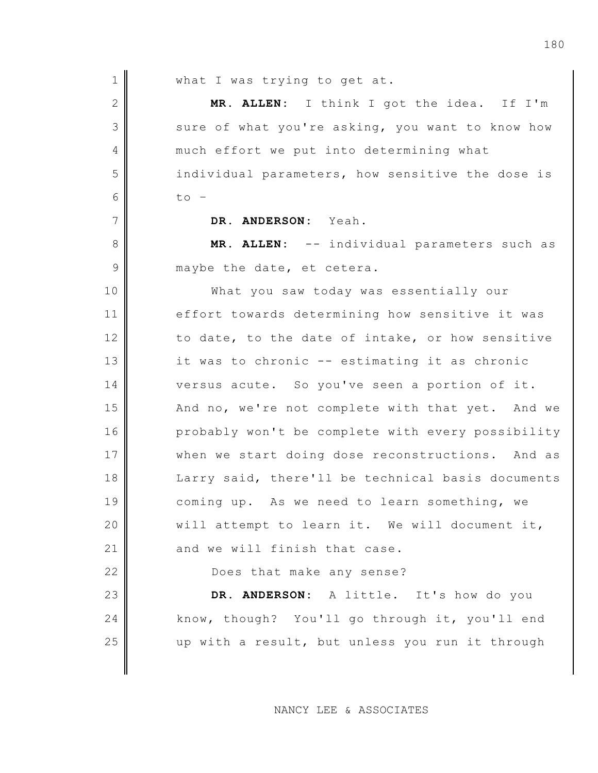| what |  |
|------|--|

1 What I was trying to get at.

2 **MR. ALLEN:** I think I got the idea. If I'm 3 sure of what you're asking, you want to know how 4 much effort we put into determining what 5 individual parameters, how sensitive the dose is 6  $\vert$  to – 7 **DR. ANDERSON:** Yeah. 8 **MR. ALLEN:** -- individual parameters such as  $9$  maybe the date, et cetera. 10 What you saw today was essentially our 11 effort towards determining how sensitive it was  $12$  to date, to the date of intake, or how sensitive 13 it was to chronic -- estimating it as chronic 14 versus acute. So you've seen a portion of it. 15 And no, we're not complete with that yet. And we 16 probably won't be complete with every possibility 17 || when we start doing dose reconstructions. And as 18 Larry said, there'll be technical basis documents 19 coming up. As we need to learn something, we 20  $\parallel$  will attempt to learn it. We will document it,  $21$  and we will finish that case. 22 **Does** that make any sense? 23 **DR. ANDERSON:** A little. It's how do you

24 know, though? You'll go through it, you'll end 25 up with a result, but unless you run it through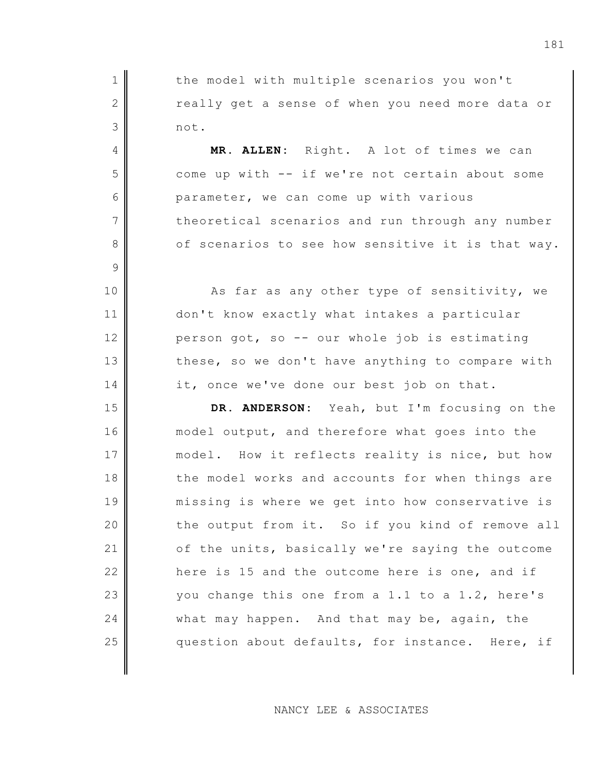1 1 the model with multiple scenarios you won't 2 really get a sense of when you need more data or 3 not.

4 **MR. ALLEN:** Right. A lot of times we can 5 come up with -- if we're not certain about some 6 parameter, we can come up with various 7 theoretical scenarios and run through any number 8 || of scenarios to see how sensitive it is that way.

10 As far as any other type of sensitivity, we 11 don't know exactly what intakes a particular 12 person got, so -- our whole job is estimating 13 these, so we don't have anything to compare with 14 it, once we've done our best job on that.

9

15 **DR. ANDERSON:** Yeah, but I'm focusing on the 16 model output, and therefore what goes into the 17 || model. How it reflects reality is nice, but how 18 the model works and accounts for when things are 19 missing is where we get into how conservative is 20 the output from it. So if you kind of remove all 21 of the units, basically we're saying the outcome 22 here is 15 and the outcome here is one, and if  $23$  you change this one from a 1.1 to a 1.2, here's 24 what may happen. And that may be, again, the 25 question about defaults, for instance. Here, if

NANCY LEE & ASSOCIATES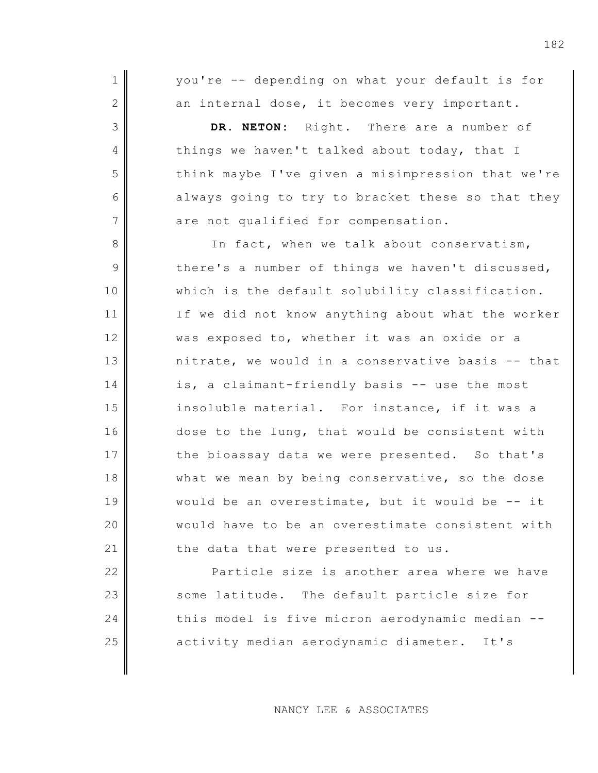1 | vou're -- depending on what your default is for  $2$  an internal dose, it becomes very important. 3 **DR. NETON:** Right. There are a number of 4 things we haven't talked about today, that I 5 think maybe I've given a misimpression that we're 6 always going to try to bracket these so that they  $7$  are not qualified for compensation. 8 In fact, when we talk about conservatism, 9 there's a number of things we haven't discussed, 10 Which is the default solubility classification. 11 If we did not know anything about what the worker 12 was exposed to, whether it was an oxide or a 13 nitrate, we would in a conservative basis -- that 14 is, a claimant-friendly basis -- use the most 15 insoluble material. For instance, if it was a 16 dose to the lung, that would be consistent with 17 the bioassay data we were presented. So that's 18 what we mean by being conservative, so the dose 19 would be an overestimate, but it would be -- it 20 would have to be an overestimate consistent with 21 the data that were presented to us. 22 **Particle size is another area where we have** 

23 some latitude. The default particle size for 24 this model is five micron aerodynamic median --25 | activity median aerodynamic diameter. It's

NANCY LEE & ASSOCIATES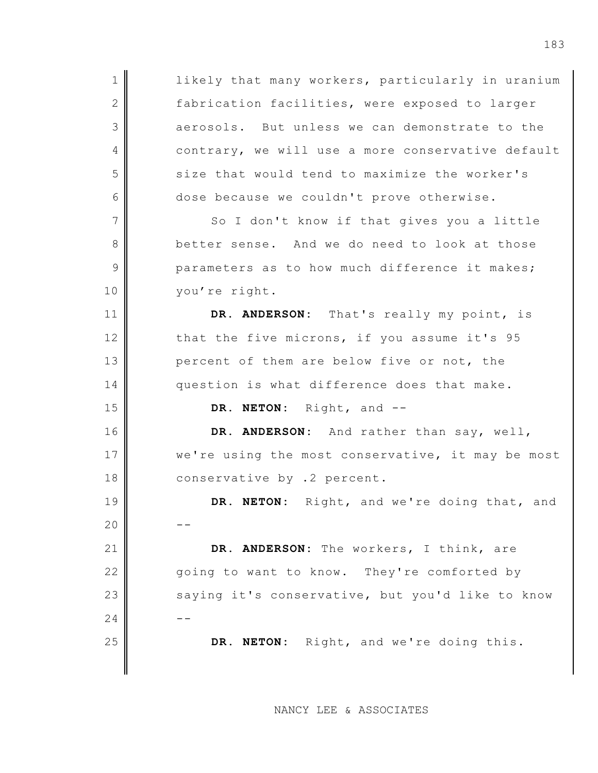1 likely that many workers, particularly in uranium 2 fabrication facilities, were exposed to larger 3 aerosols. But unless we can demonstrate to the 4 contrary, we will use a more conservative default 5 size that would tend to maximize the worker's 6 dose because we couldn't prove otherwise. 7 So I don't know if that gives you a little 8 better sense. And we do need to look at those 9 parameters as to how much difference it makes; 10 | vou're right. 11 **DR. ANDERSON:** That's really my point, is 12 that the five microns, if you assume it's 95 13 percent of them are below five or not, the 14 question is what difference does that make. 15 **DR. NETON:** Right, and -- 16 **DR. ANDERSON:** And rather than say, well, 17 | we're using the most conservative, it may be most 18 conservative by .2 percent. 19 **DR. NETON:** Right, and we're doing that, and  $20$ 21 **DR. ANDERSON:** The workers, I think, are 22 going to want to know. They're comforted by 23 saying it's conservative, but you'd like to know  $24$ 25 **DR. NETON:** Right, and we're doing this.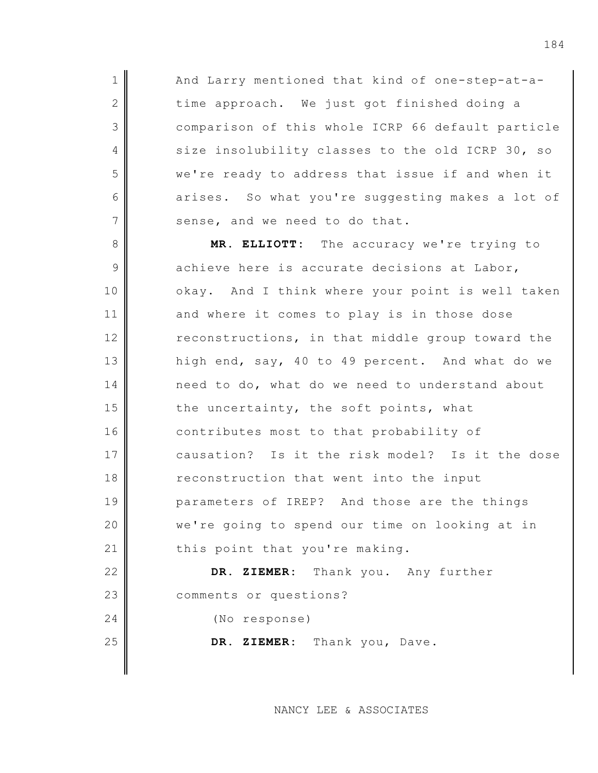1 And Larry mentioned that kind of one-step-at-a- $2$  time approach. We just got finished doing a 3 comparison of this whole ICRP 66 default particle 4 size insolubility classes to the old ICRP 30, so 5 we're ready to address that issue if and when it 6 arises. So what you're suggesting makes a lot of  $7$  sense, and we need to do that.

8 **MR. ELLIOTT:** The accuracy we're trying to 9 achieve here is accurate decisions at Labor, 10 | okay. And I think where your point is well taken 11 and where it comes to play is in those dose 12 reconstructions, in that middle group toward the 13 high end, say, 40 to 49 percent. And what do we 14 need to do, what do we need to understand about 15 the uncertainty, the soft points, what 16 contributes most to that probability of 17 causation? Is it the risk model? Is it the dose 18 reconstruction that went into the input 19 parameters of IREP? And those are the things 20 we're going to spend our time on looking at in 21 this point that you're making. 22 **DR. ZIEMER:** Thank you. Any further

23 comments or questions? 24 (No response)

25 **DR. ZIEMER:** Thank you, Dave.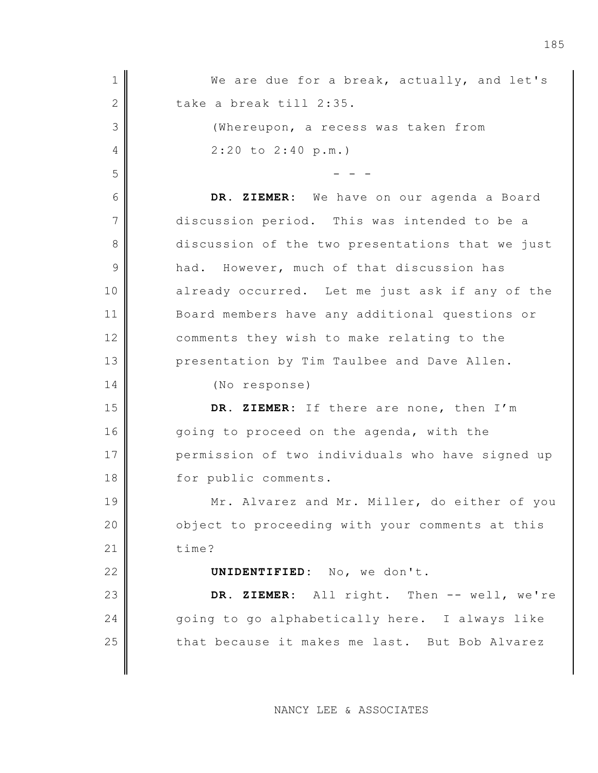1 We are due for a break, actually, and let's  $2 \parallel$  take a break till 2:35. 3 (Whereupon, a recess was taken from 4 2:20 to 2:40 p.m.)  $5 \parallel - - -$ 6 **DR. ZIEMER:** We have on our agenda a Board 7 discussion period. This was intended to be a 8 discussion of the two presentations that we just 9 had. However, much of that discussion has 10 already occurred. Let me just ask if any of the 11 Board members have any additional questions or 12 comments they wish to make relating to the 13 presentation by Tim Taulbee and Dave Allen. 14 (No response) 15 **DR. ZIEMER:** If there are none, then I'm 16 going to proceed on the agenda, with the 17 permission of two individuals who have signed up 18 for public comments. 19 Mr. Alvarez and Mr. Miller, do either of you 20 **object to proceeding with your comments at this**  $21$   $\times$  time? 22 **UNIDENTIFIED:** No, we don't. 23 **DR. ZIEMER:** All right. Then -- well, we're 24 going to go alphabetically here. I always like 25 that because it makes me last. But Bob Alvarez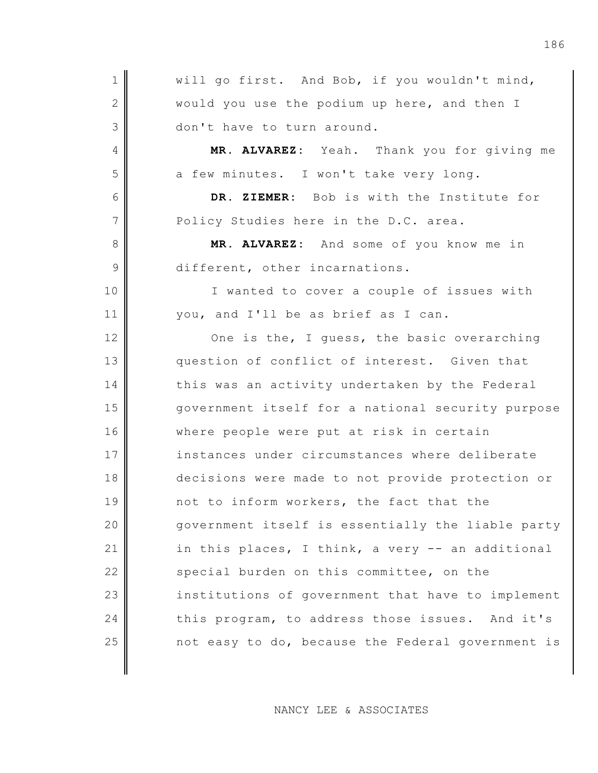| $\mathbf 1$    | will go first. And Bob, if you wouldn't mind,     |
|----------------|---------------------------------------------------|
| $\mathbf{2}$   | would you use the podium up here, and then I      |
| 3              | don't have to turn around.                        |
| 4              | MR. ALVAREZ: Yeah. Thank you for giving me        |
| 5              | a few minutes. I won't take very long.            |
| 6              | DR. ZIEMER: Bob is with the Institute for         |
| $\overline{7}$ | Policy Studies here in the D.C. area.             |
| 8              | MR. ALVAREZ: And some of you know me in           |
| $\mathcal{G}$  | different, other incarnations.                    |
| 10             | I wanted to cover a couple of issues with         |
| 11             | you, and I'll be as brief as I can.               |
| 12             | One is the, I guess, the basic overarching        |
| 13             | question of conflict of interest. Given that      |
| 14             | this was an activity undertaken by the Federal    |
| 15             | government itself for a national security purpose |
| 16             | where people were put at risk in certain          |
| 17             | instances under circumstances where deliberate    |
| 18             | decisions were made to not provide protection or  |
| 19             | not to inform workers, the fact that the          |
| 20             | government itself is essentially the liable party |
| 21             | in this places, I think, a very -- an additional  |
| 22             | special burden on this committee, on the          |
| 23             | institutions of government that have to implement |
| 24             | this program, to address those issues. And it's   |
| 25             | not easy to do, because the Federal government is |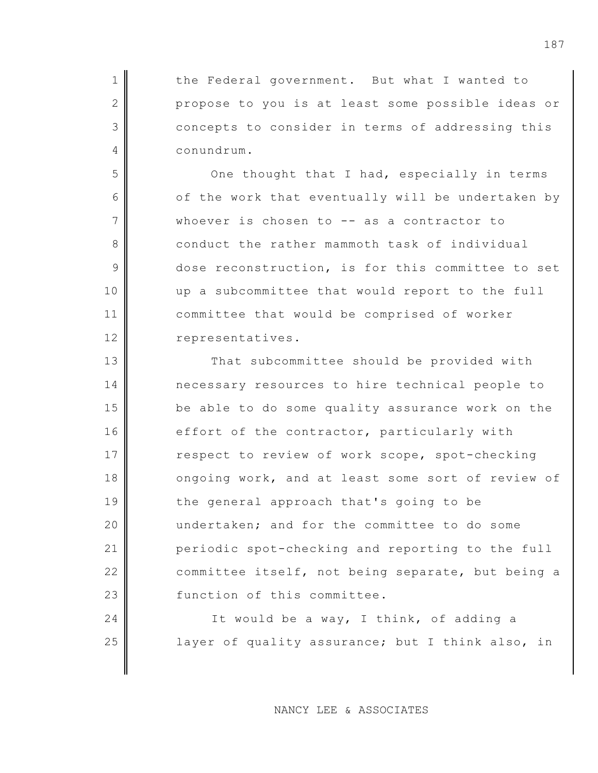1 the Federal government. But what I wanted to 2 propose to you is at least some possible ideas or 3 concepts to consider in terms of addressing this 4 conundrum.

 $5$  One thought that I had, especially in terms 6 of the work that eventually will be undertaken by 7 whoever is chosen to -- as a contractor to 8 conduct the rather mammoth task of individual 9 dose reconstruction, is for this committee to set 10 up a subcommittee that would report to the full 11 committee that would be comprised of worker 12 representatives.

13 That subcommittee should be provided with 14 necessary resources to hire technical people to 15 be able to do some quality assurance work on the 16 effort of the contractor, particularly with 17 respect to review of work scope, spot-checking 18 ongoing work, and at least some sort of review of 19 the general approach that's going to be 20 undertaken; and for the committee to do some 21 periodic spot-checking and reporting to the full 22 committee itself, not being separate, but being a 23  $\parallel$  function of this committee.

24 It would be a way, I think, of adding a 25 | layer of quality assurance; but I think also, in

NANCY LEE & ASSOCIATES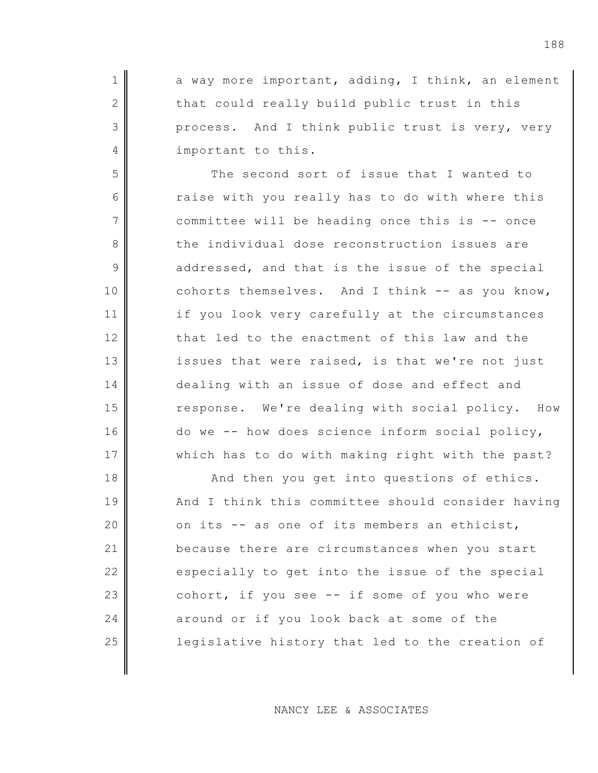$1 \parallel$  a way more important, adding, I think, an element  $2$  that could really build public trust in this 3 process. And I think public trust is very, very 4 | important to this.

5 The second sort of issue that I wanted to 6 call of the status with you really has to do with where this 7 committee will be heading once this is -- once 8 the individual dose reconstruction issues are 9 addressed, and that is the issue of the special 10 cohorts themselves. And I think -- as you know, 11 if you look very carefully at the circumstances 12 that led to the enactment of this law and the 13 issues that were raised, is that we're not just 14 dealing with an issue of dose and effect and 15 response. We're dealing with social policy. How 16 do we -- how does science inform social policy, 17 | which has to do with making right with the past?

18 And then you get into questions of ethics. 19 || And I think this committee should consider having 20  $\parallel$  on its -- as one of its members an ethicist, 21 because there are circumstances when you start  $22$  especially to get into the issue of the special 23 cohort, if you see -- if some of you who were 24 around or if you look back at some of the 25 legislative history that led to the creation of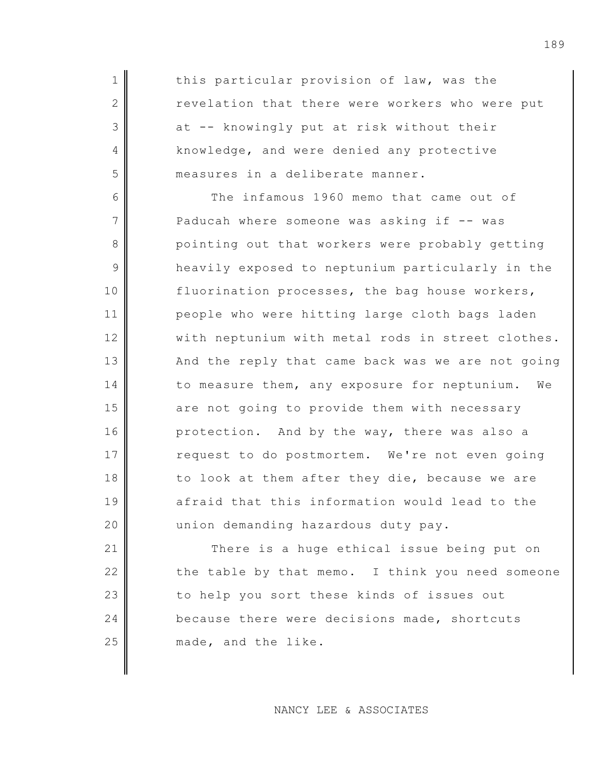1 this particular provision of law, was the 2 revelation that there were workers who were put 3 at -- knowingly put at risk without their 4 knowledge, and were denied any protective 5 measures in a deliberate manner.

6 The infamous 1960 memo that came out of 7 Paducah where someone was asking if -- was 8 pointing out that workers were probably getting 9 heavily exposed to neptunium particularly in the 10 fluorination processes, the bag house workers, 11 people who were hitting large cloth bags laden 12 || with neptunium with metal rods in street clothes.  $13$   $\parallel$  And the reply that came back was we are not going 14 to measure them, any exposure for neptunium. We  $15$  are not going to provide them with necessary 16 protection. And by the way, there was also a 17 request to do postmortem. We're not even going  $18$  to look at them after they die, because we are 19 afraid that this information would lead to the 20 union demanding hazardous duty pay.

21 There is a huge ethical issue being put on  $22$  the table by that memo. I think you need someone 23 to help you sort these kinds of issues out 24 because there were decisions made, shortcuts  $25$  made, and the like.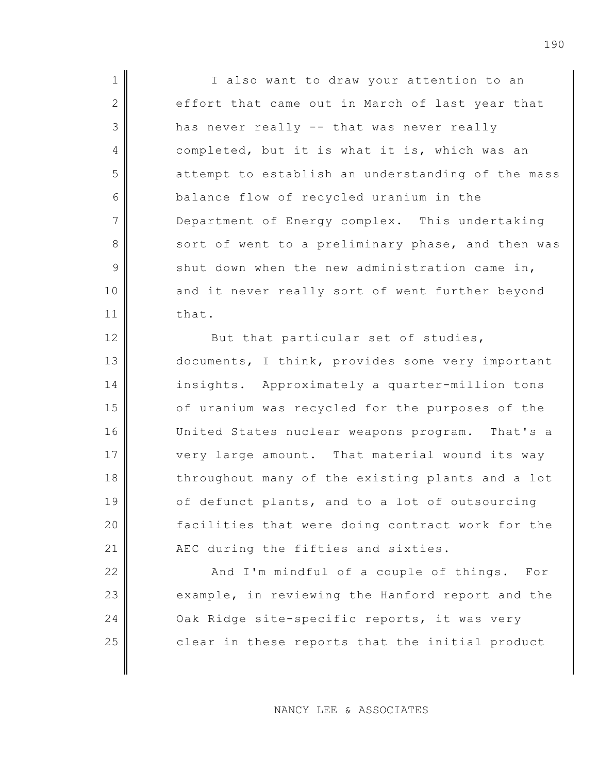1 I also want to draw your attention to an 2 effort that came out in March of last year that 3 has never really -- that was never really 4 completed, but it is what it is, which was an 5 attempt to establish an understanding of the mass 6 balance flow of recycled uranium in the 7 Department of Energy complex. This undertaking 8 sort of went to a preliminary phase, and then was  $9 \parallel$  shut down when the new administration came in, 10 and it never really sort of went further beyond  $11$  that.

12 But that particular set of studies, 13 documents, I think, provides some very important 14 insights. Approximately a quarter-million tons 15 of uranium was recycled for the purposes of the 16 United States nuclear weapons program. That's a 17 very large amount. That material wound its way 18 throughout many of the existing plants and a lot 19 of defunct plants, and to a lot of outsourcing 20 facilities that were doing contract work for the 21 **AEC** during the fifties and sixties.

22 And I'm mindful of a couple of things. For  $23$  example, in reviewing the Hanford report and the 24 Oak Ridge site-specific reports, it was very 25 clear in these reports that the initial product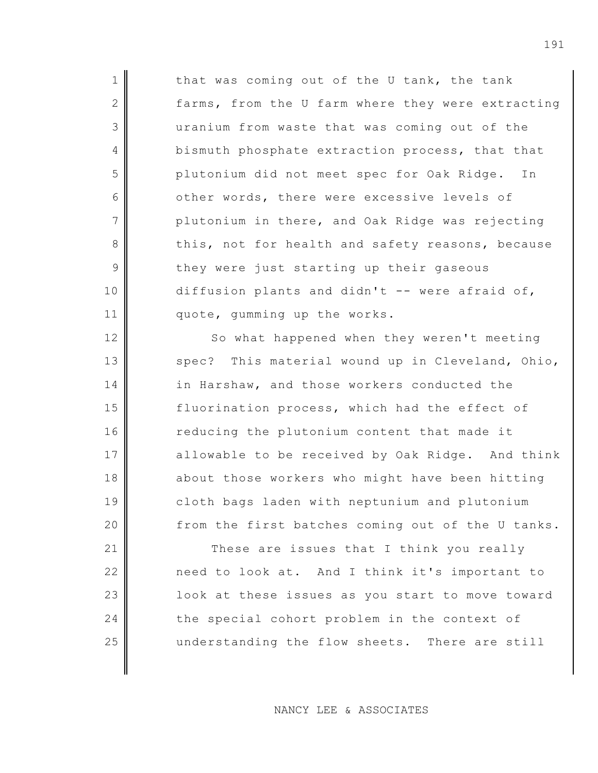| $\mathbf 1$ | that was coming out of the U tank, the tank       |
|-------------|---------------------------------------------------|
| 2           | farms, from the U farm where they were extracting |
| 3           | uranium from waste that was coming out of the     |
| 4           | bismuth phosphate extraction process, that that   |
| 5           | plutonium did not meet spec for Oak Ridge. In     |
| 6           | other words, there were excessive levels of       |
| 7           | plutonium in there, and Oak Ridge was rejecting   |
| 8           | this, not for health and safety reasons, because  |
| $\mathsf 9$ | they were just starting up their gaseous          |
| 10          | diffusion plants and didn't -- were afraid of,    |
| 11          | quote, qumming up the works.                      |
| 12          | So what happened when they weren't meeting        |
| 13          | spec? This material wound up in Cleveland, Ohio,  |
| 14          | in Harshaw, and those workers conducted the       |
| 15          | fluorination process, which had the effect of     |
| 16          | reducing the plutonium content that made it       |
| 17          | allowable to be received by Oak Ridge. And think  |
| 18          | about those workers who might have been hitting   |
| 19          | cloth bags laden with neptunium and plutonium     |
| 20          | from the first batches coming out of the U tanks. |
| 21          | These are issues that I think you really          |
| 22          | need to look at. And I think it's important to    |
| 23          | look at these issues as you start to move toward  |
| 24          | the special cohort problem in the context of      |
| 25          | understanding the flow sheets. There are still    |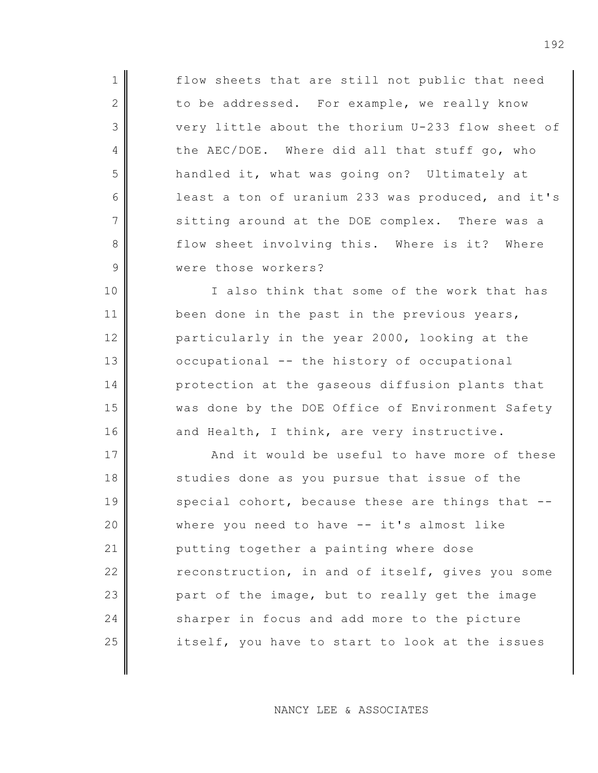1 flow sheets that are still not public that need  $2 \parallel$  to be addressed. For example, we really know 3 very little about the thorium U-233 flow sheet of 4 the AEC/DOE. Where did all that stuff go, who 5 handled it, what was going on? Ultimately at 6 **least a ton of uranium** 233 was produced, and it's 7 sitting around at the DOE complex. There was a 8 flow sheet involving this. Where is it? Where 9 were those workers?

10 I also think that some of the work that has 11 been done in the past in the previous years, 12 particularly in the year 2000, looking at the  $13$  occupational -- the history of occupational 14 protection at the gaseous diffusion plants that 15 was done by the DOE Office of Environment Safety 16 and Health, I think, are very instructive.

17 And it would be useful to have more of these 18 studies done as you pursue that issue of the 19 special cohort, because these are things that  $-$ 20 where you need to have -- it's almost like 21 putting together a painting where dose  $22$  reconstruction, in and of itself, gives you some  $23$  part of the image, but to really get the image  $24$  sharper in focus and add more to the picture  $25$  itself, you have to start to look at the issues

NANCY LEE & ASSOCIATES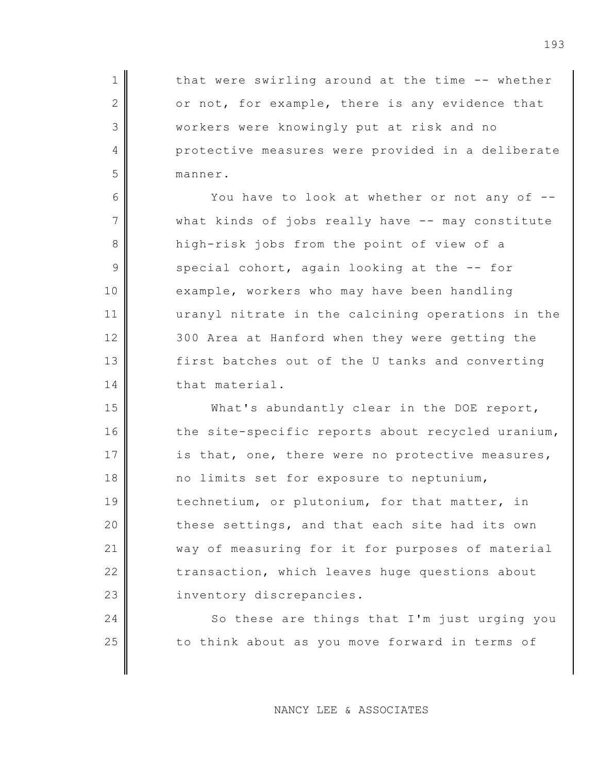1 1 that were swirling around at the time -- whether  $2$  or not, for example, there is any evidence that 3 workers were knowingly put at risk and no 4 protective measures were provided in a deliberate 5 manner.

6 You have to look at whether or not any of  $-$ 7 what kinds of jobs really have -- may constitute 8 high-risk jobs from the point of view of a  $9 \parallel$  special cohort, again looking at the -- for 10 example, workers who may have been handling 11 uranyl nitrate in the calcining operations in the 12 300 Area at Hanford when they were getting the 13 first batches out of the U tanks and converting 14 that material.

15 What's abundantly clear in the DOE report,  $16$  the site-specific reports about recycled uranium, 17 is that, one, there were no protective measures, 18 no limits set for exposure to neptunium, 19 technetium, or plutonium, for that matter, in 20 these settings, and that each site had its own 21 way of measuring for it for purposes of material 22 transaction, which leaves huge questions about 23 | inventory discrepancies.

24 So these are things that I'm just urging you  $25$  to think about as you move forward in terms of

NANCY LEE & ASSOCIATES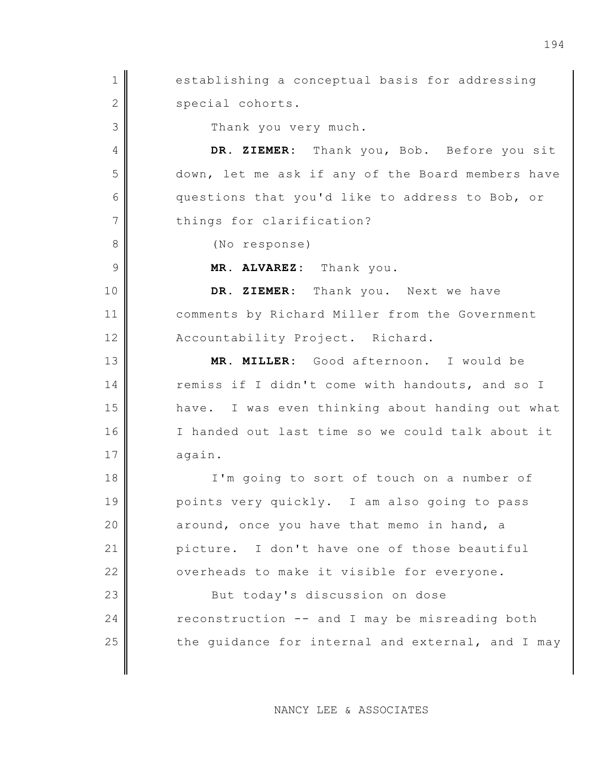1 establishing a conceptual basis for addressing 2 special cohorts. 3 || Thank you very much. 4 **DR. ZIEMER:** Thank you, Bob. Before you sit 5 down, let me ask if any of the Board members have 6 questions that you'd like to address to Bob, or 7 things for clarification? 8 (No response) 9 **MR. ALVAREZ:** Thank you. 10 **DR. ZIEMER:** Thank you. Next we have 11 comments by Richard Miller from the Government 12 Accountability Project. Richard. 13 **MR. MILLER:** Good afternoon. I would be 14 remiss if I didn't come with handouts, and so I 15 have. I was even thinking about handing out what 16 I handed out last time so we could talk about it 17 again. 18 I'm going to sort of touch on a number of 19 points very quickly. I am also going to pass 20  $\parallel$  around, once you have that memo in hand, a 21 picture. I don't have one of those beautiful 22 overheads to make it visible for everyone. 23 || But today's discussion on dose  $24$  reconstruction  $-$  and I may be misreading both  $25$   $\parallel$  the guidance for internal and external, and I may

194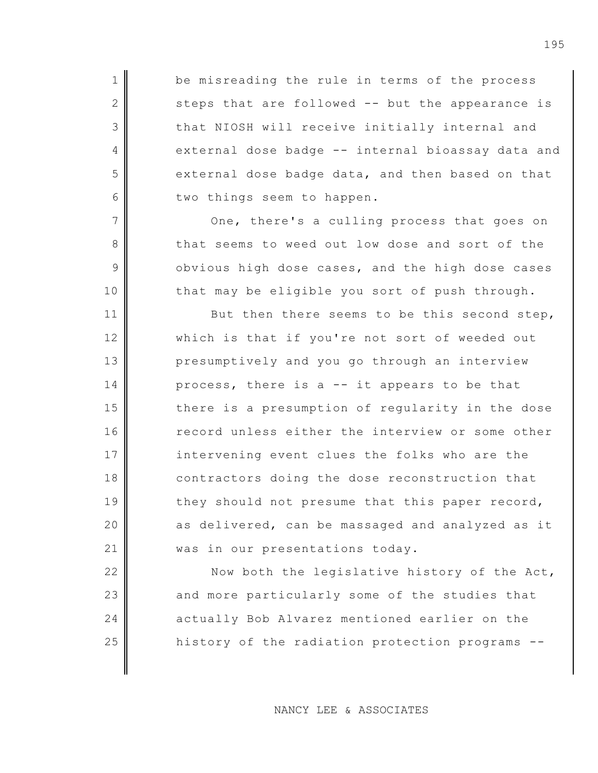1 be misreading the rule in terms of the process  $2$  steps that are followed -- but the appearance is 3 that NIOSH will receive initially internal and 4 external dose badge -- internal bioassay data and 5 external dose badge data, and then based on that  $6$  two things seem to happen.

7 One, there's a culling process that goes on 8 that seems to weed out low dose and sort of the  $9$  obvious high dose cases, and the high dose cases 10 that may be eligible you sort of push through.

11 But then there seems to be this second step, 12 which is that if you're not sort of weeded out 13 presumptively and you go through an interview  $14$  process, there is a -- it appears to be that  $15$  there is a presumption of regularity in the dose 16 Tecord unless either the interview or some other 17 intervening event clues the folks who are the 18 contractors doing the dose reconstruction that 19 they should not presume that this paper record, 20 as delivered, can be massaged and analyzed as it 21 was in our presentations today.

22 | Now both the legislative history of the Act, 23 and more particularly some of the studies that 24 actually Bob Alvarez mentioned earlier on the 25 history of the radiation protection programs --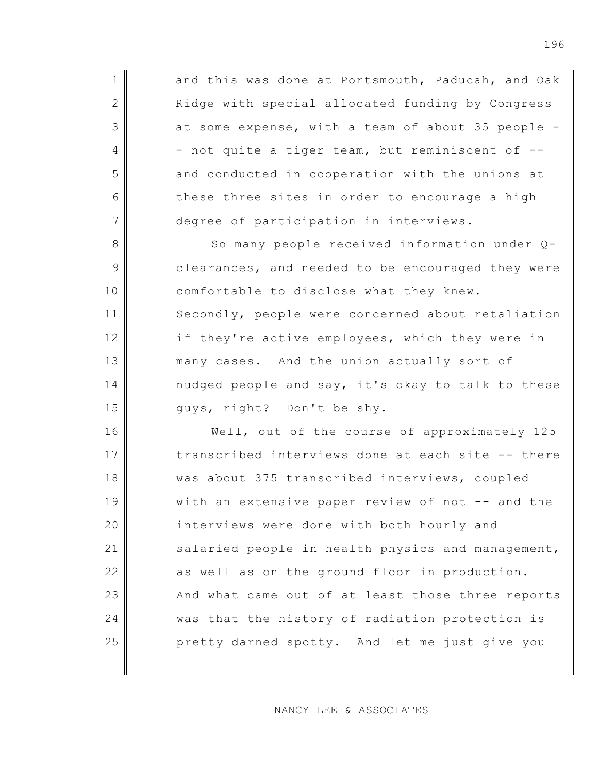1 and this was done at Portsmouth, Paducah, and Oak 2 Ridge with special allocated funding by Congress 3 at some expense, with a team of about 35 people - $4 \parallel$  - not quite a tiger team, but reminiscent of --5 and conducted in cooperation with the unions at 6 these three sites in order to encourage a high 7 degree of participation in interviews. 8 So many people received information under Q-9 clearances, and needed to be encouraged they were 10 comfortable to disclose what they knew. 11 Secondly, people were concerned about retaliation 12 if they're active employees, which they were in 13 many cases. And the union actually sort of 14 nudged people and say, it's okay to talk to these 15 | guys, right? Don't be shy. 16 Well, out of the course of approximately 125 17 transcribed interviews done at each site -- there 18 was about 375 transcribed interviews, coupled 19 with an extensive paper review of not -- and the 20 | interviews were done with both hourly and 21 salaried people in health physics and management, 22 as well as on the ground floor in production. 23 And what came out of at least those three reports 24 was that the history of radiation protection is

NANCY LEE & ASSOCIATES

25 pretty darned spotty. And let me just give you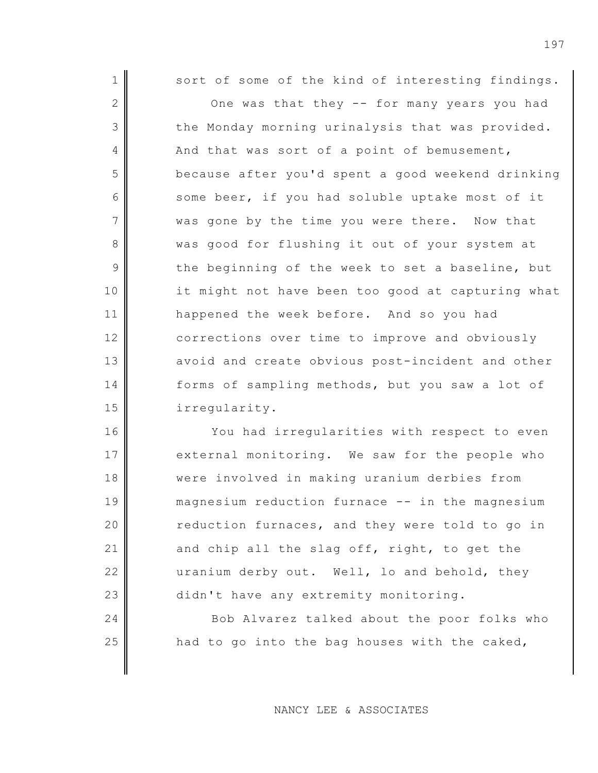1 sort of some of the kind of interesting findings.  $2$   $\parallel$  0ne was that they -- for many years you had 3 the Monday morning urinalysis that was provided.  $4 \parallel$  And that was sort of a point of bemusement, 5 because after you'd spent a good weekend drinking 6 some beer, if you had soluble uptake most of it 7 was gone by the time you were there. Now that 8 was good for flushing it out of your system at 9 the beginning of the week to set a baseline, but 10 it might not have been too good at capturing what 11 || happened the week before. And so you had 12 corrections over time to improve and obviously 13 avoid and create obvious post-incident and other 14 forms of sampling methods, but you saw a lot of 15 irregularity. 16 You had irregularities with respect to even

17 external monitoring. We saw for the people who 18 were involved in making uranium derbies from 19 magnesium reduction furnace -- in the magnesium 20 Teduction furnaces, and they were told to go in 21 and chip all the slag off, right, to get the 22 uranium derby out. Well, lo and behold, they 23 didn't have any extremity monitoring.

24 Bob Alvarez talked about the poor folks who  $25$  had to go into the bag houses with the caked,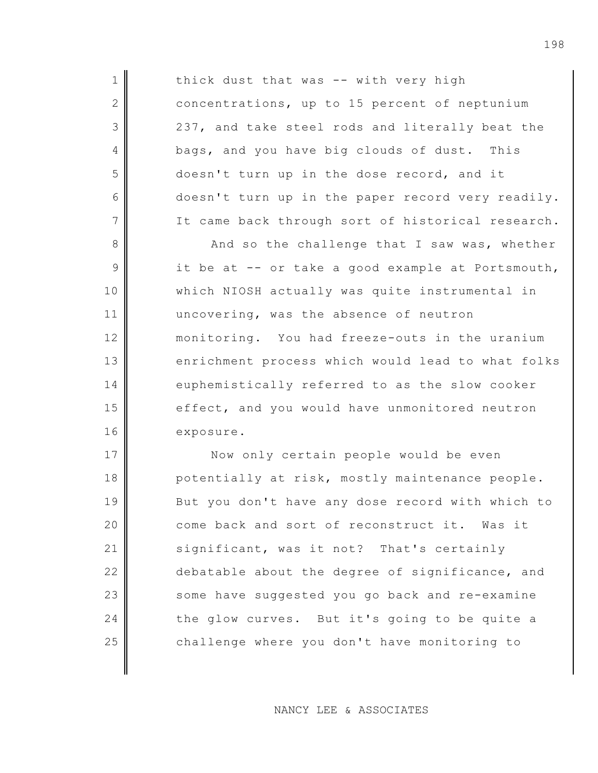$1 \parallel$  thick dust that was -- with very high 2 concentrations, up to 15 percent of neptunium 3 237, and take steel rods and literally beat the 4 bags, and you have big clouds of dust. This 5 doesn't turn up in the dose record, and it 6 doesn't turn up in the paper record very readily. 7 It came back through sort of historical research.

 $8$   $\parallel$  And so the challenge that I saw was, whether  $9 \parallel$  it be at -- or take a good example at Portsmouth, 10 which NIOSH actually was quite instrumental in 11 uncovering, was the absence of neutron 12 monitoring. You had freeze-outs in the uranium 13 enrichment process which would lead to what folks 14 euphemistically referred to as the slow cooker 15 effect, and you would have unmonitored neutron 16 exposure.

17 Now only certain people would be even 18 potentially at risk, mostly maintenance people. 19 But you don't have any dose record with which to 20 come back and sort of reconstruct it. Was it 21 significant, was it not? That's certainly 22 debatable about the degree of significance, and 23 some have suggested you go back and re-examine 24 the glow curves. But it's going to be quite a 25 challenge where you don't have monitoring to

NANCY LEE & ASSOCIATES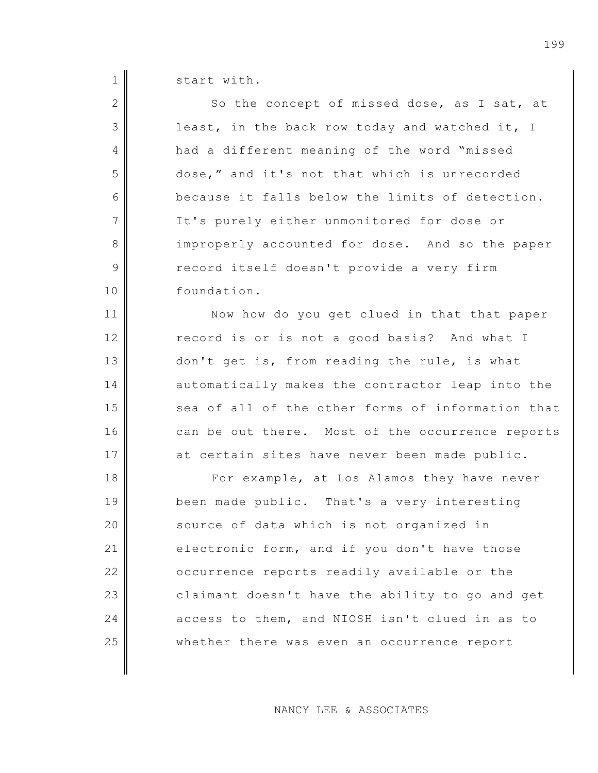1 start with.

| $\mathbf{2}$   | So the concept of missed dose, as I sat, at       |
|----------------|---------------------------------------------------|
| 3              | least, in the back row today and watched it, I    |
| 4              | had a different meaning of the word "missed       |
| 5              | dose," and it's not that which is unrecorded      |
| 6              | because it falls below the limits of detection.   |
| 7              | It's purely either unmonitored for dose or        |
| 8              | improperly accounted for dose. And so the paper   |
| $\overline{9}$ | record itself doesn't provide a very firm         |
| 10             | foundation.                                       |
| 11             | Now how do you get clued in that that paper       |
| 12             | record is or is not a good basis? And what I      |
| 13             | don't get is, from reading the rule, is what      |
| 14             | automatically makes the contractor leap into the  |
| 15             | sea of all of the other forms of information that |
| 16             | can be out there. Most of the occurrence reports  |
| $17$           | at certain sites have never been made public.     |
| 18             | For example, at Los Alamos they have never        |
| 19             | been made public. That's a very interesting       |
| 20             | source of data which is not organized in          |
| 21             | electronic form, and if you don't have those      |
| 22             | occurrence reports readily available or the       |
| 23             | claimant doesn't have the ability to go and get   |
| 24             | access to them, and NIOSH isn't clued in as to    |
| 25             | whether there was even an occurrence report       |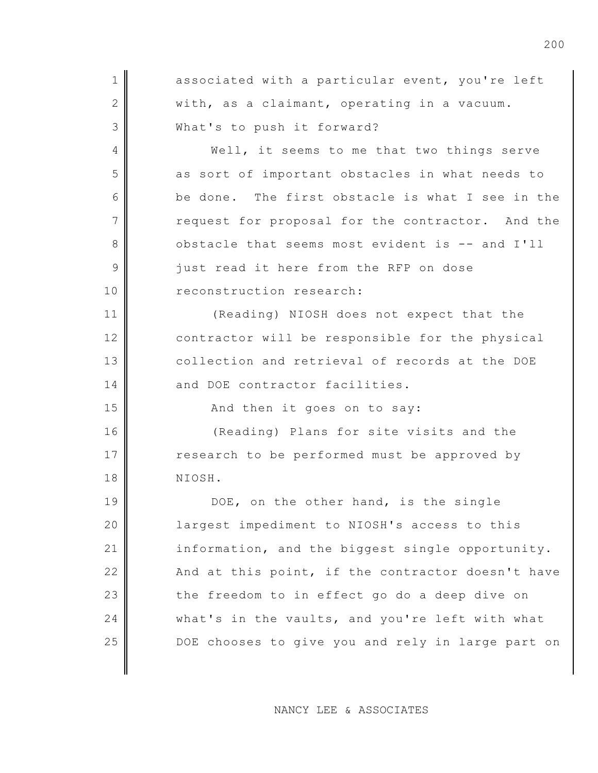| $\mathbf 1$    | associated with a particular event, you're left   |
|----------------|---------------------------------------------------|
| $\mathbf{2}$   | with, as a claimant, operating in a vacuum.       |
| 3              | What's to push it forward?                        |
| 4              | Well, it seems to me that two things serve        |
| 5              | as sort of important obstacles in what needs to   |
| 6              | be done. The first obstacle is what I see in the  |
| $\overline{7}$ | request for proposal for the contractor. And the  |
| 8              | obstacle that seems most evident is -- and I'll   |
| $\mathsf 9$    | just read it here from the RFP on dose            |
| 10             | reconstruction research:                          |
| 11             | (Reading) NIOSH does not expect that the          |
| 12             | contractor will be responsible for the physical   |
| 13             | collection and retrieval of records at the DOE    |
| 14             | and DOE contractor facilities.                    |
|                |                                                   |
| 15             | And then it goes on to say:                       |
| 16             | (Reading) Plans for site visits and the           |
| 17             | research to be performed must be approved by      |
| 18             | NIOSH.                                            |
| 19             | DOE, on the other hand, is the single             |
| 20             | largest impediment to NIOSH's access to this      |
| 21             | information, and the biggest single opportunity.  |
| 22             | And at this point, if the contractor doesn't have |
| 23             | the freedom to in effect go do a deep dive on     |
| 24             | what's in the vaults, and you're left with what   |
| 25             | DOE chooses to give you and rely in large part on |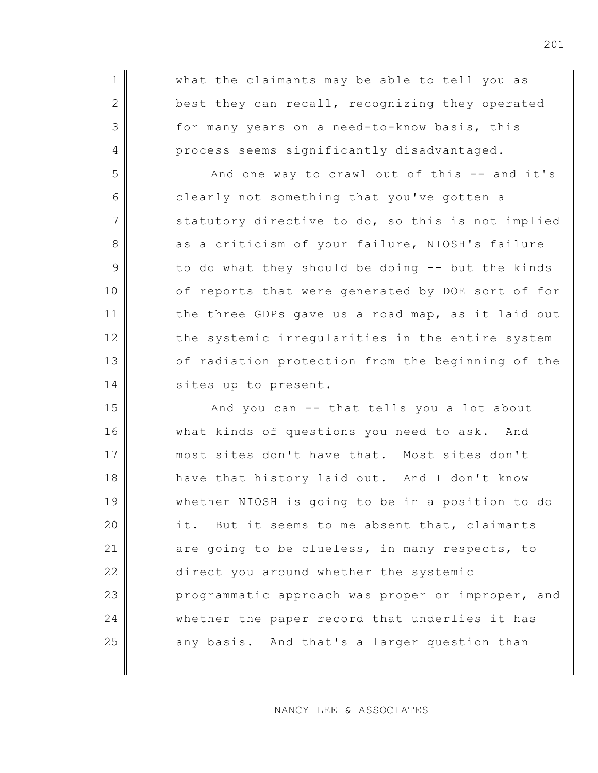1 what the claimants may be able to tell you as  $2$  best they can recall, recognizing they operated 3 for many years on a need-to-know basis, this 4 process seems significantly disadvantaged. 5 And one way to crawl out of this -- and it's 6 clearly not something that you've gotten a 7 statutory directive to do, so this is not implied 8 as a criticism of your failure, NIOSH's failure  $9 \parallel$  to do what they should be doing -- but the kinds 10 of reports that were generated by DOE sort of for 11 the three GDPs gave us a road map, as it laid out 12 the systemic irregularities in the entire system 13 of radiation protection from the beginning of the 14 sites up to present. 15 || And you can -- that tells you a lot about 16 what kinds of questions you need to ask. And 17 most sites don't have that. Most sites don't 18 have that history laid out. And I don't know 19 whether NIOSH is going to be in a position to do 20 it. But it seems to me absent that, claimants 21 are going to be clueless, in many respects, to 22 direct you around whether the systemic 23 programmatic approach was proper or improper, and 24 | whether the paper record that underlies it has 25 any basis. And that's a larger question than

NANCY LEE & ASSOCIATES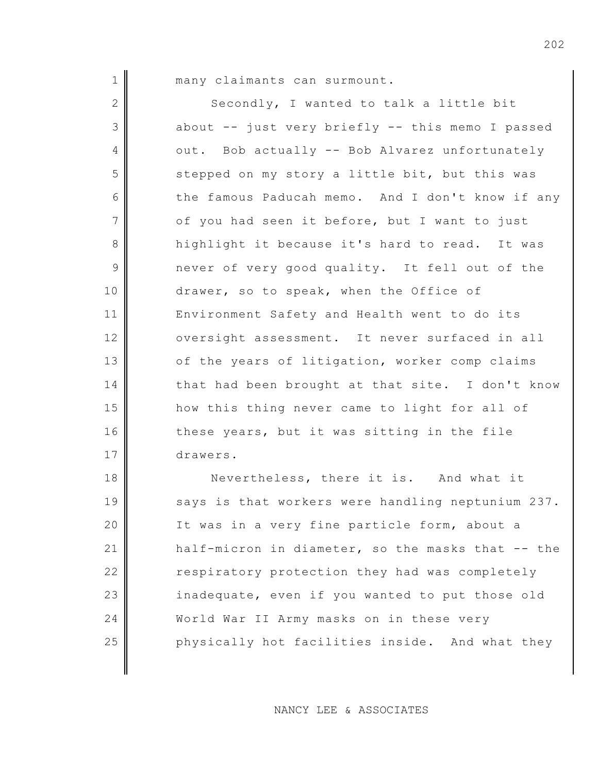1 many claimants can surmount.

2 Secondly, I wanted to talk a little bit 3 about -- just very briefly -- this memo I passed 4 out. Bob actually -- Bob Alvarez unfortunately 5 stepped on my story a little bit, but this was 6 the famous Paducah memo. And I don't know if any  $7$  of you had seen it before, but I want to just 8 highlight it because it's hard to read. It was 9 never of very good quality. It fell out of the 10 drawer, so to speak, when the Office of 11 | Environment Safety and Health went to do its 12 oversight assessment. It never surfaced in all 13 of the years of litigation, worker comp claims  $14$  that had been brought at that site. I don't know 15 how this thing never came to light for all of  $16$  these years, but it was sitting in the file 17 drawers. 18 Nevertheless, there it is. And what it

19 says is that workers were handling neptunium 237. 20 | It was in a very fine particle form, about a 21 half-micron in diameter, so the masks that -- the 22 respiratory protection they had was completely 23 inadequate, even if you wanted to put those old 24 World War II Army masks on in these very 25 physically hot facilities inside. And what they

202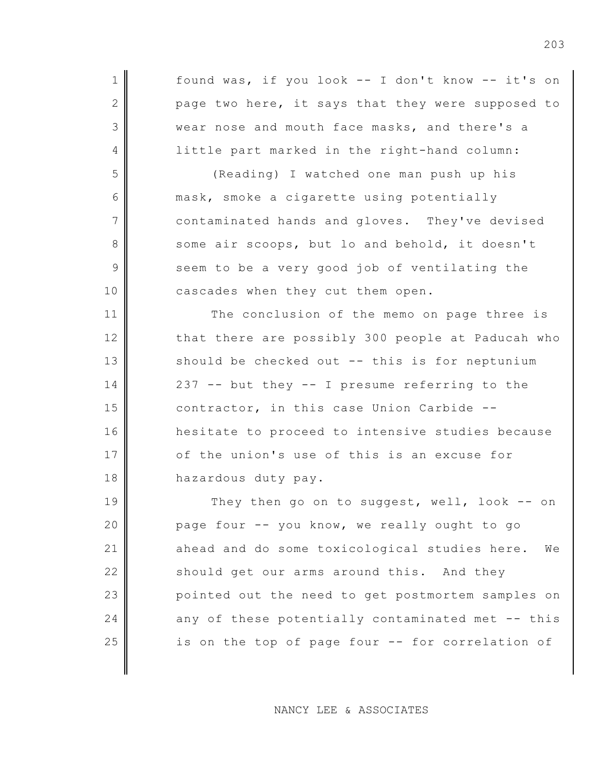| $\mathbf 1$    | found was, if you look -- I don't know -- it's on   |
|----------------|-----------------------------------------------------|
| $\mathbf{2}$   | page two here, it says that they were supposed to   |
| 3              | wear nose and mouth face masks, and there's a       |
| 4              | little part marked in the right-hand column:        |
| 5              | (Reading) I watched one man push up his             |
| 6              | mask, smoke a cigarette using potentially           |
| $\overline{7}$ | contaminated hands and gloves. They've devised      |
| $8\,$          | some air scoops, but lo and behold, it doesn't      |
| $\overline{9}$ | seem to be a very good job of ventilating the       |
| 10             | cascades when they cut them open.                   |
| 11             | The conclusion of the memo on page three is         |
| 12             | that there are possibly 300 people at Paducah who   |
| 13             | should be checked out -- this is for neptunium      |
| 14             | 237 -- but they -- I presume referring to the       |
| 15             | contractor, in this case Union Carbide --           |
| 16             | hesitate to proceed to intensive studies because    |
| 17             | of the union's use of this is an excuse for         |
| 18             | hazardous duty pay.                                 |
| 19             | They then go on to suggest, well, look -- on        |
| 20             | page four -- you know, we really ought to go        |
| 21             | ahead and do some toxicological studies here.<br>We |
| 22             | should get our arms around this. And they           |
| 23             | pointed out the need to get postmortem samples on   |
| 24             | any of these potentially contaminated met -- this   |
| 25             | is on the top of page four -- for correlation of    |

NANCY LEE & ASSOCIATES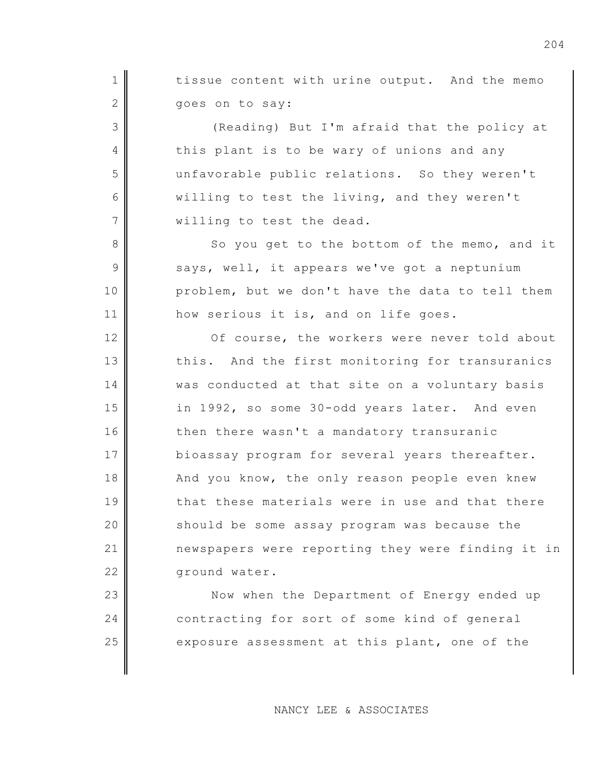1 tissue content with urine output. And the memo 2 goes on to say:

3 (Reading) But I'm afraid that the policy at 4 this plant is to be wary of unions and any 5 unfavorable public relations. So they weren't 6 willing to test the living, and they weren't 7 | willing to test the dead.

8 So you get to the bottom of the memo, and it 9 says, well, it appears we've got a neptunium 10 problem, but we don't have the data to tell them 11 how serious it is, and on life goes.

12 Of course, the workers were never told about 13 this. And the first monitoring for transuranics 14 was conducted at that site on a voluntary basis 15 in 1992, so some 30-odd years later. And even 16 then there wasn't a mandatory transuranic 17 bioassay program for several years thereafter. 18 And you know, the only reason people even knew 19 that these materials were in use and that there  $20$  should be some assay program was because the 21 newspapers were reporting they were finding it in 22 | qround water.

23 || Now when the Department of Energy ended up 24 contracting for sort of some kind of general 25 exposure assessment at this plant, one of the

NANCY LEE & ASSOCIATES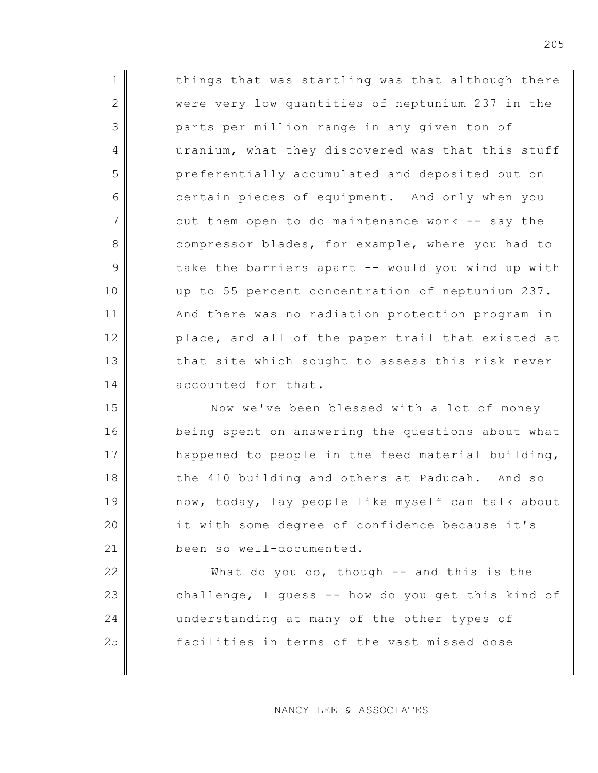1 1 things that was startling was that although there 2 were very low quantities of neptunium 237 in the 3 parts per million range in any given ton of 4 uranium, what they discovered was that this stuff 5 preferentially accumulated and deposited out on 6 certain pieces of equipment. And only when you  $7$  cut them open to do maintenance work -- say the 8 compressor blades, for example, where you had to 9 take the barriers apart -- would you wind up with 10 up to 55 percent concentration of neptunium 237. 11 | And there was no radiation protection program in 12 place, and all of the paper trail that existed at 13 that site which sought to assess this risk never 14 accounted for that.

15 Now we've been blessed with a lot of money 16 being spent on answering the questions about what 17 happened to people in the feed material building, 18 the 410 building and others at Paducah. And so 19 || now, today, lay people like myself can talk about 20 it with some degree of confidence because it's 21 been so well-documented.

22 What do you do, though -- and this is the  $23$  challenge, I guess -- how do you get this kind of 24 understanding at many of the other types of 25 facilities in terms of the vast missed dose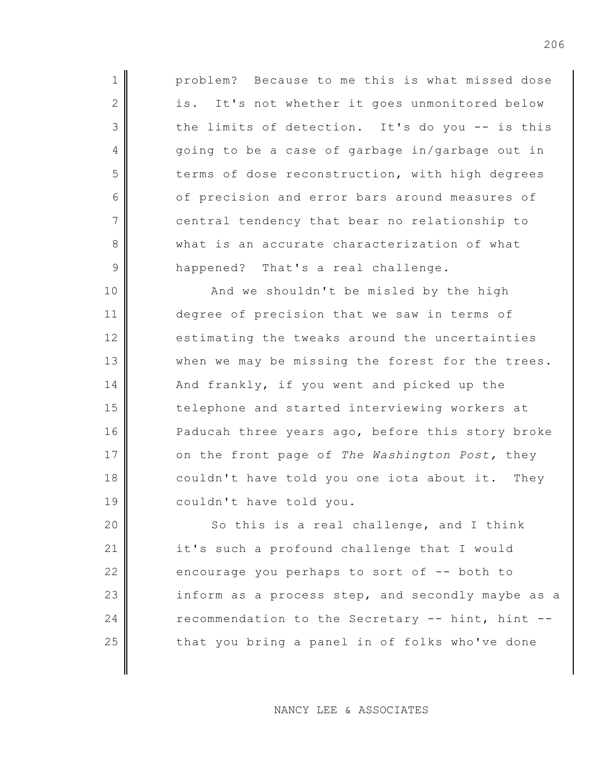1 **problem?** Because to me this is what missed dose 2 is. It's not whether it goes unmonitored below 3 the limits of detection. It's do you -- is this 4 qoing to be a case of garbage in/garbage out in 5 terms of dose reconstruction, with high degrees 6 of precision and error bars around measures of 7 central tendency that bear no relationship to 8 what is an accurate characterization of what 9 happened? That's a real challenge.

10 And we shouldn't be misled by the high 11 degree of precision that we saw in terms of 12 estimating the tweaks around the uncertainties 13 when we may be missing the forest for the trees. 14 | And frankly, if you went and picked up the 15 telephone and started interviewing workers at 16 | Paducah three years ago, before this story broke 17 on the front page of *The Washington Post*, they 18 couldn't have told you one iota about it. They 19 couldn't have told you.

20  $\parallel$  So this is a real challenge, and I think 21 it's such a profound challenge that I would 22 encourage you perhaps to sort of  $-$ - both to 23  $\parallel$  inform as a process step, and secondly maybe as a 24 recommendation to the Secretary  $-$  hint, hint  $25$   $\parallel$  that you bring a panel in of folks who've done

NANCY LEE & ASSOCIATES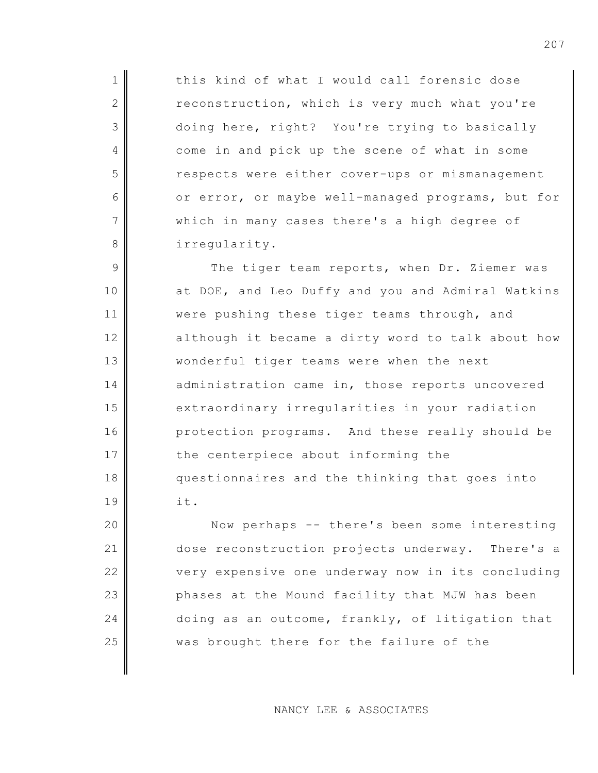1 1 this kind of what I would call forensic dose 2 reconstruction, which is very much what you're 3 doing here, right? You're trying to basically 4 come in and pick up the scene of what in some 5 respects were either cover-ups or mismanagement 6 or error, or maybe well-managed programs, but for 7 which in many cases there's a high degree of 8 | irregularity.

9 The tiger team reports, when Dr. Ziemer was 10 at DOE, and Leo Duffy and you and Admiral Watkins 11 | were pushing these tiger teams through, and  $12$  although it became a dirty word to talk about how 13 **Wonderful tiger teams were when the next** 14 administration came in, those reports uncovered 15 extraordinary irregularities in your radiation 16 protection programs. And these really should be 17 the centerpiece about informing the 18 questionnaires and the thinking that goes into  $19$   $\parallel$  it.

20 Now perhaps -- there's been some interesting 21 dose reconstruction projects underway. There's a 22 very expensive one underway now in its concluding  $23$  phases at the Mound facility that MJW has been 24 doing as an outcome, frankly, of litigation that 25 was brought there for the failure of the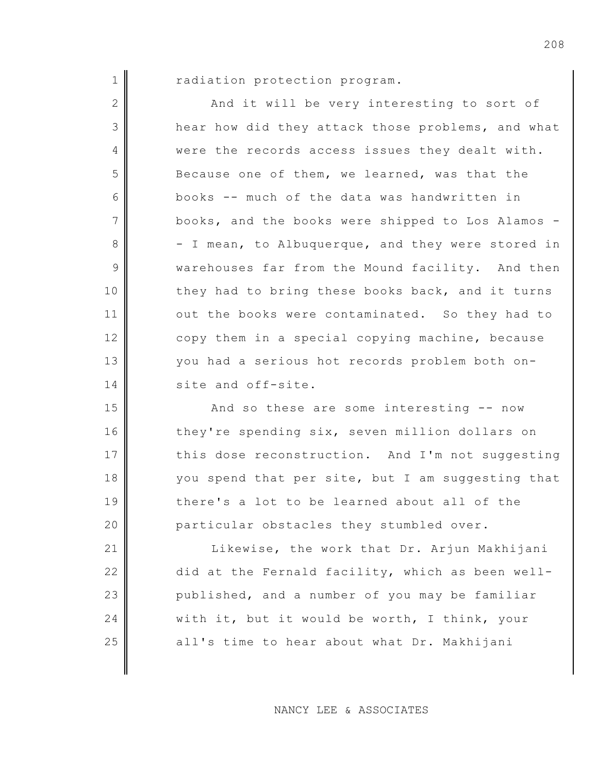1 radiation protection program.

2 And it will be very interesting to sort of 3 hear how did they attack those problems, and what 4 were the records access issues they dealt with. 5 Because one of them, we learned, was that the 6 books -- much of the data was handwritten in 7 books, and the books were shipped to Los Alamos - $8 \parallel$  - I mean, to Albuquerque, and they were stored in 9 warehouses far from the Mound facility. And then 10 they had to bring these books back, and it turns 11 out the books were contaminated. So they had to 12 copy them in a special copying machine, because 13 vou had a serious hot records problem both on-14 site and off-site.

15 And so these are some interesting -- now 16 they're spending six, seven million dollars on 17 this dose reconstruction. And I'm not suggesting  $18$  you spend that per site, but I am suggesting that 19 || there's a lot to be learned about all of the 20 **particular** obstacles they stumbled over.

21 | Likewise, the work that Dr. Arjun Makhijani 22  $\parallel$  did at the Fernald facility, which as been well-23 published, and a number of you may be familiar 24 | with it, but it would be worth, I think, your 25 all's time to hear about what Dr. Makhijani

208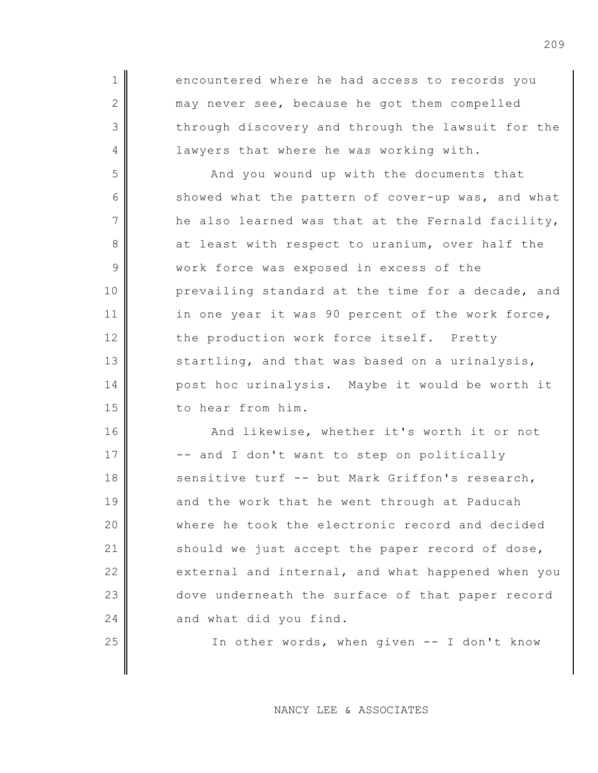1 encountered where he had access to records you  $2$  may never see, because he got them compelled 3 through discovery and through the lawsuit for the 4 auxyers that where he was working with.

5 And you wound up with the documents that 6 showed what the pattern of cover-up was, and what  $7$  he also learned was that at the Fernald facility, 8 at least with respect to uranium, over half the 9 work force was exposed in excess of the 10 prevailing standard at the time for a decade, and 11 in one year it was 90 percent of the work force, 12 the production work force itself. Pretty  $13$  startling, and that was based on a urinalysis, 14 post hoc urinalysis. Maybe it would be worth it 15 to hear from him.

16 And likewise, whether it's worth it or not 17 -- and I don't want to step on politically 18 sensitive turf -- but Mark Griffon's research,  $19$  and the work that he went through at Paducah 20 where he took the electronic record and decided 21 should we just accept the paper record of dose,  $22$  external and internal, and what happened when you 23 dove underneath the surface of that paper record 24 and what did you find.

25 | The other words, when given -- I don't know

NANCY LEE & ASSOCIATES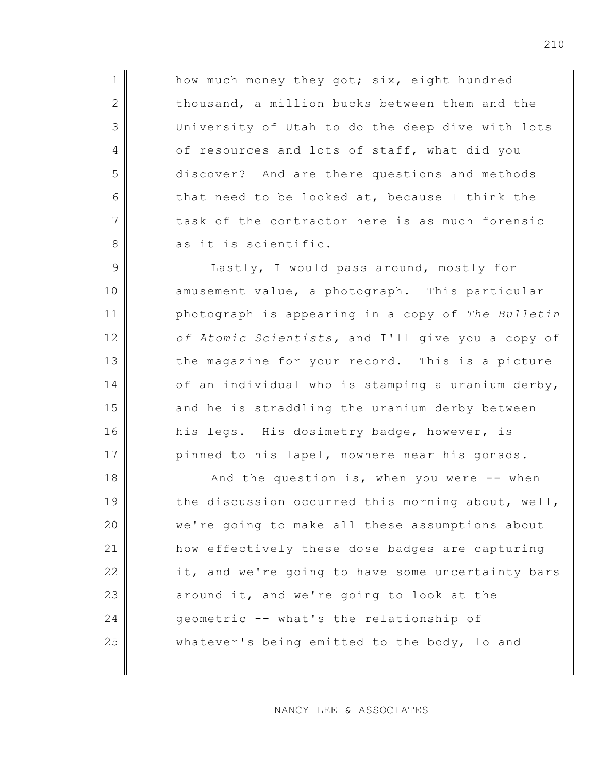1 how much money they got; six, eight hundred 2 thousand, a million bucks between them and the 3 University of Utah to do the deep dive with lots  $4 \parallel$  of resources and lots of staff, what did you 5 discover? And are there questions and methods 6 that need to be looked at, because I think the 7 task of the contractor here is as much forensic 8 as it is scientific.

9 || Lastly, I would pass around, mostly for 10 amusement value, a photograph. This particular 11 photograph is appearing in a copy of *The Bulletin* 12 *of Atomic Scientists,* and I'll give you a copy of 13 the magazine for your record. This is a picture 14 of an individual who is stamping a uranium derby,  $15$  and he is straddling the uranium derby between 16 his legs. His dosimetry badge, however, is 17 pinned to his lapel, nowhere near his gonads.

 $\parallel$  And the question is, when you were -- when  $\parallel$  the discussion occurred this morning about, well, we're going to make all these assumptions about how effectively these dose badges are capturing 22 it, and we're going to have some uncertainty bars around it, and we're going to look at the 24 geometric -- what's the relationship of 25 whatever's being emitted to the body, lo and

NANCY LEE & ASSOCIATES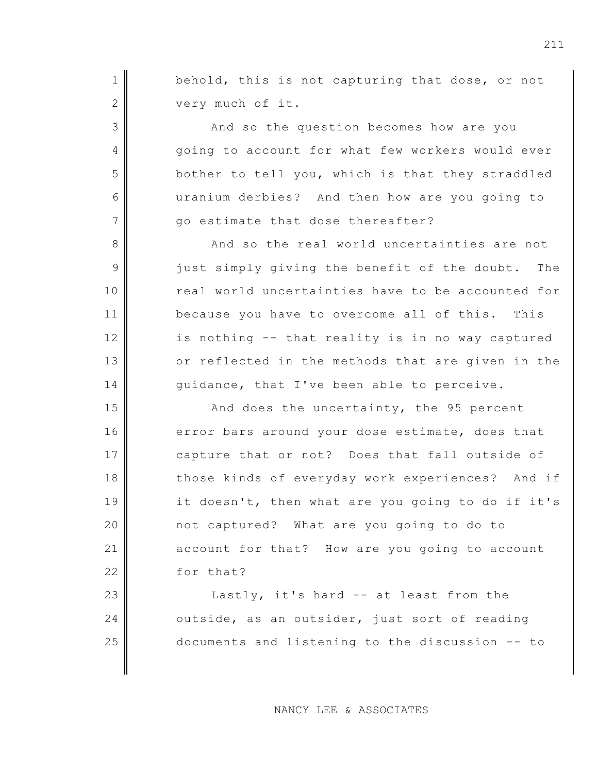1 behold, this is not capturing that dose, or not 2 very much of it.

3 And so the question becomes how are you 4 going to account for what few workers would ever 5 bother to tell you, which is that they straddled 6 uranium derbies? And then how are you going to  $7$   $\parallel$  qo estimate that dose thereafter?

8 And so the real world uncertainties are not 9 just simply giving the benefit of the doubt. The 10 real world uncertainties have to be accounted for 11 because you have to overcome all of this. This 12 is nothing -- that reality is in no way captured 13 or reflected in the methods that are given in the 14 quidance, that I've been able to perceive.

15 And does the uncertainty, the 95 percent 16 error bars around your dose estimate, does that 17 || capture that or not? Does that fall outside of 18 those kinds of everyday work experiences? And if 19 it doesn't, then what are you going to do if it's 20 not captured? What are you going to do to 21 account for that? How are you going to account 22 for that?

23 || Lastly, it's hard -- at least from the  $24$  outside, as an outsider, just sort of reading 25 documents and listening to the discussion -- to

NANCY LEE & ASSOCIATES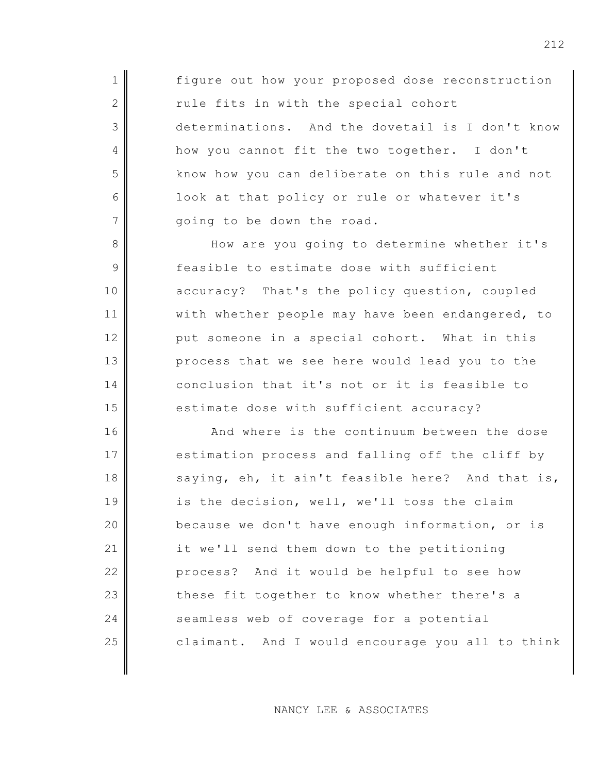1 figure out how your proposed dose reconstruction  $2$   $\parallel$  rule fits in with the special cohort 3 determinations. And the dovetail is I don't know 4 how you cannot fit the two together. I don't 5 know how you can deliberate on this rule and not 6 cook at that policy or rule or whatever it's 7 || qoing to be down the road.

8 How are you going to determine whether it's 9 seasible to estimate dose with sufficient 10 accuracy? That's the policy question, coupled 11 | with whether people may have been endangered, to 12 put someone in a special cohort. What in this 13 process that we see here would lead you to the 14 conclusion that it's not or it is feasible to 15 estimate dose with sufficient accuracy?

16 And where is the continuum between the dose 17 estimation process and falling off the cliff by 18 saying, eh, it ain't feasible here? And that is, 19 is the decision, well, we'll toss the claim 20 because we don't have enough information, or is 21 it we'll send them down to the petitioning 22 **process?** And it would be helpful to see how 23  $\parallel$  these fit together to know whether there's a 24 seamless web of coverage for a potential 25 claimant. And I would encourage you all to think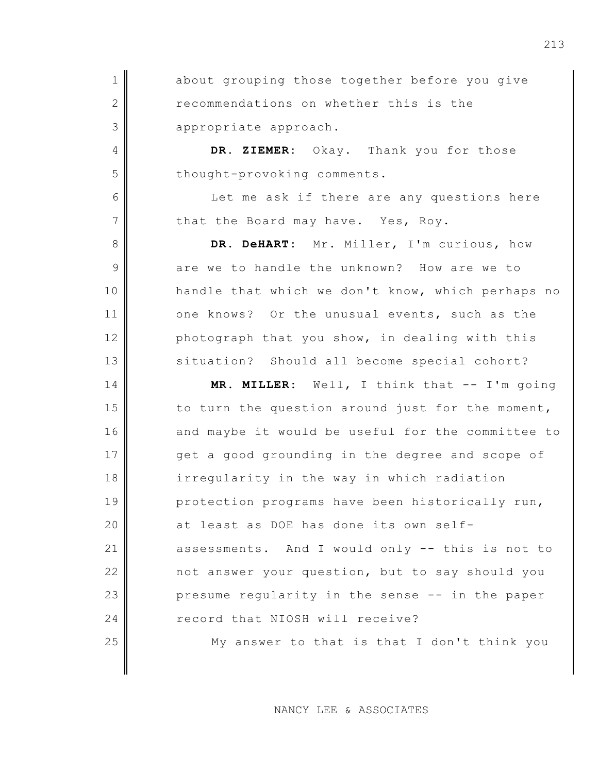1 about grouping those together before you give 2 recommendations on whether this is the 3 appropriate approach. 4 **DR. ZIEMER:** Okay. Thank you for those 5 thought-provoking comments. 6 Let me ask if there are any questions here  $7$  that the Board may have. Yes, Roy. 8 **DR. DeHART:** Mr. Miller, I'm curious, how 9 are we to handle the unknown? How are we to 10 handle that which we don't know, which perhaps no 11 || one knows? Or the unusual events, such as the 12 photograph that you show, in dealing with this 13 situation? Should all become special cohort? 14 **MR. MILLER:** Well, I think that -- I'm going  $15$  to turn the question around just for the moment, 16 and maybe it would be useful for the committee to 17 get a good grounding in the degree and scope of 18 irregularity in the way in which radiation 19 protection programs have been historically run, 20 at least as DOE has done its own self-21 assessments. And I would only -- this is not to 22 not answer your question, but to say should you 23 presume regularity in the sense -- in the paper 24 record that NIOSH will receive? 25 || My answer to that is that I don't think you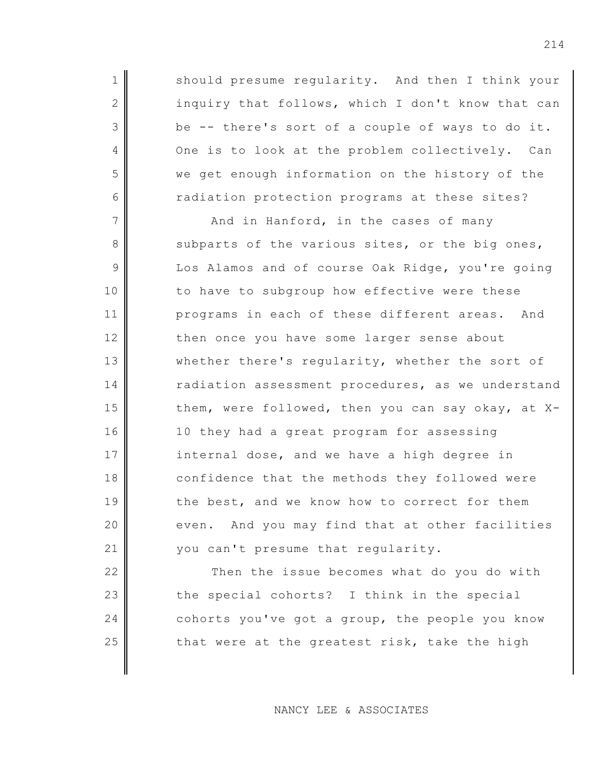1 should presume reqularity. And then I think your  $2$  inquiry that follows, which I don't know that can  $3$  be  $-$  there's sort of a couple of ways to do it. 4 One is to look at the problem collectively. Can 5 we get enough information on the history of the 6 radiation protection programs at these sites?

 $7$   $\parallel$  And in Hanford, in the cases of many  $8 \parallel$  subparts of the various sites, or the big ones, 9 Los Alamos and of course Oak Ridge, you're going 10 to have to subgroup how effective were these 11 || programs in each of these different areas. And 12 then once you have some larger sense about 13 whether there's regularity, whether the sort of 14 radiation assessment procedures, as we understand 15 them, were followed, then you can say okay, at X-16 10 they had a great program for assessing 17 internal dose, and we have a high degree in 18 confidence that the methods they followed were 19 the best, and we know how to correct for them 20 even. And you may find that at other facilities 21 you can't presume that reqularity.

  $\parallel$  Then the issue becomes what do you do with the special cohorts? I think in the special 24 cohorts you've got a group, the people you know  $\parallel$  that were at the greatest risk, take the high

NANCY LEE & ASSOCIATES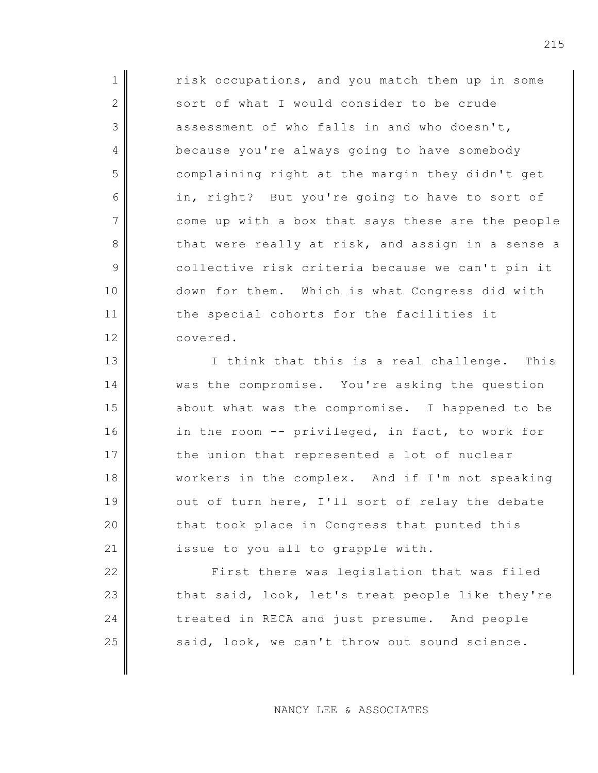1 1 risk occupations, and you match them up in some 2 sort of what I would consider to be crude  $3$  assessment of who falls in and who doesn't, 4 because you're always going to have somebody 5 complaining right at the margin they didn't get 6 in, right? But you're going to have to sort of 7 come up with a box that says these are the people 8 that were really at risk, and assign in a sense a 9 collective risk criteria because we can't pin it 10 down for them. Which is what Congress did with 11 the special cohorts for the facilities it 12 covered.

13 I think that this is a real challenge. This 14 | was the compromise. You're asking the question 15 about what was the compromise. I happened to be 16 in the room -- privileged, in fact, to work for 17 the union that represented a lot of nuclear 18 || workers in the complex. And if I'm not speaking 19 out of turn here, I'll sort of relay the debate 20 that took place in Congress that punted this 21 | issue to you all to grapple with.

22 | First there was legislation that was filed  $23$  that said, look, let's treat people like they're 24 treated in RECA and just presume. And people 25 said, look, we can't throw out sound science.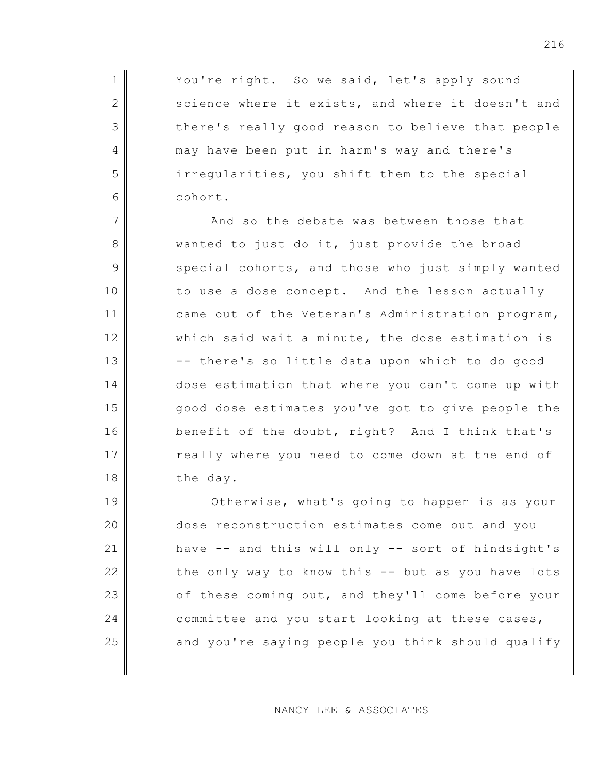1 | You're right. So we said, let's apply sound 2 science where it exists, and where it doesn't and 3 there's really good reason to believe that people 4 may have been put in harm's way and there's 5 irregularities, you shift them to the special 6 cohort.

7 And so the debate was between those that  $8$  wanted to just do it, just provide the broad 9 special cohorts, and those who just simply wanted 10 to use a dose concept. And the lesson actually 11 came out of the Veteran's Administration program, 12 Which said wait a minute, the dose estimation is 13 -- there's so little data upon which to do good 14 dose estimation that where you can't come up with 15 good dose estimates you've got to give people the 16 benefit of the doubt, right? And I think that's 17 really where you need to come down at the end of 18 the day.

19 Ctherwise, what's going to happen is as your 20 dose reconstruction estimates come out and you 21 have -- and this will only -- sort of hindsight's  $22$  the only way to know this -- but as you have lots 23 of these coming out, and they'll come before your 24 committee and you start looking at these cases, 25 and you're saying people you think should qualify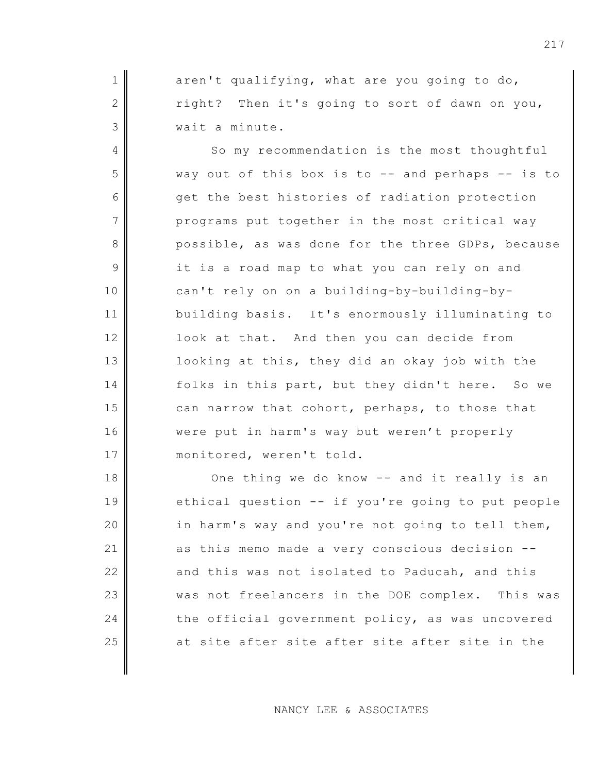1 aren't qualifying, what are you going to do,  $2$  right? Then it's going to sort of dawn on you, 3 wait a minute.

4 So my recommendation is the most thoughtful 5 way out of this box is to -- and perhaps -- is to 6 get the best histories of radiation protection 7 programs put together in the most critical way 8 possible, as was done for the three GDPs, because 9 it is a road map to what you can rely on and 10 can't rely on on a building-by-building-by-11 || building basis. It's enormously illuminating to 12 | look at that. And then you can decide from 13 | looking at this, they did an okay job with the 14 folks in this part, but they didn't here. So we 15  $\parallel$  can narrow that cohort, perhaps, to those that 16 || were put in harm's way but weren't properly 17 | monitored, weren't told.

18 One thing we do know -- and it really is an 19 ethical question -- if you're going to put people  $20$  in harm's way and you're not going to tell them, 21 as this memo made a very conscious decision --22 and this was not isolated to Paducah, and this 23 was not freelancers in the DOE complex. This was 24 the official government policy, as was uncovered  $25$   $\parallel$  at site after site after site after site in the

NANCY LEE & ASSOCIATES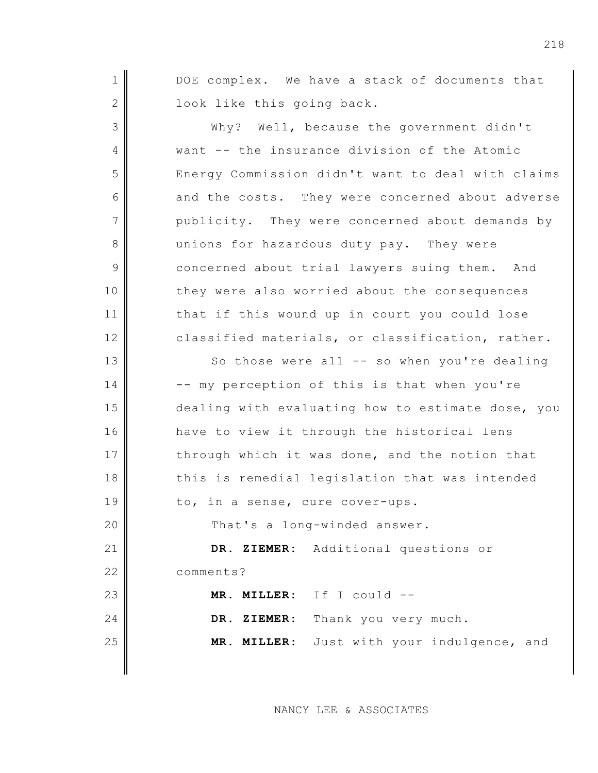1 DOE complex. We have a stack of documents that 2 | look like this going back.

3 Why? Well, because the government didn't 4 || want -- the insurance division of the Atomic 5 Energy Commission didn't want to deal with claims 6 and the costs. They were concerned about adverse 7 publicity. They were concerned about demands by 8 unions for hazardous duty pay. They were 9 concerned about trial lawyers suing them. And 10 they were also worried about the consequences 11 that if this wound up in court you could lose 12 classified materials, or classification, rather.  $13$  So those were all -- so when you're dealing

14 -- my perception of this is that when you're 15 dealing with evaluating how to estimate dose, you 16 have to view it through the historical lens 17 through which it was done, and the notion that 18 this is remedial legislation that was intended  $19$  to, in a sense, cure cover-ups.

20 || That's a long-winded answer.

21 **DR. ZIEMER:** Additional questions or 22 **Comments?** 23 **MR. MILLER:** If I could --

24 **DR. ZIEMER:** Thank you very much. 25 **MR. MILLER:** Just with your indulgence, and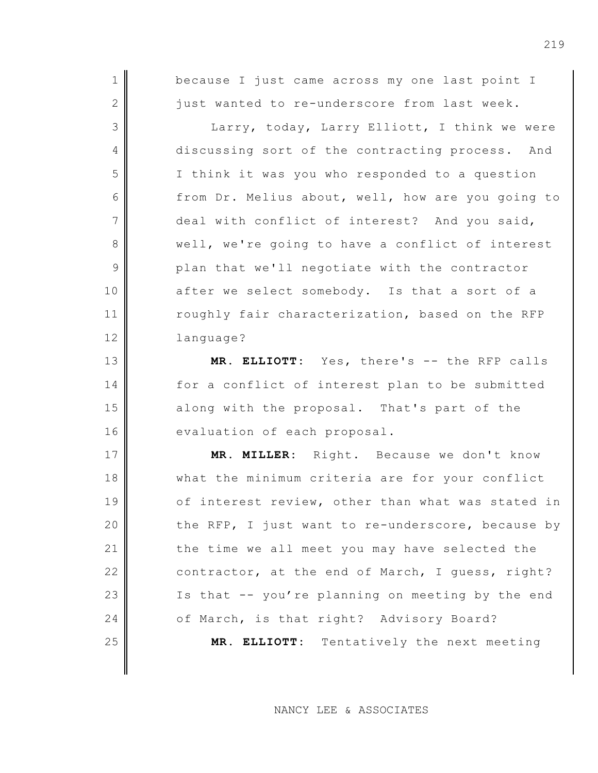| $\mathbf 1$  | because I just came across my one last point I    |
|--------------|---------------------------------------------------|
| $\mathbf{2}$ | just wanted to re-underscore from last week.      |
| 3            | Larry, today, Larry Elliott, I think we were      |
| 4            | discussing sort of the contracting process. And   |
| 5            | I think it was you who responded to a question    |
| 6            | from Dr. Melius about, well, how are you going to |
| 7            | deal with conflict of interest? And you said,     |
| 8            | well, we're going to have a conflict of interest  |
| 9            | plan that we'll negotiate with the contractor     |
| 10           | after we select somebody. Is that a sort of a     |
| 11           | roughly fair characterization, based on the RFP   |
| 12           | language?                                         |
| 13           | MR. ELLIOTT: Yes, there's -- the RFP calls        |
| 14           | for a conflict of interest plan to be submitted   |
| 15           | along with the proposal. That's part of the       |
| 16           | evaluation of each proposal.                      |
| 17           | MR. MILLER: Right. Because we don't know          |
| 18           | what the minimum criteria are for your conflict   |
| 19           | of interest review, other than what was stated in |
| 20           | the RFP, I just want to re-underscore, because by |
| 21           | the time we all meet you may have selected the    |
| 22           | contractor, at the end of March, I guess, right?  |
| 23           | Is that -- you're planning on meeting by the end  |
| 24           | of March, is that right? Advisory Board?          |
| 25           | MR. ELLIOTT: Tentatively the next meeting         |
|              |                                                   |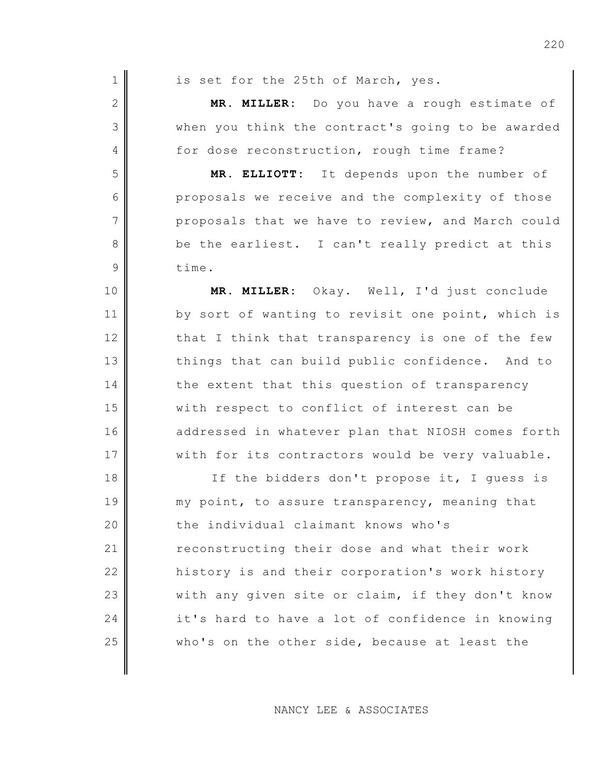| 1           | is set for the 25th of March, yes.                |
|-------------|---------------------------------------------------|
| $\mathbf 2$ | MR. MILLER: Do you have a rough estimate of       |
| 3           | when you think the contract's going to be awarded |
| 4           | for dose reconstruction, rough time frame?        |
| 5           | MR. ELLIOTT: It depends upon the number of        |
| 6           | proposals we receive and the complexity of those  |
| 7           | proposals that we have to review, and March could |
| 8           | be the earliest. I can't really predict at this   |
| 9           | time.                                             |
| 10          | MR. MILLER: Okay. Well, I'd just conclude         |
| 11          | by sort of wanting to revisit one point, which is |
| 12          | that I think that transparency is one of the few  |
| 13          | things that can build public confidence. And to   |
| 14          | the extent that this question of transparency     |
| 15          | with respect to conflict of interest can be       |
| 16          | addressed in whatever plan that NIOSH comes forth |
| 17          | with for its contractors would be very valuable.  |
| 18          | If the bidders don't propose it, I guess is       |
| 19          | my point, to assure transparency, meaning that    |
| 20          | the individual claimant knows who's               |
| 21          | reconstructing their dose and what their work     |
| 22          | history is and their corporation's work history   |
| 23          | with any given site or claim, if they don't know  |
| 24          | it's hard to have a lot of confidence in knowing  |
| 25          | who's on the other side, because at least the     |

 $\parallel$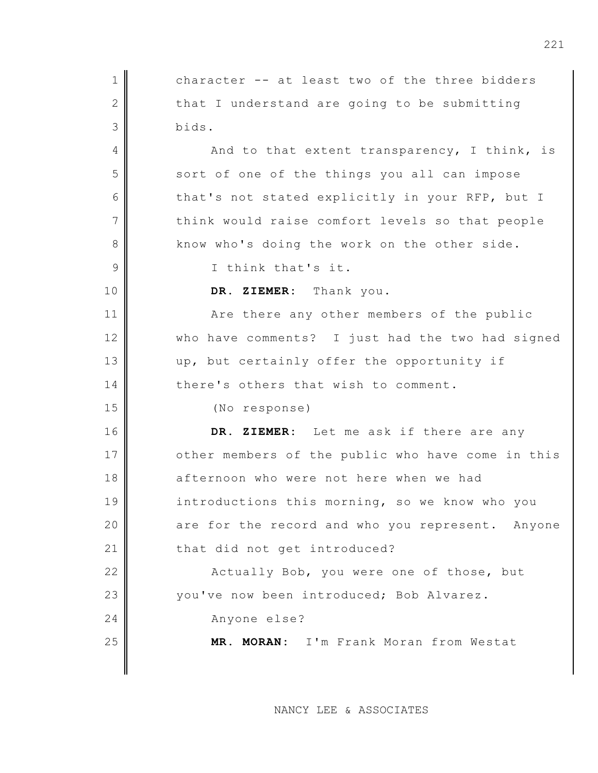1 character -- at least two of the three bidders  $2$  that I understand are going to be submitting 3 bids. 4 And to that extent transparency, I think, is 5 sort of one of the things you all can impose 6 that's not stated explicitly in your RFP, but I 7 think would raise comfort levels so that people 8 know who's doing the work on the other side. 9 I think that's it. 10 **DR. ZIEMER:** Thank you. 11 **Are there any other members of the public** 12 who have comments? I just had the two had signed 13 up, but certainly offer the opportunity if 14 there's others that wish to comment. 15 (No response) 16 **DR. ZIEMER:** Let me ask if there are any 17 | other members of the public who have come in this 18 afternoon who were not here when we had 19 introductions this morning, so we know who you 20 are for the record and who you represent. Anyone 21 that did not get introduced? 22 **Actually Bob, you were one of those, but** 23 vou've now been introduced; Bob Alvarez. 24 Anyone else? 25 **MR. MORAN:** I'm Frank Moran from Westat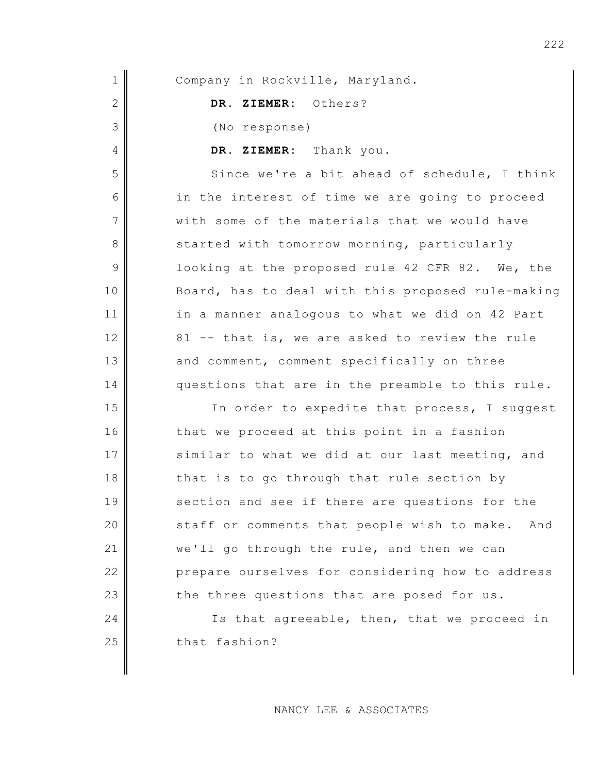| $\mathbf 1$    | Company in Rockville, Maryland.                   |
|----------------|---------------------------------------------------|
| $\mathbf{2}$   | DR. ZIEMER: Others?                               |
| 3              | (No response)                                     |
| 4              | DR. ZIEMER: Thank you.                            |
| 5              | Since we're a bit ahead of schedule, I think      |
| 6              | in the interest of time we are going to proceed   |
| $\overline{7}$ | with some of the materials that we would have     |
| $8\,$          | started with tomorrow morning, particularly       |
| $\mathsf 9$    | looking at the proposed rule 42 CFR 82. We, the   |
| 10             | Board, has to deal with this proposed rule-making |
| 11             | in a manner analogous to what we did on 42 Part   |
| 12             | 81 -- that is, we are asked to review the rule    |
| 13             | and comment, comment specifically on three        |
| 14             | questions that are in the preamble to this rule.  |
| 15             | In order to expedite that process, I suggest      |
| 16             | that we proceed at this point in a fashion        |
| 17             | similar to what we did at our last meeting, and   |
| 18             | that is to go through that rule section by        |
| 19             | section and see if there are questions for the    |
| 20             | staff or comments that people wish to make. And   |
| 21             | we'll go through the rule, and then we can        |
| 22             | prepare ourselves for considering how to address  |
| 23             | the three questions that are posed for us.        |
| 24             | Is that agreeable, then, that we proceed in       |
| 25             | that fashion?                                     |
|                |                                                   |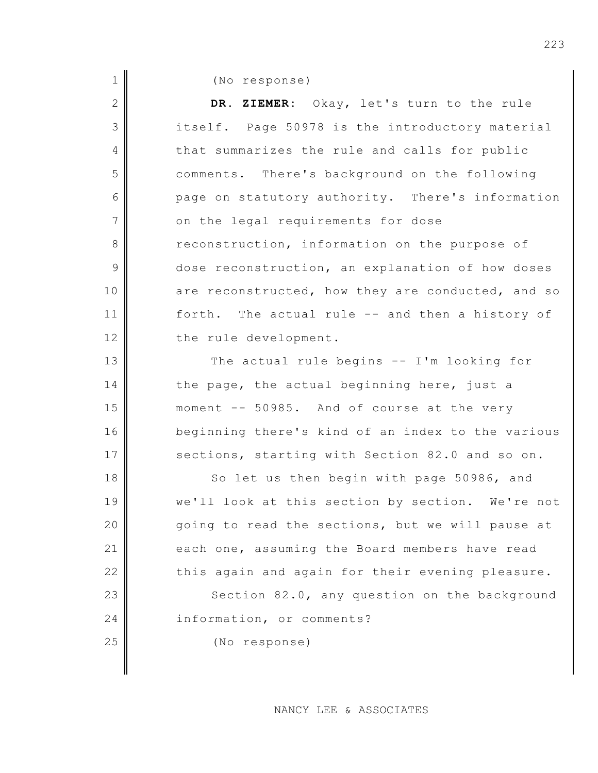1 (No response)

| $\mathbf{2}$   | DR. ZIEMER: Okay, let's turn to the rule          |
|----------------|---------------------------------------------------|
| 3              | itself. Page 50978 is the introductory material   |
| 4              | that summarizes the rule and calls for public     |
| 5              | comments. There's background on the following     |
| 6              | page on statutory authority. There's information  |
| $\overline{7}$ | on the legal requirements for dose                |
| 8              | reconstruction, information on the purpose of     |
| $\mathcal{G}$  | dose reconstruction, an explanation of how doses  |
| 10             | are reconstructed, how they are conducted, and so |
| 11             | forth. The actual rule -- and then a history of   |
| 12             | the rule development.                             |
| 13             | The actual rule begins -- I'm looking for         |
| 14             | the page, the actual beginning here, just a       |
| 15             | moment -- 50985. And of course at the very        |
| 16             | beginning there's kind of an index to the various |
| 17             | sections, starting with Section 82.0 and so on.   |
| 18             | So let us then begin with page 50986, and         |
| 19             | we'll look at this section by section. We're not  |
| 20             | going to read the sections, but we will pause at  |
| 21             | each one, assuming the Board members have read    |
| 22             | this again and again for their evening pleasure.  |
| 23             | Section 82.0, any question on the background      |
| 24             | information, or comments?                         |
| 25             | (No response)                                     |
|                |                                                   |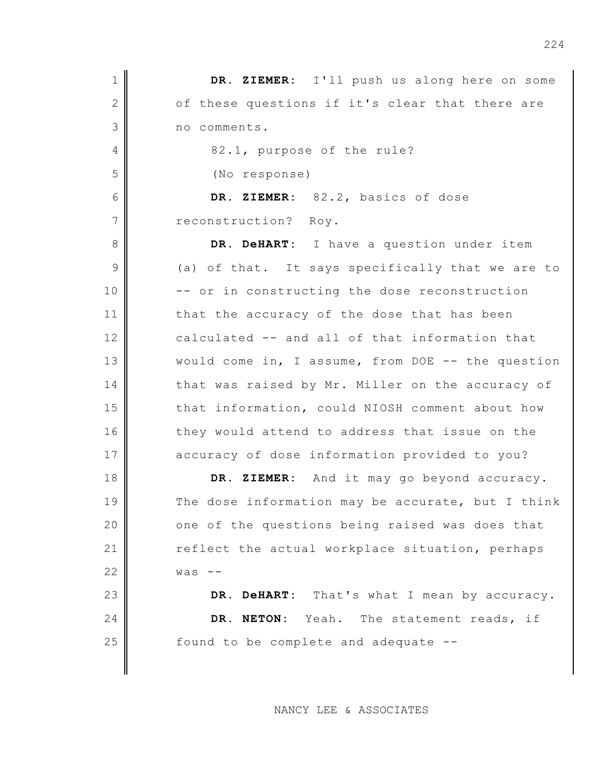1 **DR. ZIEMER:** I'll push us along here on some  $2$  of these questions if it's clear that there are 3 no comments.  $4 \parallel$  82.1, purpose of the rule? 5 (No response) 6 **DR. ZIEMER:** 82.2, basics of dose 7 | reconstruction? Roy. 8 **DR. DeHART:** I have a question under item 9 (a) of that. It says specifically that we are to 10 -- or in constructing the dose reconstruction 11 that the accuracy of the dose that has been 12 calculated -- and all of that information that 13 would come in, I assume, from DOE -- the question 14 that was raised by Mr. Miller on the accuracy of 15 that information, could NIOSH comment about how 16 they would attend to address that issue on the 17 accuracy of dose information provided to you? 18 **DR. ZIEMER:** And it may go beyond accuracy. 19 The dose information may be accurate, but I think 20 **one of the questions being raised was does that** 21 reflect the actual workplace situation, perhaps  $22$  was  $-$ 23 **DR. DeHART:** That's what I mean by accuracy. 24 **DR. NETON:** Yeah. The statement reads, if  $25$   $\parallel$  found to be complete and adequate  $-$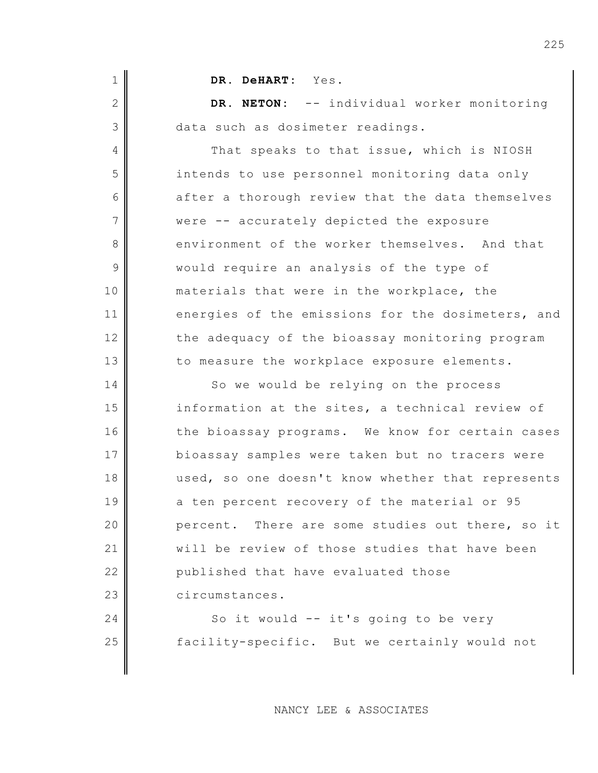| $\mathbf 1$    | DR. DeHART: Yes.                                  |
|----------------|---------------------------------------------------|
| $\mathbf{2}$   | DR. NETON: -- individual worker monitoring        |
| 3              | data such as dosimeter readings.                  |
| 4              | That speaks to that issue, which is NIOSH         |
| 5              | intends to use personnel monitoring data only     |
| 6              | after a thorough review that the data themselves  |
| 7              | were -- accurately depicted the exposure          |
| 8              | environment of the worker themselves. And that    |
| $\overline{9}$ | would require an analysis of the type of          |
| 10             | materials that were in the workplace, the         |
| 11             | energies of the emissions for the dosimeters, and |
| 12             | the adequacy of the bioassay monitoring program   |
| 13             | to measure the workplace exposure elements.       |
| 14             | So we would be relying on the process             |
| 15             | information at the sites, a technical review of   |
| 16             | the bioassay programs. We know for certain cases  |
| 17             | bioassay samples were taken but no tracers were   |
| 18             | used, so one doesn't know whether that represents |
| 19             | a ten percent recovery of the material or 95      |
| 20             | percent. There are some studies out there, so it  |
| 21             | will be review of those studies that have been    |
| 22             | published that have evaluated those               |
| 23             | circumstances.                                    |
| 24             | So it would -- it's going to be very              |
| 25             | facility-specific. But we certainly would not     |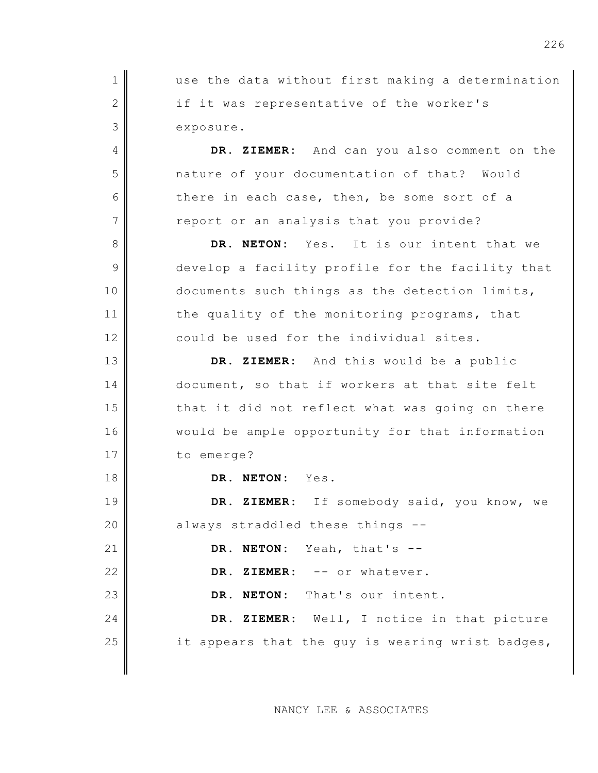1 use the data without first making a determination  $2$  if it was representative of the worker's 3 exposure.

4 **DR. ZIEMER:** And can you also comment on the 5 nature of your documentation of that? Would 6 there in each case, then, be some sort of a 7 report or an analysis that you provide?

8 **DR. NETON:** Yes. It is our intent that we 9 develop a facility profile for the facility that 10 documents such things as the detection limits, 11 the quality of the monitoring programs, that 12 could be used for the individual sites.

13 **DR. ZIEMER:** And this would be a public 14 document, so that if workers at that site felt  $15$  that it did not reflect what was going on there 16 would be ample opportunity for that information 17 to emerge?

18 **DR. NETON:** Yes.

19 **DR. ZIEMER:** If somebody said, you know, we 20 always straddled these things --

21 **DR. NETON:** Yeah, that's --

22 **DR. ZIEMER:** -- or whatever.

23 **DR. NETON:** That's our intent.

24 **DR. ZIEMER:** Well, I notice in that picture  $25$  it appears that the guy is wearing wrist badges,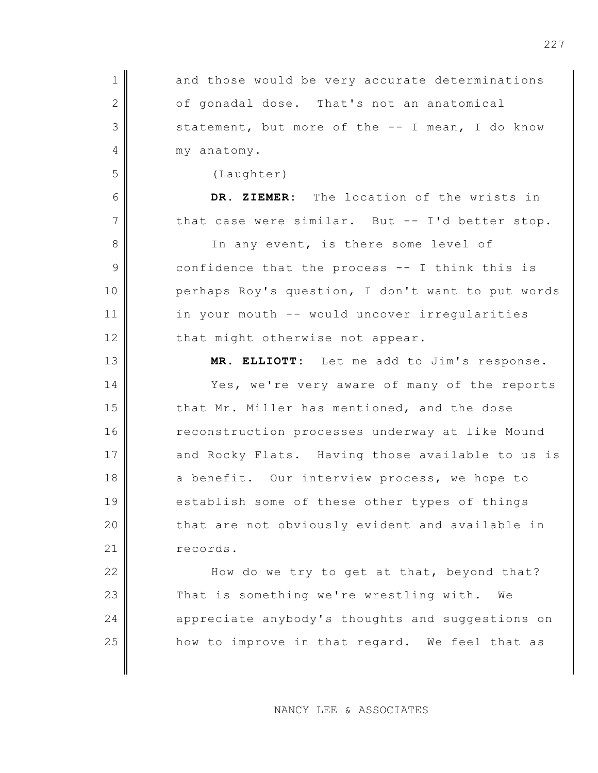| $\mathbf 1$   | and those would be very accurate determinations   |
|---------------|---------------------------------------------------|
| $\mathbf{2}$  | of gonadal dose. That's not an anatomical         |
| 3             | statement, but more of the -- I mean, I do know   |
| 4             | my anatomy.                                       |
| 5             | (Laughter)                                        |
| 6             | DR. ZIEMER: The location of the wrists in         |
| 7             | that case were similar. But -- I'd better stop.   |
| $8\,$         | In any event, is there some level of              |
| $\mathcal{G}$ | confidence that the process -- I think this is    |
| 10            | perhaps Roy's question, I don't want to put words |
| 11            | in your mouth -- would uncover irregularities     |
| 12            | that might otherwise not appear.                  |
| 13            | MR. ELLIOTT: Let me add to Jim's response.        |
| 14            | Yes, we're very aware of many of the reports      |
| 15            | that Mr. Miller has mentioned, and the dose       |
| 16            | reconstruction processes underway at like Mound   |
| 17            | and Rocky Flats. Having those available to us is  |
| 18            | a benefit. Our interview process, we hope to      |
| 19            | establish some of these other types of things     |
| 20            | that are not obviously evident and available in   |
| 21            | records.                                          |
| 22            | How do we try to get at that, beyond that?        |
| 23            | That is something we're wrestling with.<br>We     |
| 24            | appreciate anybody's thoughts and suggestions on  |
| 25            | how to improve in that regard. We feel that as    |
|               |                                                   |
|               |                                                   |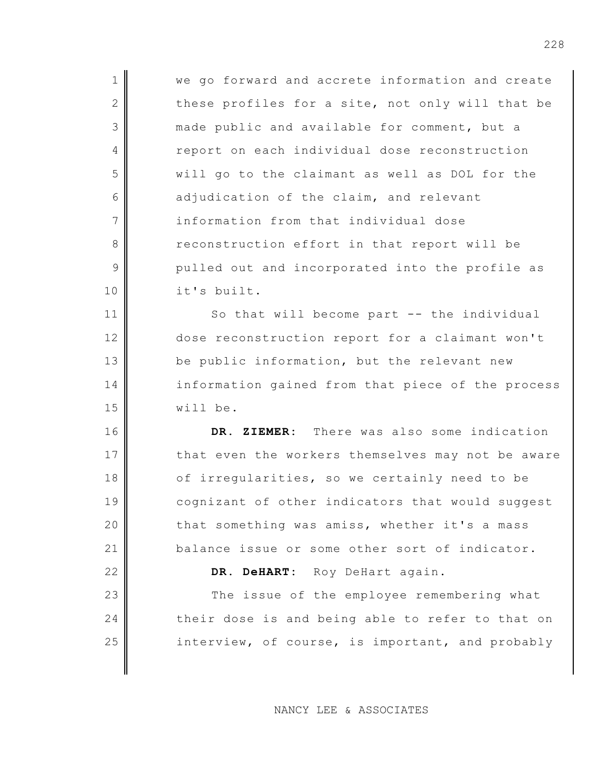| $\mathbf 1$    | we go forward and accrete information and create  |
|----------------|---------------------------------------------------|
| $\mathbf{2}$   | these profiles for a site, not only will that be  |
| 3              | made public and available for comment, but a      |
| $\overline{4}$ | report on each individual dose reconstruction     |
| 5              | will go to the claimant as well as DOL for the    |
| 6              | adjudication of the claim, and relevant           |
| 7              | information from that individual dose             |
| $8\,$          | reconstruction effort in that report will be      |
| $\mathsf 9$    | pulled out and incorporated into the profile as   |
| 10             | it's built.                                       |
| 11             | So that will become part -- the individual        |
| 12             | dose reconstruction report for a claimant won't   |
| 13             | be public information, but the relevant new       |
| 14             | information gained from that piece of the process |
| 15             | will be.                                          |
| 16             | DR. ZIEMER: There was also some indication        |
| 17             | that even the workers themselves may not be aware |
| 18             | of irregularities, so we certainly need to be     |
| 19             | cognizant of other indicators that would suggest  |
| 20             | that something was amiss, whether it's a mass     |
| 21             | balance issue or some other sort of indicator.    |
| 22             | DR. DeHART: Roy DeHart again.                     |
| 23             | The issue of the employee remembering what        |
| 24             | their dose is and being able to refer to that on  |
| 25             | interview, of course, is important, and probably  |
|                |                                                   |
|                |                                                   |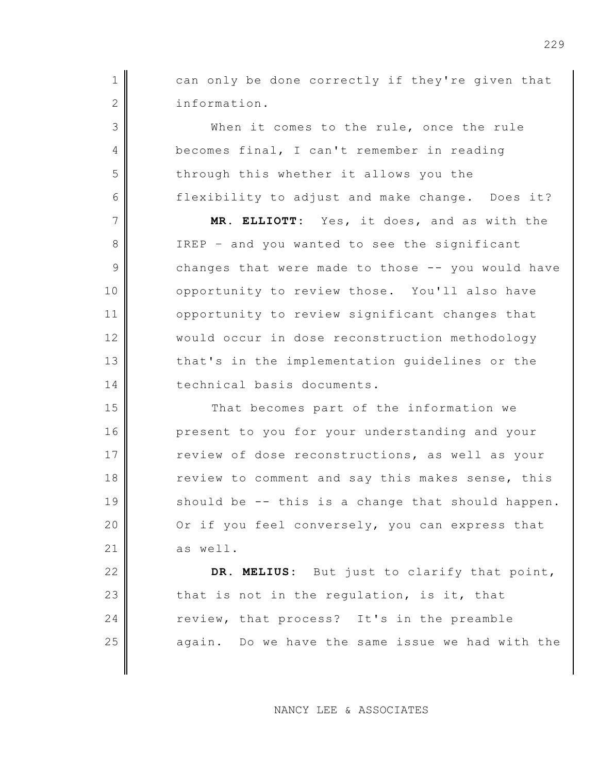1 can only be done correctly if they're given that 2 **information**.

3 When it comes to the rule, once the rule 4 becomes final, I can't remember in reading 5 through this whether it allows you the 6 flexibility to adjust and make change. Does it?

7 **MR. ELLIOTT:** Yes, it does, and as with the 8 IREP - and you wanted to see the significant 9 changes that were made to those -- you would have 10 opportunity to review those. You'll also have 11 opportunity to review significant changes that 12 would occur in dose reconstruction methodology 13 that's in the implementation quidelines or the 14 technical basis documents.

15 That becomes part of the information we 16 present to you for your understanding and your 17 review of dose reconstructions, as well as your 18 review to comment and say this makes sense, this 19 should be  $-$  this is a change that should happen. 20 Or if you feel conversely, you can express that 21 as well.

22 **DR. MELIUS:** But just to clarify that point, 23 that is not in the regulation, is it, that 24 review, that process? It's in the preamble  $25$  again. Do we have the same issue we had with the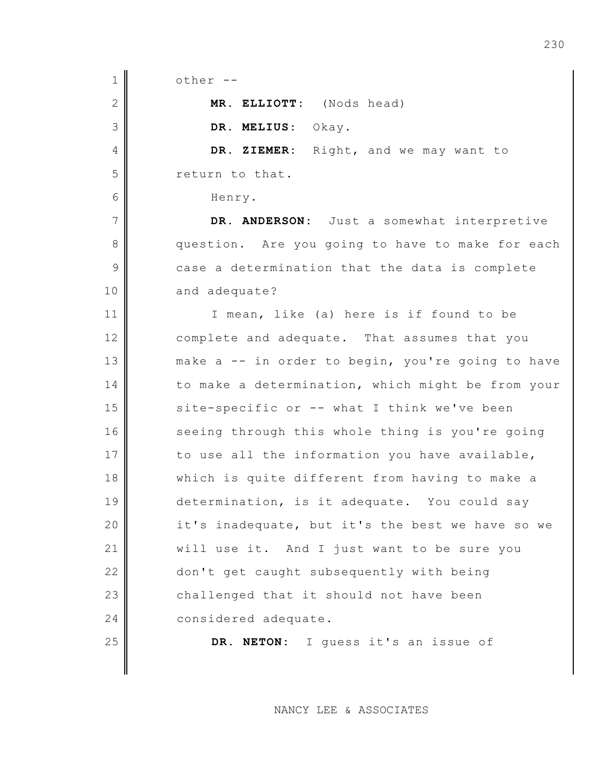$1 \parallel$  other --2 **MR. ELLIOTT:** (Nods head) 3 **DR. MELIUS:** Okay. 4 **DR. ZIEMER:** Right, and we may want to 5 return to that. 6 Henry. 7 **DR. ANDERSON:** Just a somewhat interpretive 8 question. Are you going to have to make for each 9 case a determination that the data is complete 10 and adequate? 11 I mean, like (a) here is if found to be 12 complete and adequate. That assumes that you 13 make a  $-$  in order to begin, you're going to have 14 to make a determination, which might be from your  $15$  site-specific or -- what I think we've been 16 seeing through this whole thing is you're going  $17$  to use all the information you have available, 18 which is quite different from having to make a 19 determination, is it adequate. You could say 20  $\parallel$  it's inadequate, but it's the best we have so we 21 | will use it. And I just want to be sure you 22 don't get caught subsequently with being 23 challenged that it should not have been 24 considered adequate. 25 **DR. NETON:** I guess it's an issue of

230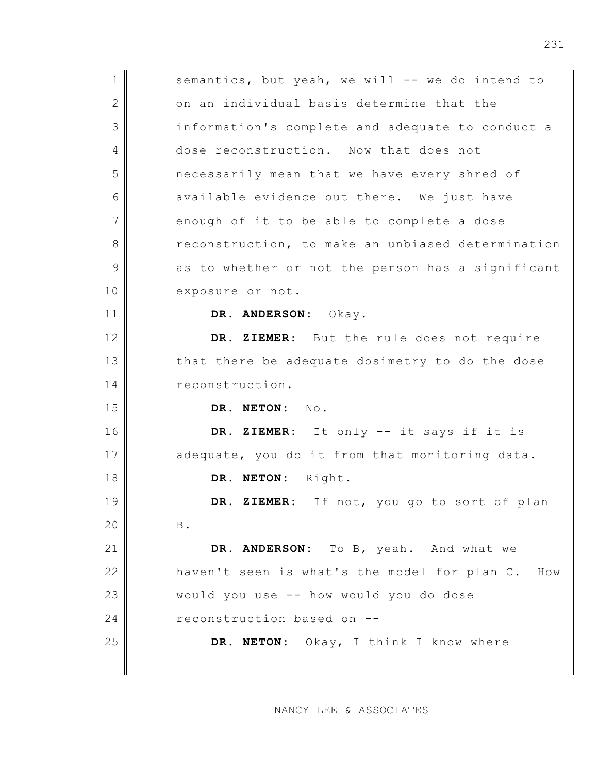| $\mathbf 1$  | semantics, but yeah, we will -- we do intend to   |
|--------------|---------------------------------------------------|
| $\mathbf{2}$ | on an individual basis determine that the         |
| 3            | information's complete and adequate to conduct a  |
| 4            | dose reconstruction. Now that does not            |
| 5            | necessarily mean that we have every shred of      |
| 6            | available evidence out there. We just have        |
| 7            | enough of it to be able to complete a dose        |
| $8\,$        | reconstruction, to make an unbiased determination |
| 9            | as to whether or not the person has a significant |
| 10           | exposure or not.                                  |
| 11           | DR. ANDERSON: Okay.                               |
| 12           | DR. ZIEMER: But the rule does not require         |
| 13           | that there be adequate dosimetry to do the dose   |
| 14           | reconstruction.                                   |
| 15           | DR. NETON:<br>$\mathbb{N} \circ$ .                |
| 16           | DR. ZIEMER: It only -- it says if it is           |
| 17           | adequate, you do it from that monitoring data.    |
| 18           | DR. NETON: Right.                                 |
| 19           | DR. ZIEMER: If not, you go to sort of plan        |
| 20           | $\, {\bf B}$ .                                    |
| 21           | DR. ANDERSON: To B, yeah. And what we             |
| 22           | haven't seen is what's the model for plan C. How  |
| 23           | would you use -- how would you do dose            |
| 24           | reconstruction based on --                        |
| 25           | DR. NETON: Okay, I think I know where             |
|              |                                                   |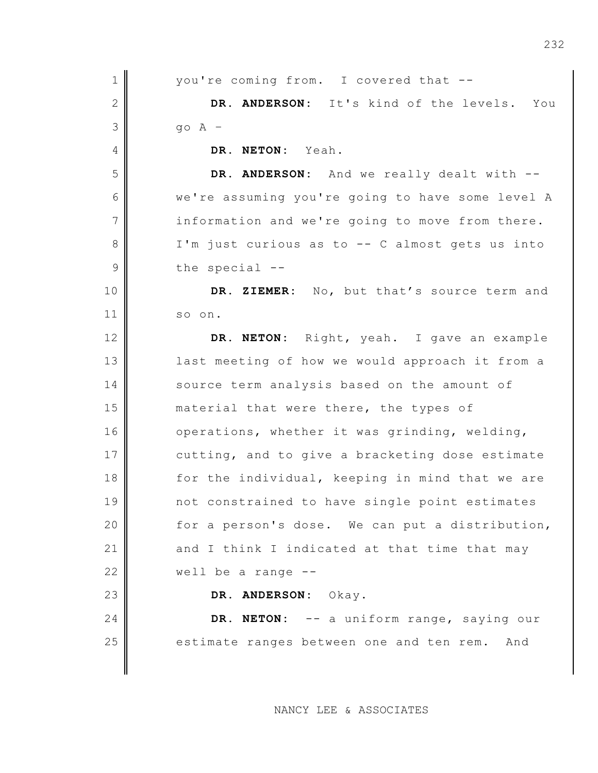| $\mathbf 1$   | you're coming from. I covered that --            |
|---------------|--------------------------------------------------|
| $\mathbf{2}$  | DR. ANDERSON: It's kind of the levels. You       |
| 3             | $qo A -$                                         |
| 4             | DR. NETON: Yeah.                                 |
| 5             | DR. ANDERSON: And we really dealt with --        |
| 6             | we're assuming you're going to have some level A |
| 7             | information and we're going to move from there.  |
| $8\,$         | I'm just curious as to -- C almost gets us into  |
| $\mathcal{G}$ | the special $--$                                 |
| 10            | DR. ZIEMER: No, but that's source term and       |
| 11            | so on.                                           |
| 12            | DR. NETON: Right, yeah. I gave an example        |
| 13            | last meeting of how we would approach it from a  |
| 14            | source term analysis based on the amount of      |
| 15            | material that were there, the types of           |
| 16            | operations, whether it was grinding, welding,    |
| 17            | cutting, and to give a bracketing dose estimate  |
| 18            | for the individual, keeping in mind that we are  |
| 19            | not constrained to have single point estimates   |
| $20$          | for a person's dose. We can put a distribution,  |
| 21            | and I think I indicated at that time that may    |
| $2\sqrt{2}$   | well be a range --                               |
| 23            | DR. ANDERSON: Okay.                              |
| 24            | DR. NETON: -- a uniform range, saying our        |
| 25            | estimate ranges between one and ten rem.<br>And  |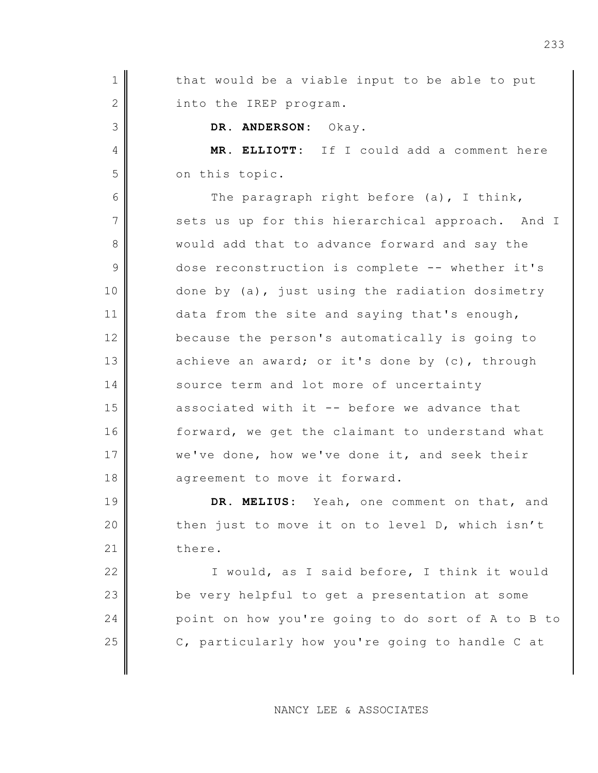1 | that would be a viable input to be able to put 2 into the IREP program. 3 **DR. ANDERSON:** Okay. 4 **MR. ELLIOTT:** If I could add a comment here 5 on this topic. 6 The paragraph right before (a), I think,  $7$  sets us up for this hierarchical approach. And I 8 would add that to advance forward and say the 9 dose reconstruction is complete -- whether it's 10 done by (a), just using the radiation dosimetry 11 data from the site and saying that's enough, 12 because the person's automatically is going to 13 achieve an award; or it's done by  $(c)$ , through 14 source term and lot more of uncertainty  $15$  associated with it -- before we advance that 16 forward, we get the claimant to understand what 17 | we've done, how we've done it, and seek their 18 agreement to move it forward. 19 **DR. MELIUS:** Yeah, one comment on that, and 20 then just to move it on to level D, which isn't 21 there. 22 || I would, as I said before, I think it would 23 **be** very helpful to get a presentation at some 24 point on how you're going to do sort of A to B to 25 C, particularly how you're going to handle C at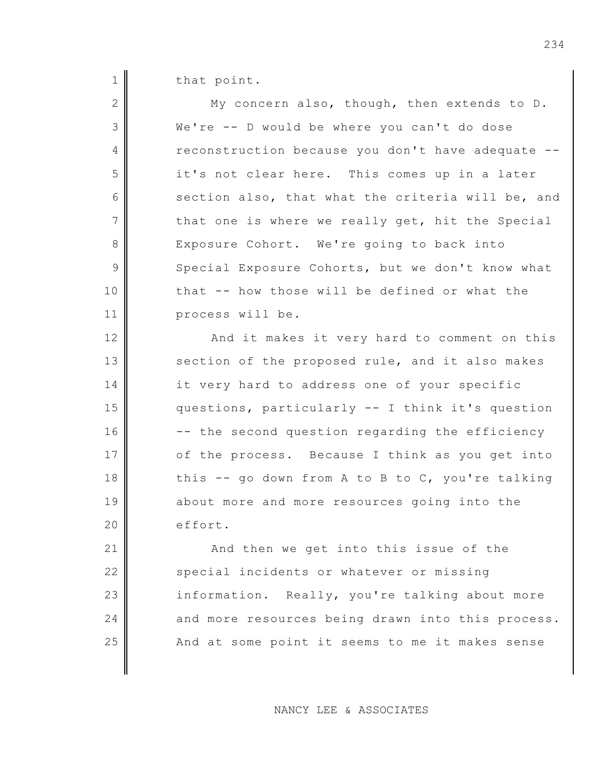1 that point.

| $\mathbf{2}$  | My concern also, though, then extends to D.       |
|---------------|---------------------------------------------------|
| 3             | We're -- D would be where you can't do dose       |
| 4             | reconstruction because you don't have adequate -- |
| 5             | it's not clear here. This comes up in a later     |
| 6             | section also, that what the criteria will be, and |
| 7             | that one is where we really get, hit the Special  |
| $8\,$         | Exposure Cohort. We're going to back into         |
| $\mathcal{G}$ | Special Exposure Cohorts, but we don't know what  |
| 10            | that -- how those will be defined or what the     |
| 11            | process will be.                                  |
| 12            | And it makes it very hard to comment on this      |
| 13            | section of the proposed rule, and it also makes   |
| 14            | it very hard to address one of your specific      |
| 15            | questions, particularly -- I think it's question  |
| 16            | -- the second question regarding the efficiency   |
| 17            | of the process. Because I think as you get into   |
| 18            | this -- go down from A to B to C, you're talking  |
| 19            | about more and more resources going into the      |
| 20            | effort.                                           |
| 21            | And then we get into this issue of the            |
| 22            | special incidents or whatever or missing          |
| 23            | information. Really, you're talking about more    |
| 24            | and more resources being drawn into this process. |
| 25            | And at some point it seems to me it makes sense   |
|               |                                                   |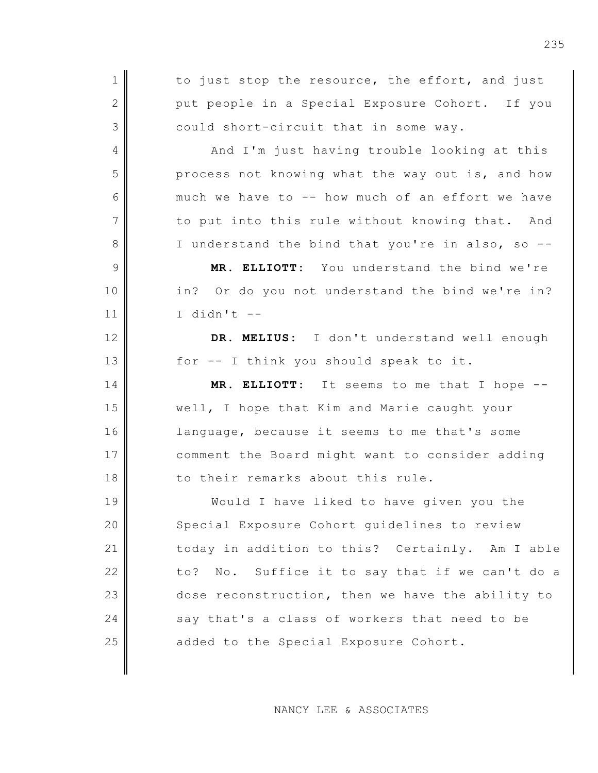| $\mathbf 1$  | to just stop the resource, the effort, and just    |
|--------------|----------------------------------------------------|
| $\mathbf{2}$ | put people in a Special Exposure Cohort. If you    |
| 3            | could short-circuit that in some way.              |
| 4            | And I'm just having trouble looking at this        |
| 5            | process not knowing what the way out is, and how   |
| 6            | much we have to -- how much of an effort we have   |
| 7            | to put into this rule without knowing that. And    |
| 8            | I understand the bind that you're in also, so --   |
| 9            | MR. ELLIOTT: You understand the bind we're         |
| 10           | in? Or do you not understand the bind we're in?    |
| 11           | I didn't $--$                                      |
| 12           | DR. MELIUS: I don't understand well enough         |
| 13           | for -- I think you should speak to it.             |
| 14           | MR. ELLIOTT: It seems to me that I hope --         |
| 15           | well, I hope that Kim and Marie caught your        |
| 16           | language, because it seems to me that's some       |
| 17           | comment the Board might want to consider adding    |
| 18           | to their remarks about this rule.                  |
| 19           | Would I have liked to have given you the           |
| 20           | Special Exposure Cohort guidelines to review       |
| 21           | today in addition to this? Certainly. Am I able    |
| 22           | No. Suffice it to say that if we can't do a<br>to? |
|              |                                                    |
| 23           | dose reconstruction, then we have the ability to   |
| 24           | say that's a class of workers that need to be      |
| 25           | added to the Special Exposure Cohort.              |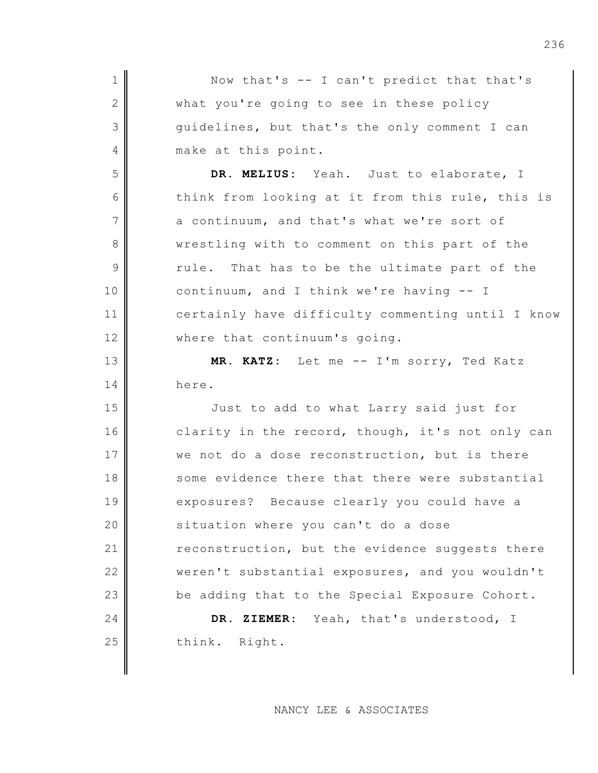| $\mathbf 1$ | Now that's $-$ I can't predict that that's        |
|-------------|---------------------------------------------------|
| 2           | what you're going to see in these policy          |
| 3           | guidelines, but that's the only comment I can     |
| 4           | make at this point.                               |
| 5           | DR. MELIUS: Yeah. Just to elaborate, I            |
| 6           | think from looking at it from this rule, this is  |
| 7           | a continuum, and that's what we're sort of        |
| 8           | wrestling with to comment on this part of the     |
| 9           | rule. That has to be the ultimate part of the     |
| 10          | continuum, and I think we're having -- I          |
| 11          | certainly have difficulty commenting until I know |
| 12          | where that continuum's going.                     |
| 13          | MR. KATZ: Let me -- I'm sorry, Ted Katz           |
| 14          | here.                                             |
| 15          | Just to add to what Larry said just for           |
| 16          | clarity in the record, though, it's not only can  |
| 17          | we not do a dose reconstruction, but is there     |
| 18          | some evidence there that there were substantial   |
| 19          | exposures? Because clearly you could have a       |
| 20          | situation where you can't do a dose               |
| 21          | reconstruction, but the evidence suggests there   |
| 22          | weren't substantial exposures, and you wouldn't   |
| 23          | be adding that to the Special Exposure Cohort.    |
| 24          | DR. ZIEMER: Yeah, that's understood, I            |
| 25          | think. Right.                                     |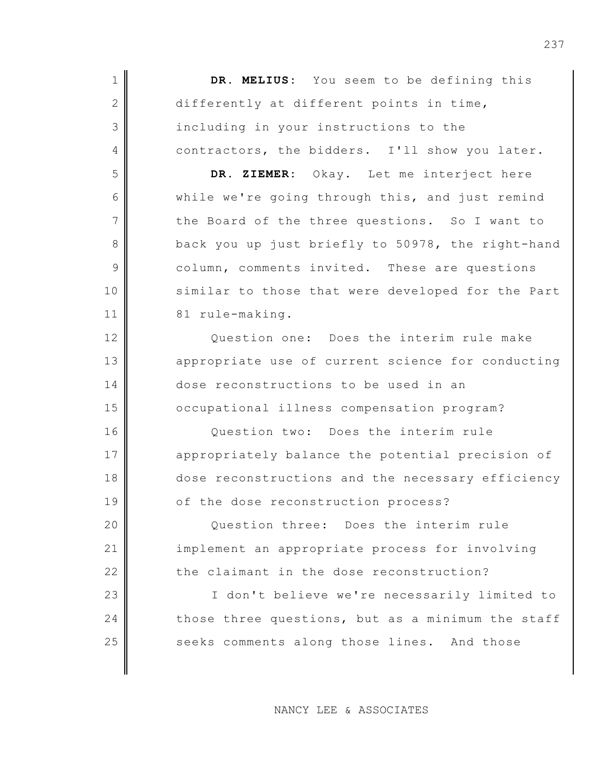1 **DR. MELIUS:** You seem to be defining this  $2 \parallel$  differently at different points in time, 3 including in your instructions to the 4 contractors, the bidders. I'll show you later. 5 **DR. ZIEMER:** Okay. Let me interject here 6 while we're going through this, and just remind 7 the Board of the three questions. So I want to 8 back you up just briefly to 50978, the right-hand 9 column, comments invited. These are questions 10 similar to those that were developed for the Part 11 81 rule-making. 12 Question one: Does the interim rule make 13 appropriate use of current science for conducting 14 dose reconstructions to be used in an 15 | occupational illness compensation program? 16 Question two: Does the interim rule 17 appropriately balance the potential precision of 18 dose reconstructions and the necessary efficiency 19 of the dose reconstruction process? 20 **Question three:** Does the interim rule 21 implement an appropriate process for involving  $22$  the claimant in the dose reconstruction? 23 | I don't believe we're necessarily limited to 24 those three questions, but as a minimum the staff

25 seeks comments along those lines. And those

## NANCY LEE & ASSOCIATES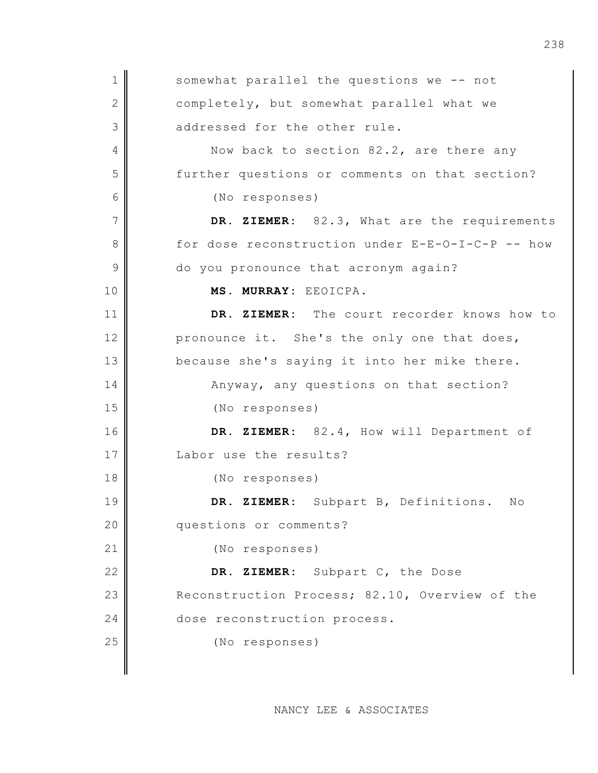| $\mathbf 1$    | somewhat parallel the questions we -- not        |
|----------------|--------------------------------------------------|
| $\mathbf{2}$   | completely, but somewhat parallel what we        |
| 3              | addressed for the other rule.                    |
| 4              | Now back to section 82.2, are there any          |
| 5              | further questions or comments on that section?   |
| 6              | (No responses)                                   |
| 7              | DR. ZIEMER: 82.3, What are the requirements      |
| 8              | for dose reconstruction under E-E-O-I-C-P -- how |
| $\overline{9}$ | do you pronounce that acronym again?             |
| 10             | MS. MURRAY: EEOICPA.                             |
| 11             | DR. ZIEMER: The court recorder knows how to      |
| 12             | pronounce it. She's the only one that does,      |
| 13             | because she's saying it into her mike there.     |
| 14             | Anyway, any questions on that section?           |
| 15             | (No responses)                                   |
| 16             | DR. ZIEMER: 82.4, How will Department of         |
| 17             | Labor use the results?                           |
| 18             | (No responses)                                   |
| 19             | DR. ZIEMER: Subpart B, Definitions. No           |
| 20             | questions or comments?                           |
| 21             | (No responses)                                   |
| 22             | DR. ZIEMER: Subpart C, the Dose                  |
| 23             | Reconstruction Process; 82.10, Overview of the   |
| 24             | dose reconstruction process.                     |
| 25             | (No responses)                                   |
|                |                                                  |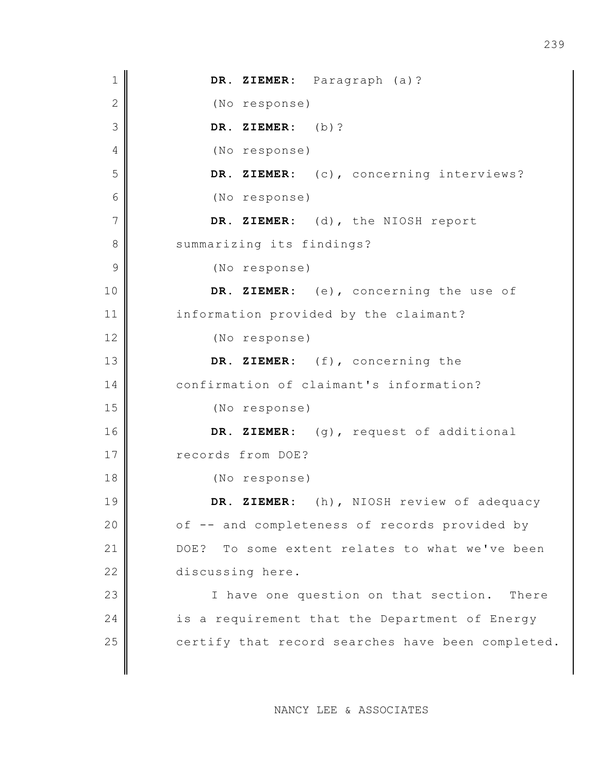**DR. ZIEMER:** Paragraph (a)? 2 (No response) **DR. ZIEMER:** (b)? (No response) **DR. ZIEMER:** (c), concerning interviews? (No response) **DR. ZIEMER:** (d), the NIOSH report 8 Summarizing its findings? (No response) **DR. ZIEMER:** (e), concerning the use of 11 information provided by the claimant? (No response) **DR. ZIEMER:** (f), concerning the 14 confirmation of claimant's information? (No response) **DR. ZIEMER:** (g), request of additional 17 || records from DOE? (No response) **DR. ZIEMER:** (h), NIOSH review of adequacy **of --** and completeness of records provided by 21 DOE? To some extent relates to what we've been 22 discussing here. 23 | Thave one question on that section. There is a requirement that the Department of Energy  $\parallel$  certify that record searches have been completed.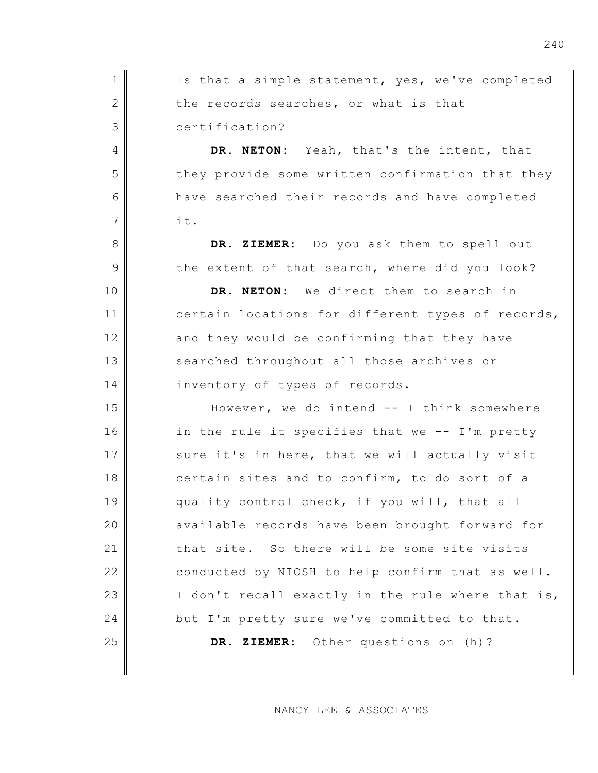| $\mathbf 1$    | Is that a simple statement, yes, we've completed  |
|----------------|---------------------------------------------------|
| $\mathbf{2}$   | the records searches, or what is that             |
| 3              | certification?                                    |
| 4              | DR. NETON: Yeah, that's the intent, that          |
| 5              | they provide some written confirmation that they  |
| 6              | have searched their records and have completed    |
| $\overline{7}$ | it.                                               |
| $8\,$          | DR. ZIEMER: Do you ask them to spell out          |
| $\mathsf 9$    | the extent of that search, where did you look?    |
| 10             | DR. NETON: We direct them to search in            |
| 11             | certain locations for different types of records, |
| 12             | and they would be confirming that they have       |
| 13             | searched throughout all those archives or         |
| 14             | inventory of types of records.                    |
| 15             | However, we do intend $--$ I think somewhere      |
| 16             | in the rule it specifies that we -- I'm pretty    |
| 17             | sure it's in here, that we will actually visit    |
| 18             | certain sites and to confirm, to do sort of a     |
| 19             | quality control check, if you will, that all      |
| 20             | available records have been brought forward for   |
| 21             | that site. So there will be some site visits      |
| 22             | conducted by NIOSH to help confirm that as well.  |
| 23             | I don't recall exactly in the rule where that is, |
| 24             | but I'm pretty sure we've committed to that.      |
| 25             | DR. ZIEMER: Other questions on (h)?               |
|                |                                                   |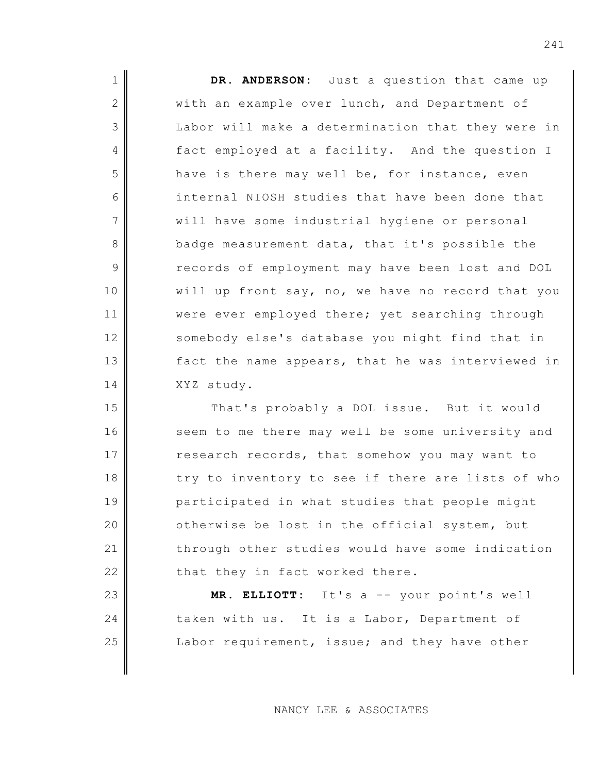1 **DR. ANDERSON:** Just a question that came up 2 with an example over lunch, and Department of 3 Labor will make a determination that they were in 4 fact employed at a facility. And the question I 5 have is there may well be, for instance, even 6 internal NIOSH studies that have been done that 7 will have some industrial hygiene or personal 8 badge measurement data, that it's possible the 9 records of employment may have been lost and DOL 10 || will up front say, no, we have no record that you 11 | were ever employed there; yet searching through 12 somebody else's database you might find that in 13 fact the name appears, that he was interviewed in 14 XYZ study.

15 That's probably a DOL issue. But it would 16 seem to me there may well be some university and 17 research records, that somehow you may want to  $18$  try to inventory to see if there are lists of who 19 participated in what studies that people might 20  $\parallel$  otherwise be lost in the official system, but 21 through other studies would have some indication  $22$  that they in fact worked there.

23 **MR. ELLIOTT:** It's a -- your point's well 24 taken with us. It is a Labor, Department of 25 Labor requirement, issue; and they have other

NANCY LEE & ASSOCIATES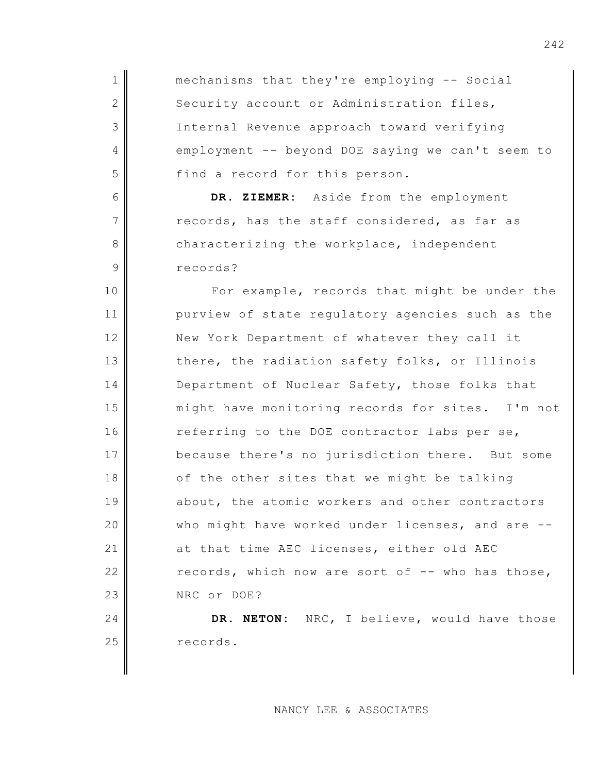1 || mechanisms that they're employing -- Social 2 Security account or Administration files, 3 Internal Revenue approach toward verifying 4 employment -- beyond DOE saying we can't seem to 5 find a record for this person. 6 **DR. ZIEMER:** Aside from the employment  $7$  records, has the staff considered, as far as 8 characterizing the workplace, independent 9 records? 10 For example, records that might be under the 11 purview of state regulatory agencies such as the 12 New York Department of whatever they call it 13 there, the radiation safety folks, or Illinois 14 Department of Nuclear Safety, those folks that 15 might have monitoring records for sites. I'm not 16 referring to the DOE contractor labs per se, 17 because there's no jurisdiction there. But some  $18$  of the other sites that we might be talking 19 about, the atomic workers and other contractors 20 who might have worked under licenses, and are --21 at that time AEC licenses, either old AEC 22  $\parallel$  records, which now are sort of  $-$ - who has those, 23 NRC or DOE? 24 **DR. NETON:** NRC, I believe, would have those 25 records.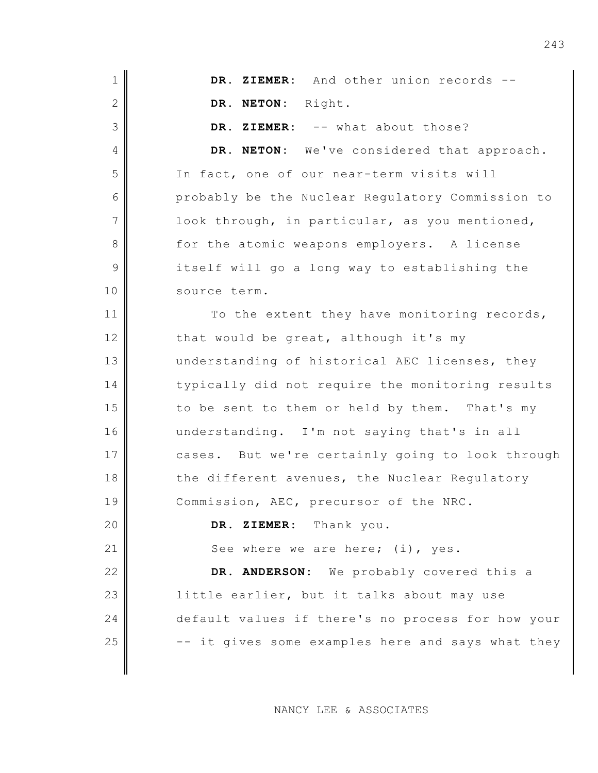| $\mathbf 1$    | DR. ZIEMER: And other union records --            |
|----------------|---------------------------------------------------|
| $\mathbf{2}$   | Right.<br>DR. NETON:                              |
| 3              | DR. ZIEMER: -- what about those?                  |
| 4              | DR. NETON: We've considered that approach.        |
| 5              | In fact, one of our near-term visits will         |
| 6              | probably be the Nuclear Regulatory Commission to  |
| $\overline{7}$ | look through, in particular, as you mentioned,    |
| 8              | for the atomic weapons employers. A license       |
| $\mathcal{G}$  | itself will go a long way to establishing the     |
| 10             | source term.                                      |
| 11             | To the extent they have monitoring records,       |
| 12             | that would be great, although it's my             |
| 13             | understanding of historical AEC licenses, they    |
| 14             | typically did not require the monitoring results  |
| 15             | to be sent to them or held by them. That's my     |
| 16             | understanding. I'm not saying that's in all       |
| 17             | cases. But we're certainly going to look through  |
| 18             | the different avenues, the Nuclear Regulatory     |
| 19             | Commission, AEC, precursor of the NRC.            |
| 20             | DR. ZIEMER: Thank you.                            |
| 21             | See where we are here; (i), yes.                  |
| 22             | DR. ANDERSON: We probably covered this a          |
| 23             | little earlier, but it talks about may use        |
| 24             | default values if there's no process for how your |
| 25             | -- it gives some examples here and says what they |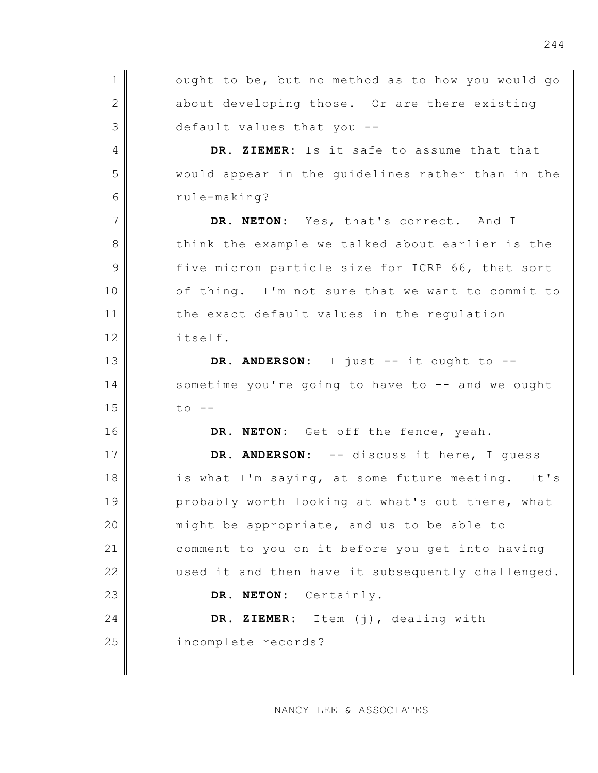1 ought to be, but no method as to how you would go 2 about developing those. Or are there existing 3 default values that you --4 **DR. ZIEMER:** Is it safe to assume that that 5 would appear in the guidelines rather than in the 6 rule-making? 7 **DR. NETON:** Yes, that's correct. And I 8 think the example we talked about earlier is the 9 five micron particle size for ICRP 66, that sort 10 of thing. I'm not sure that we want to commit to 11 the exact default values in the requlation 12 itself. 13 **DR. ANDERSON:** I just -- it ought to -- 14 Sometime you're going to have to -- and we ought  $15$  to  $-$ 16 **DR. NETON:** Get off the fence, yeah. 17 **DR. ANDERSON:** -- discuss it here, I guess 18 is what I'm saying, at some future meeting. It's 19 probably worth looking at what's out there, what 20 might be appropriate, and us to be able to 21 comment to you on it before you get into having 22 used it and then have it subsequently challenged. 23 **DR. NETON:** Certainly. 24 **DR. ZIEMER:** Item (j), dealing with 25 incomplete records?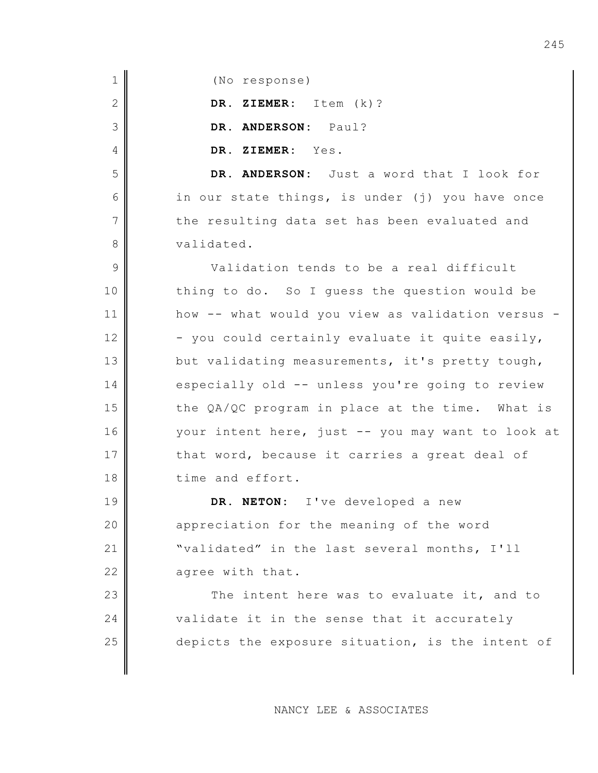| $\mathbf 1$ | (No response)                                     |
|-------------|---------------------------------------------------|
| 2           | DR. ZIEMER: Item (k)?                             |
| 3           | DR. ANDERSON: Paul?                               |
| 4           | DR. ZIEMER: Yes.                                  |
| 5           | DR. ANDERSON: Just a word that I look for         |
| 6           | in our state things, is under (j) you have once   |
| 7           | the resulting data set has been evaluated and     |
| 8           | validated.                                        |
| 9           | Validation tends to be a real difficult           |
| 10          | thing to do. So I guess the question would be     |
| 11          | how -- what would you view as validation versus - |
| 12          | - you could certainly evaluate it quite easily,   |
| 13          | but validating measurements, it's pretty tough,   |
| 14          | especially old -- unless you're going to review   |
| 15          | the QA/QC program in place at the time. What is   |
| 16          | your intent here, just -- you may want to look at |
| 17          | that word, because it carries a great deal of     |
| 18          | time and effort.                                  |
| 19          | DR. NETON: I've developed a new                   |
| 20          | appreciation for the meaning of the word          |
| 21          | "validated" in the last several months, I'll      |
| 22          | agree with that.                                  |
| 23          | The intent here was to evaluate it, and to        |
| 24          | validate it in the sense that it accurately       |
| 25          | depicts the exposure situation, is the intent of  |
|             |                                                   |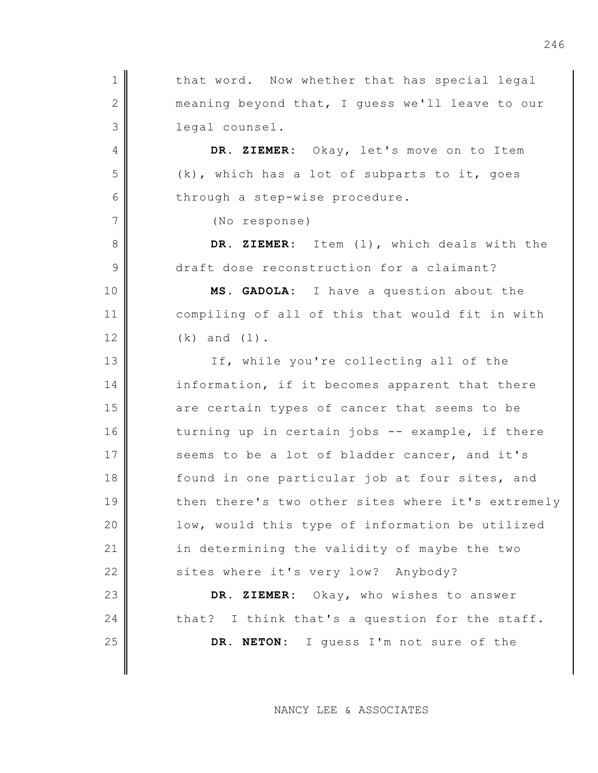1 1 that word. Now whether that has special legal 2 meaning beyond that, I quess we'll leave to our 3 legal counsel. 4 **DR. ZIEMER:** Okay, let's move on to Item  $5$  (k), which has a lot of subparts to it, goes  $6$  through a step-wise procedure. 7 (No response) 8 **DR. ZIEMER:** Item (1), which deals with the 9 draft dose reconstruction for a claimant? 10 **MS. GADOLA:** I have a question about the 11 compiling of all of this that would fit in with  $12$  | (k) and (1). 13 || If, while you're collecting all of the 14 information, if it becomes apparent that there 15 are certain types of cancer that seems to be 16 turning up in certain jobs -- example, if there 17 seems to be a lot of bladder cancer, and it's 18 found in one particular job at four sites, and 19 then there's two other sites where it's extremely 20 low, would this type of information be utilized 21 in determining the validity of maybe the two 22 sites where it's very low? Anybody? 23 **DR. ZIEMER:** Okay, who wishes to answer  $24$  that? I think that's a question for the staff. 25 **DR. NETON:** I guess I'm not sure of the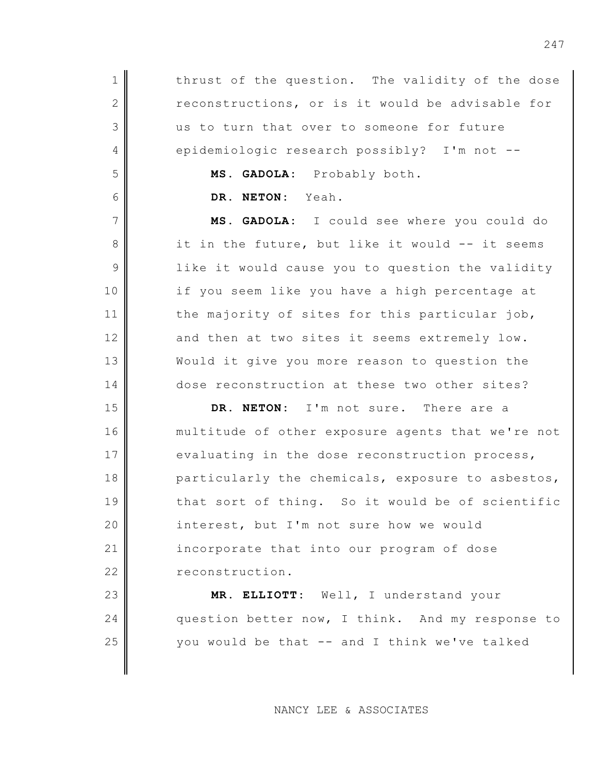1 || thrust of the question. The validity of the dose 2 reconstructions, or is it would be advisable for 3 us to turn that over to someone for future 4 epidemiologic research possibly? I'm not --5 **MS. GADOLA:** Probably both. 6 **DR. NETON:** Yeah. 7 **MS. GADOLA:** I could see where you could do 8 it in the future, but like it would -- it seems 9 | like it would cause you to question the validity 10 if you seem like you have a high percentage at 11 the majority of sites for this particular job, 12 and then at two sites it seems extremely low. 13 Would it give you more reason to question the 14 dose reconstruction at these two other sites? 15 **DR. NETON:** I'm not sure. There are a 16 multitude of other exposure agents that we're not 17 evaluating in the dose reconstruction process, 18 particularly the chemicals, exposure to asbestos, 19 that sort of thing. So it would be of scientific 20 interest, but I'm not sure how we would 21 incorporate that into our program of dose 22 reconstruction. 23 **MR. ELLIOTT:** Well, I understand your 24 question better now, I think. And my response to  $25$  you would be that  $-$  and I think we've talked

NANCY LEE & ASSOCIATES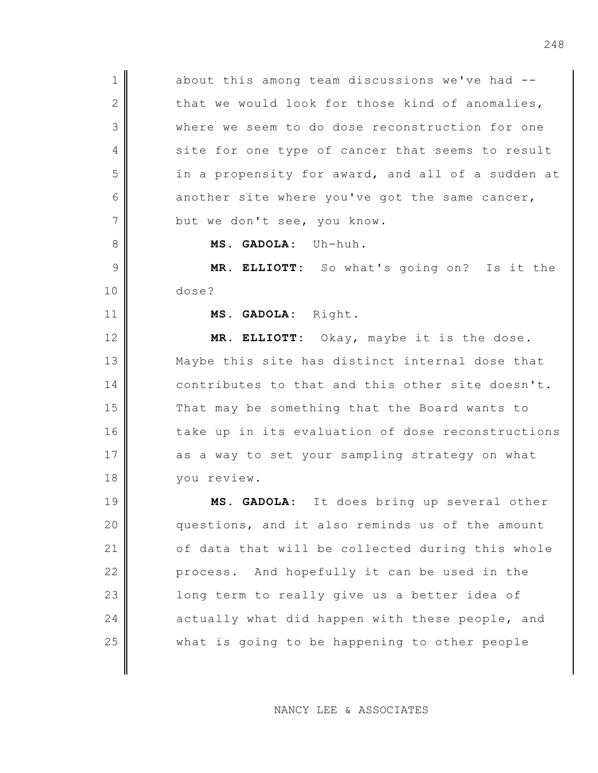1 about this among team discussions we've had --2 that we would look for those kind of anomalies, 3 where we seem to do dose reconstruction for one 4 site for one type of cancer that seems to result 5 in a propensity for award, and all of a sudden at  $6 \parallel$  another site where you've got the same cancer, 7 but we don't see, you know.

8 **MS. GADOLA:** Uh-huh.

9 **MR. ELLIOTT:** So what's going on? Is it the 10 dose?

11 **MS. GADOLA:** Right.

12 **MR. ELLIOTT:** Okay, maybe it is the dose. 13 Maybe this site has distinct internal dose that 14 contributes to that and this other site doesn't. 15 That may be something that the Board wants to 16 take up in its evaluation of dose reconstructions 17 as a way to set your sampling strategy on what 18 you review.

19 **MS. GADOLA:** It does bring up several other 20 questions, and it also reminds us of the amount  $21$   $\parallel$  of data that will be collected during this whole 22 process. And hopefully it can be used in the 23 | long term to really give us a better idea of 24 actually what did happen with these people, and 25 what is going to be happening to other people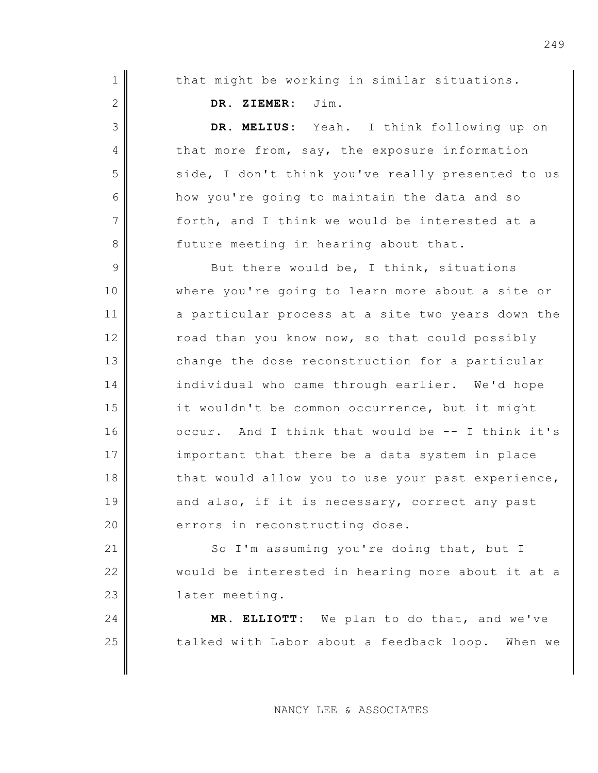1 | that might be working in similar situations.

2 **DR. ZIEMER:** Jim.

3 **DR. MELIUS:** Yeah. I think following up on 4 that more from, say, the exposure information 5 side, I don't think you've really presented to us 6 how you're going to maintain the data and so  $7$  forth, and I think we would be interested at a 8 || future meeting in hearing about that.

9 But there would be, I think, situations 10 where you're going to learn more about a site or 11 a particular process at a site two years down the 12 road than you know now, so that could possibly 13 change the dose reconstruction for a particular 14 individual who came through earlier. We'd hope 15 it wouldn't be common occurrence, but it might  $16$  occur. And I think that would be  $-$  I think it's 17 important that there be a data system in place  $18$  that would allow you to use your past experience, 19 and also, if it is necessary, correct any past 20 errors in reconstructing dose.

21 So I'm assuming you're doing that, but I 22 would be interested in hearing more about it at a 23 | later meeting.

24 **MR. ELLIOTT:** We plan to do that, and we've 25 talked with Labor about a feedback loop. When we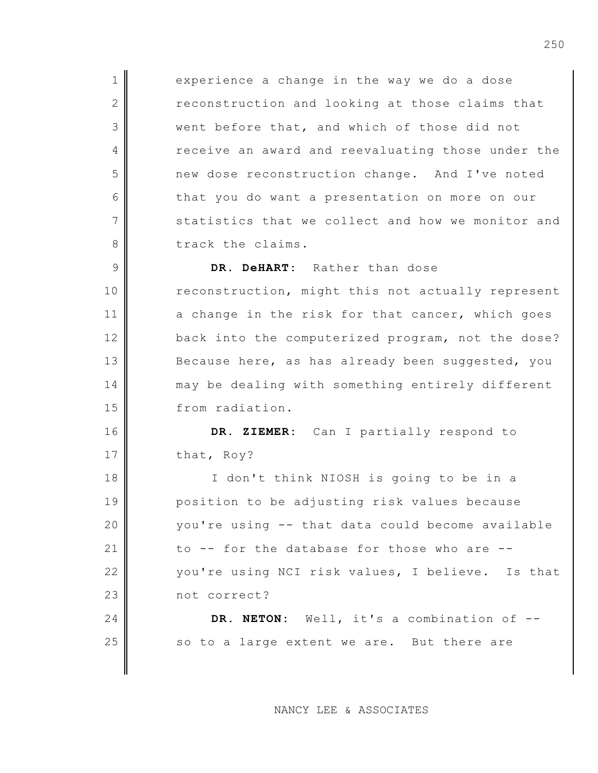1 experience a change in the way we do a dose 2 reconstruction and looking at those claims that 3 went before that, and which of those did not 4 receive an award and reevaluating those under the 5 new dose reconstruction change. And I've noted 6 that you do want a presentation on more on our 7 statistics that we collect and how we monitor and 8 track the claims.

9 **DR. DeHART:** Rather than dose

10 reconstruction, might this not actually represent  $11$  a change in the risk for that cancer, which goes 12 back into the computerized program, not the dose? 13 Because here, as has already been suggested, you 14 may be dealing with something entirely different 15 from radiation.

16 **DR. ZIEMER:** Can I partially respond to 17 that, Roy?

18 I don't think NIOSH is going to be in a 19 position to be adjusting risk values because 20 you're using -- that data could become available 21 to  $-$  for the database for those who are  $-$ 22 you're using NCI risk values, I believe. Is that 23 not correct?

24 **DR. NETON:** Well, it's a combination of -- 25 so to a large extent we are. But there are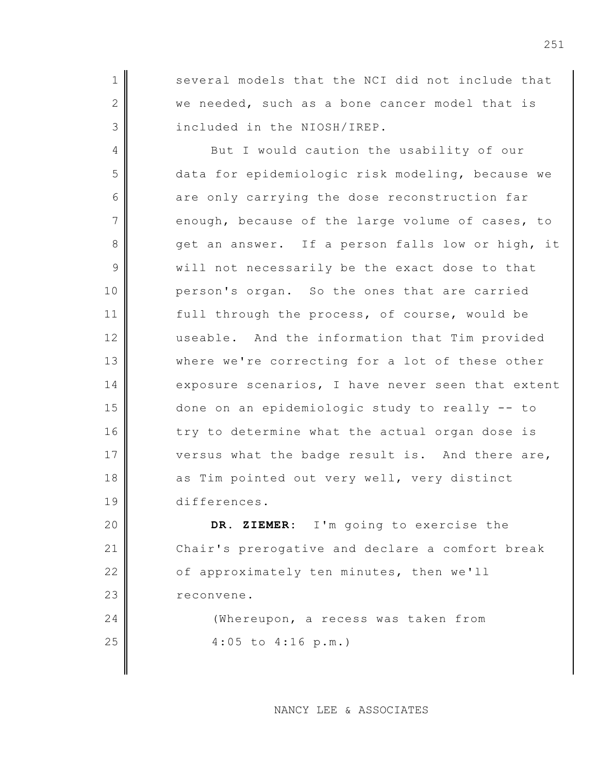1 several models that the NCI did not include that 2 we needed, such as a bone cancer model that is 3 included in the NIOSH/IREP.

4 But I would caution the usability of our 5 data for epidemiologic risk modeling, because we 6 are only carrying the dose reconstruction far  $7$  enough, because of the large volume of cases, to 8 get an answer. If a person falls low or high, it 9 | will not necessarily be the exact dose to that 10 person's organ. So the ones that are carried 11 full through the process, of course, would be 12 useable. And the information that Tim provided 13 Where we're correcting for a lot of these other 14 exposure scenarios, I have never seen that extent 15 done on an epidemiologic study to really -- to  $16$  try to determine what the actual organ dose is 17 versus what the badge result is. And there are, 18 as Tim pointed out very well, very distinct 19 differences.

 **DR. ZIEMER:** I'm going to exercise the Chair's prerogative and declare a comfort break  $\parallel$  of approximately ten minutes, then we'll 23 reconvene.

24 Whereupon, a recess was taken from 25 || 4:05 to 4:16 p.m.)

NANCY LEE & ASSOCIATES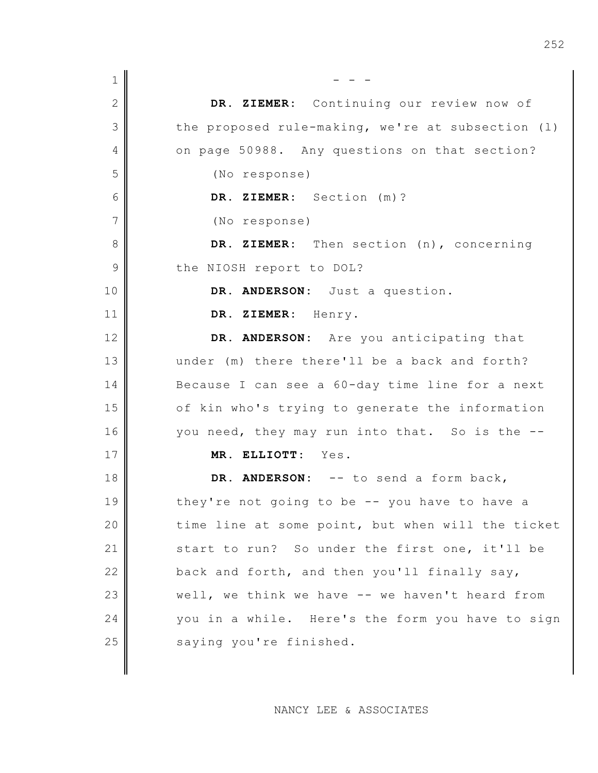$\begin{array}{ccc} \hline \end{array}$  1 || 2 **DR. ZIEMER:** Continuing our review now of 3 the proposed rule-making, we're at subsection (1) 4 on page 50988. Any questions on that section? 5 (No response) 6 **DR. ZIEMER:** Section (m)? 7 (No response) 8 **DR. ZIEMER:** Then section (n), concerning 9 the NIOSH report to DOL? 10 **DR. ANDERSON:** Just a question. 11 **DR. ZIEMER:** Henry. 12 **DR. ANDERSON:** Are you anticipating that 13 under (m) there there'll be a back and forth? 14 Because I can see a 60-day time line for a next 15 of kin who's trying to generate the information  $16$  you need, they may run into that. So is the  $-$ -17 **MR. ELLIOTT:** Yes. 18 **DR. ANDERSON:** -- to send a form back, 19 they're not going to be  $-$  you have to have a  $20$   $\parallel$  time line at some point, but when will the ticket 21 start to run? So under the first one, it'll be 22 back and forth, and then you'll finally say,  $23$  well, we think we have  $-$  we haven't heard from 24 you in a while. Here's the form you have to sign 25 saying you're finished.

252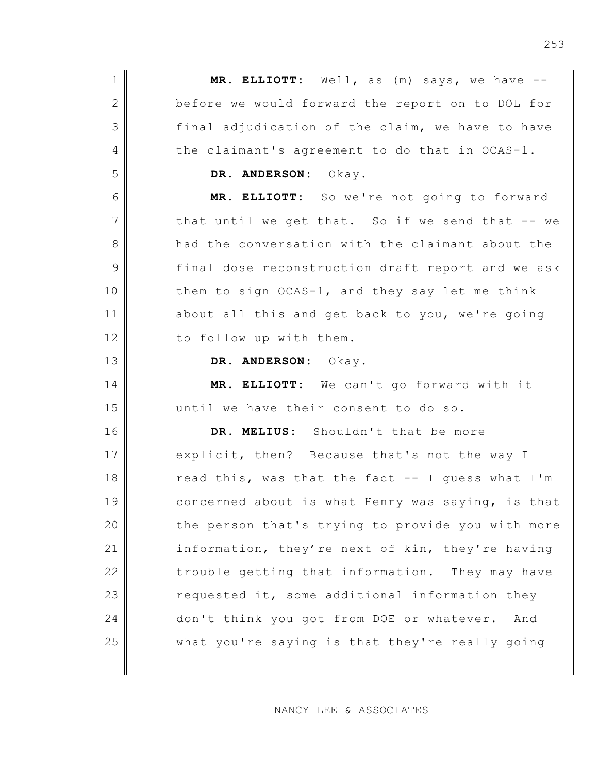1 **MR. ELLIOTT:** Well, as (m) says, we have -- 2 before we would forward the report on to DOL for 3 final adjudication of the claim, we have to have  $4 \parallel$  the claimant's agreement to do that in OCAS-1. 5 **DR. ANDERSON:** Okay. 6 **MR. ELLIOTT:** So we're not going to forward  $7$  that until we get that. So if we send that  $-$ - we 8 had the conversation with the claimant about the 9 final dose reconstruction draft report and we ask 10 them to sign OCAS-1, and they say let me think 11 about all this and get back to you, we're going 12 to follow up with them. 13 **DR. ANDERSON:** Okay. 14 **MR. ELLIOTT:** We can't go forward with it 15 until we have their consent to do so. 16 **DR. MELIUS:** Shouldn't that be more 17 explicit, then? Because that's not the way I 18 read this, was that the fact  $--$  I guess what I'm  $19$  concerned about is what Henry was saying, is that  $20$  the person that's trying to provide you with more 21 information, they're next of kin, they're having  $22$   $\parallel$  trouble getting that information. They may have 23  $\parallel$  requested it, some additional information they 24 don't think you got from DOE or whatever. And 25 what you're saying is that they're really going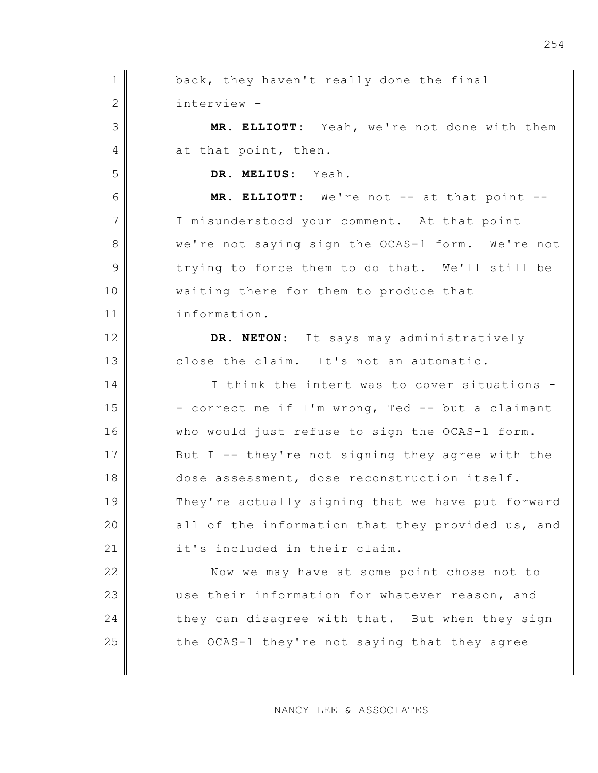1 back, they haven't really done the final 2 interview – 3 **MR. ELLIOTT:** Yeah, we're not done with them 4 at that point, then. 5 **DR. MELIUS:** Yeah. 6 **MR. ELLIOTT:** We're not -- at that point -- 7 I misunderstood your comment. At that point 8 we're not saying sign the OCAS-1 form. We're not 9 trying to force them to do that. We'll still be 10 **waiting there for them to produce that** 11 information. 12 **DR. NETON:** It says may administratively 13 close the claim. It's not an automatic. 14 I I think the intent was to cover situations - $15$   $\parallel$  - correct me if I'm wrong, Ted -- but a claimant 16 who would just refuse to sign the OCAS-1 form. 17 But I -- they're not signing they agree with the 18 dose assessment, dose reconstruction itself. 19 They're actually signing that we have put forward 20  $\parallel$  all of the information that they provided us, and 21 | it's included in their claim. 22 Now we may have at some point chose not to 23 use their information for whatever reason, and  $24$  they can disagree with that. But when they sign  $25$  the OCAS-1 they're not saying that they agree

254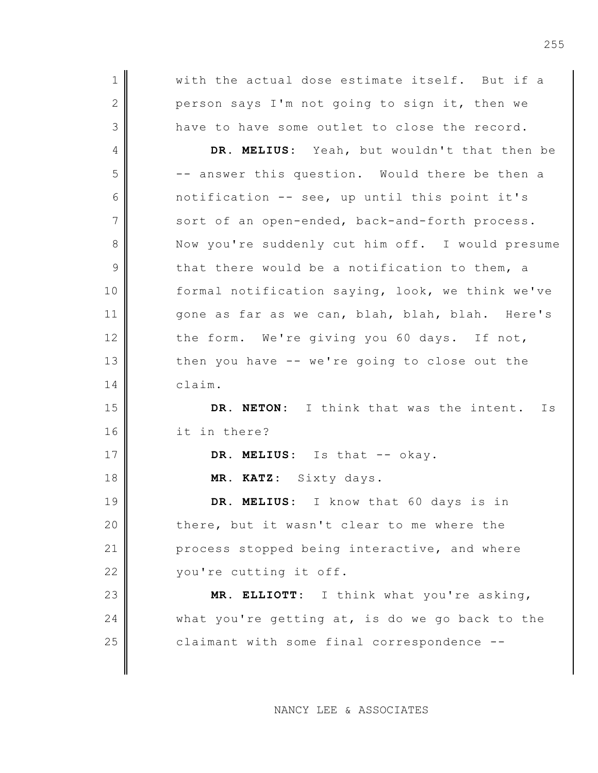1 **Wath the actual dose estimate itself.** But if a  $2$  person says I'm not going to sign it, then we 3 have to have some outlet to close the record. 4 **DR. MELIUS:** Yeah, but wouldn't that then be 5 -- answer this question. Would there be then a 6 | notification -- see, up until this point it's  $7$  sort of an open-ended, back-and-forth process. 8 Now you're suddenly cut him off. I would presume  $9 \parallel$  that there would be a notification to them, a 10 formal notification saying, look, we think we've 11 | qone as far as we can, blah, blah, blah. Here's 12 the form. We're giving you 60 days. If not,  $13$  then you have  $-$  we're going to close out the 14 claim. 15 **DR. NETON:** I think that was the intent. Is 16 it in there? 17 **DR. MELIUS:** Is that -- okay. 18 **MR. KATZ:** Sixty days. 19 **DR. MELIUS:** I know that 60 days is in 20 there, but it wasn't clear to me where the 21 process stopped being interactive, and where 22 vou're cutting it off. 23 **MR. ELLIOTT:** I think what you're asking, 24 what you're getting at, is do we go back to the 25 claimant with some final correspondence --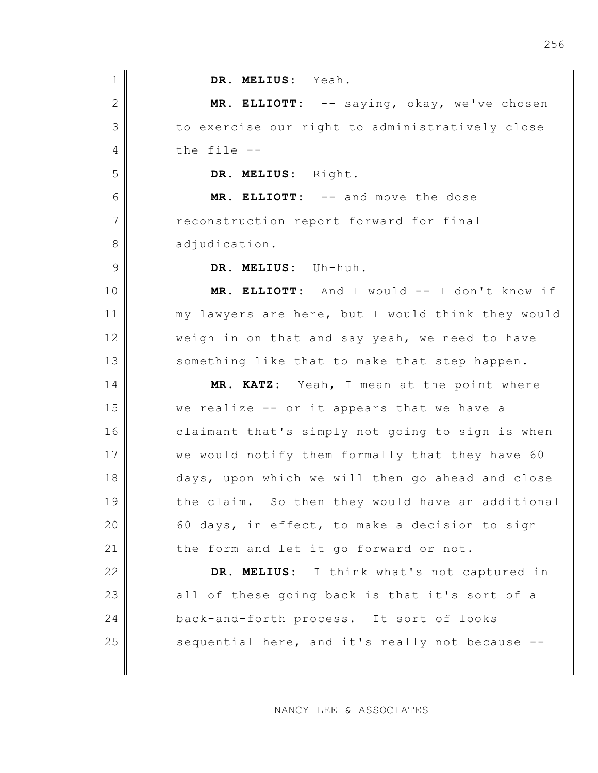1 **DR. MELIUS:** Yeah. 2 **MR. ELLIOTT:** -- saying, okay, we've chosen 3 to exercise our right to administratively close 4  $\parallel$  the file  $-$ 5 **DR. MELIUS:** Right. 6 **MR. ELLIOTT:** -- and move the dose 7 reconstruction report forward for final 8 adjudication. 9 **DR. MELIUS:** Uh-huh. 10 **MR. ELLIOTT:** And I would -- I don't know if 11 my lawyers are here, but I would think they would 12 weigh in on that and say yeah, we need to have 13 something like that to make that step happen. 14 **MR. KATZ:** Yeah, I mean at the point where  $15$  we realize -- or it appears that we have a 16 claimant that's simply not going to sign is when 17 | we would notify them formally that they have 60 18 days, upon which we will then go ahead and close  $19$  the claim. So then they would have an additional 20  $\parallel$  60 days, in effect, to make a decision to sign 21 the form and let it go forward or not. 22 **DR. MELIUS:** I think what's not captured in  $23$  all of these going back is that it's sort of a 24 back-and-forth process. It sort of looks  $25$  sequential here, and it's really not because  $-$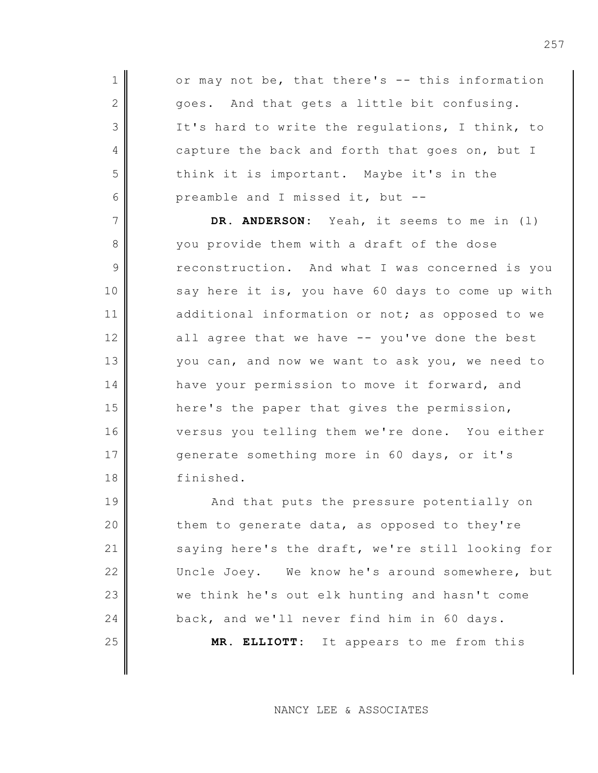$1 \parallel$  or may not be, that there's -- this information  $2 \parallel$  goes. And that gets a little bit confusing. 3 It's hard to write the regulations, I think, to 4 capture the back and forth that goes on, but I 5 think it is important. Maybe it's in the 6 preamble and I missed it, but  $-$ 7 **DR. ANDERSON:** Yeah, it seems to me in (l) 8 you provide them with a draft of the dose 9 reconstruction. And what I was concerned is you 10 say here it is, you have 60 days to come up with 11 additional information or not; as opposed to we  $12$  all agree that we have  $-$  you've done the best 13 you can, and now we want to ask you, we need to 14 have your permission to move it forward, and 15 here's the paper that gives the permission, 16 versus you telling them we're done. You either 17 generate something more in 60 days, or it's 18 finished. 19 And that puts the pressure potentially on 20 them to generate data, as opposed to they're 21 saying here's the draft, we're still looking for 22 Uncle Joey. We know he's around somewhere, but 23 || we think he's out elk hunting and hasn't come 24 back, and we'll never find him in 60 days. 25 **MR. ELLIOTT:** It appears to me from this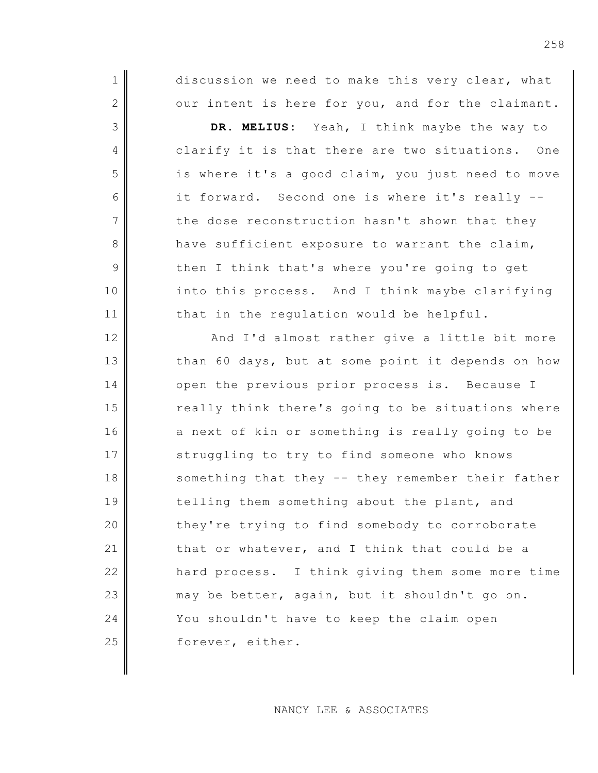1 discussion we need to make this very clear, what 2 our intent is here for you, and for the claimant.

3 **DR. MELIUS:** Yeah, I think maybe the way to 4 clarify it is that there are two situations. One 5 is where it's a good claim, you just need to move 6 it forward. Second one is where it's really --7 the dose reconstruction hasn't shown that they  $8$  have sufficient exposure to warrant the claim, 9 then I think that's where you're going to get 10 into this process. And I think maybe clarifying  $11$  that in the regulation would be helpful.

12 And I'd almost rather give a little bit more 13 than 60 days, but at some point it depends on how 14 open the previous prior process is. Because I 15 Teally think there's going to be situations where 16 a next of kin or something is really going to be 17 struggling to try to find someone who knows 18 something that they -- they remember their father 19 telling them something about the plant, and  $20$  they're trying to find somebody to corroborate 21 that or whatever, and I think that could be a 22 hard process. I think giving them some more time 23 may be better, again, but it shouldn't go on. 24 You shouldn't have to keep the claim open 25 | forever, either.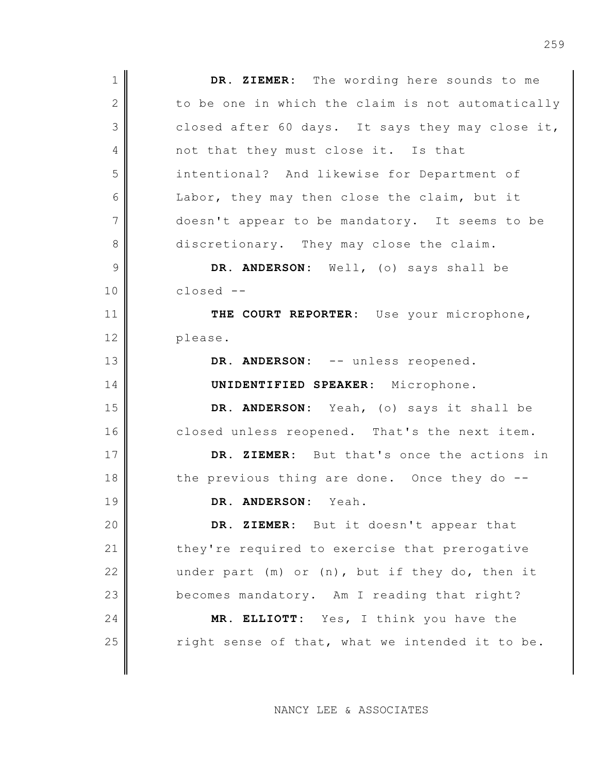**DR. ZIEMER:** The wording here sounds to me 2 to be one in which the claim is not automatically 3 closed after 60 days. It says they may close it, 4 not that they must close it. Is that intentional? And likewise for Department of 6 Labor, they may then close the claim, but it doesn't appear to be mandatory. It seems to be 8 discretionary. They may close the claim. **DR. ANDERSON:** Well, (o) says shall be  $\parallel$   $\qquad$   $\qquad$   $\qquad$   $\qquad$   $\qquad$   $\qquad$   $\qquad$   $\qquad$   $\qquad$   $\qquad$   $\qquad$   $\qquad$   $\qquad$   $\qquad$   $\qquad$   $\qquad$   $\qquad$   $\qquad$   $\qquad$   $\qquad$   $\qquad$   $\qquad$   $\qquad$   $\qquad$   $\qquad$   $\qquad$   $\qquad$   $\qquad$   $\qquad$   $\qquad$   $\qquad$   $\qquad$   $\qquad$   $\qquad$   $\qquad$  **THE COURT REPORTER:** Use your microphone, please. **DR. ANDERSON:** -- unless reopened. **UNIDENTIFIED SPEAKER:** Microphone. **DR. ANDERSON:** Yeah, (o) says it shall be 16 closed unless reopened. That's the next item. **DR. ZIEMER:** But that's once the actions in the previous thing are done. Once they do  $-$  **DR. ANDERSON:** Yeah. **DR. ZIEMER:** But it doesn't appear that 21 they're required to exercise that prerogative 22 under part  $(m)$  or  $(n)$ , but if they do, then it 23 becomes mandatory. Am I reading that right? **MR. ELLIOTT:** Yes, I think you have the right sense of that, what we intended it to be.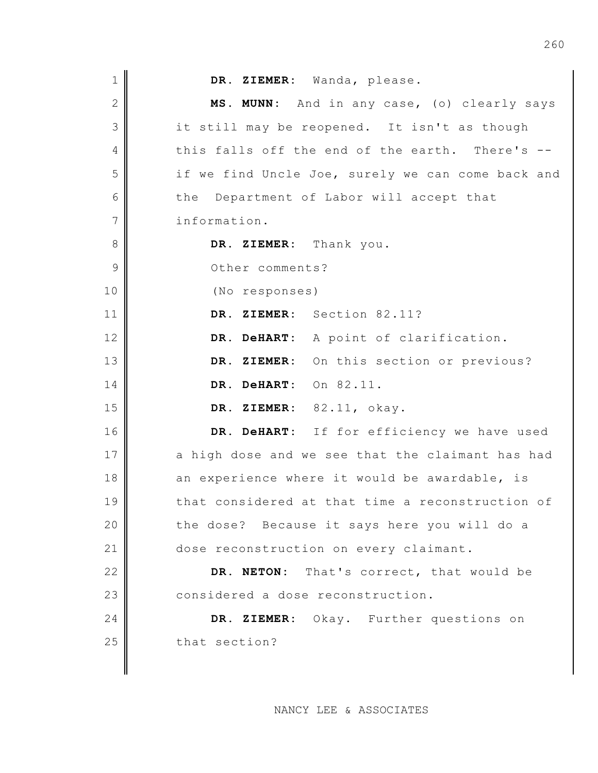| $\mathbf 1$  | DR. ZIEMER: Wanda, please.                            |
|--------------|-------------------------------------------------------|
| $\mathbf{2}$ | MS. MUNN: And in any case, (o) clearly says           |
| 3            | it still may be reopened. It isn't as though          |
| 4            | this falls off the end of the earth. There's --       |
| 5            | if we find Uncle Joe, surely we can come back and     |
| 6            | the<br>Department of Labor will accept that           |
| 7            | information.                                          |
| 8            | DR. ZIEMER:<br>Thank you.                             |
| 9            | Other comments?                                       |
| 10           | (No responses)                                        |
| 11           | ZIEMER: Section 82.11?<br>DR.                         |
| 12           | DR. DeHART: A point of clarification.                 |
| 13           | On this section or previous?<br>DR.<br><b>ZIEMER:</b> |
| 14           | On 82.11.<br>DR. DeHART:                              |
| 15           | DR. ZIEMER: 82.11, okay.                              |
| 16           | DR. DeHART: If for efficiency we have used            |
| 17           | a high dose and we see that the claimant has had      |
| 18           | an experience where it would be awardable, is         |
| 19           | that considered at that time a reconstruction of      |
| 20           | the dose? Because it says here you will do a          |
| 21           | dose reconstruction on every claimant.                |
| 22           | DR. NETON: That's correct, that would be              |
| 23           | considered a dose reconstruction.                     |
| 24           | DR. ZIEMER: Okay. Further questions on                |
| 25           | that section?                                         |
|              |                                                       |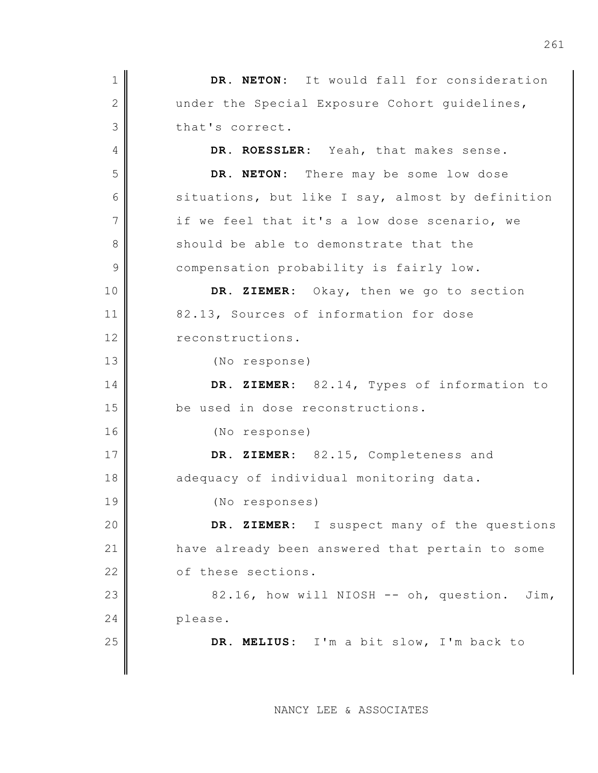**DR. NETON:** It would fall for consideration 2 under the Special Exposure Cohort quidelines, that's correct. **DR. ROESSLER:** Yeah, that makes sense. **DR. NETON:** There may be some low dose 6 situations, but like I say, almost by definition if we feel that it's a low dose scenario, we 8 should be able to demonstrate that the 9 compensation probability is fairly low. **DR. ZIEMER:** Okay, then we go to section 11 82.13, Sources of information for dose 12 reconstructions. (No response) **DR. ZIEMER:** 82.14, Types of information to be used in dose reconstructions. (No response) **DR. ZIEMER:** 82.15, Completeness and 18 adequacy of individual monitoring data. (No responses) **DR. ZIEMER:** I suspect many of the questions have already been answered that pertain to some 22 of these sections.  $\parallel$  82.16, how will NIOSH -- oh, question. Jim, 24 please. **DR. MELIUS:** I'm a bit slow, I'm back to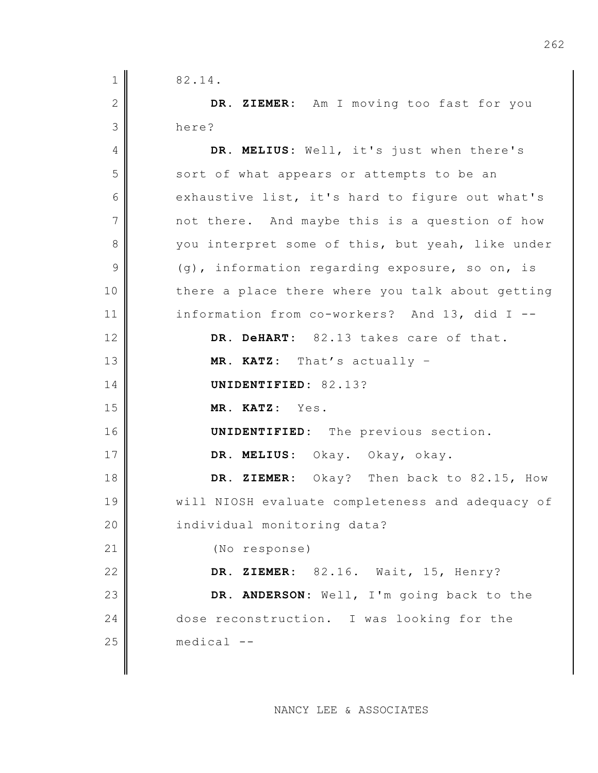1 82.14.

2 **DR. ZIEMER:** Am I moving too fast for you 3 here?

4 **DR. MELIUS:** Well, it's just when there's 5 sort of what appears or attempts to be an 6 exhaustive list, it's hard to figure out what's  $7$  not there. And maybe this is a question of how 8 you interpret some of this, but yeah, like under  $9 \parallel$  (g), information regarding exposure, so on, is 10 there a place there where you talk about getting 11 information from co-workers? And 13, did I --12 **DR. DeHART:** 82.13 takes care of that. 13 **MR. KATZ:** That's actually – 14 **UNIDENTIFIED:** 82.13? 15 **MR. KATZ:** Yes. 16 **UNIDENTIFIED:** The previous section. 17 **DR. MELIUS:** Okay. Okay, okay. 18 **DR. ZIEMER:** Okay? Then back to 82.15, How 19 will NIOSH evaluate completeness and adequacy of 20 | individual monitoring data? 21 | (No response) 22 **DR. ZIEMER:** 82.16. Wait, 15, Henry? 23 **DR. ANDERSON:** Well, I'm going back to the 24 dose reconstruction. I was looking for the 25 medical --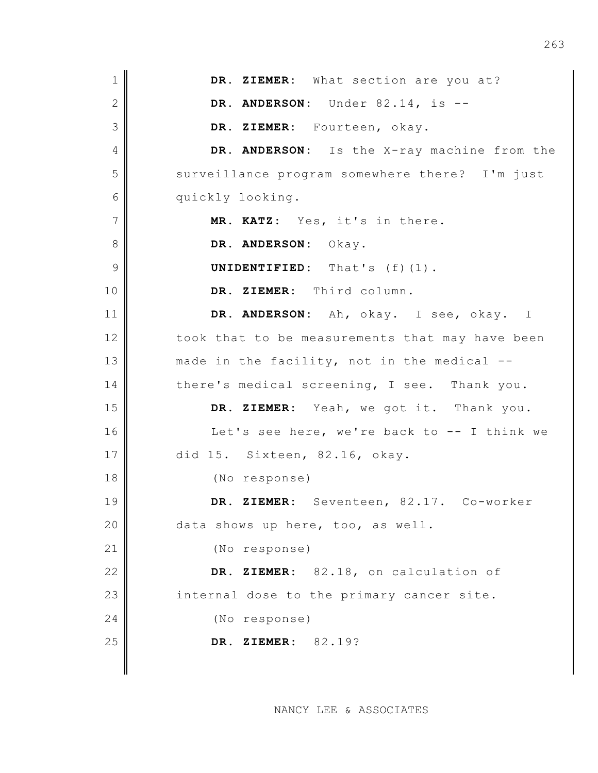1 **DR. ZIEMER:** What section are you at? 2 **DR. ANDERSON:** Under 82.14, is -- 3 **DR. ZIEMER:** Fourteen, okay. 4 **DR. ANDERSON:** Is the X-ray machine from the 5 surveillance program somewhere there? I'm just 6 quickly looking. 7 **MR. KATZ:** Yes, it's in there. 8 **DR. ANDERSON:** Okay. 9 **UNIDENTIFIED:** That's (f)(1). 10 **DR. ZIEMER:** Third column. 11 **DR. ANDERSON:** Ah, okay. I see, okay. I 12 took that to be measurements that may have been 13 made in the facility, not in the medical  $-$ 14 there's medical screening, I see. Thank you. 15 **DR. ZIEMER:** Yeah, we got it. Thank you. 16 Let's see here, we're back to -- I think we 17 did 15. Sixteen, 82.16, okay. 18 (No response) 19 **DR. ZIEMER:** Seventeen, 82.17. Co-worker 20 data shows up here, too, as well. 21 | (No response) 22 **DR. ZIEMER:** 82.18, on calculation of 23 internal dose to the primary cancer site. 24 (No response) 25 **DR. ZIEMER:** 82.19?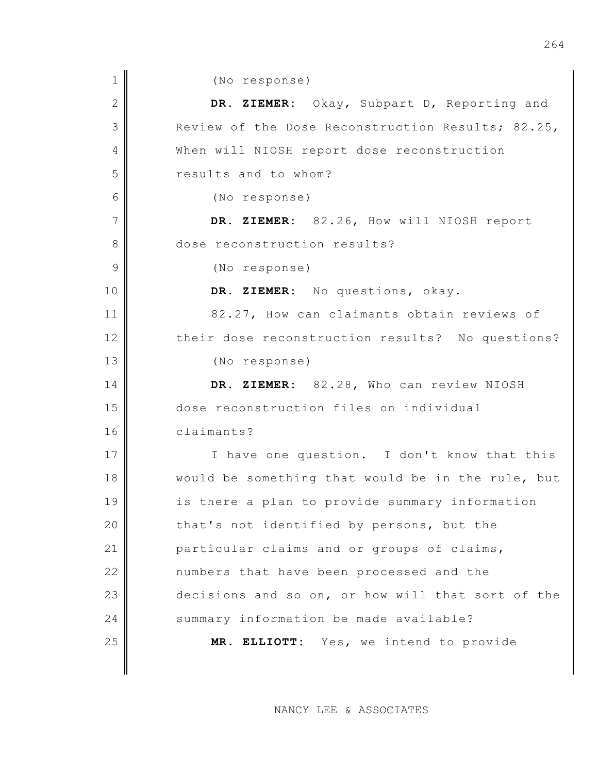1 (No response) 2 **DR. ZIEMER:** Okay, Subpart D, Reporting and 3 Review of the Dose Reconstruction Results; 82.25, 4 When will NIOSH report dose reconstruction 5 results and to whom? 6 (No response) 7 **DR. ZIEMER:** 82.26, How will NIOSH report 8 dose reconstruction results? 9 (No response) 10 **DR. ZIEMER:** No questions, okay. 11 82.27, How can claimants obtain reviews of 12 their dose reconstruction results? No questions? 13 (No response) 14 **DR. ZIEMER:** 82.28, Who can review NIOSH 15 dose reconstruction files on individual 16 claimants? 17 I have one question. I don't know that this 18 would be something that would be in the rule, but 19 is there a plan to provide summary information 20 that's not identified by persons, but the 21 particular claims and or groups of claims, 22 mumbers that have been processed and the 23 decisions and so on, or how will that sort of the 24 summary information be made available? 25 **MR. ELLIOTT:** Yes, we intend to provide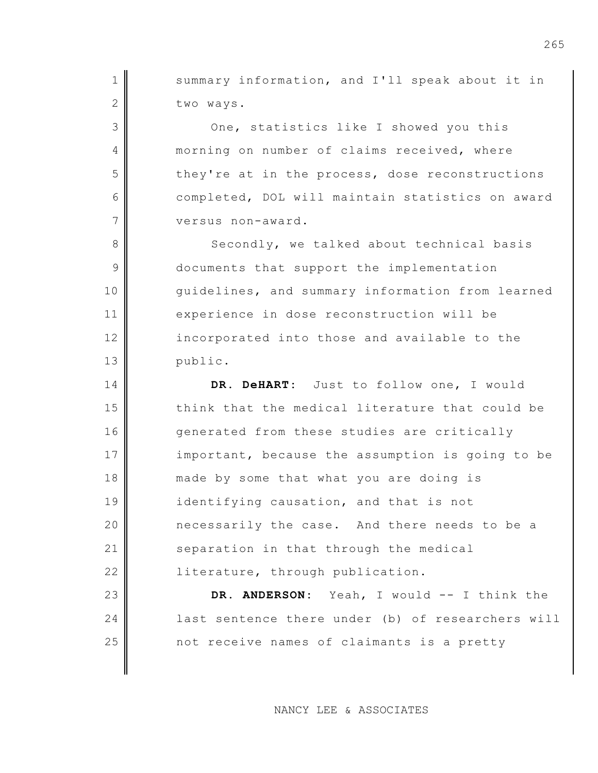1 Summary information, and I'll speak about it in 2 two ways.

3 One, statistics like I showed you this 4 morning on number of claims received, where 5 they're at in the process, dose reconstructions 6 completed, DOL will maintain statistics on award 7 versus non-award.

8 Secondly, we talked about technical basis 9 documents that support the implementation 10 guidelines, and summary information from learned 11 experience in dose reconstruction will be 12 incorporated into those and available to the 13 public.

14 **DR. DeHART:** Just to follow one, I would 15 think that the medical literature that could be 16 generated from these studies are critically 17 important, because the assumption is going to be 18 made by some that what you are doing is 19 identifying causation, and that is not 20 necessarily the case. And there needs to be a 21 separation in that through the medical 22 | literature, through publication.

23 **DR. ANDERSON:** Yeah, I would -- I think the 24 **last sentence there under (b)** of researchers will 25 not receive names of claimants is a pretty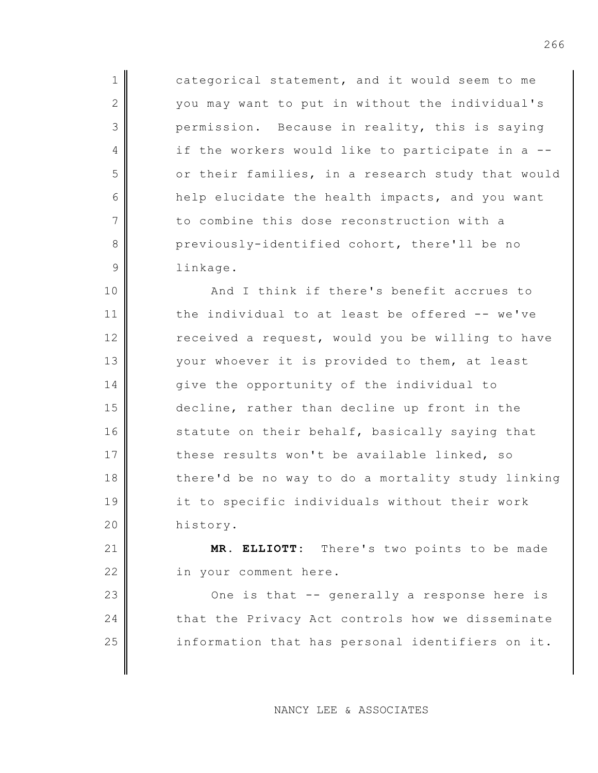1 categorical statement, and it would seem to me 2 you may want to put in without the individual's 3 permission. Because in reality, this is saying  $4 \parallel$  if the workers would like to participate in a --5 or their families, in a research study that would 6 help elucidate the health impacts, and you want 7 to combine this dose reconstruction with a 8 previously-identified cohort, there'll be no 9 | linkage.

10 And I think if there's benefit accrues to  $11$  the individual to at least be offered  $-$ - we've 12 received a request, would you be willing to have 13 your whoever it is provided to them, at least 14 give the opportunity of the individual to 15 decline, rather than decline up front in the 16 statute on their behalf, basically saying that 17 these results won't be available linked, so  $18$  there'd be no way to do a mortality study linking 19 it to specific individuals without their work 20 history.

21 **MR. ELLIOTT:** There's two points to be made 22 in your comment here.

23 | One is that -- generally a response here is 24 that the Privacy Act controls how we disseminate 25 **information that has personal identifiers on it.**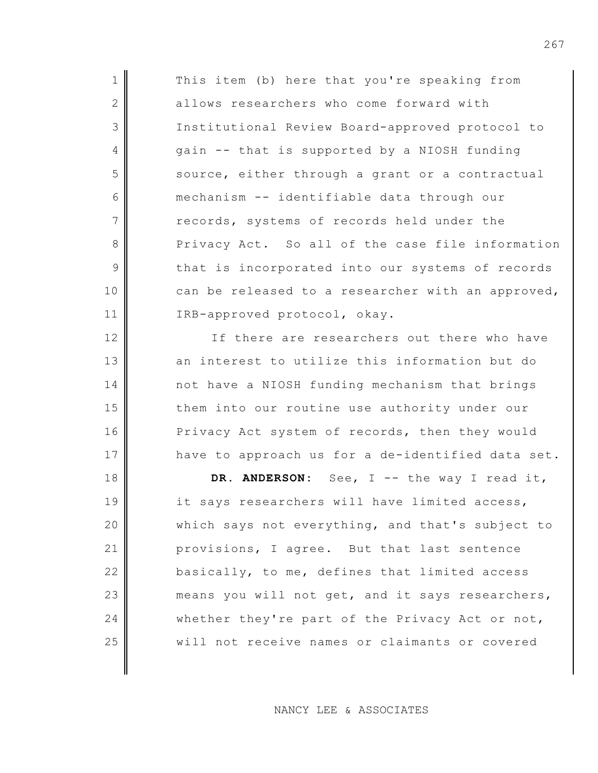1 This item (b) here that you're speaking from 2 allows researchers who come forward with 3 Institutional Review Board-approved protocol to  $4 \parallel$  gain -- that is supported by a NIOSH funding 5 source, either through a grant or a contractual 6 mechanism -- identifiable data through our 7 records, systems of records held under the 8 Privacy Act. So all of the case file information 9 || that is incorporated into our systems of records 10 can be released to a researcher with an approved, 11 | IRB-approved protocol, okay.

12 If there are researchers out there who have 13 an interest to utilize this information but do 14 not have a NIOSH funding mechanism that brings 15 them into our routine use authority under our 16 Privacy Act system of records, then they would 17 have to approach us for a de-identified data set.

18 **DR. ANDERSON:** See, I -- the way I read it, 19 it says researchers will have limited access, 20 which says not everything, and that's subject to 21 provisions, I agree. But that last sentence 22  $\parallel$  basically, to me, defines that limited access 23 means you will not get, and it says researchers, 24 whether they're part of the Privacy Act or not, 25 will not receive names or claimants or covered

267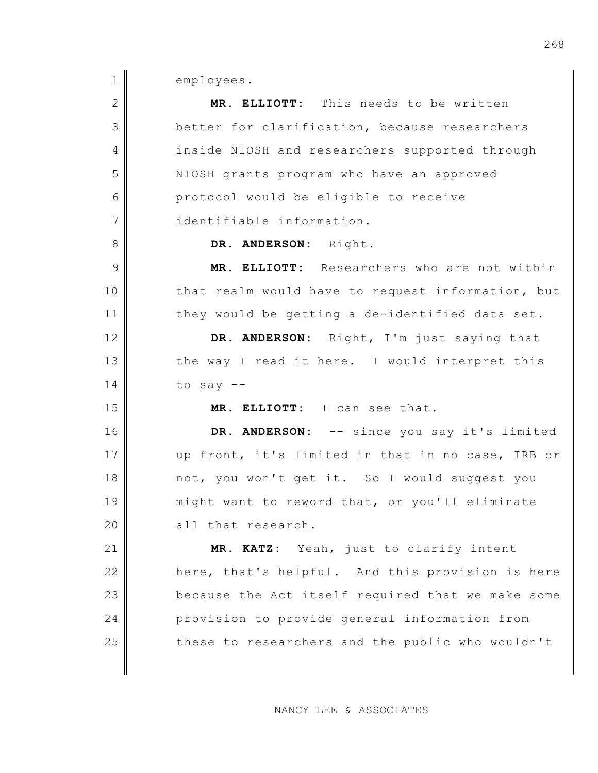1 employees.

2 **MR. ELLIOTT:** This needs to be written 3 better for clarification, because researchers 4 inside NIOSH and researchers supported through 5 NIOSH grants program who have an approved 6 protocol would be eligible to receive 7 identifiable information. 8 **DR. ANDERSON:** Right.

9 **MR. ELLIOTT:** Researchers who are not within 10 that realm would have to request information, but  $11$  they would be getting a de-identified data set.

12 **DR. ANDERSON:** Right, I'm just saying that 13 the way I read it here. I would interpret this  $14$  to say  $-$ 

15 **MR. ELLIOTT:** I can see that.

16 **DR. ANDERSON:** -- since you say it's limited 17 up front, it's limited in that in no case, IRB or 18 not, you won't get it. So I would suggest you 19 might want to reword that, or you'll eliminate 20 all that research.

21 **MR. KATZ:** Yeah, just to clarify intent  $22$  here, that's helpful. And this provision is here 23 because the Act itself required that we make some 24 provision to provide general information from 25 these to researchers and the public who wouldn't

268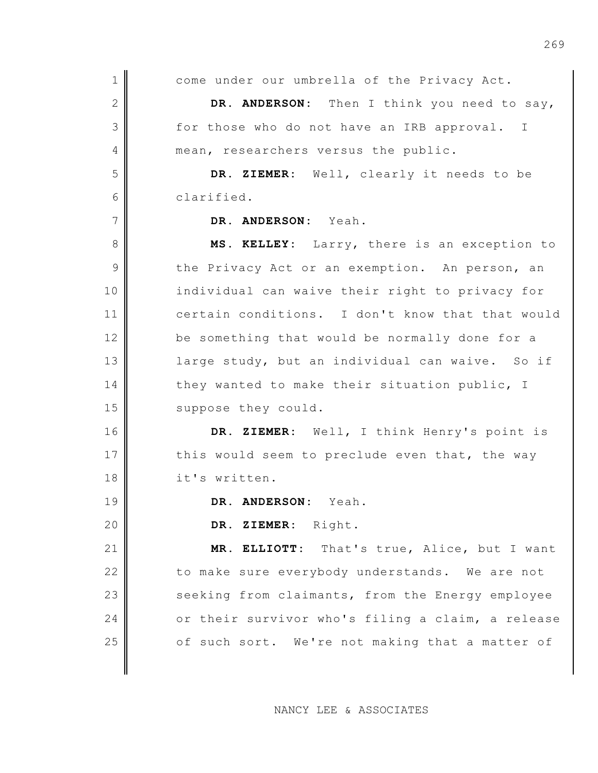| $\mathbf 1$    | come under our umbrella of the Privacy Act.       |
|----------------|---------------------------------------------------|
| $\mathbf{2}$   | DR. ANDERSON: Then I think you need to say,       |
| $\mathfrak{Z}$ | for those who do not have an IRB approval. I      |
| 4              | mean, researchers versus the public.              |
| 5              | DR. ZIEMER: Well, clearly it needs to be          |
| 6              | clarified.                                        |
| $\overline{7}$ | DR. ANDERSON: Yeah.                               |
| 8              | MS. KELLEY: Larry, there is an exception to       |
| $\mathcal{G}$  | the Privacy Act or an exemption. An person, an    |
| 10             | individual can waive their right to privacy for   |
| 11             | certain conditions. I don't know that that would  |
| 12             | be something that would be normally done for a    |
| 13             | large study, but an individual can waive. So if   |
| 14             | they wanted to make their situation public, I     |
| 15             | suppose they could.                               |
| 16             | DR. ZIEMER: Well, I think Henry's point is        |
| 17             | this would seem to preclude even that, the way    |
| 18             | it's written.                                     |
| 19             | DR. ANDERSON: Yeah.                               |
| 20             | DR. ZIEMER: Right.                                |
| 21             | MR. ELLIOTT: That's true, Alice, but I want       |
| 22             | to make sure everybody understands. We are not    |
| 23             | seeking from claimants, from the Energy employee  |
| 24             | or their survivor who's filing a claim, a release |
| 25             | of such sort. We're not making that a matter of   |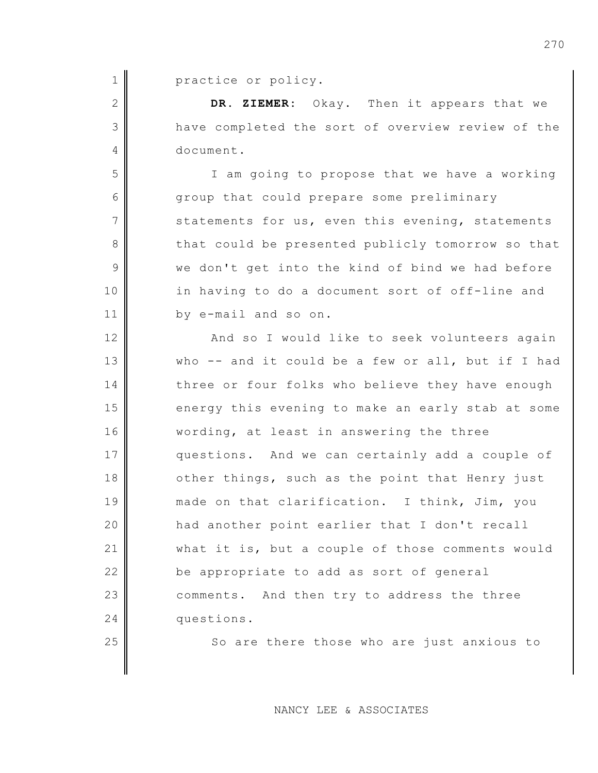| $1 \parallel$ | practice or policy. |
|---------------|---------------------|
|               |                     |

2 **DR. ZIEMER:** Okay. Then it appears that we 3 have completed the sort of overview review of the 4 document.

5 I am going to propose that we have a working 6 group that could prepare some preliminary  $7$  statements for us, even this evening, statements 8 that could be presented publicly tomorrow so that 9 we don't get into the kind of bind we had before 10 in having to do a document sort of off-line and 11 by e-mail and so on.

12 And so I would like to seek volunteers again  $13$  who -- and it could be a few or all, but if I had 14 three or four folks who believe they have enough 15 energy this evening to make an early stab at some 16 wording, at least in answering the three 17 questions. And we can certainly add a couple of 18 other things, such as the point that Henry just 19 made on that clarification. I think, Jim, you 20 **had another point earlier that I don't recall** 21 what it is, but a couple of those comments would  $22$  be appropriate to add as sort of general  $23$  comments. And then try to address the three 24 questions.

25 || So are there those who are just anxious to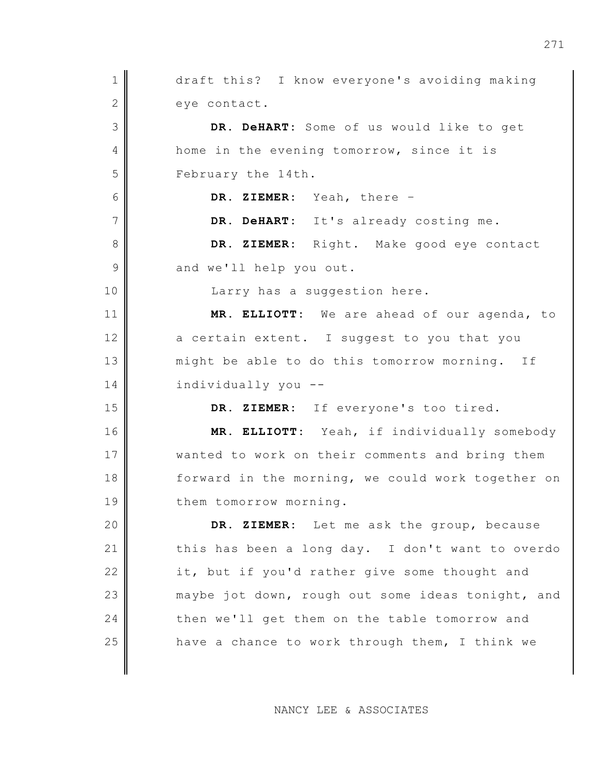1 draft this? I know everyone's avoiding making 2 eye contact. 3 **DR. DeHART:** Some of us would like to get 4 home in the evening tomorrow, since it is 5 February the 14th. 6 **DR. ZIEMER:** Yeah, there – 7 **DR. DeHART:** It's already costing me. 8 **DR. ZIEMER:** Right. Make good eye contact 9 and we'll help you out. 10 Larry has a suggestion here. 11 **MR. ELLIOTT:** We are ahead of our agenda, to 12 a certain extent. I suggest to you that you 13 might be able to do this tomorrow morning. If 14 individually you -- 15 **DR. ZIEMER:** If everyone's too tired. 16 **MR. ELLIOTT:** Yeah, if individually somebody 17 | wanted to work on their comments and bring them 18 forward in the morning, we could work together on 19 them tomorrow morning. 20 **DR. ZIEMER:** Let me ask the group, because 21 this has been a long day. I don't want to overdo  $22$  it, but if you'd rather give some thought and 23 maybe jot down, rough out some ideas tonight, and 24 then we'll get them on the table tomorrow and  $25$  have a chance to work through them, I think we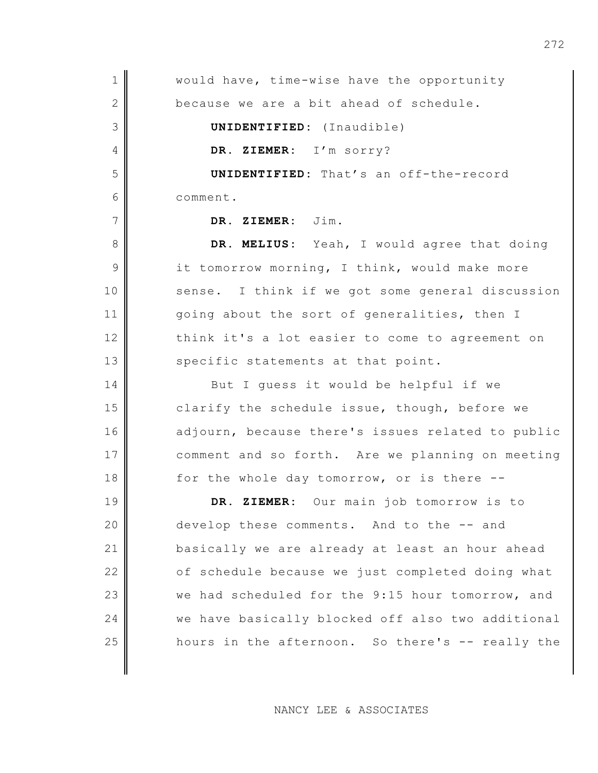1 Would have, time-wise have the opportunity 2 because we are a bit ahead of schedule. 3 **UNIDENTIFIED:** (Inaudible) 4 **DR. ZIEMER:** I'm sorry? 5 **UNIDENTIFIED:** That's an off-the-record 6 comment. 7 **DR. ZIEMER:** Jim. 8 **DR. MELIUS:** Yeah, I would agree that doing 9 it tomorrow morning, I think, would make more 10 sense. I think if we got some general discussion 11 || qoing about the sort of generalities, then I 12 think it's a lot easier to come to agreement on 13 specific statements at that point. 14 But I guess it would be helpful if we 15 clarify the schedule issue, though, before we 16 adjourn, because there's issues related to public 17 comment and so forth. Are we planning on meeting 18 for the whole day tomorrow, or is there  $-$ -19 **DR. ZIEMER:** Our main job tomorrow is to 20 develop these comments. And to the -- and 21 basically we are already at least an hour ahead  $22$  of schedule because we just completed doing what 23 we had scheduled for the 9:15 hour tomorrow, and 24 we have basically blocked off also two additional 25 hours in the afternoon. So there's -- really the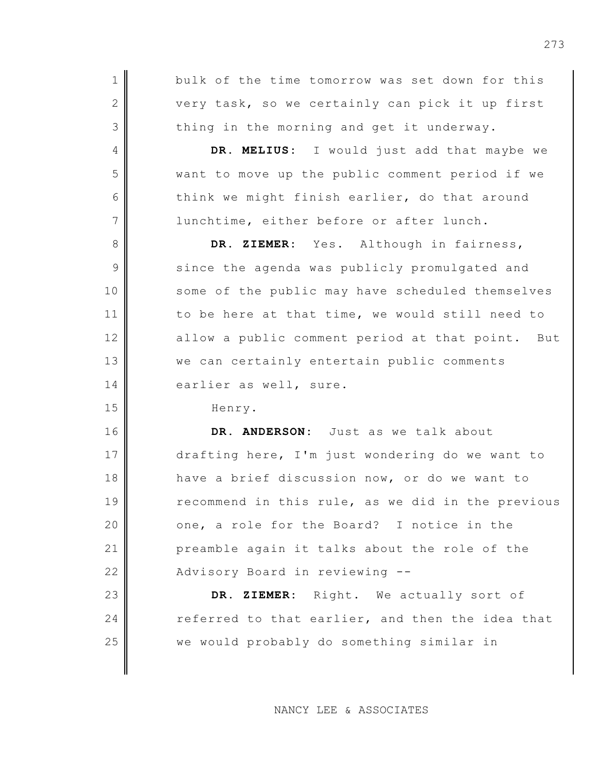| $\mathbf 1$   | bulk of the time tomorrow was set down for this   |
|---------------|---------------------------------------------------|
| $\sqrt{2}$    | very task, so we certainly can pick it up first   |
| 3             | thing in the morning and get it underway.         |
| 4             | DR. MELIUS: I would just add that maybe we        |
| 5             | want to move up the public comment period if we   |
| 6             | think we might finish earlier, do that around     |
| 7             | lunchtime, either before or after lunch.          |
| 8             | DR. ZIEMER: Yes. Although in fairness,            |
| $\mathcal{G}$ | since the agenda was publicly promulgated and     |
| 10            | some of the public may have scheduled themselves  |
| 11            | to be here at that time, we would still need to   |
| 12            | allow a public comment period at that point. But  |
| 13            | we can certainly entertain public comments        |
|               |                                                   |
| 14            | earlier as well, sure.                            |
| 15            | Henry.                                            |
| 16            | DR. ANDERSON: Just as we talk about               |
| 17            | drafting here, I'm just wondering do we want to   |
| 18            | have a brief discussion now, or do we want to     |
| 19            | recommend in this rule, as we did in the previous |
| 20            | one, a role for the Board? I notice in the        |
| 21            | preamble again it talks about the role of the     |
| 22            | Advisory Board in reviewing --                    |
| 23            | DR. ZIEMER: Right. We actually sort of            |
| 24            | referred to that earlier, and then the idea that  |
| 25            | we would probably do something similar in         |

NANCY LEE & ASSOCIATES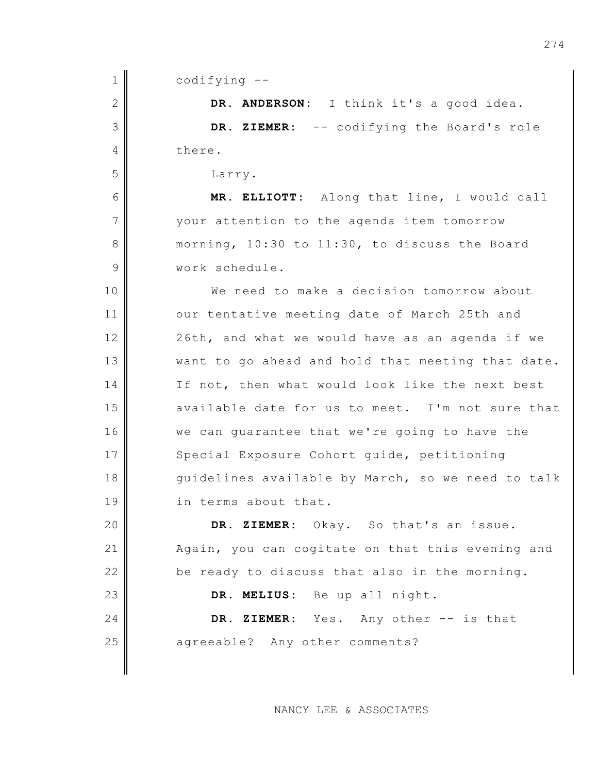1 codifying --2 **DR. ANDERSON:** I think it's a good idea. 3 **DR. ZIEMER:** -- codifying the Board's role 4 there. 5 Larry. 6 **MR. ELLIOTT:** Along that line, I would call  $7$   $\parallel$  your attention to the agenda item tomorrow 8 morning, 10:30 to 11:30, to discuss the Board 9 work schedule. 10 We need to make a decision tomorrow about 11 | our tentative meeting date of March 25th and  $12$  | 26th, and what we would have as an agenda if we 13 want to go ahead and hold that meeting that date. 14 If not, then what would look like the next best  $15$  available date for us to meet. I'm not sure that 16 we can quarantee that we're going to have the 17 Special Exposure Cohort guide, petitioning 18 guidelines available by March, so we need to talk 19 in terms about that. 20 **DR. ZIEMER:** Okay. So that's an issue. 21 Again, you can cogitate on that this evening and 22  $\parallel$  be ready to discuss that also in the morning. 23 **DR. MELIUS:** Be up all night. 24 **DR. ZIEMER:** Yes. Any other -- is that 25 agreeable? Any other comments?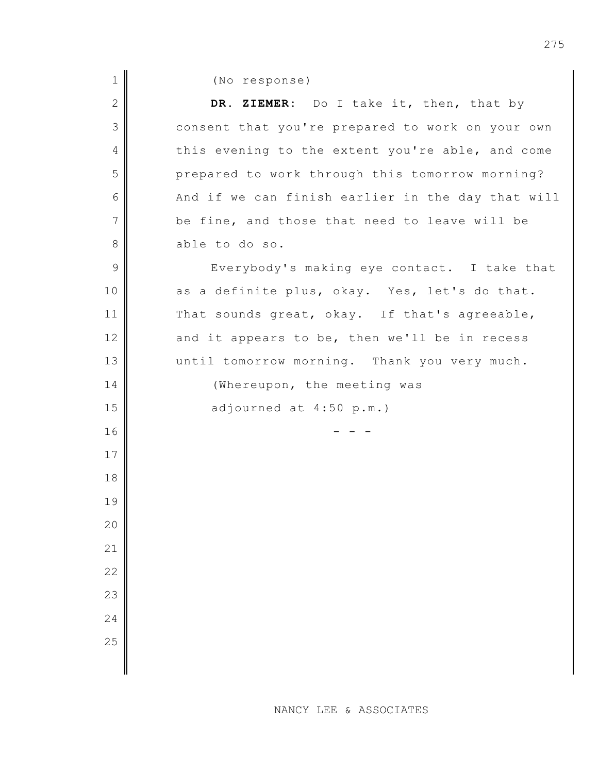1 (No response)

| $\sqrt{2}$      | DR. ZIEMER: Do I take it, then, that by           |
|-----------------|---------------------------------------------------|
| 3               | consent that you're prepared to work on your own  |
| 4               | this evening to the extent you're able, and come  |
| 5               | prepared to work through this tomorrow morning?   |
| 6               | And if we can finish earlier in the day that will |
| 7               | be fine, and those that need to leave will be     |
| 8               | able to do so.                                    |
| $\mathcal{G}$   | Everybody's making eye contact. I take that       |
| 10              | as a definite plus, okay. Yes, let's do that.     |
| 11              | That sounds great, okay. If that's agreeable,     |
| 12              | and it appears to be, then we'll be in recess     |
| 13              | until tomorrow morning. Thank you very much.      |
| 14              | (Whereupon, the meeting was                       |
| 15              | adjourned at 4:50 p.m.)                           |
| 16              |                                                   |
| 17              |                                                   |
| 18              |                                                   |
| 19              |                                                   |
| 20              |                                                   |
| 21              |                                                   |
| $\overline{22}$ |                                                   |
| 23              |                                                   |
| $\overline{24}$ |                                                   |
| 25              |                                                   |
|                 |                                                   |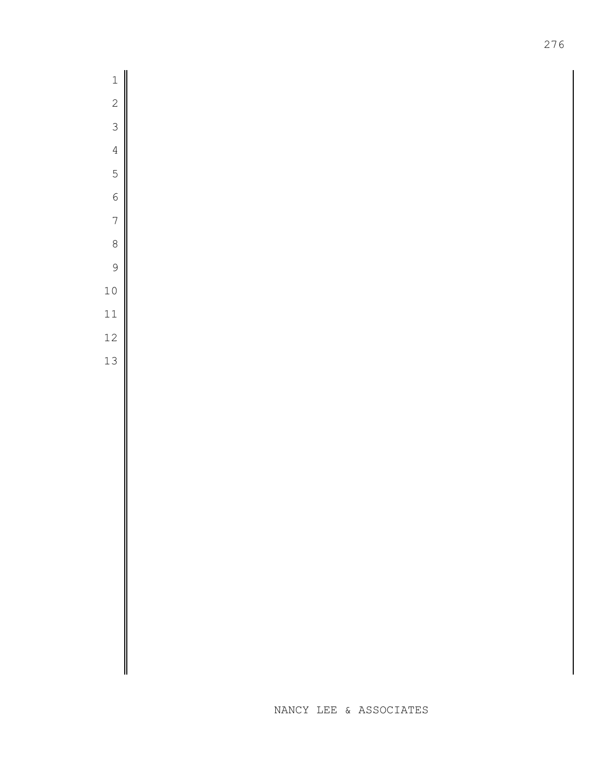|    | 1              |
|----|----------------|
|    | 2              |
|    | 3              |
|    | 4              |
|    | 5              |
|    | 6              |
|    | $\overline{7}$ |
|    | 8              |
|    | 9              |
| 10 |                |
| 11 |                |
| 12 |                |
| 13 |                |